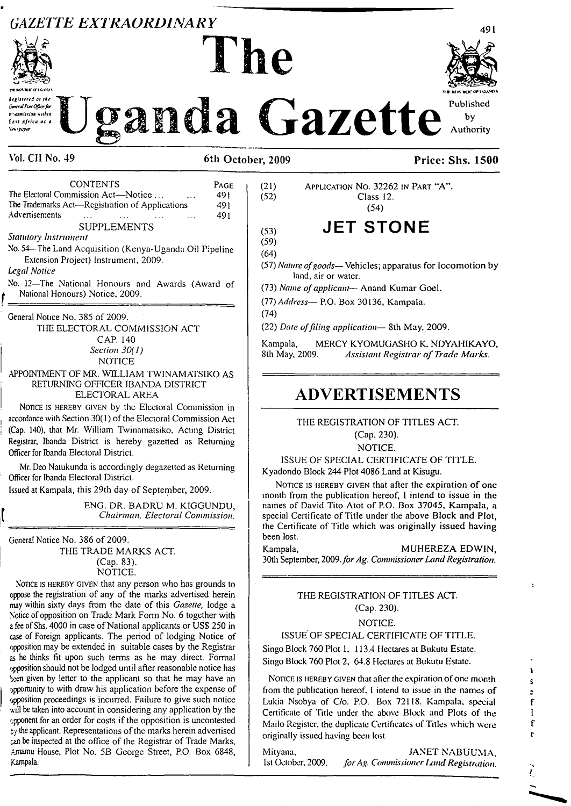# **GAZETTE EXTRAORDINARY**



ceistered at the .<br>www.foxtOfice.fox r : asmission within **East Africa as a SINK** 

**nt unwrchiology was also assumed to the property of the property of the property of the property of the property of the property of the property of the property of the property of the property of the property of the p** anda Gazette **Published by Authority**

**Vol. CII No. 49 6th October, 2009 Price: Shs. 1500**

l he

### CONTENTS Page The Electoral Commission Act—Notice ... ... ... 491<br>The Trademarks Act—Registration of Applications 491 The Trademarks Act—Registration of Applications Advertisements ... ... ... ... 491 SUPPLEMENTS *Statutory Instrument* No. 54—The Land Acquisition (Kenya-Uganda Oil Pipeline Extension Project) Instrument, 2009.

#### *Legal Notice*

No. <sup>12</sup>—The National Honours and Awards (Award of National Honours) Notice, 2009.

General Notice No. 385 of 2009.

THE ELECTORAL COMMISSION ACT CAP. 140 *Section 30( 1)* NOTICE

#### APPOINTMENT OF MR. WILLIAM TWINAMATSIKO AS RETURNING OFFICER IBANDA DISTRICT ELECTORAL AREA

Nonce is hereby given by the Electoral Commission in accordance with Section 30(1) of the Electoral Commission Act (Cap. 140), that Mr. William Twinamatsiko, Acting District Registrar, Ibanda District is hereby gazetted as Returning Officer for Ibanda Electoral District.

Mr. Deo Natukunda is accordingly degazetted as Returning Officer for Ibanda Electoral District.

Issued at Kampala, this 29th day of September, 2009.

ENG. DR. BADRU M. KIGGUNDU, *Chairman, Electoral Commission.*

General Notice No. 386 of 2009. THE TRADE MARKS ACT. (Cap. 83).

NOTICE.

Notice is hereby given that any person who has grounds to appose the registration of any of the marks advertised herein may within sixty days from the date of this *Gazette,* lodge a Notice of opposition on Trade Mark Form No. 6 together with <sup>a</sup> fee of Shs. 4000 in case ofNational applicants or USS 250 in case of Foreign applicants. The period of lodging Notice of opposition may be extended in suitable cases by the Registrar as he thinks fit upon such terms as he may direct. Formal opposition should not be lodged until after reasonable notice has been given by letter to the applicant so that he may have an opportunity to with draw his application before the expense of opposition proceedings is incurred. Failure to give such notice will be taken into account in considering any application by the opponent for an order for costs if the opposition is uncontested  $by$  the applicant. Representations of the marks herein advertised can be inspected at the office of the Registrar of Trade Marks, Amamu House, Plot No. 5B George Street, P.O. Box 6848, Kampala.

(21) Application No. 32262 in Part  $A$ ".<br>(52) Class 12. Class 12. (54)

# (53) **JET STONE**

(59) (64)

(57) *Nature ofgoods—*Vehicles; apparatus for locomotion by land, air or water.

(73) *Name ofapplicant—* Anand Kumar Goel.

(77) *Address—* P.O. Box 30136, Kampala.

(74)

(22) *Date offding application—* Sth May, 2009.

Kampala, MERCY KYOMUGASHO K **NDYAHIKAYO**, 8th May, 2009. *Assistant Registrar of Trade Marks.* 8th May, 2009. *Assistant Registrar of Trade Marks.*

# **ADVERTISEMENTS**

THE REGISTRATION OF TITLES ACT. (Cap. 230).

NOTICE.

ISSUE OF SPECIAL CERTIFICATE OF TITLE. Kyadondo Block 244 Plot 4086 Land at Kisugu.

NOTICE IS HEREBY GIVEN that after the expiration of one month from the publication hereof, I intend to issue in the names of David Tito Atot of P.O. Box 37045, **Kampala, a** special Certificate of Title under the above Block and Plot, the Certificate of Title which was originally issued having been lost.

Kampala, MUHEREZA EDWIN, 30th September, *2009.forAg. Commissioner LandRegistration.*

#### THE REGISTRATION OF TITLES ACT. (Cap. 230).

# NOTICE.

# ISSUE OF SPECIAL CERTIFICATE OF TITLE.

Singo Block 760 Plot 1, 113.4 Hectares at Bukutu Estate. Singo Block 760 Plot 2, 64.8 Hectares at Bukutu Estate.

NOTICE IS HEREBY GIVEN that after the expiration of one month  $\frac{1}{3}$ from the publication hereof. I intend to issue in the names of  $\cdot$ Lukia Nsobya of C/o. P.O. Box 72118. Kampala, special f Certificate of Title under the above Block and Plots of the I Mailo Register, the duplicate Certificates of Titles which were f originally issued having been lost.

Mityana, JANET NABUUMA. 1st October, 2009. *forAg. Commissioner hind Registration. •» \_\_\_\_\_\_\_\_\_\_\_\_\_\_\_\_\_\_\_\_\_\_\_\_\_\_\_\_\_\_\_\_\_\_\_\_\_\_\_\_ I*

491

**1**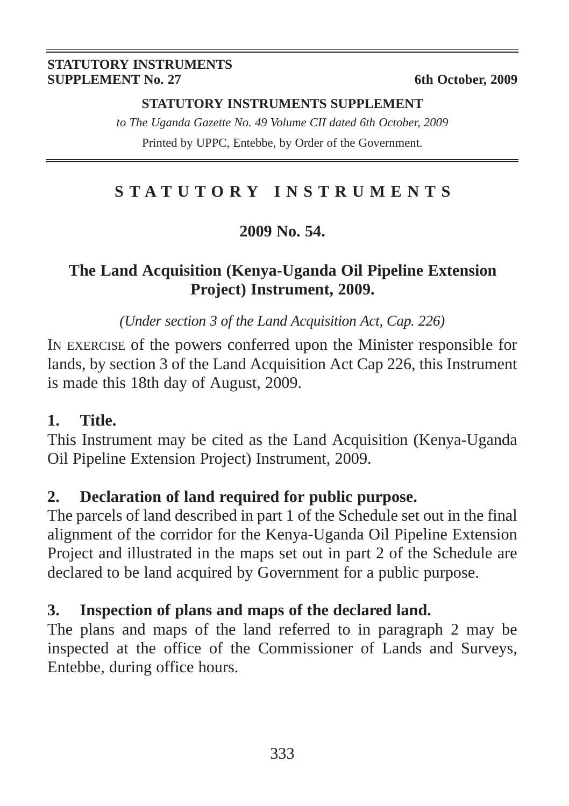#### **STATUTORY INSTRUMENTS SUPPLEMENT No. 27** 6th October, 2009

#### **STATUTORY INSTRUMENTS SUPPLEMENT**

*to The Uganda Gazette No. 49 Volume CII dated 6th October, 2009* Printed by UPPC, Entebbe, by Order of the Government.

# **STATUTORY INSTRUMENTS**

# **2009 No. 54.**

# **The Land Acquisition (Kenya-Uganda Oil Pipeline Extension Project) Instrument, 2009.**

*(Under section 3 of the Land Acquisition Act, Cap. 226)*

IN EXERCISE of the powers conferred upon the Minister responsible for lands, by section 3 of the Land Acquisition Act Cap 226, this Instrument is made this 18th day of August, 2009.

# **1. Title.**

This Instrument may be cited as the Land Acquisition (Kenya-Uganda Oil Pipeline Extension Project) Instrument, 2009.

# **2. Declaration of land required for public purpose.**

The parcels of land described in part 1 of the Schedule set out in the final alignment of the corridor for the Kenya-Uganda Oil Pipeline Extension Project and illustrated in the maps set out in part 2 of the Schedule are declared to be land acquired by Government for a public purpose.

# **3. Inspection of plans and maps of the declared land.**

The plans and maps of the land referred to in paragraph 2 may be inspected at the office of the Commissioner of Lands and Surveys, Entebbe, during office hours.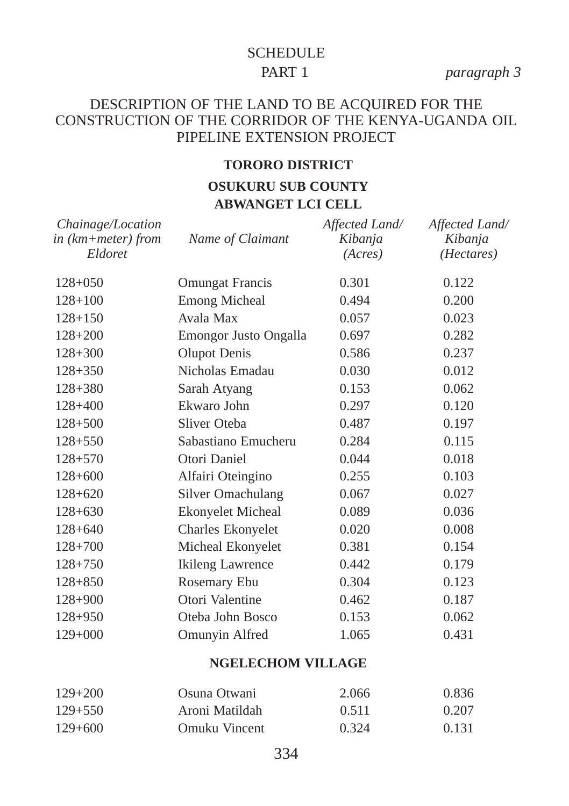# **SCHEDULE** PART 1 *paragraph 3*

#### DESCRIPTION OF THE LAND TO BE ACQUIRED FOR THE CONSTRUCTION OF THE CORRIDOR OF THE KENYA-UGANDA OIL PIPELINE EXTENSION PROJECT

#### **TORORO DISTRICT**

# **OSUKURU SUB COUNTY ABWANGET LCI CELL**

| Chainage/Location<br>in (km+meter) from<br>Eldoret | Name of Claimant             | Affected Land/<br>Kibanja<br>(Acres) | Affected Land/<br>Kibanja<br>( <i>Hectares</i> ) |
|----------------------------------------------------|------------------------------|--------------------------------------|--------------------------------------------------|
| $128+050$                                          | <b>Omungat Francis</b>       | 0.301                                | 0.122                                            |
| $128 + 100$                                        | <b>Emong Micheal</b>         | 0.494                                | 0.200                                            |
| $128 + 150$                                        | Avala Max                    | 0.057                                | 0.023                                            |
| $128 + 200$                                        | <b>Emongor Justo Ongalla</b> | 0.697                                | 0.282                                            |
| $128 + 300$                                        | <b>Olupot Denis</b>          | 0.586                                | 0.237                                            |
| $128 + 350$                                        | Nicholas Emadau              | 0.030                                | 0.012                                            |
| $128 + 380$                                        | Sarah Atyang                 | 0.153                                | 0.062                                            |
| $128 + 400$                                        | Ekwaro John                  | 0.297                                | 0.120                                            |
| $128 + 500$                                        | Sliver Oteba                 | 0.487                                | 0.197                                            |
| $128 + 550$                                        | Sabastiano Emucheru          | 0.284                                | 0.115                                            |
| $128 + 570$                                        | Otori Daniel                 | 0.044                                | 0.018                                            |
| $128 + 600$                                        | Alfairi Oteingino            | 0.255                                | 0.103                                            |
| $128 + 620$                                        | Silver Omachulang            | 0.067                                | 0.027                                            |
| $128 + 630$                                        | <b>Ekonyelet Micheal</b>     | 0.089                                | 0.036                                            |
| $128 + 640$                                        | Charles Ekonyelet            | 0.020                                | 0.008                                            |
| $128 + 700$                                        | Micheal Ekonyelet            | 0.381                                | 0.154                                            |
| $128 + 750$                                        | <b>Ikileng Lawrence</b>      | 0.442                                | 0.179                                            |
| $128 + 850$                                        | Rosemary Ebu                 | 0.304                                | 0.123                                            |
| $128 + 900$                                        | Otori Valentine              | 0.462                                | 0.187                                            |
| $128 + 950$                                        | Oteba John Bosco             | 0.153                                | 0.062                                            |
| $129+000$                                          | Omunyin Alfred               | 1.065                                | 0.431                                            |
|                                                    |                              |                                      |                                                  |

#### **NGELECHOM VILLAGE**

| $129 + 200$ | Osuna Otwani   | 2.066 | 0.836 |
|-------------|----------------|-------|-------|
| $129 + 550$ | Aroni Matildah | 0.511 | 0.207 |
| $129 + 600$ | Omuku Vincent  | 0.324 | 0.131 |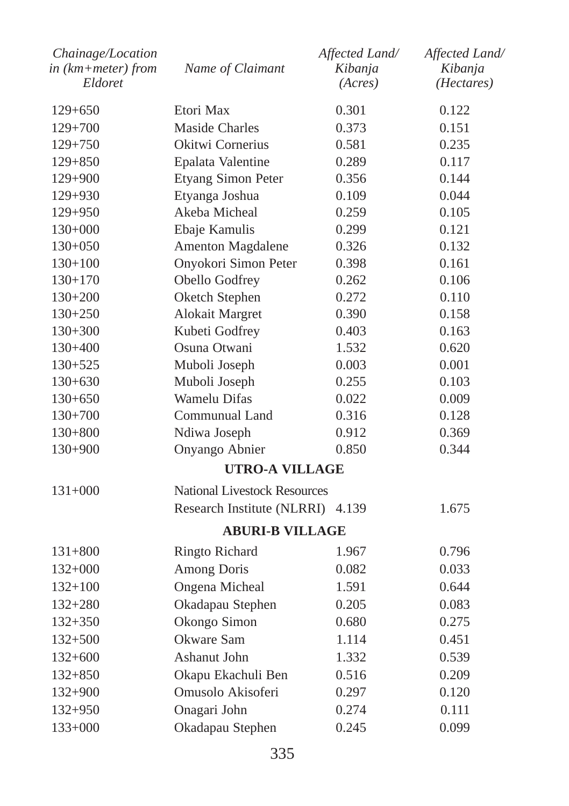| Chainage/Location<br>in (km+meter) from | Name of Claimant                    | Affected Land/<br>Kibanja | Affected Land/<br>Kibanja |
|-----------------------------------------|-------------------------------------|---------------------------|---------------------------|
| Eldoret                                 |                                     | (Acres)                   | ( <i>Hectares</i> )       |
| $129 + 650$                             | Etori Max                           | 0.301                     | 0.122                     |
| $129+700$                               | <b>Maside Charles</b>               | 0.373                     | 0.151                     |
| $129 + 750$                             | Okitwi Cornerius                    | 0.581                     | 0.235                     |
| $129 + 850$                             | Epalata Valentine                   | 0.289                     | 0.117                     |
| $129 + 900$                             | Etyang Simon Peter                  | 0.356                     | 0.144                     |
| $129 + 930$                             | Etyanga Joshua                      | 0.109                     | 0.044                     |
| $129 + 950$                             | Akeba Micheal                       | 0.259                     | 0.105                     |
| $130+000$                               | Ebaje Kamulis                       | 0.299                     | 0.121                     |
| $130+050$                               | Amenton Magdalene                   | 0.326                     | 0.132                     |
| $130+100$                               | Onyokori Simon Peter                | 0.398                     | 0.161                     |
| $130+170$                               | Obello Godfrey                      | 0.262                     | 0.106                     |
| $130+200$                               | Oketch Stephen                      | 0.272                     | 0.110                     |
| $130+250$                               | <b>Alokait Margret</b>              | 0.390                     | 0.158                     |
| $130+300$                               | Kubeti Godfrey                      | 0.403                     | 0.163                     |
| $130+400$                               | Osuna Otwani                        | 1.532                     | 0.620                     |
| $130+525$                               | Muboli Joseph                       | 0.003                     | 0.001                     |
| $130+630$                               | Muboli Joseph                       | 0.255                     | 0.103                     |
| $130+650$                               | Wamelu Difas                        | 0.022                     | 0.009                     |
| $130+700$                               | Communual Land                      | 0.316                     | 0.128                     |
| $130+800$                               | Ndiwa Joseph                        | 0.912                     | 0.369                     |
| $130+900$                               | Onyango Abnier                      | 0.850                     | 0.344                     |
|                                         | <b>UTRO-A VILLAGE</b>               |                           |                           |
| $131+000$                               | <b>National Livestock Resources</b> |                           |                           |
|                                         | Research Institute (NLRRI)          | 4.139                     | 1.675                     |
|                                         | <b>ABURI-B VILLAGE</b>              |                           |                           |
| $131 + 800$                             | Ringto Richard                      | 1.967                     | 0.796                     |
| $132+000$                               | <b>Among Doris</b>                  | 0.082                     | 0.033                     |
| $132+100$                               | Ongena Micheal                      | 1.591                     | 0.644                     |
| $132 + 280$                             | Okadapau Stephen                    | 0.205                     | 0.083                     |
| $132 + 350$                             | Okongo Simon                        | 0.680                     | 0.275                     |
| $132 + 500$                             | Okware Sam                          | 1.114                     | 0.451                     |
| $132+600$                               | Ashanut John                        | 1.332                     | 0.539                     |
| $132 + 850$                             | Okapu Ekachuli Ben                  | 0.516                     | 0.209                     |
| $132 + 900$                             | Omusolo Akisoferi                   | 0.297                     | 0.120                     |
| $132 + 950$                             | Onagari John                        | 0.274                     | 0.111                     |
| $133+000$                               | Okadapau Stephen                    | 0.245                     | 0.099                     |
|                                         |                                     |                           |                           |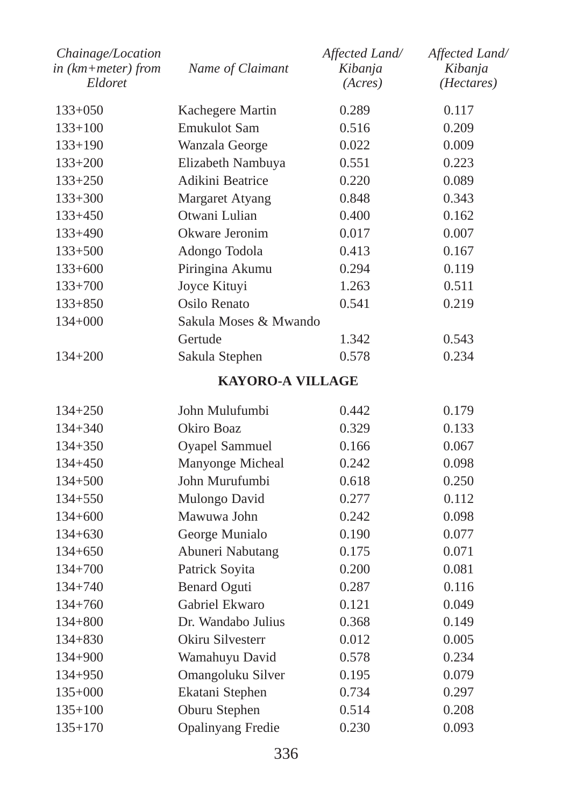| in (km+meter) from<br>Eldoret | Name of Claimant         | Kibanja<br>(Acres) | Kibanja<br>( <i>Hectares</i> ) |
|-------------------------------|--------------------------|--------------------|--------------------------------|
| $133+050$                     | Kachegere Martin         | 0.289              | 0.117                          |
| $133+100$                     | <b>Emukulot Sam</b>      | 0.516              | 0.209                          |
| $133+190$                     | Wanzala George           | 0.022              | 0.009                          |
| $133+200$                     | Elizabeth Nambuya        | 0.551              | 0.223                          |
| $133 + 250$                   | Adikini Beatrice         | 0.220              | 0.089                          |
| $133 + 300$                   | Margaret Atyang          | 0.848              | 0.343                          |
| $133+450$                     | Otwani Lulian            | 0.400              | 0.162                          |
| 133+490                       | Okware Jeronim           | 0.017              | 0.007                          |
| $133 + 500$                   | Adongo Todola            | 0.413              | 0.167                          |
| $133+600$                     | Piringina Akumu          | 0.294              | 0.119                          |
| $133 + 700$                   | Joyce Kituyi             | 1.263              | 0.511                          |
| $133 + 850$                   | Osilo Renato             | 0.541              | 0.219                          |
| $134 + 000$                   | Sakula Moses & Mwando    |                    |                                |
|                               | Gertude                  | 1.342              | 0.543                          |
| 134+200                       | Sakula Stephen           | 0.578              | 0.234                          |
|                               | <b>KAYORO-A VILLAGE</b>  |                    |                                |
| $134 + 250$                   | John Mulufumbi           | 0.442              | 0.179                          |
| $134 + 340$                   | Okiro Boaz               | 0.329              | 0.133                          |
| $134 + 350$                   | Oyapel Sammuel           | 0.166              | 0.067                          |
| $134 + 450$                   | Manyonge Micheal         | 0.242              | 0.098                          |
| $134 + 500$                   | John Murufumbi           | 0.618              | 0.250                          |
| $134 + 550$                   | Mulongo David            | 0.277              | 0.112                          |
| $134 + 600$                   | Mawuwa John              | 0.242              | 0.098                          |
| $134 + 630$                   | George Munialo           | 0.190              | 0.077                          |
| $134 + 650$                   | Abuneri Nabutang         | 0.175              | 0.071                          |
| $134 + 700$                   | Patrick Soyita           | 0.200              | 0.081                          |
| $134 + 740$                   | <b>Benard Oguti</b>      | 0.287              | 0.116                          |
| $134 + 760$                   | Gabriel Ekwaro           | 0.121              | 0.049                          |
| $134 + 800$                   | Dr. Wandabo Julius       | 0.368              | 0.149                          |
| $134 + 830$                   | Okiru Silvesterr         | 0.012              | 0.005                          |
| $134 + 900$                   | Wamahuyu David           | 0.578              | 0.234                          |
| $134 + 950$                   | Omangoluku Silver        | 0.195              | 0.079                          |
| $135+000$                     | Ekatani Stephen          | 0.734              | 0.297                          |
| $135+100$                     | Oburu Stephen            | 0.514              | 0.208                          |
| $135 + 170$                   | <b>Opalinyang Fredie</b> | 0.230              | 0.093                          |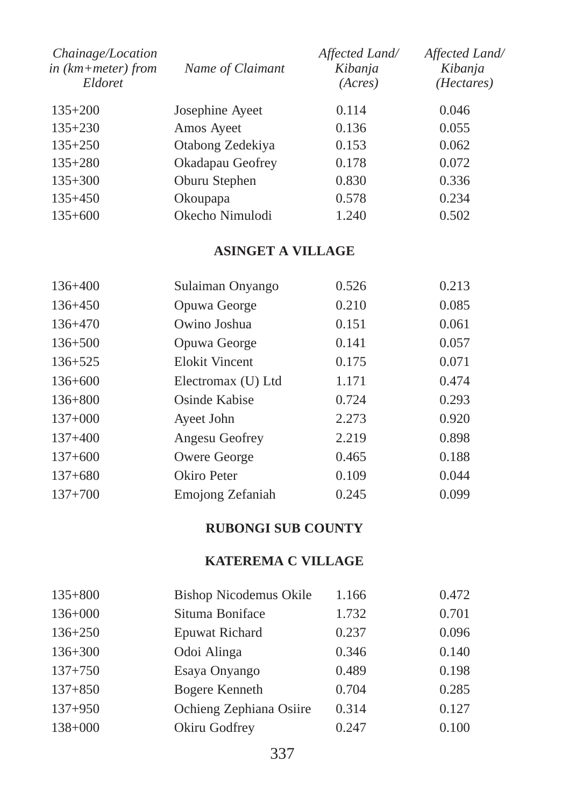| Chainage/Location<br>in $(km+meter)$ from<br>Eldoret | Name of Claimant | Affected Land/<br>Kibanja<br>(Acres) | Affected Land/<br>Kibanja<br>( <i>Hectares</i> ) |
|------------------------------------------------------|------------------|--------------------------------------|--------------------------------------------------|
| $135+200$                                            | Josephine Ayeet  | 0.114                                | 0.046                                            |
| $135+230$                                            | Amos Ayeet       | 0.136                                | 0.055                                            |
| $135+250$                                            | Otabong Zedekiya | 0.153                                | 0.062                                            |
| $135 + 280$                                          | Okadapau Geofrey | 0.178                                | 0.072                                            |
| $135 + 300$                                          | Oburu Stephen    | 0.830                                | 0.336                                            |
| $135+450$                                            | Okoupapa         | 0.578                                | 0.234                                            |
| $135+600$                                            | Okecho Nimulodi  | 1.240                                | 0.502                                            |

# **ASINGET A VILLAGE**

| $136 + 400$ | Sulaiman Onyango      | 0.526 | 0.213 |
|-------------|-----------------------|-------|-------|
| $136 + 450$ | Opuwa George          | 0.210 | 0.085 |
| $136+470$   | Owino Joshua          | 0.151 | 0.061 |
| $136 + 500$ | Opuwa George          | 0.141 | 0.057 |
| $136 + 525$ | <b>Elokit Vincent</b> | 0.175 | 0.071 |
| $136 + 600$ | Electromax (U) Ltd    | 1.171 | 0.474 |
| $136 + 800$ | Osinde Kabise         | 0.724 | 0.293 |
| $137+000$   | Ayeet John            | 2.273 | 0.920 |
| $137+400$   | Angesu Geofrey        | 2.219 | 0.898 |
| $137+600$   | Owere George          | 0.465 | 0.188 |
| $137+680$   | Okiro Peter           | 0.109 | 0.044 |
| $137+700$   | Emojong Zefaniah      | 0.245 | 0.099 |

#### **RUBONGI SUB COUNTY**

#### **KATEREMA C VILLAGE**

| $135 + 800$ | Bishop Nicodemus Okile  | 1.166 | 0.472 |
|-------------|-------------------------|-------|-------|
| $136+000$   | Situma Boniface         | 1.732 | 0.701 |
| $136+250$   | <b>Epuwat Richard</b>   | 0.237 | 0.096 |
| $136 + 300$ | Odoi Alinga             | 0.346 | 0.140 |
| $137 + 750$ | Esaya Onyango           | 0.489 | 0.198 |
| $137 + 850$ | <b>Bogere Kenneth</b>   | 0.704 | 0.285 |
| $137+950$   | Ochieng Zephiana Osiire | 0.314 | 0.127 |
| $138 + 000$ | Okiru Godfrey           | 0.247 | 0.100 |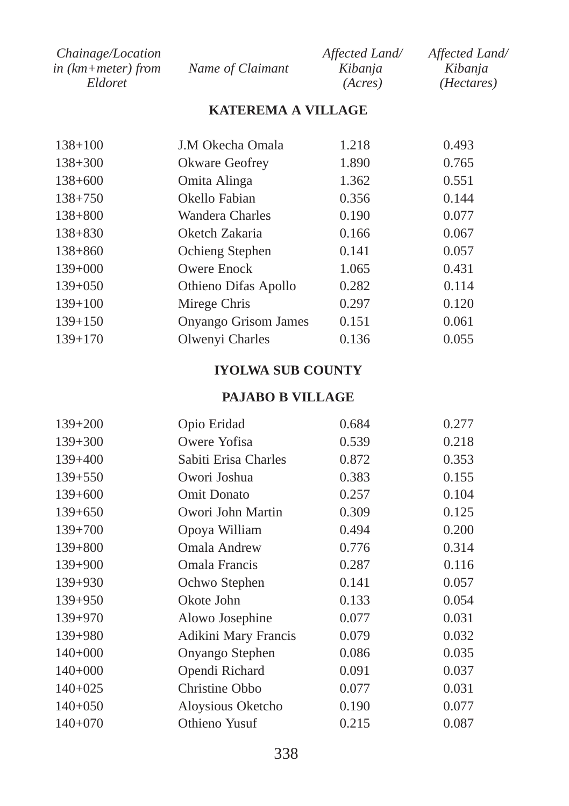| Chainage/Location      |                  | Affected Land/ | Affected Land/      |
|------------------------|------------------|----------------|---------------------|
| in $(km + meter)$ from | Name of Claimant | Kibanja        | Kibania             |
| Eldoret                |                  | (Acres)        | ( <i>Hectares</i> ) |

# **KATEREMA A VILLAGE**

| $138 + 100$ | J.M Okecha Omala            | 1.218 | 0.493 |
|-------------|-----------------------------|-------|-------|
| $138 + 300$ | Okware Geofrey              | 1.890 | 0.765 |
| $138 + 600$ | Omita Alinga                | 1.362 | 0.551 |
| $138 + 750$ | Okello Fabian               | 0.356 | 0.144 |
| $138 + 800$ | Wandera Charles             | 0.190 | 0.077 |
| $138 + 830$ | Oketch Zakaria              | 0.166 | 0.067 |
| $138 + 860$ | Ochieng Stephen             | 0.141 | 0.057 |
| $139+000$   | Owere Enock                 | 1.065 | 0.431 |
| $139+050$   | Othieno Difas Apollo        | 0.282 | 0.114 |
| $139+100$   | Mirege Chris                | 0.297 | 0.120 |
| $139+150$   | <b>Onyango Grisom James</b> | 0.151 | 0.061 |
| $139+170$   | Olwenyi Charles             | 0.136 | 0.055 |

### **IYOLWA SUB COUNTY**

#### **PAJABO B VILLAGE**

| $139+200$   | Opio Eridad          | 0.684 | 0.277 |
|-------------|----------------------|-------|-------|
| $139+300$   | Owere Yofisa         | 0.539 | 0.218 |
| $139+400$   | Sabiti Erisa Charles | 0.872 | 0.353 |
| $139 + 550$ | Owori Joshua         | 0.383 | 0.155 |
| $139+600$   | Omit Donato          | 0.257 | 0.104 |
| $139+650$   | Owori John Martin    | 0.309 | 0.125 |
| $139+700$   | Opoya William        | 0.494 | 0.200 |
| $139 + 800$ | Omala Andrew         | 0.776 | 0.314 |
| $139+900$   | Omala Francis        | 0.287 | 0.116 |
| $139+930$   | Ochwo Stephen        | 0.141 | 0.057 |
| $139+950$   | Okote John           | 0.133 | 0.054 |
| $139+970$   | Alowo Josephine      | 0.077 | 0.031 |
| 139+980     | Adikini Mary Francis | 0.079 | 0.032 |
| $140+000$   | Onyango Stephen      | 0.086 | 0.035 |
| $140+000$   | Opendi Richard       | 0.091 | 0.037 |
| $140+025$   | Christine Obbo       | 0.077 | 0.031 |
| $140+050$   | Aloysious Oketcho    | 0.190 | 0.077 |
| $140+070$   | Othieno Yusuf        | 0.215 | 0.087 |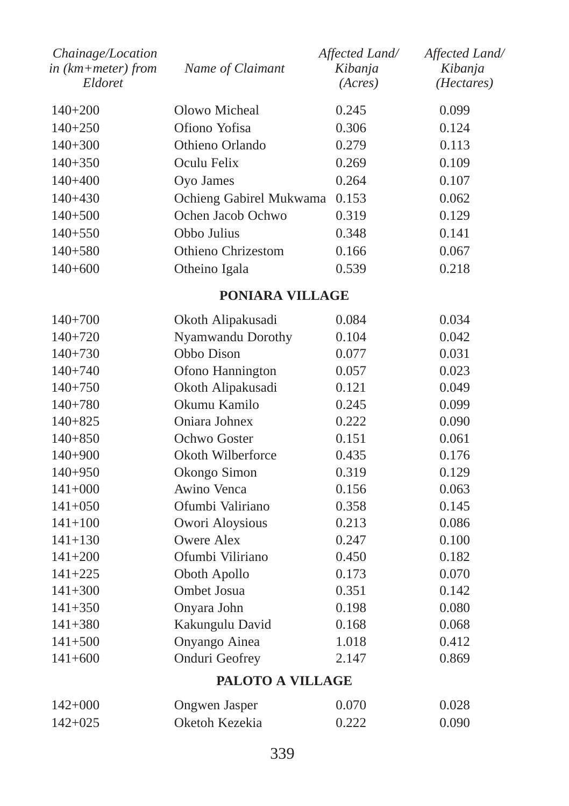| Chainage/Location<br>in (km+meter) from<br>Eldoret | Name of Claimant        | Affected Land/<br>Kibanja<br>(Acres) | Affected Land/<br>Kibanja<br>( <i>Hectares</i> ) |
|----------------------------------------------------|-------------------------|--------------------------------------|--------------------------------------------------|
| $140+200$                                          | Olowo Micheal           | 0.245                                | 0.099                                            |
| $140+250$                                          | Ofiono Yofisa           | 0.306                                | 0.124                                            |
| $140 + 300$                                        | Othieno Orlando         | 0.279                                | 0.113                                            |
| $140 + 350$                                        | Oculu Felix             | 0.269                                | 0.109                                            |
| $140 + 400$                                        | Oyo James               | 0.264                                | 0.107                                            |
| $140+430$                                          | Ochieng Gabirel Mukwama | 0.153                                | 0.062                                            |
| $140 + 500$                                        | Ochen Jacob Ochwo       | 0.319                                | 0.129                                            |
| $140+550$                                          | Obbo Julius             | 0.348                                | 0.141                                            |
| $140 + 580$                                        | Othieno Chrizestom      | 0.166                                | 0.067                                            |
| $140+600$                                          | Otheino Igala           | 0.539                                | 0.218                                            |

# **PONIARA VILLAGE**

| $140+700$   | Okoth Alipakusadi  | 0.084 | 0.034 |
|-------------|--------------------|-------|-------|
| $140+720$   | Nyamwandu Dorothy  | 0.104 | 0.042 |
| $140+730$   | Obbo Dison         | 0.077 | 0.031 |
| $140 + 740$ | Ofono Hannington   | 0.057 | 0.023 |
| $140+750$   | Okoth Alipakusadi  | 0.121 | 0.049 |
| $140 + 780$ | Okumu Kamilo       | 0.245 | 0.099 |
| $140 + 825$ | Oniara Johnex      | 0.222 | 0.090 |
| $140 + 850$ | Ochwo Goster       | 0.151 | 0.061 |
| $140+900$   | Okoth Wilberforce  | 0.435 | 0.176 |
| $140 + 950$ | Okongo Simon       | 0.319 | 0.129 |
| $141+000$   | Awino Venca        | 0.156 | 0.063 |
| $141 + 050$ | Ofumbi Valiriano   | 0.358 | 0.145 |
| $141 + 100$ | Owori Aloysious    | 0.213 | 0.086 |
| $141 + 130$ | Owere Alex         | 0.247 | 0.100 |
| $141 + 200$ | Ofumbi Viliriano   | 0.450 | 0.182 |
| $141 + 225$ | Oboth Apollo       | 0.173 | 0.070 |
| $141 + 300$ | <b>Ombet Josua</b> | 0.351 | 0.142 |
| $141 + 350$ | Onyara John        | 0.198 | 0.080 |
| $141 + 380$ | Kakungulu David    | 0.168 | 0.068 |
| $141 + 500$ | Onyango Ainea      | 1.018 | 0.412 |
| $141+600$   | Onduri Geofrey     | 2.147 | 0.869 |
|             |                    |       |       |

# **PALOTO A VILLAGE**

| $142+000$ | Ongwen Jasper  | 0.070 | 0.028 |
|-----------|----------------|-------|-------|
| $142+025$ | Oketoh Kezekia | 0.222 | 0.090 |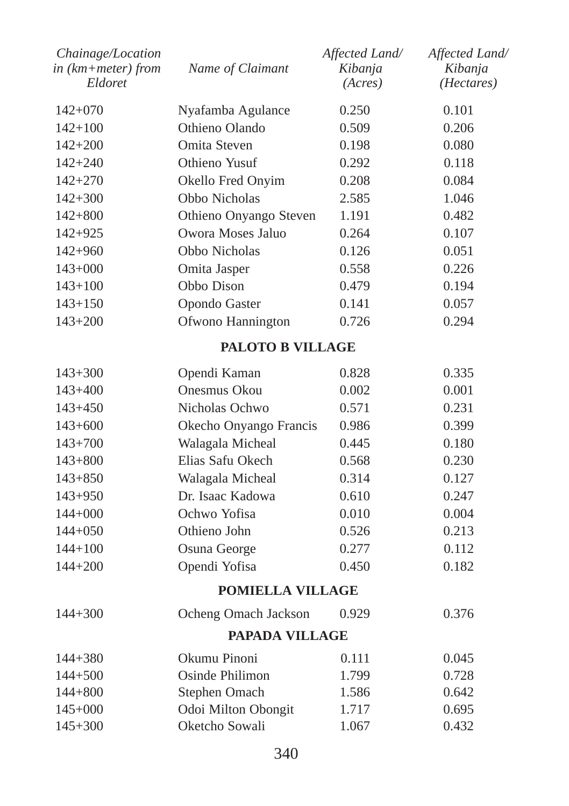| Chainage/Location<br>in (km+meter) from<br>Eldoret | Name of Claimant        | Affected Land/<br>Kibanja<br>(Acres) | Affected Land/<br>Kibanja<br>(Hectares) |
|----------------------------------------------------|-------------------------|--------------------------------------|-----------------------------------------|
| $142+070$                                          | Nyafamba Agulance       | 0.250                                | 0.101                                   |
| $142 + 100$                                        | Othieno Olando          | 0.509                                | 0.206                                   |
| $142 + 200$                                        | Omita Steven            | 0.198                                | 0.080                                   |
| $142 + 240$                                        | Othieno Yusuf           | 0.292                                | 0.118                                   |
| $142 + 270$                                        | Okello Fred Onyim       | 0.208                                | 0.084                                   |
| $142 + 300$                                        | Obbo Nicholas           | 2.585                                | 1.046                                   |
| $142 + 800$                                        | Othieno Onyango Steven  | 1.191                                | 0.482                                   |
| 142+925                                            | Owora Moses Jaluo       | 0.264                                | 0.107                                   |
| $142 + 960$                                        | Obbo Nicholas           | 0.126                                | 0.051                                   |
| $143+000$                                          | Omita Jasper            | 0.558                                | 0.226                                   |
| $143 + 100$                                        | Obbo Dison              | 0.479                                | 0.194                                   |
| $143 + 150$                                        | Opondo Gaster           | 0.141                                | 0.057                                   |
| $143 + 200$                                        | Ofwono Hannington       | 0.726                                | 0.294                                   |
|                                                    | <b>PALOTO B VILLAGE</b> |                                      |                                         |
| $143 + 300$                                        | Opendi Kaman            | 0.828                                | 0.335                                   |
| 143+400                                            | Onesmus Okou            | 0.002                                | 0.001                                   |
| $143 + 450$                                        | Nicholas Ochwo          | 0.571                                | 0.231                                   |
| $143+600$                                          | Okecho Onyango Francis  | 0.986                                | 0.399                                   |
| $143 + 700$                                        | Walagala Micheal        | 0.445                                | 0.180                                   |
| $143 + 800$                                        | Elias Safu Okech        | 0.568                                | 0.230                                   |
| $143 + 850$                                        | Walagala Micheal        | 0.314                                | 0.127                                   |
| $143 + 950$                                        | Dr. Isaac Kadowa        | 0.610                                | 0.247                                   |
| $144 + 000$                                        | Ochwo Yofisa            | 0.010                                | 0.004                                   |
| $144 + 050$                                        | Othieno John            | 0.526                                | 0.213                                   |
| $144 + 100$                                        | Osuna George            | 0.277                                | 0.112                                   |
| $144 + 200$                                        | Opendi Yofisa           | 0.450                                | 0.182                                   |
|                                                    | <b>POMIELLA VILLAGE</b> |                                      |                                         |
| $144 + 300$                                        | Ocheng Omach Jackson    | 0.929                                | 0.376                                   |
|                                                    | <b>PAPADA VILLAGE</b>   |                                      |                                         |
| 144+380                                            | Okumu Pinoni            | 0.111                                | 0.045                                   |
| $144 + 500$                                        | Osinde Philimon         | 1.799                                | 0.728                                   |
| $144 + 800$                                        | Stephen Omach           | 1.586                                | 0.642                                   |
| $145+000$                                          | Odoi Milton Obongit     | 1.717                                | 0.695                                   |
| $145 + 300$                                        | Oketcho Sowali          | 1.067                                | 0.432                                   |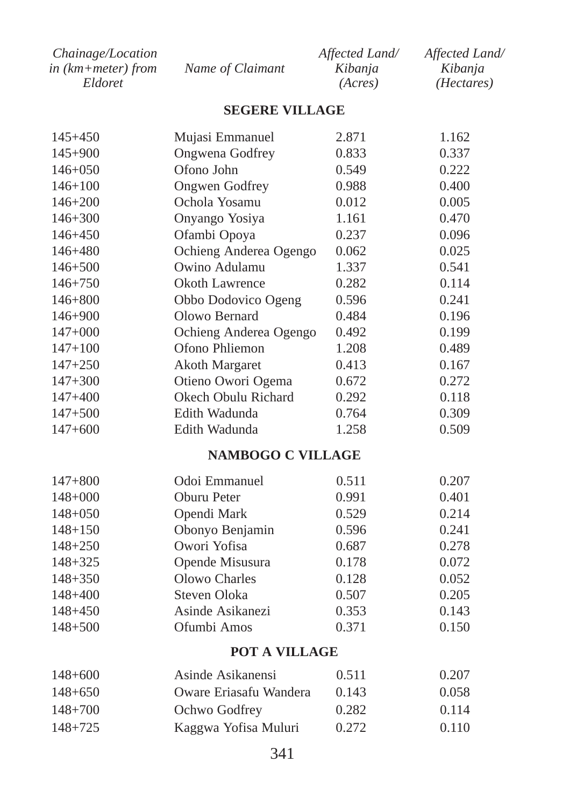| Chainage/Location  |                  | Affected Land/ | Affected Land/      |
|--------------------|------------------|----------------|---------------------|
| in (km+meter) from | Name of Claimant | Kibanja        | Kibania             |
| Eldoret            |                  | (Acres)        | ( <i>Hectares</i> ) |

#### **SEGERE VILLAGE**

| $145 + 450$ | Mujasi Emmanuel          | 2.871 | 1.162 |
|-------------|--------------------------|-------|-------|
| $145 + 900$ | Ongwena Godfrey          | 0.833 | 0.337 |
| $146 + 050$ | Ofono John               | 0.549 | 0.222 |
| $146 + 100$ | <b>Ongwen</b> Godfrey    | 0.988 | 0.400 |
| $146 + 200$ | Ochola Yosamu            | 0.012 | 0.005 |
| $146 + 300$ | Onyango Yosiya           | 1.161 | 0.470 |
| $146 + 450$ | Ofambi Opoya             | 0.237 | 0.096 |
| $146 + 480$ | Ochieng Anderea Ogengo   | 0.062 | 0.025 |
| $146 + 500$ | Owino Adulamu            | 1.337 | 0.541 |
| $146 + 750$ | Okoth Lawrence           | 0.282 | 0.114 |
| $146 + 800$ | Obbo Dodovico Ogeng      | 0.596 | 0.241 |
| $146 + 900$ | Olowo Bernard            | 0.484 | 0.196 |
| $147+000$   | Ochieng Anderea Ogengo   | 0.492 | 0.199 |
| $147 + 100$ | Ofono Phliemon           | 1.208 | 0.489 |
| $147 + 250$ | Akoth Margaret           | 0.413 | 0.167 |
| $147 + 300$ | Otieno Owori Ogema       | 0.672 | 0.272 |
| $147 + 400$ | Okech Obulu Richard      | 0.292 | 0.118 |
| $147 + 500$ | Edith Wadunda            | 0.764 | 0.309 |
| $147+600$   | Edith Wadunda            | 1.258 | 0.509 |
|             | <b>NAMBOGO C VILLAGE</b> |       |       |
| $147 + 800$ | Odoi Emmanuel            | 0.511 | 0.207 |
| $148 + 000$ | Oburu Peter              | 0.991 | 0.401 |
| $148 + 050$ | Opendi Mark              | 0.529 | 0.214 |
| $148 + 150$ | Obonyo Benjamin          | 0.596 | 0.241 |
| $148 + 250$ | Owori Yofisa             | 0.687 | 0.278 |
| $148 + 325$ | Opende Misusura          | 0.178 | 0.072 |
| $148 + 350$ | <b>Olowo Charles</b>     | 0.128 | 0.052 |
| $148 + 400$ | Steven Oloka             | 0.507 | 0.205 |
| 148+450     | Asinde Asikanezi         | 0.353 | 0.143 |
| $148 + 500$ | Ofumbi Amos              | 0.371 | 0.150 |
|             | <b>POT A VILLAGE</b>     |       |       |
| $148 + 600$ | Asinde Asikanensi        | 0.511 | 0.207 |

| $148 + 650$ | Oware Eriasafu Wandera | 0.143 | 0.058 |
|-------------|------------------------|-------|-------|
| $148 + 700$ | Ochwo Godfrey          | 0.282 | 0.114 |
| 148+725     | Kaggwa Yofisa Muluri   | 0.272 | 0.110 |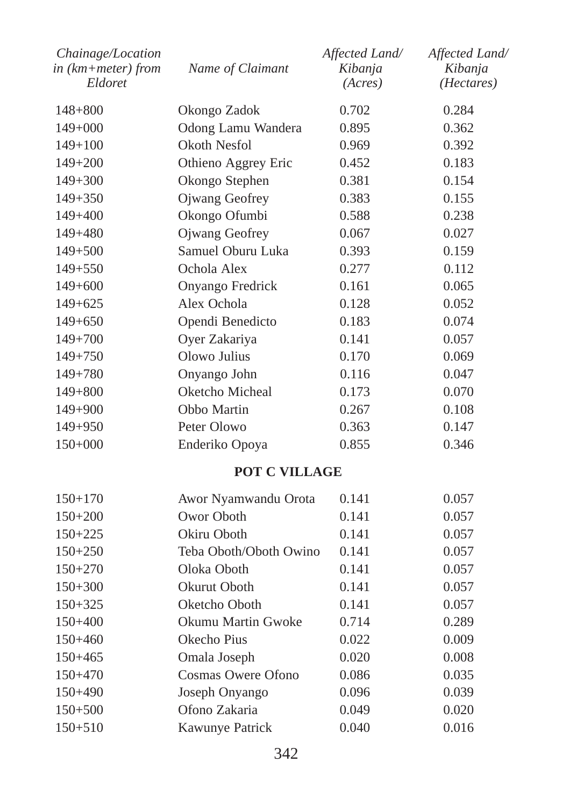| Chainage/Location<br>in (km+meter) from<br>Eldoret | Name of Claimant          | Affected Land/<br>Kibanja<br>(Acres) | Affected Land/<br>Kibanja<br>( <i>Hectares</i> ) |
|----------------------------------------------------|---------------------------|--------------------------------------|--------------------------------------------------|
| $148 + 800$                                        | Okongo Zadok              | 0.702                                | 0.284                                            |
| $149+000$                                          | Odong Lamu Wandera        | 0.895                                | 0.362                                            |
| $149 + 100$                                        | <b>Okoth Nesfol</b>       | 0.969                                | 0.392                                            |
| $149 + 200$                                        | Othieno Aggrey Eric       | 0.452                                | 0.183                                            |
| $149 + 300$                                        | Okongo Stephen            | 0.381                                | 0.154                                            |
| $149 + 350$                                        | Ojwang Geofrey            | 0.383                                | 0.155                                            |
| $149 + 400$                                        | Okongo Ofumbi             | 0.588                                | 0.238                                            |
| 149+480                                            | Ojwang Geofrey            | 0.067                                | 0.027                                            |
| $149 + 500$                                        | Samuel Oburu Luka         | 0.393                                | 0.159                                            |
| $149 + 550$                                        | Ochola Alex               | 0.277                                | 0.112                                            |
| $149 + 600$                                        | Onyango Fredrick          | 0.161                                | 0.065                                            |
| $149+625$                                          | Alex Ochola               | 0.128                                | 0.052                                            |
| $149 + 650$                                        | Opendi Benedicto          | 0.183                                | 0.074                                            |
| $149 + 700$                                        | Oyer Zakariya             | 0.141                                | 0.057                                            |
| $149 + 750$                                        | Olowo Julius              | 0.170                                | 0.069                                            |
| $149 + 780$                                        | Onyango John              | 0.116                                | 0.047                                            |
| $149 + 800$                                        | Oketcho Micheal           | 0.173                                | 0.070                                            |
| $149 + 900$                                        | Obbo Martin               | 0.267                                | 0.108                                            |
| 149+950                                            | Peter Olowo               | 0.363                                | 0.147                                            |
| 150+000                                            | Enderiko Opoya            | 0.855                                | 0.346                                            |
|                                                    | POT C VILLAGE             |                                      |                                                  |
| $150 + 170$                                        | Awor Nyamwandu Orota      | 0.141                                | 0.057                                            |
| $150+200$                                          | Owor Oboth                | 0.141                                | 0.057                                            |
| $150 + 225$                                        | Okiru Oboth               | 0.141                                | 0.057                                            |
| $150+250$                                          | Teba Oboth/Oboth Owino    | 0.141                                | 0.057                                            |
| $150 + 270$                                        | Oloka Oboth               | 0.141                                | 0.057                                            |
| $150 + 300$                                        | Okurut Oboth              | 0.141                                | 0.057                                            |
| $150 + 325$                                        | Oketcho Oboth             | 0.141                                | 0.057                                            |
| 150+400                                            | Okumu Martin Gwoke        | 0.714                                | 0.289                                            |
| $150 + 460$                                        | Okecho Pius               | 0.022                                | 0.009                                            |
| $150 + 465$                                        | Omala Joseph              | 0.020                                | 0.008                                            |
| 150+470                                            | <b>Cosmas Owere Ofono</b> | 0.086                                | 0.035                                            |
| $150 + 490$                                        | Joseph Onyango            | 0.096                                | 0.039                                            |
| $150 + 500$                                        | Ofono Zakaria             | 0.049                                | 0.020                                            |
| $150 + 510$                                        | Kawunye Patrick           | 0.040                                | 0.016                                            |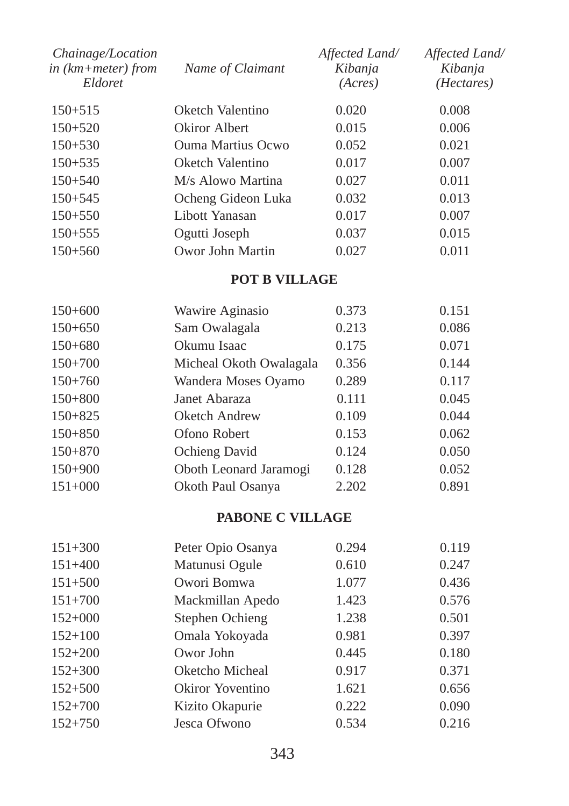| Chainage/Location<br>in $(km + meter)$ from<br>Eldoret | Name of Claimant   | Affected Land/<br>Kibanja<br>(Acres) | Affected Land/<br>Kibanja<br>( <i>Hectares</i> ) |
|--------------------------------------------------------|--------------------|--------------------------------------|--------------------------------------------------|
| $150 + 515$                                            | Oketch Valentino   | 0.020                                | 0.008                                            |
| $150 + 520$                                            | Okiror Albert      | 0.015                                | 0.006                                            |
| $150 + 530$                                            | Ouma Martius Ocwo  | 0.052                                | 0.021                                            |
| $150 + 535$                                            | Oketch Valentino   | 0.017                                | 0.007                                            |
| $150 + 540$                                            | M/s Alowo Martina  | 0.027                                | 0.011                                            |
| $150 + 545$                                            | Ocheng Gideon Luka | 0.032                                | 0.013                                            |
| $150 + 550$                                            | Libott Yanasan     | 0.017                                | 0.007                                            |
| $150 + 555$                                            | Ogutti Joseph      | 0.037                                | 0.015                                            |
| $150 + 560$                                            | Owor John Martin   | 0.027                                | 0.011                                            |

# **POT B VILLAGE**

| Wawire Aginasio         | 0.373 | 0.151 |
|-------------------------|-------|-------|
| Sam Owalagala           | 0.213 | 0.086 |
| Okumu Isaac             | 0.175 | 0.071 |
| Micheal Okoth Owalagala | 0.356 | 0.144 |
| Wandera Moses Oyamo     | 0.289 | 0.117 |
| Janet Abaraza           | 0.111 | 0.045 |
| Oketch Andrew           | 0.109 | 0.044 |
| Ofono Robert            | 0.153 | 0.062 |
| Ochieng David           | 0.124 | 0.050 |
| Oboth Leonard Jaramogi  | 0.128 | 0.052 |
| Okoth Paul Osanya       | 2.202 | 0.891 |
|                         |       |       |

# **PABONE C VILLAGE**

| $151 + 300$ | Peter Opio Osanya | 0.294 | 0.119 |
|-------------|-------------------|-------|-------|
| $151 + 400$ | Matunusi Ogule    | 0.610 | 0.247 |
| $151 + 500$ | Owori Bomwa       | 1.077 | 0.436 |
| $151 + 700$ | Mackmillan Apedo  | 1.423 | 0.576 |
| $152+000$   | Stephen Ochieng   | 1.238 | 0.501 |
| $152 + 100$ | Omala Yokoyada    | 0.981 | 0.397 |
| $152 + 200$ | Owor John         | 0.445 | 0.180 |
| $152 + 300$ | Oketcho Micheal   | 0.917 | 0.371 |
| $152 + 500$ | Okiror Yoventino  | 1.621 | 0.656 |
| $152 + 700$ | Kizito Okapurie   | 0.222 | 0.090 |
| $152 + 750$ | Jesca Ofwono      | 0.534 | 0.216 |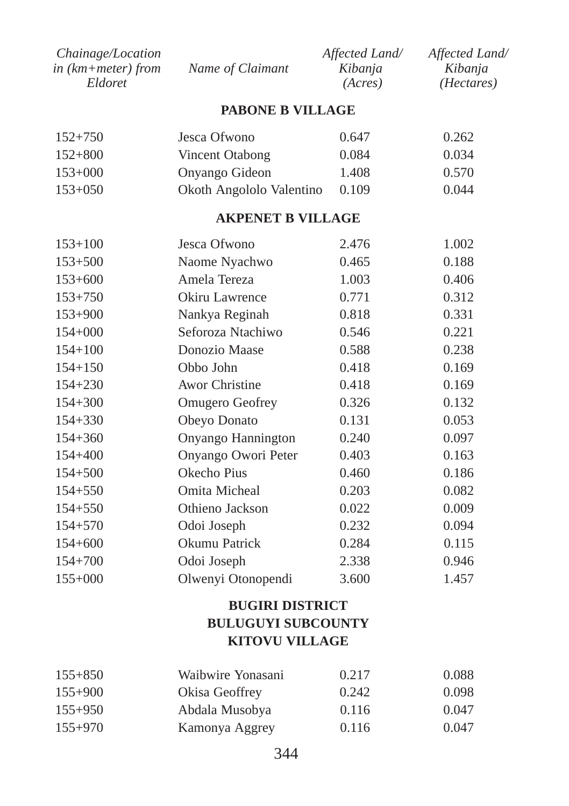| <i>Chainage/Location</i> |                  | Affected Land/ | Affected Land/      |
|--------------------------|------------------|----------------|---------------------|
| in (km+meter) from       | Name of Claimant | Kibanja        | Kibanja             |
| Eldoret                  |                  | (Acres)        | ( <i>Hectares</i> ) |

#### **PABONE B VILLAGE**

| $152 + 750$ | Jesca Ofwono             | 0.647 | 0.262 |
|-------------|--------------------------|-------|-------|
| $152 + 800$ | Vincent Otabong          | 0.084 | 0.034 |
| $153+000$   | Onyango Gideon           | 1.408 | 0.570 |
| $153+050$   | Okoth Angololo Valentino | 0.109 | 0.044 |

#### **AKPENET B VILLAGE**

| $153 + 100$ | Jesca Ofwono           | 2.476 | 1.002 |
|-------------|------------------------|-------|-------|
| $153 + 500$ | Naome Nyachwo          | 0.465 | 0.188 |
| $153+600$   | Amela Tereza           | 1.003 | 0.406 |
| $153 + 750$ | Okiru Lawrence         | 0.771 | 0.312 |
| $153 + 900$ | Nankya Reginah         | 0.818 | 0.331 |
| $154 + 000$ | Seforoza Ntachiwo      | 0.546 | 0.221 |
| $154 + 100$ | Donozio Maase          | 0.588 | 0.238 |
| $154 + 150$ | Obbo John              | 0.418 | 0.169 |
| $154 + 230$ | <b>Awor Christine</b>  | 0.418 | 0.169 |
| $154 + 300$ | <b>Omugero Geofrey</b> | 0.326 | 0.132 |
| $154 + 330$ | Obeyo Donato           | 0.131 | 0.053 |
| $154 + 360$ | Onyango Hannington     | 0.240 | 0.097 |
| $154 + 400$ | Onyango Owori Peter    | 0.403 | 0.163 |
| $154 + 500$ | Okecho Pius            | 0.460 | 0.186 |
| $154 + 550$ | Omita Micheal          | 0.203 | 0.082 |
| $154 + 550$ | Othieno Jackson        | 0.022 | 0.009 |
| $154 + 570$ | Odoi Joseph            | 0.232 | 0.094 |
| $154 + 600$ | Okumu Patrick          | 0.284 | 0.115 |
| $154 + 700$ | Odoi Joseph            | 2.338 | 0.946 |
| $155+000$   | Olwenyi Otonopendi     | 3.600 | 1.457 |
|             |                        |       |       |

# **BUGIRI DISTRICT BULUGUYI SUBCOUNTY KITOVU VILLAGE**

| $155 + 850$ | Waibwire Yonasani | 0.217 | 0.088 |
|-------------|-------------------|-------|-------|
| $155+900$   | Okisa Geoffrey    | 0.242 | 0.098 |
| $155+950$   | Abdala Musobya    | 0.116 | 0.047 |
| $155 + 970$ | Kamonya Aggrey    | 0.116 | 0.047 |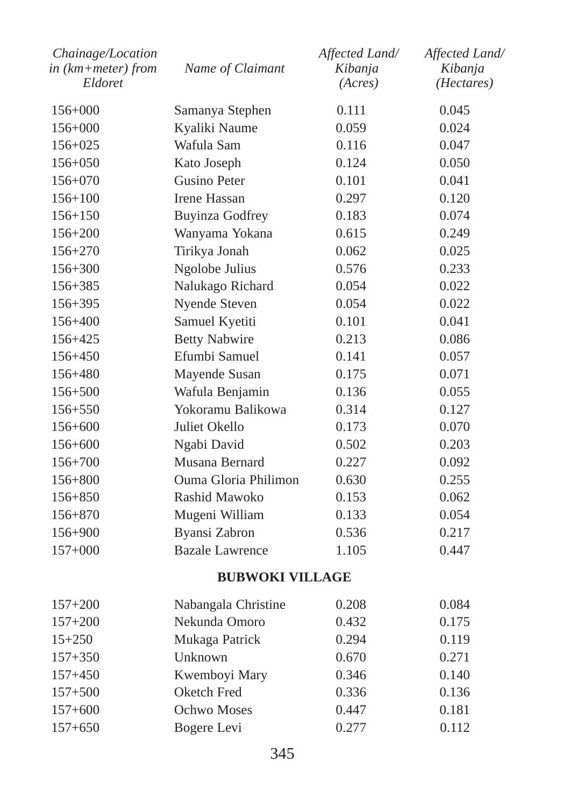| Chainage/Location<br>in (km+meter) from<br>Eldoret | Name of Claimant       | Affected Land/<br>Kibanja<br>(Acres) | Affected Land/<br>Kibanja<br>( <i>Hectares</i> ) |
|----------------------------------------------------|------------------------|--------------------------------------|--------------------------------------------------|
| $156+000$                                          | Samanya Stephen        | 0.111                                | 0.045                                            |
| 156+000                                            | Kyaliki Naume          | 0.059                                | 0.024                                            |
| $156 + 025$                                        | Wafula Sam             | 0.116                                | 0.047                                            |
| $156 + 050$                                        | Kato Joseph            | 0.124                                | 0.050                                            |
| $156 + 070$                                        | Gusino Peter           | 0.101                                | 0.041                                            |
| $156 + 100$                                        | <b>Irene Hassan</b>    | 0.297                                | 0.120                                            |
| $156 + 150$                                        | <b>Buyinza Godfrey</b> | 0.183                                | 0.074                                            |
| $156 + 200$                                        | Wanyama Yokana         | 0.615                                | 0.249                                            |
| $156 + 270$                                        | Tirikya Jonah          | 0.062                                | 0.025                                            |
| 156+300                                            | Ngolobe Julius         | 0.576                                | 0.233                                            |
| $156 + 385$                                        | Nalukago Richard       | 0.054                                | 0.022                                            |
| 156+395                                            | Nyende Steven          | 0.054                                | 0.022                                            |
| $156 + 400$                                        | Samuel Kyetiti         | 0.101                                | 0.041                                            |
| 156+425                                            | <b>Betty Nabwire</b>   | 0.213                                | 0.086                                            |
| $156 + 450$                                        | Efumbi Samuel          | 0.141                                | 0.057                                            |
| $156 + 480$                                        | Mayende Susan          | 0.175                                | 0.071                                            |
| $156 + 500$                                        | Wafula Benjamin        | 0.136                                | 0.055                                            |
| $156 + 550$                                        | Yokoramu Balikowa      | 0.314                                | 0.127                                            |
| $156 + 600$                                        | Juliet Okello          | 0.173                                | 0.070                                            |
| $156 + 600$                                        | Ngabi David            | 0.502                                | 0.203                                            |
| $156 + 700$                                        | Musana Bernard         | 0.227                                | 0.092                                            |
| 156+800                                            | Ouma Gloria Philimon   | 0.630                                | 0.255                                            |
| $156 + 850$                                        | Rashid Mawoko          | 0.153                                | 0.062                                            |
| $156 + 870$                                        | Mugeni William         | 0.133                                | 0.054                                            |
| 156+900                                            | Byansi Zabron          | 0.536                                | 0.217                                            |
| $157+000$                                          | <b>Bazale Lawrence</b> | 1.105                                | 0.447                                            |
|                                                    | <b>BUBWOKI VILLAGE</b> |                                      |                                                  |
| $157 + 200$                                        | Nabangala Christine    | 0.208                                | 0.084                                            |
| $157 + 200$                                        | Nekunda Omoro          | 0.432                                | 0.175                                            |
| $15 + 250$                                         | Mukaga Patrick         | 0.294                                | 0.119                                            |
| $157 + 350$                                        | Unknown                | 0.670                                | 0.271                                            |
| $157 + 450$                                        | Kwemboyi Mary          | 0.346                                | 0.140                                            |
| $157 + 500$                                        | Oketch Fred            | 0.336                                | 0.136                                            |
| $157 + 600$                                        | Ochwo Moses            | 0.447                                | 0.181                                            |
| $157 + 650$                                        | Bogere Levi            | 0.277                                | 0.112                                            |
|                                                    |                        |                                      |                                                  |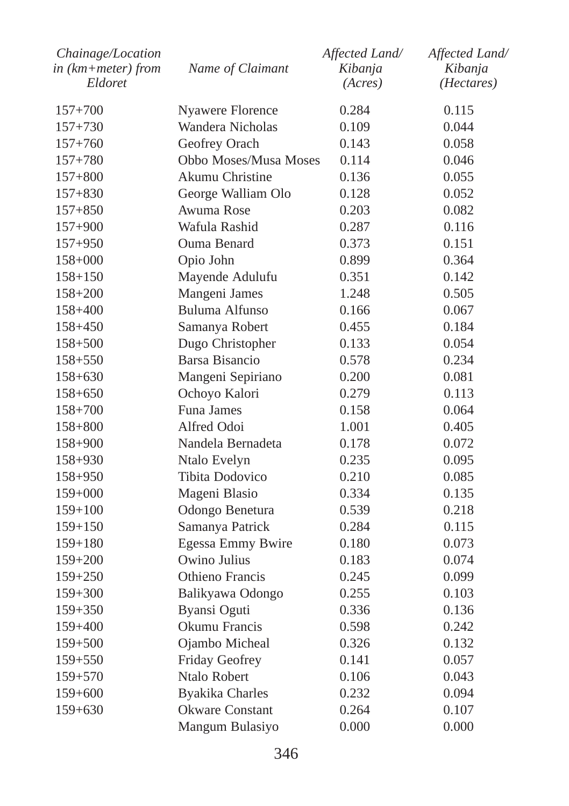| Chainage/Location<br>$in$ ( $km + meter$ ) from | Name of Claimant       | Affected Land/<br>Kibanja | Affected Land/<br>Kibanja |
|-------------------------------------------------|------------------------|---------------------------|---------------------------|
| Eldoret                                         |                        | (Acres)                   | (Hectares)                |
| $157 + 700$                                     | Nyawere Florence       | 0.284                     | 0.115                     |
| $157 + 730$                                     | Wandera Nicholas       | 0.109                     | 0.044                     |
| $157 + 760$                                     | Geofrey Orach          | 0.143                     | 0.058                     |
| $157 + 780$                                     | Obbo Moses/Musa Moses  | 0.114                     | 0.046                     |
| $157 + 800$                                     | Akumu Christine        | 0.136                     | 0.055                     |
| $157 + 830$                                     | George Walliam Olo     | 0.128                     | 0.052                     |
| $157 + 850$                                     | Awuma Rose             | 0.203                     | 0.082                     |
| $157 + 900$                                     | Wafula Rashid          | 0.287                     | 0.116                     |
| $157 + 950$                                     | Ouma Benard            | 0.373                     | 0.151                     |
| $158+000$                                       | Opio John              | 0.899                     | 0.364                     |
| $158 + 150$                                     | Mayende Adulufu        | 0.351                     | 0.142                     |
| $158 + 200$                                     | Mangeni James          | 1.248                     | 0.505                     |
| $158 + 400$                                     | Buluma Alfunso         | 0.166                     | 0.067                     |
| $158 + 450$                                     | Samanya Robert         | 0.455                     | 0.184                     |
| $158 + 500$                                     | Dugo Christopher       | 0.133                     | 0.054                     |
| $158 + 550$                                     | Barsa Bisancio         | 0.578                     | 0.234                     |
| $158 + 630$                                     | Mangeni Sepiriano      | 0.200                     | 0.081                     |
| $158 + 650$                                     | Ochoyo Kalori          | 0.279                     | 0.113                     |
| $158 + 700$                                     | Funa James             | 0.158                     | 0.064                     |
| $158 + 800$                                     | Alfred Odoi            | 1.001                     | 0.405                     |
| 158+900                                         | Nandela Bernadeta      | 0.178                     | 0.072                     |
| 158+930                                         | Ntalo Evelyn           | 0.235                     | 0.095                     |
| $158 + 950$                                     | Tibita Dodovico        | 0.210                     | 0.085                     |
| $159+000$                                       | Mageni Blasio          | 0.334                     | 0.135                     |
| $159 + 100$                                     | Odongo Benetura        | 0.539                     | 0.218                     |
| $159 + 150$                                     | Samanya Patrick        | 0.284                     | 0.115                     |
| $159 + 180$                                     | Egessa Emmy Bwire      | 0.180                     | 0.073                     |
| $159 + 200$                                     | Owino Julius           | 0.183                     | 0.074                     |
| $159 + 250$                                     | Othieno Francis        | 0.245                     | 0.099                     |
| 159+300                                         | Balikyawa Odongo       | 0.255                     | 0.103                     |
| 159+350                                         | Byansi Oguti           | 0.336                     | 0.136                     |
| $159 + 400$                                     | Okumu Francis          | 0.598                     | 0.242                     |
| 159+500                                         | Ojambo Micheal         | 0.326                     | 0.132                     |
| $159 + 550$                                     | Friday Geofrey         | 0.141                     | 0.057                     |
| $159 + 570$                                     | Ntalo Robert           | 0.106                     | 0.043                     |
| $159 + 600$                                     | <b>Byakika Charles</b> | 0.232                     | 0.094                     |
| $159 + 630$                                     | <b>Okware Constant</b> | 0.264                     | 0.107                     |
|                                                 | Mangum Bulasiyo        | 0.000                     | 0.000                     |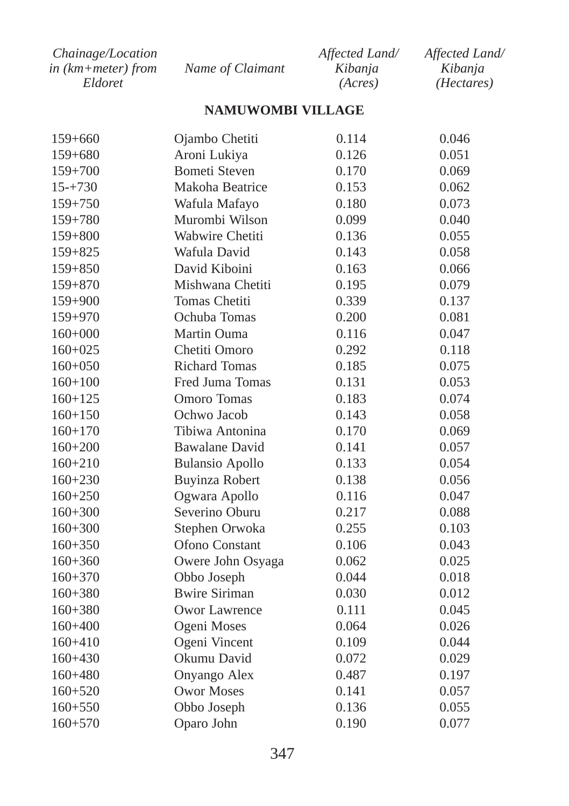| Chainage/Location      |                  | Affected Land/ | Affected Land/ |
|------------------------|------------------|----------------|----------------|
| in $(km + meter)$ from | Name of Claimant | Kibanja        | Kibanja        |
| Eldoret                |                  | (Acres)        | (Hectares)     |

# **NAMUWOMBI VILLAGE**

| 159+660     | Ojambo Chetiti         | 0.114 | 0.046 |
|-------------|------------------------|-------|-------|
| $159 + 680$ | Aroni Lukiya           | 0.126 | 0.051 |
| $159 + 700$ | <b>Bometi Steven</b>   | 0.170 | 0.069 |
| $15 - +730$ | Makoha Beatrice        | 0.153 | 0.062 |
| $159 + 750$ | Wafula Mafayo          | 0.180 | 0.073 |
| $159 + 780$ | Murombi Wilson         | 0.099 | 0.040 |
| $159 + 800$ | Wabwire Chetiti        | 0.136 | 0.055 |
| $159 + 825$ | Wafula David           | 0.143 | 0.058 |
| $159 + 850$ | David Kiboini          | 0.163 | 0.066 |
| $159 + 870$ | Mishwana Chetiti       | 0.195 | 0.079 |
| 159+900     | Tomas Chetiti          | 0.339 | 0.137 |
| 159+970     | Ochuba Tomas           | 0.200 | 0.081 |
| $160+000$   | Martin Ouma            | 0.116 | 0.047 |
| $160+025$   | Chetiti Omoro          | 0.292 | 0.118 |
| $160+050$   | <b>Richard Tomas</b>   | 0.185 | 0.075 |
| $160 + 100$ | Fred Juma Tomas        | 0.131 | 0.053 |
| $160 + 125$ | Omoro Tomas            | 0.183 | 0.074 |
| $160 + 150$ | Ochwo Jacob            | 0.143 | 0.058 |
| $160 + 170$ | Tibiwa Antonina        | 0.170 | 0.069 |
| $160 + 200$ | <b>Bawalane David</b>  | 0.141 | 0.057 |
| $160 + 210$ | <b>Bulansio Apollo</b> | 0.133 | 0.054 |
| $160 + 230$ | Buyinza Robert         | 0.138 | 0.056 |
| $160 + 250$ | Ogwara Apollo          | 0.116 | 0.047 |
| $160 + 300$ | Severino Oburu         | 0.217 | 0.088 |
| $160 + 300$ | Stephen Orwoka         | 0.255 | 0.103 |
| $160 + 350$ | Ofono Constant         | 0.106 | 0.043 |
| $160 + 360$ | Owere John Osyaga      | 0.062 | 0.025 |
| $160 + 370$ | Obbo Joseph            | 0.044 | 0.018 |
| $160 + 380$ | <b>Bwire Siriman</b>   | 0.030 | 0.012 |
| $160 + 380$ | Owor Lawrence          | 0.111 | 0.045 |
| $160 + 400$ | Ogeni Moses            | 0.064 | 0.026 |
| $160 + 410$ | Ogeni Vincent          | 0.109 | 0.044 |
| $160+430$   | Okumu David            | 0.072 | 0.029 |
| $160 + 480$ | Onyango Alex           | 0.487 | 0.197 |
| $160 + 520$ | <b>Owor Moses</b>      | 0.141 | 0.057 |
| $160 + 550$ | Obbo Joseph            | 0.136 | 0.055 |
| $160 + 570$ | Oparo John             | 0.190 | 0.077 |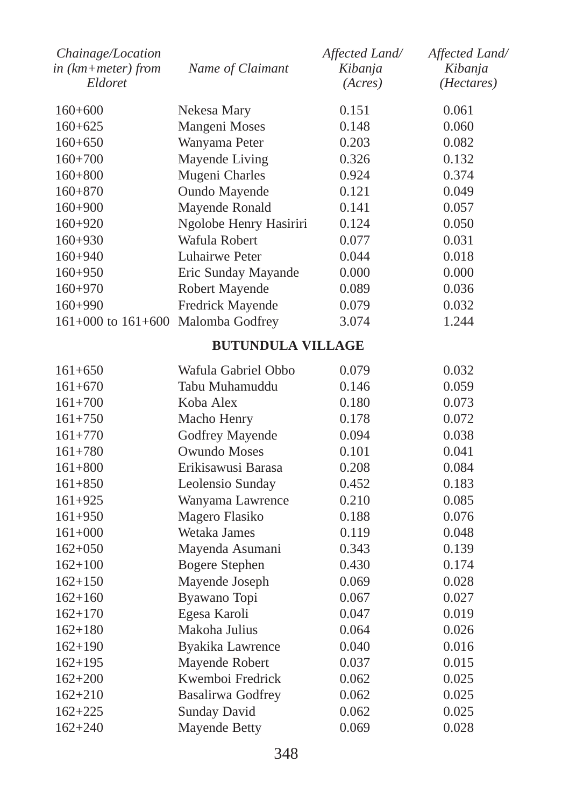| Chainage/Location<br>$in$ ( $km + meter$ ) from<br>Eldoret | Name of Claimant         | Affected Land/<br>Kibanja<br>(Acres) | Affected Land/<br>Kibanja<br>(Hectares) |
|------------------------------------------------------------|--------------------------|--------------------------------------|-----------------------------------------|
|                                                            |                          |                                      |                                         |
| $160+600$                                                  | Nekesa Mary              | 0.151                                | 0.061                                   |
| $160+625$                                                  | Mangeni Moses            | 0.148                                | 0.060                                   |
| $160+650$                                                  | Wanyama Peter            | 0.203                                | 0.082                                   |
| $160 + 700$                                                | Mayende Living           | 0.326                                | 0.132                                   |
| $160 + 800$                                                | Mugeni Charles           | 0.924                                | 0.374                                   |
| $160 + 870$                                                | Oundo Mayende            | 0.121                                | 0.049                                   |
| $160+900$                                                  | Mayende Ronald           | 0.141                                | 0.057                                   |
| $160+920$                                                  | Ngolobe Henry Hasiriri   | 0.124                                | 0.050                                   |
| $160+930$                                                  | Wafula Robert            | 0.077                                | 0.031                                   |
| $160+940$                                                  | Luhairwe Peter           | 0.044                                | 0.018                                   |
| $160 + 950$                                                | Eric Sunday Mayande      | 0.000                                | 0.000                                   |
| $160+970$                                                  | Robert Mayende           | 0.089                                | 0.036                                   |
| 160+990                                                    | Fredrick Mayende         | 0.079                                | 0.032                                   |
| $161+000$ to $161+600$                                     | Malomba Godfrey          | 3.074                                | 1.244                                   |
|                                                            | <b>BUTUNDULA VILLAGE</b> |                                      |                                         |
| $161 + 650$                                                | Wafula Gabriel Obbo      | 0.079                                | 0.032                                   |
| $161 + 670$                                                | Tabu Muhamuddu           | 0.146                                | 0.059                                   |
| $161 + 700$                                                | Koba Alex                | 0.180                                | 0.073                                   |
| $161 + 750$                                                | Macho Henry              | 0.178                                | 0.072                                   |
| $161 + 770$                                                | Godfrey Mayende          | 0.094                                | 0.038                                   |
| $161 + 780$                                                | <b>Owundo Moses</b>      | 0.101                                | 0.041                                   |
| $161 + 800$                                                | Erikisawusi Barasa       | 0.208                                | 0.084                                   |
| $161 + 850$                                                | Leolensio Sunday         | 0.452                                | 0.183                                   |
| $161 + 925$                                                | Wanyama Lawrence         | 0.210                                | 0.085                                   |
| $161 + 950$                                                | Magero Flasiko           | 0.188                                | 0.076                                   |
| $161+000$                                                  | Wetaka James             | 0.119                                | 0.048                                   |
| $162 + 050$                                                | Mayenda Asumani          | 0.343                                | 0.139                                   |
| $162 + 100$                                                | <b>Bogere Stephen</b>    | 0.430                                | 0.174                                   |
| $162 + 150$                                                | Mayende Joseph           | 0.069                                | 0.028                                   |
| $162 + 160$                                                | Byawano Topi             | 0.067                                | 0.027                                   |
| $162 + 170$                                                | Egesa Karoli             | 0.047                                | 0.019                                   |
| $162 + 180$                                                | Makoha Julius            | 0.064                                | 0.026                                   |
| $162+190$                                                  | Byakika Lawrence         | 0.040                                | 0.016                                   |
| $162 + 195$                                                | Mayende Robert           | 0.037                                | 0.015                                   |
| $162 + 200$                                                | Kwemboi Fredrick         | 0.062                                | 0.025                                   |
| $162 + 210$                                                | <b>Basalirwa Godfrey</b> | 0.062                                | 0.025                                   |
| $162 + 225$                                                | Sunday David             | 0.062                                | 0.025                                   |
| $162 + 240$                                                | Mayende Betty            | 0.069                                | 0.028                                   |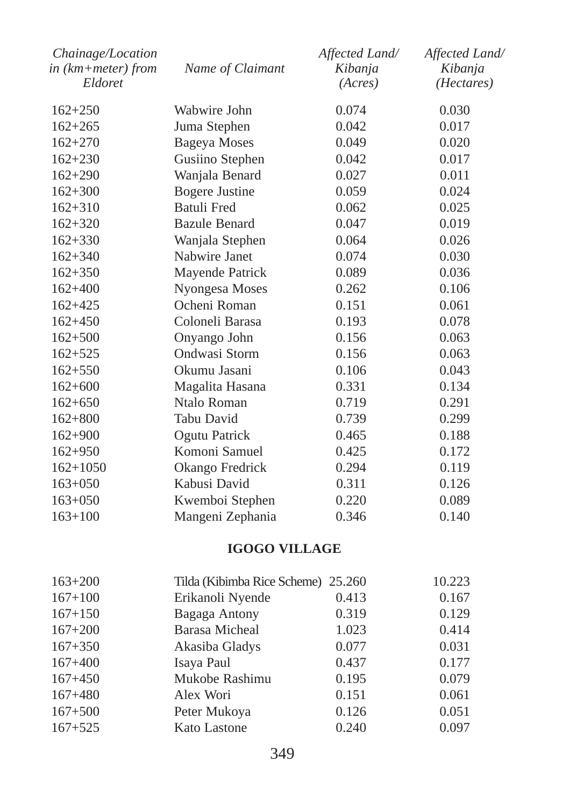| Chainage/Location<br>$in$ ( $km+meter$ ) from<br>Eldoret | Name of Claimant      | Affected Land/<br>Kibanja<br>(Acres) | Affected Land/<br>Kibanja<br>( <i>Hectares</i> ) |
|----------------------------------------------------------|-----------------------|--------------------------------------|--------------------------------------------------|
| $162 + 250$                                              | Wabwire John          | 0.074                                | 0.030                                            |
| $162 + 265$                                              | Juma Stephen          | 0.042                                | 0.017                                            |
| $162 + 270$                                              | <b>Bageya</b> Moses   | 0.049                                | 0.020                                            |
| $162 + 230$                                              | Gusiino Stephen       | 0.042                                | 0.017                                            |
| $162 + 290$                                              | Wanjala Benard        | 0.027                                | 0.011                                            |
| $162 + 300$                                              | <b>Bogere Justine</b> | 0.059                                | 0.024                                            |
| $162 + 310$                                              | Batuli Fred           | 0.062                                | 0.025                                            |
| $162 + 320$                                              | <b>Bazule Benard</b>  | 0.047                                | 0.019                                            |
| $162 + 330$                                              | Wanjala Stephen       | 0.064                                | 0.026                                            |
| $162 + 340$                                              | Nabwire Janet         | 0.074                                | 0.030                                            |
| $162 + 350$                                              | Mayende Patrick       | 0.089                                | 0.036                                            |
| $162+400$                                                | Nyongesa Moses        | 0.262                                | 0.106                                            |
| $162 + 425$                                              | Ocheni Roman          | 0.151                                | 0.061                                            |
| $162 + 450$                                              | Coloneli Barasa       | 0.193                                | 0.078                                            |
| $162 + 500$                                              | Onyango John          | 0.156                                | 0.063                                            |
| $162 + 525$                                              | Ondwasi Storm         | 0.156                                | 0.063                                            |
| $162 + 550$                                              | Okumu Jasani          | 0.106                                | 0.043                                            |
| $162+600$                                                | Magalita Hasana       | 0.331                                | 0.134                                            |
| $162+650$                                                | Ntalo Roman           | 0.719                                | 0.291                                            |
| $162 + 800$                                              | Tabu David            | 0.739                                | 0.299                                            |
| $162 + 900$                                              | Ogutu Patrick         | 0.465                                | 0.188                                            |
| $162 + 950$                                              | Komoni Samuel         | 0.425                                | 0.172                                            |
| $162+1050$                                               | Okango Fredrick       | 0.294                                | 0.119                                            |
| $163 + 050$                                              | Kabusi David          | 0.311                                | 0.126                                            |
| $163 + 050$                                              | Kwemboi Stephen       | 0.220                                | 0.089                                            |
| $163+100$                                                | Mangeni Zephania      | 0.346                                | 0.140                                            |
|                                                          |                       |                                      |                                                  |

# **IGOGO VILLAGE**

|                  |       | 10.223                             |
|------------------|-------|------------------------------------|
| Erikanoli Nyende | 0.413 | 0.167                              |
| Bagaga Antony    | 0.319 | 0.129                              |
| Barasa Micheal   | 1.023 | 0.414                              |
| Akasiba Gladys   | 0.077 | 0.031                              |
| Isaya Paul       | 0.437 | 0.177                              |
| Mukobe Rashimu   | 0.195 | 0.079                              |
| Alex Wori        | 0.151 | 0.061                              |
| Peter Mukoya     | 0.126 | 0.051                              |
| Kato Lastone     | 0.240 | 0.097                              |
|                  |       | Tilda (Kibimba Rice Scheme) 25.260 |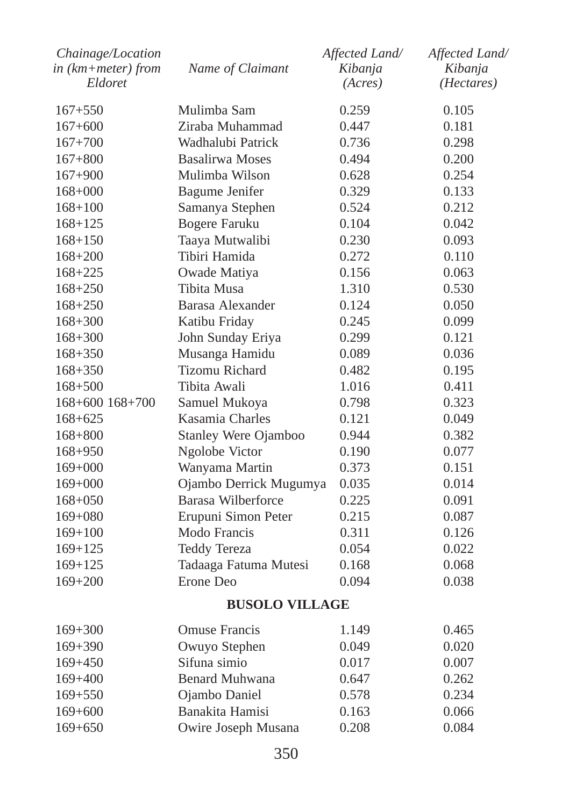| Chainage/Location<br>$in$ (km+meter) from<br>Eldoret | Name of Claimant       | Affected Land/<br>Kibanja<br>(Acres) | Affected Land/<br>Kibanja<br>(Hectares) |
|------------------------------------------------------|------------------------|--------------------------------------|-----------------------------------------|
| $167 + 550$                                          | Mulimba Sam            | 0.259                                | 0.105                                   |
| $167 + 600$                                          | Ziraba Muhammad        | 0.447                                | 0.181                                   |
| $167 + 700$                                          | Wadhalubi Patrick      | 0.736                                | 0.298                                   |
| $167 + 800$                                          | <b>Basalirwa Moses</b> | 0.494                                | 0.200                                   |
| $167 + 900$                                          | Mulimba Wilson         | 0.628                                | 0.254                                   |
| $168 + 000$                                          | <b>Bagume Jenifer</b>  | 0.329                                | 0.133                                   |
| $168 + 100$                                          | Samanya Stephen        | 0.524                                | 0.212                                   |
| $168 + 125$                                          | <b>Bogere Faruku</b>   | 0.104                                | 0.042                                   |
| $168 + 150$                                          | Taaya Mutwalibi        | 0.230                                | 0.093                                   |
| $168 + 200$                                          | Tibiri Hamida          | 0.272                                | 0.110                                   |
| $168 + 225$                                          | Owade Matiya           | 0.156                                | 0.063                                   |
| $168 + 250$                                          | Tibita Musa            | 1.310                                | 0.530                                   |
| $168 + 250$                                          | Barasa Alexander       | 0.124                                | 0.050                                   |
| $168 + 300$                                          | Katibu Friday          | 0.245                                | 0.099                                   |
| $168 + 300$                                          | John Sunday Eriya      | 0.299                                | 0.121                                   |
| $168 + 350$                                          | Musanga Hamidu         | 0.089                                | 0.036                                   |
| $168 + 350$                                          | <b>Tizomu Richard</b>  | 0.482                                | 0.195                                   |
| $168 + 500$                                          | Tibita Awali           | 1.016                                | 0.411                                   |
| 168+600 168+700                                      | Samuel Mukoya          | 0.798                                | 0.323                                   |
| $168 + 625$                                          | Kasamia Charles        | 0.121                                | 0.049                                   |
| $168 + 800$                                          | Stanley Were Ojamboo   | 0.944                                | 0.382                                   |
| 168+950                                              | Ngolobe Victor         | 0.190                                | 0.077                                   |
| $169+000$                                            | Wanyama Martin         | 0.373                                | 0.151                                   |
| $169+000$                                            | Ojambo Derrick Mugumya | 0.035                                | 0.014                                   |
| $168 + 050$                                          | Barasa Wilberforce     | 0.225                                | 0.091                                   |
| $169 + 080$                                          | Erupuni Simon Peter    | 0.215                                | 0.087                                   |
| $169 + 100$                                          | Modo Francis           | 0.311                                | 0.126                                   |
| $169 + 125$                                          | <b>Teddy Tereza</b>    | 0.054                                | 0.022                                   |
| $169 + 125$                                          | Tadaaga Fatuma Mutesi  | 0.168                                | 0.068                                   |
| $169 + 200$                                          | Erone Deo              | 0.094                                | 0.038                                   |
|                                                      | <b>BUSOLO VILLAGE</b>  |                                      |                                         |
| $169 + 300$                                          | <b>Omuse Francis</b>   | 1.149                                | 0.465                                   |
| 169+390                                              | Owuyo Stephen          | 0.049                                | 0.020                                   |
| $169 + 450$                                          | Sifuna simio           | 0.017                                | 0.007                                   |
| $169 + 400$                                          | <b>Benard Muhwana</b>  | 0.647                                | 0.262                                   |
| $169 + 550$                                          | Ojambo Daniel          | 0.578                                | 0.234                                   |
| $169 + 600$                                          | Banakita Hamisi        | 0.163                                | 0.066                                   |
| $169 + 650$                                          | Owire Joseph Musana    | 0.208                                | 0.084                                   |
|                                                      |                        |                                      |                                         |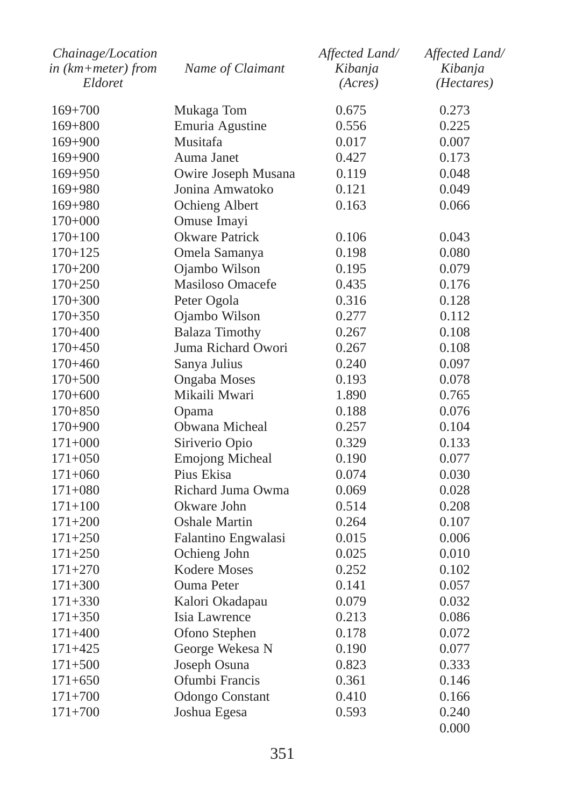| Chainage/Location<br>in (km+meter) from | Name of Claimant       | Affected Land/<br>Kibanja | Affected Land/<br>Kibanja |
|-----------------------------------------|------------------------|---------------------------|---------------------------|
| Eldoret                                 |                        | (Acres)                   | (Hectares)                |
| $169 + 700$                             | Mukaga Tom             | 0.675                     | 0.273                     |
| $169 + 800$                             | Emuria Agustine        | 0.556                     | 0.225                     |
| $169 + 900$                             | Musitafa               | 0.017                     | 0.007                     |
| $169 + 900$                             | Auma Janet             | 0.427                     | 0.173                     |
| $169 + 950$                             | Owire Joseph Musana    | 0.119                     | 0.048                     |
| 169+980                                 | Jonina Amwatoko        | 0.121                     | 0.049                     |
| $169 + 980$                             | Ochieng Albert         | 0.163                     | 0.066                     |
| $170+000$                               | Omuse Imayi            |                           |                           |
| $170 + 100$                             | <b>Okware Patrick</b>  | 0.106                     | 0.043                     |
| $170 + 125$                             | Omela Samanya          | 0.198                     | 0.080                     |
| $170+200$                               | Ojambo Wilson          | 0.195                     | 0.079                     |
| $170 + 250$                             | Masiloso Omacefe       | 0.435                     | 0.176                     |
| $170 + 300$                             | Peter Ogola            | 0.316                     | 0.128                     |
| $170 + 350$                             | Ojambo Wilson          | 0.277                     | 0.112                     |
| $170 + 400$                             | <b>Balaza Timothy</b>  | 0.267                     | 0.108                     |
| $170 + 450$                             | Juma Richard Owori     | 0.267                     | 0.108                     |
| $170 + 460$                             | Sanya Julius           | 0.240                     | 0.097                     |
| $170 + 500$                             | <b>Ongaba Moses</b>    | 0.193                     | 0.078                     |
| $170+600$                               | Mikaili Mwari          | 1.890                     | 0.765                     |
| $170 + 850$                             | Opama                  | 0.188                     | 0.076                     |
| $170+900$                               | Obwana Micheal         | 0.257                     | 0.104                     |
| $171+000$                               | Siriverio Opio         | 0.329                     | 0.133                     |
| $171 + 050$                             | <b>Emojong Micheal</b> | 0.190                     | 0.077                     |
| $171 + 060$                             | Pius Ekisa             | 0.074                     | 0.030                     |
| $171 + 080$                             | Richard Juma Owma      | 0.069                     | 0.028                     |
| $171 + 100$                             | Okware John            | 0.514                     | 0.208                     |
| $171 + 200$                             | Oshale Martin          | 0.264                     | 0.107                     |
| $171 + 250$                             | Falantino Engwalasi    | 0.015                     | 0.006                     |
| $171 + 250$                             | Ochieng John           | 0.025                     | 0.010                     |
| $171 + 270$                             | <b>Kodere Moses</b>    | 0.252                     | 0.102                     |
| $171 + 300$                             | Ouma Peter             | 0.141                     | 0.057                     |
| $171 + 330$                             | Kalori Okadapau        | 0.079                     | 0.032                     |
| $171 + 350$                             | Isia Lawrence          | 0.213                     | 0.086                     |
| $171 + 400$                             | Ofono Stephen          | 0.178                     | 0.072                     |
| $171 + 425$                             | George Wekesa N        | 0.190                     | 0.077                     |
| $171 + 500$                             | Joseph Osuna           | 0.823                     | 0.333                     |
| $171 + 650$                             | Ofumbi Francis         | 0.361                     | 0.146                     |
| $171 + 700$                             | <b>Odongo Constant</b> | 0.410                     | 0.166                     |
| $171 + 700$                             | Joshua Egesa           | 0.593                     | 0.240                     |
|                                         |                        |                           | 0.000                     |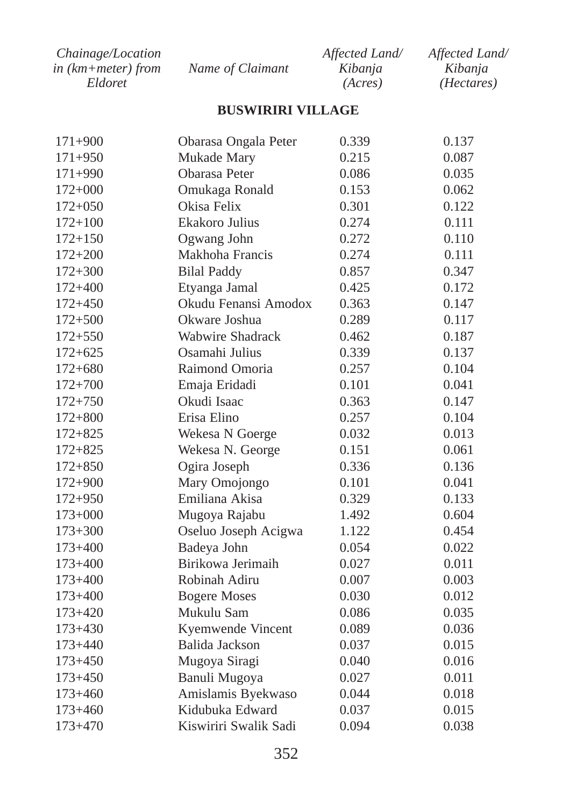| Chainage/Location      |                  | Affected Land/ | Affected Land/      |
|------------------------|------------------|----------------|---------------------|
| in $(km + meter)$ from | Name of Claimant | Kibanja        | Kibanja             |
| Eldoret                |                  | (Acres)        | ( <i>Hectares</i> ) |

# **BUSWIRIRI VILLAGE**

| $171 + 900$ | Obarasa Ongala Peter    | 0.339 | 0.137 |
|-------------|-------------------------|-------|-------|
| $171 + 950$ | Mukade Mary             | 0.215 | 0.087 |
| $171 + 990$ | Obarasa Peter           | 0.086 | 0.035 |
| $172+000$   | Omukaga Ronald          | 0.153 | 0.062 |
| $172 + 050$ | Okisa Felix             | 0.301 | 0.122 |
| $172 + 100$ | Ekakoro Julius          | 0.274 | 0.111 |
| $172 + 150$ | Ogwang John             | 0.272 | 0.110 |
| $172 + 200$ | Makhoha Francis         | 0.274 | 0.111 |
| $172 + 300$ | <b>Bilal Paddy</b>      | 0.857 | 0.347 |
| $172 + 400$ | Etyanga Jamal           | 0.425 | 0.172 |
| $172 + 450$ | Okudu Fenansi Amodox    | 0.363 | 0.147 |
| $172 + 500$ | Okware Joshua           | 0.289 | 0.117 |
| $172 + 550$ | <b>Wabwire Shadrack</b> | 0.462 | 0.187 |
| $172 + 625$ | Osamahi Julius          | 0.339 | 0.137 |
| $172 + 680$ | Raimond Omoria          | 0.257 | 0.104 |
| $172 + 700$ | Emaja Eridadi           | 0.101 | 0.041 |
| $172 + 750$ | Okudi Isaac             | 0.363 | 0.147 |
| $172 + 800$ | Erisa Elino             | 0.257 | 0.104 |
| $172 + 825$ | Wekesa N Goerge         | 0.032 | 0.013 |
| $172 + 825$ | Wekesa N. George        | 0.151 | 0.061 |
| $172 + 850$ | Ogira Joseph            | 0.336 | 0.136 |
| $172 + 900$ | Mary Omojongo           | 0.101 | 0.041 |
| $172 + 950$ | Emiliana Akisa          | 0.329 | 0.133 |
| $173+000$   | Mugoya Rajabu           | 1.492 | 0.604 |
| $173 + 300$ | Oseluo Joseph Acigwa    | 1.122 | 0.454 |
| $173 + 400$ | Badeya John             | 0.054 | 0.022 |
| $173 + 400$ | Birikowa Jerimaih       | 0.027 | 0.011 |
| $173 + 400$ | Robinah Adiru           | 0.007 | 0.003 |
| $173 + 400$ | <b>Bogere Moses</b>     | 0.030 | 0.012 |
| $173 + 420$ | Mukulu Sam              | 0.086 | 0.035 |
| $173 + 430$ | Kyemwende Vincent       | 0.089 | 0.036 |
| $173 + 440$ | Balida Jackson          | 0.037 | 0.015 |
| $173 + 450$ | Mugoya Siragi           | 0.040 | 0.016 |
| $173 + 450$ | Banuli Mugoya           | 0.027 | 0.011 |
| $173 + 460$ | Amislamis Byekwaso      | 0.044 | 0.018 |
| $173 + 460$ | Kidubuka Edward         | 0.037 | 0.015 |
| $173 + 470$ | Kiswiriri Swalik Sadi   | 0.094 | 0.038 |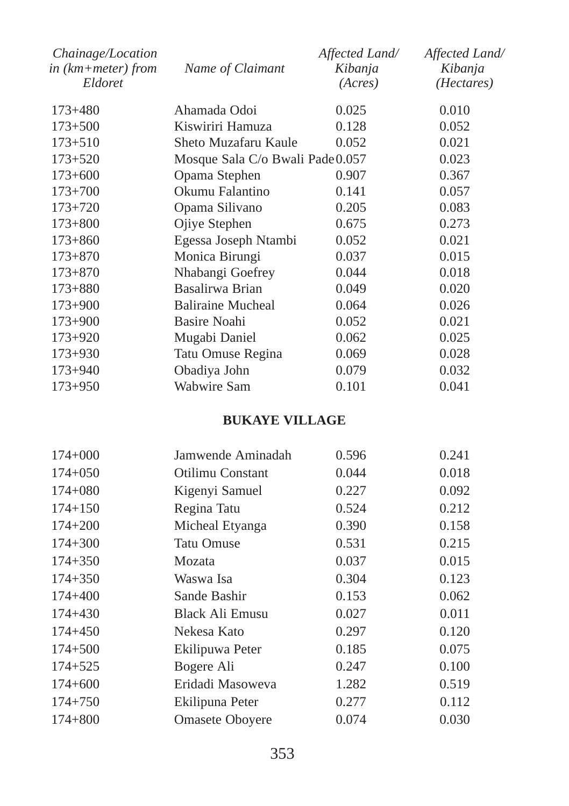| Chainage/Location<br>in $(km + meter)$ from<br>Eldoret | Name of Claimant                 | Affected Land/<br>Kibanja<br>(Acres) | Affected Land/<br>Kibanja<br>( <i>Hectares</i> ) |
|--------------------------------------------------------|----------------------------------|--------------------------------------|--------------------------------------------------|
| $173 + 480$                                            | Ahamada Odoi                     | 0.025                                | 0.010                                            |
| $173 + 500$                                            | Kiswiriri Hamuza                 | 0.128                                | 0.052                                            |
| $173 + 510$                                            | Sheto Muzafaru Kaule             | 0.052                                | 0.021                                            |
| $173 + 520$                                            | Mosque Sala C/o Bwali Pade 0.057 |                                      | 0.023                                            |
| $173+600$                                              | Opama Stephen                    | 0.907                                | 0.367                                            |
| $173 + 700$                                            | Okumu Falantino                  | 0.141                                | 0.057                                            |
| $173 + 720$                                            | Opama Silivano                   | 0.205                                | 0.083                                            |
| $173 + 800$                                            | Ojiye Stephen                    | 0.675                                | 0.273                                            |
| $173 + 860$                                            | Egessa Joseph Ntambi             | 0.052                                | 0.021                                            |
| $173 + 870$                                            | Monica Birungi                   | 0.037                                | 0.015                                            |
| $173 + 870$                                            | Nhabangi Goefrey                 | 0.044                                | 0.018                                            |
| $173 + 880$                                            | Basalirwa Brian                  | 0.049                                | 0.020                                            |
| $173 + 900$                                            | <b>Baliraine Mucheal</b>         | 0.064                                | 0.026                                            |
| $173 + 900$                                            | Basire Noahi                     | 0.052                                | 0.021                                            |
| $173+920$                                              | Mugabi Daniel                    | 0.062                                | 0.025                                            |
| $173 + 930$                                            | Tatu Omuse Regina                | 0.069                                | 0.028                                            |
| $173 + 940$                                            | Obadiya John                     | 0.079                                | 0.032                                            |
| $173 + 950$                                            | Wabwire Sam                      | 0.101                                | 0.041                                            |

# **BUKAYE VILLAGE**

| Jamwende Aminadah | 0.596 | 0.241 |
|-------------------|-------|-------|
| Otilimu Constant  | 0.044 | 0.018 |
| Kigenyi Samuel    | 0.227 | 0.092 |
| Regina Tatu       | 0.524 | 0.212 |
| Micheal Etyanga   | 0.390 | 0.158 |
| <b>Tatu Omuse</b> | 0.531 | 0.215 |
| Mozata            | 0.037 | 0.015 |
| Waswa Isa         | 0.304 | 0.123 |
| Sande Bashir      | 0.153 | 0.062 |
| Black Ali Emusu   | 0.027 | 0.011 |
| Nekesa Kato       | 0.297 | 0.120 |
| Ekilipuwa Peter   | 0.185 | 0.075 |
| Bogere Ali        | 0.247 | 0.100 |
| Eridadi Masoweva  | 1.282 | 0.519 |
| Ekilipuna Peter   | 0.277 | 0.112 |
| Omasete Oboyere   | 0.074 | 0.030 |
|                   |       |       |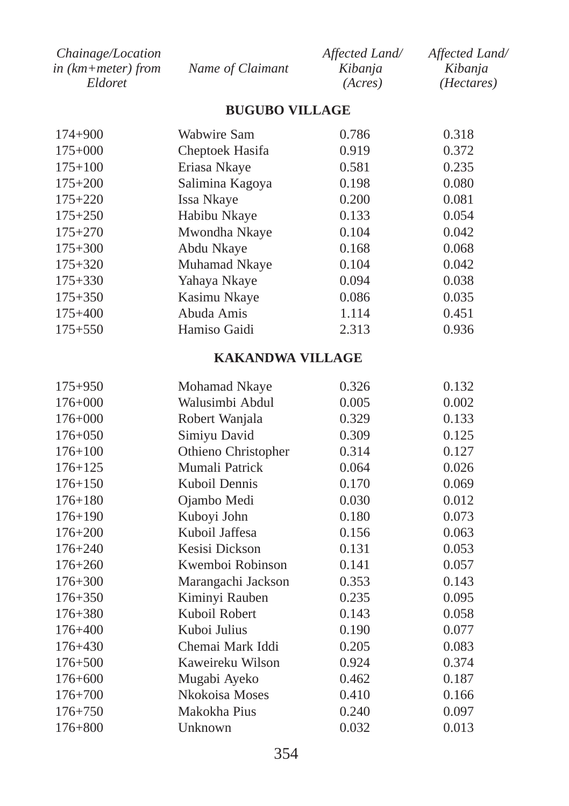| <i>Chainage/Location</i> |                  | Affected Land/ | Affected Land/      |
|--------------------------|------------------|----------------|---------------------|
| in (km+meter) from       | Name of Claimant | Kibania        | Kibania             |
| Eldoret                  |                  | (Acres)        | ( <i>Hectares</i> ) |

#### **BUGUBO VILLAGE**

| $174 + 900$ | Wabwire Sam     | 0.786 | 0.318 |
|-------------|-----------------|-------|-------|
| $175+000$   | Cheptoek Hasifa | 0.919 | 0.372 |
| $175 + 100$ | Eriasa Nkaye    | 0.581 | 0.235 |
| $175 + 200$ | Salimina Kagoya | 0.198 | 0.080 |
| $175 + 220$ | Issa Nkaye      | 0.200 | 0.081 |
| $175 + 250$ | Habibu Nkaye    | 0.133 | 0.054 |
| $175 + 270$ | Mwondha Nkaye   | 0.104 | 0.042 |
| $175 + 300$ | Abdu Nkaye      | 0.168 | 0.068 |
| $175 + 320$ | Muhamad Nkaye   | 0.104 | 0.042 |
| $175 + 330$ | Yahaya Nkaye    | 0.094 | 0.038 |
| $175 + 350$ | Kasimu Nkaye    | 0.086 | 0.035 |
| $175 + 400$ | Abuda Amis      | 1.114 | 0.451 |
| $175 + 550$ | Hamiso Gaidi    | 2.313 | 0.936 |

# **KAKANDWA VILLAGE**

| $175 + 950$ | Mohamad Nkaye       | 0.326 | 0.132 |
|-------------|---------------------|-------|-------|
| $176 + 000$ | Walusimbi Abdul     | 0.005 | 0.002 |
| $176 + 000$ | Robert Wanjala      | 0.329 | 0.133 |
| $176 + 050$ | Simiyu David        | 0.309 | 0.125 |
| $176 + 100$ | Othieno Christopher | 0.314 | 0.127 |
| $176 + 125$ | Mumali Patrick      | 0.064 | 0.026 |
| $176 + 150$ | Kuboil Dennis       | 0.170 | 0.069 |
| $176 + 180$ | Ojambo Medi         | 0.030 | 0.012 |
| $176 + 190$ | Kuboyi John         | 0.180 | 0.073 |
| $176 + 200$ | Kuboil Jaffesa      | 0.156 | 0.063 |
| $176 + 240$ | Kesisi Dickson      | 0.131 | 0.053 |
| $176 + 260$ | Kwemboi Robinson    | 0.141 | 0.057 |
| $176 + 300$ | Marangachi Jackson  | 0.353 | 0.143 |
| $176 + 350$ | Kiminyi Rauben      | 0.235 | 0.095 |
| $176 + 380$ | Kuboil Robert       | 0.143 | 0.058 |
| $176 + 400$ | Kuboi Julius        | 0.190 | 0.077 |
| $176 + 430$ | Chemai Mark Iddi    | 0.205 | 0.083 |
| $176 + 500$ | Kaweireku Wilson    | 0.924 | 0.374 |
| $176 + 600$ | Mugabi Ayeko        | 0.462 | 0.187 |
| $176 + 700$ | Nkokoisa Moses      | 0.410 | 0.166 |
| $176 + 750$ | Makokha Pius        | 0.240 | 0.097 |
| $176 + 800$ | Unknown             | 0.032 | 0.013 |
|             |                     |       |       |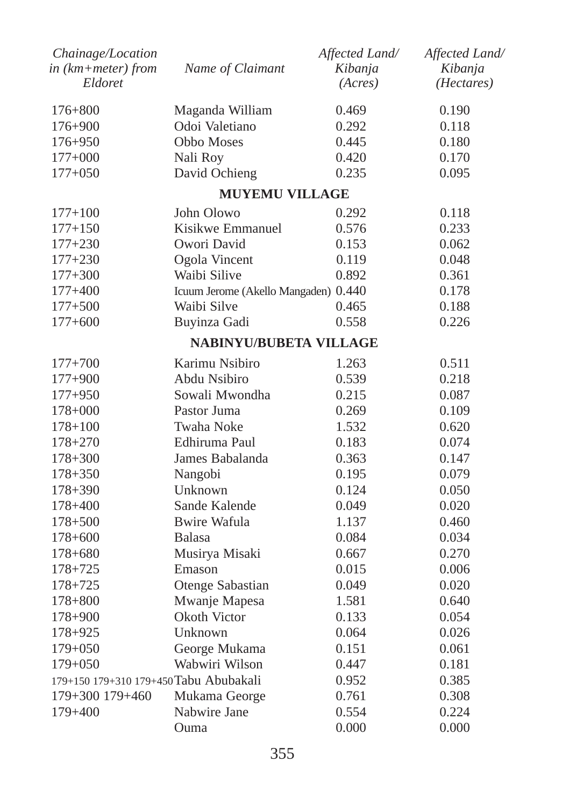| Chainage/Location<br>in (km+meter) from<br>Eldoret | Name of Claimant                     | Affected Land/<br>Kibanja<br>(Acres) | Affected Land/<br>Kibanja<br>( <i>Hectares</i> ) |
|----------------------------------------------------|--------------------------------------|--------------------------------------|--------------------------------------------------|
| $176 + 800$                                        | Maganda William                      | 0.469                                | 0.190                                            |
| $176 + 900$                                        | Odoi Valetiano                       | 0.292                                | 0.118                                            |
| $176 + 950$                                        | Obbo Moses                           | 0.445                                | 0.180                                            |
| $177+000$                                          | Nali Roy                             | 0.420                                | 0.170                                            |
| $177+050$                                          | David Ochieng                        | 0.235                                | 0.095                                            |
|                                                    | <b>MUYEMU VILLAGE</b>                |                                      |                                                  |
| $177 + 100$                                        | John Olowo                           | 0.292                                | 0.118                                            |
| $177 + 150$                                        | Kisikwe Emmanuel                     | 0.576                                | 0.233                                            |
| $177 + 230$                                        | Owori David                          | 0.153                                | 0.062                                            |
| $177 + 230$                                        | Ogola Vincent                        | 0.119                                | 0.048                                            |
| $177 + 300$                                        | Waibi Silive                         | 0.892                                | 0.361                                            |
| $177 + 400$                                        | Icuum Jerome (Akello Mangaden) 0.440 |                                      | 0.178                                            |
| $177 + 500$                                        | Waibi Silve                          | 0.465                                | 0.188                                            |
| $177+600$                                          | Buyinza Gadi                         | 0.558                                | 0.226                                            |
|                                                    | <b>NABINYU/BUBETA VILLAGE</b>        |                                      |                                                  |
| $177 + 700$                                        | Karimu Nsibiro                       | 1.263                                | 0.511                                            |
| $177 + 900$                                        | Abdu Nsibiro                         | 0.539                                | 0.218                                            |
| $177 + 950$                                        | Sowali Mwondha                       | 0.215                                | 0.087                                            |
| $178 + 000$                                        | Pastor Juma                          | 0.269                                | 0.109                                            |
| $178 + 100$                                        | <b>Twaha Noke</b>                    | 1.532                                | 0.620                                            |
| $178 + 270$                                        | Edhiruma Paul                        | 0.183                                | 0.074                                            |
| $178 + 300$                                        | James Babalanda                      | 0.363                                | 0.147                                            |
| $178 + 350$                                        | Nangobi                              | 0.195                                | 0.079                                            |
| $178 + 390$                                        | Unknown                              | 0.124                                | 0.050                                            |
| $178 + 400$                                        | Sande Kalende                        | 0.049                                | 0.020                                            |
| $178 + 500$                                        | Bwire Wafula                         | 1.137                                | 0.460                                            |
| $178 + 600$                                        | <b>Balasa</b>                        | 0.084                                | 0.034                                            |
| $178 + 680$                                        | Musirya Misaki                       | 0.667                                | 0.270                                            |
| $178 + 725$                                        | Emason                               | 0.015                                | 0.006                                            |
| $178 + 725$                                        | Otenge Sabastian                     | 0.049                                | 0.020                                            |
| $178 + 800$                                        | Mwanje Mapesa                        | 1.581                                | 0.640                                            |
| $178 + 900$                                        | Okoth Victor                         | 0.133                                | 0.054                                            |
| 178+925                                            | Unknown                              | 0.064                                | 0.026                                            |
| $179+050$                                          | George Mukama                        | 0.151                                | 0.061                                            |
| $179+050$                                          | Wabwiri Wilson                       | 0.447                                | 0.181                                            |
| 179+150 179+310 179+450 Tabu Abubakali             |                                      | 0.952                                | 0.385                                            |
| 179+300 179+460                                    | Mukama George                        | 0.761                                | 0.308                                            |
| 179+400                                            | Nabwire Jane                         | 0.554                                | 0.224                                            |
|                                                    | Ouma                                 | 0.000                                | 0.000                                            |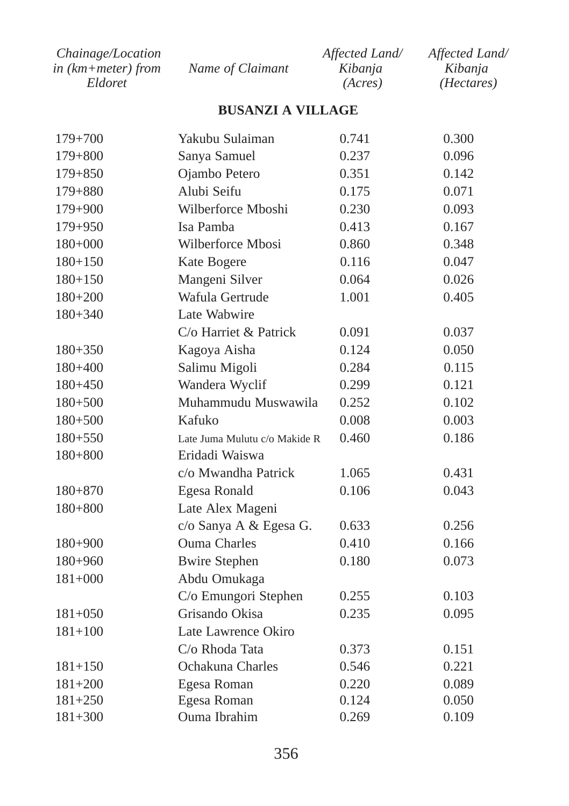| <i>Chainage/Location</i> |                  | Affected Land/ | Affected Land/      |
|--------------------------|------------------|----------------|---------------------|
| in (km+meter) from       | Name of Claimant | Kibanja        | Kibanja             |
| Eldoret                  |                  | (Acres)        | ( <i>Hectares</i> ) |

# **BUSANZI A VILLAGE**

| $179 + 700$ | Yakubu Sulaiman               | 0.741 | 0.300 |
|-------------|-------------------------------|-------|-------|
| $179 + 800$ | Sanya Samuel                  | 0.237 | 0.096 |
| 179+850     | Ojambo Petero                 | 0.351 | 0.142 |
| $179 + 880$ | Alubi Seifu                   | 0.175 | 0.071 |
| 179+900     | Wilberforce Mboshi            | 0.230 | 0.093 |
| 179+950     | Isa Pamba                     | 0.413 | 0.167 |
| 180+000     | Wilberforce Mbosi             | 0.860 | 0.348 |
| $180 + 150$ | Kate Bogere                   | 0.116 | 0.047 |
| $180 + 150$ | Mangeni Silver                | 0.064 | 0.026 |
| $180+200$   | Wafula Gertrude               | 1.001 | 0.405 |
| $180 + 340$ | Late Wabwire                  |       |       |
|             | C/o Harriet & Patrick         | 0.091 | 0.037 |
| $180 + 350$ | Kagoya Aisha                  | 0.124 | 0.050 |
| $180 + 400$ | Salimu Migoli                 | 0.284 | 0.115 |
| $180 + 450$ | Wandera Wyclif                | 0.299 | 0.121 |
| $180 + 500$ | Muhammudu Muswawila           | 0.252 | 0.102 |
| $180 + 500$ | Kafuko                        | 0.008 | 0.003 |
| $180 + 550$ | Late Juma Mulutu c/o Makide R | 0.460 | 0.186 |
| $180 + 800$ | Eridadi Waiswa                |       |       |
|             | c/o Mwandha Patrick           | 1.065 | 0.431 |
| $180 + 870$ | Egesa Ronald                  | 0.106 | 0.043 |
| $180 + 800$ | Late Alex Mageni              |       |       |
|             | c/o Sanya A & Egesa G.        | 0.633 | 0.256 |
| 180+900     | <b>Ouma Charles</b>           | 0.410 | 0.166 |
| 180+960     | <b>Bwire Stephen</b>          | 0.180 | 0.073 |
| $181+000$   | Abdu Omukaga                  |       |       |
|             | C/o Emungori Stephen          | 0.255 | 0.103 |
| $181 + 050$ | Grisando Okisa                | 0.235 | 0.095 |
| $181 + 100$ | Late Lawrence Okiro           |       |       |
|             | C/o Rhoda Tata                | 0.373 | 0.151 |
| $181 + 150$ | Ochakuna Charles              | 0.546 | 0.221 |
| $181 + 200$ | Egesa Roman                   | 0.220 | 0.089 |
| $181 + 250$ | Egesa Roman                   | 0.124 | 0.050 |
| $181 + 300$ | Ouma Ibrahim                  | 0.269 | 0.109 |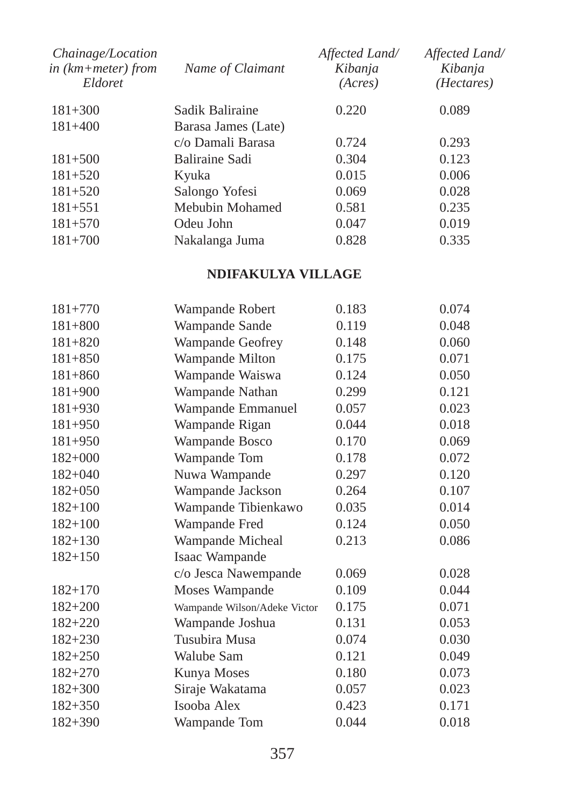| Name of Claimant    | Affected Land/<br>Kibanja<br>(Acres) | Affected Land/<br>Kibanja<br>( <i>Hectares</i> ) |
|---------------------|--------------------------------------|--------------------------------------------------|
| Sadik Baliraine     | 0.220                                | 0.089                                            |
| Barasa James (Late) |                                      |                                                  |
| c/o Damali Barasa   | 0.724                                | 0.293                                            |
| Baliraine Sadi      | 0.304                                | 0.123                                            |
| Kyuka               | 0.015                                | 0.006                                            |
| Salongo Yofesi      | 0.069                                | 0.028                                            |
| Mebubin Mohamed     | 0.581                                | 0.235                                            |
| Odeu John           | 0.047                                | 0.019                                            |
| Nakalanga Juma      | 0.828                                | 0.335                                            |
|                     |                                      |                                                  |

### **NDIFAKULYA VILLAGE**

| $181 + 770$ | Wampande Robert              | 0.183 | 0.074 |
|-------------|------------------------------|-------|-------|
| $181 + 800$ | Wampande Sande               | 0.119 | 0.048 |
| $181 + 820$ | Wampande Geofrey             | 0.148 | 0.060 |
| $181 + 850$ | Wampande Milton              | 0.175 | 0.071 |
| $181 + 860$ | Wampande Waiswa              | 0.124 | 0.050 |
| $181 + 900$ | Wampande Nathan              | 0.299 | 0.121 |
| $181 + 930$ | Wampande Emmanuel            | 0.057 | 0.023 |
| $181 + 950$ | Wampande Rigan               | 0.044 | 0.018 |
| $181 + 950$ | Wampande Bosco               | 0.170 | 0.069 |
| $182+000$   | Wampande Tom                 | 0.178 | 0.072 |
| $182+040$   | Nuwa Wampande                | 0.297 | 0.120 |
| $182+050$   | Wampande Jackson             | 0.264 | 0.107 |
| $182+100$   | Wampande Tibienkawo          | 0.035 | 0.014 |
| $182+100$   | Wampande Fred                | 0.124 | 0.050 |
| $182 + 130$ | Wampande Micheal             | 0.213 | 0.086 |
| $182 + 150$ | Isaac Wampande               |       |       |
|             | c/o Jesca Nawempande         | 0.069 | 0.028 |
| $182 + 170$ | Moses Wampande               | 0.109 | 0.044 |
| $182 + 200$ | Wampande Wilson/Adeke Victor | 0.175 | 0.071 |
| $182 + 220$ | Wampande Joshua              | 0.131 | 0.053 |
| $182 + 230$ | Tusubira Musa                | 0.074 | 0.030 |
| $182 + 250$ | Walube Sam                   | 0.121 | 0.049 |
| $182 + 270$ | Kunya Moses                  | 0.180 | 0.073 |
| $182 + 300$ | Siraje Wakatama              | 0.057 | 0.023 |
| $182 + 350$ | Isooba Alex                  | 0.423 | 0.171 |
| $182 + 390$ | Wampande Tom                 | 0.044 | 0.018 |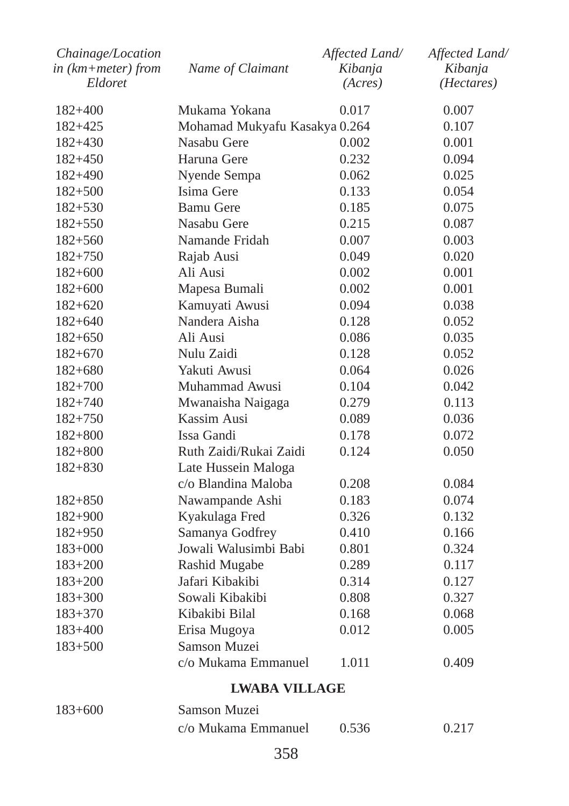| Chainage/Location          |                               | Affected Land/ | Affected Land/ |  |  |
|----------------------------|-------------------------------|----------------|----------------|--|--|
| $in$ ( $km + meter$ ) from | Name of Claimant              | Kibanja        | Kibanja        |  |  |
| Eldoret                    |                               | (Acres)        | (Hectares)     |  |  |
| $182 + 400$                | Mukama Yokana                 | 0.017          | 0.007          |  |  |
| $182 + 425$                | Mohamad Mukyafu Kasakya 0.264 |                | 0.107          |  |  |
| $182 + 430$                | Nasabu Gere                   | 0.002          | 0.001          |  |  |
| 182+450                    | Haruna Gere                   | 0.232          | 0.094          |  |  |
| 182+490                    | Nyende Sempa                  | 0.062          | 0.025          |  |  |
| $182 + 500$                | Isima Gere                    | 0.133          | 0.054          |  |  |
| $182 + 530$                | <b>Bamu Gere</b>              | 0.185          | 0.075          |  |  |
| $182 + 550$                | Nasabu Gere                   | 0.215          | 0.087          |  |  |
| $182 + 560$                | Namande Fridah                | 0.007          | 0.003          |  |  |
| $182 + 750$                | Rajab Ausi                    | 0.049          | 0.020          |  |  |
| $182+600$                  | Ali Ausi                      | 0.002          | 0.001          |  |  |
| $182+600$                  | Mapesa Bumali                 | 0.002          | 0.001          |  |  |
| $182+620$                  | Kamuyati Awusi                | 0.094          | 0.038          |  |  |
| $182 + 640$                | Nandera Aisha                 | 0.128          | 0.052          |  |  |
| $182 + 650$                | Ali Ausi                      | 0.086          | 0.035          |  |  |
| $182+670$                  | Nulu Zaidi                    | 0.128          | 0.052          |  |  |
| $182 + 680$                | Yakuti Awusi                  | 0.064          | 0.026          |  |  |
| $182 + 700$                | Muhammad Awusi                | 0.104          | 0.042          |  |  |
| $182 + 740$                | Mwanaisha Naigaga             | 0.279          | 0.113          |  |  |
| $182 + 750$                | Kassim Ausi                   | 0.089          | 0.036          |  |  |
| $182 + 800$                | Issa Gandi                    | 0.178          | 0.072          |  |  |
| $182 + 800$                | Ruth Zaidi/Rukai Zaidi        | 0.124          | 0.050          |  |  |
| $182 + 830$                | Late Hussein Maloga           |                |                |  |  |
|                            | c/o Blandina Maloba           | 0.208          | 0.084          |  |  |
| $182 + 850$                | Nawampande Ashi               | 0.183          | 0.074          |  |  |
| 182+900                    | Kyakulaga Fred                | 0.326          | 0.132          |  |  |
| $182 + 950$                | Samanya Godfrey               | 0.410          | 0.166          |  |  |
| $183+000$                  | Jowali Walusimbi Babi         | 0.801          | 0.324          |  |  |
| $183 + 200$                | Rashid Mugabe                 | 0.289          | 0.117          |  |  |
| $183 + 200$                | Jafari Kibakibi               | 0.314          | 0.127          |  |  |
| $183 + 300$                | Sowali Kibakibi               | 0.808          | 0.327          |  |  |
| $183 + 370$                | Kibakibi Bilal                | 0.168          | 0.068          |  |  |
| $183+400$                  | Erisa Mugoya                  | 0.012          | 0.005          |  |  |
| $183 + 500$                | Samson Muzei                  |                |                |  |  |
|                            | c/o Mukama Emmanuel           | 1.011          | 0.409          |  |  |
|                            | LWABA VILLAGE                 |                |                |  |  |

| $183+600$ | Samson Muzei        |       |       |
|-----------|---------------------|-------|-------|
|           | c/o Mukama Emmanuel | 0.536 | 0.217 |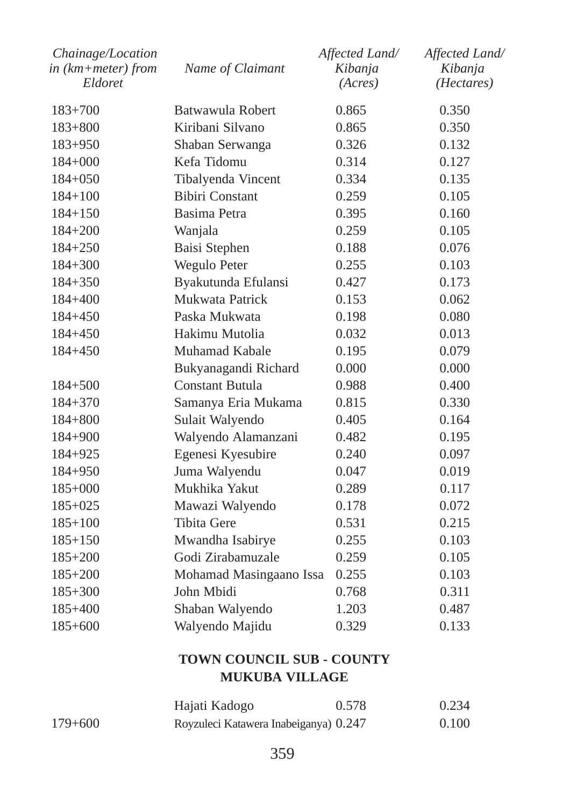| Chainage/Location<br>in (km+meter) from<br>Eldoret | Name of Claimant        | Affected Land/<br>Kibanja<br>(Acres) | Affected Land/<br>Kibanja<br>( <i>Hectares</i> ) |
|----------------------------------------------------|-------------------------|--------------------------------------|--------------------------------------------------|
| $183 + 700$                                        | Batwawula Robert        | 0.865                                | 0.350                                            |
| $183 + 800$                                        | Kiribani Silvano        | 0.865                                | 0.350                                            |
| $183 + 950$                                        | Shaban Serwanga         | 0.326                                | 0.132                                            |
| $184+000$                                          | Kefa Tidomu             | 0.314                                | 0.127                                            |
| $184+050$                                          | Tibalyenda Vincent      | 0.334                                | 0.135                                            |
| $184 + 100$                                        | <b>Bibiri Constant</b>  | 0.259                                | 0.105                                            |
| $184 + 150$                                        | Basima Petra            | 0.395                                | 0.160                                            |
| $184 + 200$                                        | Wanjala                 | 0.259                                | 0.105                                            |
| $184 + 250$                                        | Baisi Stephen           | 0.188                                | 0.076                                            |
| $184 + 300$                                        | Wegulo Peter            | 0.255                                | 0.103                                            |
| $184 + 350$                                        | Byakutunda Efulansi     | 0.427                                | 0.173                                            |
| 184+400                                            | Mukwata Patrick         | 0.153                                | 0.062                                            |
| $184 + 450$                                        | Paska Mukwata           | 0.198                                | 0.080                                            |
| $184 + 450$                                        | Hakimu Mutolia          | 0.032                                | 0.013                                            |
| $184 + 450$                                        | Muhamad Kabale          | 0.195                                | 0.079                                            |
|                                                    | Bukyanagandi Richard    | 0.000                                | 0.000                                            |
| $184 + 500$                                        | Constant Butula         | 0.988                                | 0.400                                            |
| $184 + 370$                                        | Samanya Eria Mukama     | 0.815                                | 0.330                                            |
| $184 + 800$                                        | Sulait Walyendo         | 0.405                                | 0.164                                            |
| $184 + 900$                                        | Walyendo Alamanzani     | 0.482                                | 0.195                                            |
| $184 + 925$                                        | Egenesi Kyesubire       | 0.240                                | 0.097                                            |
| $184 + 950$                                        | Juma Walyendu           | 0.047                                | 0.019                                            |
| $185+000$                                          | Mukhika Yakut           | 0.289                                | 0.117                                            |
| 185+025                                            | Mawazi Walyendo         | 0.178                                | 0.072                                            |
| $185+100$                                          | Tibita Gere             | 0.531                                | 0.215                                            |
| $185 + 150$                                        | Mwandha Isabirye        | 0.255                                | 0.103                                            |
| $185 + 200$                                        | Godi Zirabamuzale       | 0.259                                | 0.105                                            |
| $185 + 200$                                        | Mohamad Masingaano Issa | 0.255                                | 0.103                                            |
| $185 + 300$                                        | John Mbidi              | 0.768                                | 0.311                                            |
| 185+400                                            | Shaban Walyendo         | 1.203                                | 0.487                                            |
| $185 + 600$                                        | Walyendo Majidu         | 0.329                                | 0.133                                            |
|                                                    |                         |                                      |                                                  |

# **TOWN COUNCIL SUB - COUNTY MUKUBA VILLAGE**

|           | Hajati Kadogo                         | 0.578 | 0.234 |
|-----------|---------------------------------------|-------|-------|
| $179+600$ | Royzuleci Katawera Inabeiganya) 0.247 |       | 0.100 |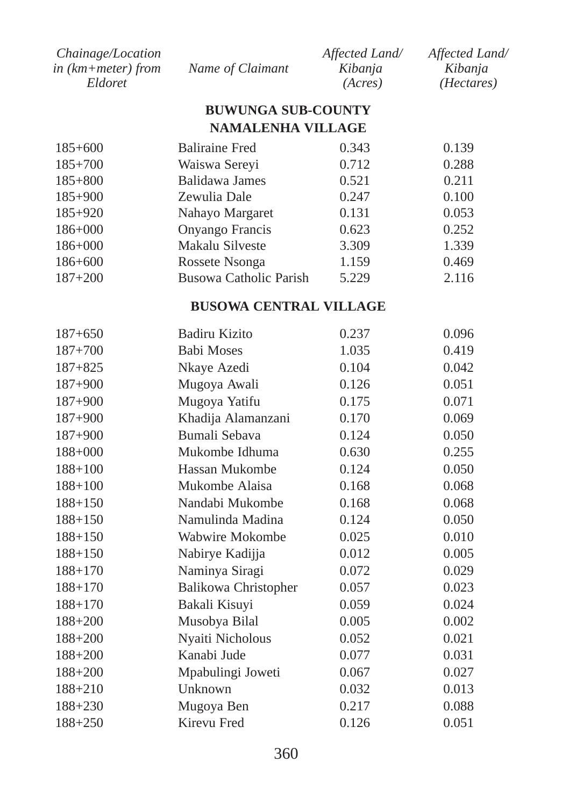| <i>Chainage/Location</i> |                  | Affected Land/ | Affected Land/      |
|--------------------------|------------------|----------------|---------------------|
| in $(km + meter)$ from   | Name of Claimant | Kibanja        | Kibania             |
| Eldoret                  |                  | (Acres)        | ( <i>Hectares</i> ) |

### **BUWUNGA SUB-COUNTY NAMALENHA VILLAGE**

| $185+600$   | <b>Baliraine Fred</b>  | 0.343 | 0.139 |
|-------------|------------------------|-------|-------|
| $185+700$   | Waiswa Sereyi          | 0.712 | 0.288 |
| $185 + 800$ | Balidawa James         | 0.521 | 0.211 |
| $185+900$   | Zewulia Dale           | 0.247 | 0.100 |
| $185+920$   | Nahayo Margaret        | 0.131 | 0.053 |
| $186 + 000$ | Onyango Francis        | 0.623 | 0.252 |
| $186 + 000$ | Makalu Silveste        | 3.309 | 1.339 |
| $186 + 600$ | Rossete Nsonga         | 1.159 | 0.469 |
| $187 + 200$ | Busowa Catholic Parish | 5.229 | 2.116 |
|             |                        |       |       |

# **BUSOWA CENTRAL VILLAGE**

| $187 + 650$ | Badiru Kizito               | 0.237 | 0.096 |
|-------------|-----------------------------|-------|-------|
| $187 + 700$ | <b>Babi Moses</b>           | 1.035 | 0.419 |
| $187 + 825$ | Nkaye Azedi                 | 0.104 | 0.042 |
| $187 + 900$ | Mugoya Awali                | 0.126 | 0.051 |
| $187 + 900$ | Mugoya Yatifu               | 0.175 | 0.071 |
| $187 + 900$ | Khadija Alamanzani          | 0.170 | 0.069 |
| $187 + 900$ | Bumali Sebava               | 0.124 | 0.050 |
| $188 + 000$ | Mukombe Idhuma              | 0.630 | 0.255 |
| $188 + 100$ | Hassan Mukombe              | 0.124 | 0.050 |
| $188 + 100$ | Mukombe Alaisa              | 0.168 | 0.068 |
| $188 + 150$ | Nandabi Mukombe             | 0.168 | 0.068 |
| $188 + 150$ | Namulinda Madina            | 0.124 | 0.050 |
| $188 + 150$ | Wabwire Mokombe             | 0.025 | 0.010 |
| $188 + 150$ | Nabirye Kadijja             | 0.012 | 0.005 |
| $188 + 170$ | Naminya Siragi              | 0.072 | 0.029 |
| $188 + 170$ | <b>Balikowa Christopher</b> | 0.057 | 0.023 |
| $188 + 170$ | Bakali Kisuyi               | 0.059 | 0.024 |
| $188 + 200$ | Musobya Bilal               | 0.005 | 0.002 |
| $188 + 200$ | Nyaiti Nicholous            | 0.052 | 0.021 |
| $188 + 200$ | Kanabi Jude                 | 0.077 | 0.031 |
| $188 + 200$ | Mpabulingi Joweti           | 0.067 | 0.027 |
| $188 + 210$ | Unknown                     | 0.032 | 0.013 |
| $188 + 230$ | Mugoya Ben                  | 0.217 | 0.088 |
| $188 + 250$ | Kirevu Fred                 | 0.126 | 0.051 |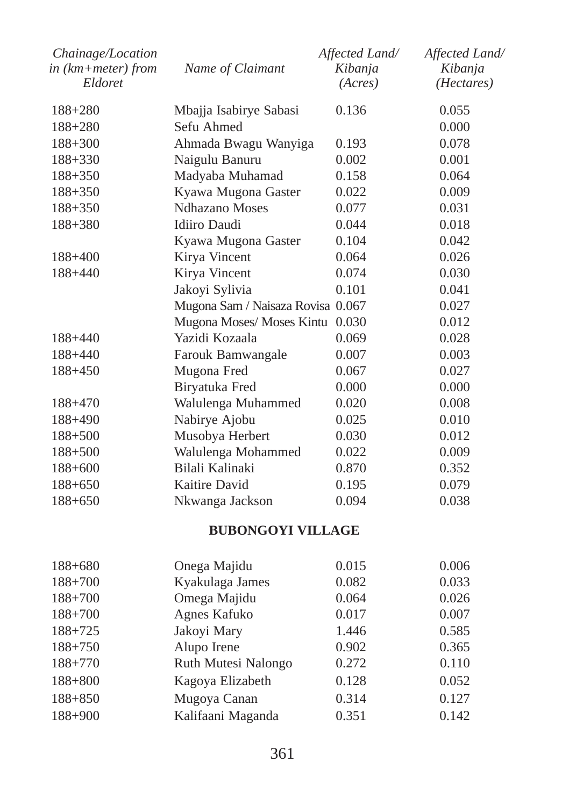| Chainage/Location  |                                   | Affected Land/ | Affected Land/ |
|--------------------|-----------------------------------|----------------|----------------|
| in (km+meter) from | Name of Claimant                  | Kibanja        | Kibanja        |
| Eldoret            |                                   | (Acres)        | (Hectares)     |
| $188 + 280$        | Mbajja Isabirye Sabasi            | 0.136          | 0.055          |
| 188+280            | Sefu Ahmed                        |                | 0.000          |
| $188 + 300$        | Ahmada Bwagu Wanyiga              | 0.193          | 0.078          |
| 188+330            | Naigulu Banuru                    | 0.002          | 0.001          |
| 188+350            | Madyaba Muhamad                   | 0.158          | 0.064          |
| 188+350            | Kyawa Mugona Gaster               | 0.022          | 0.009          |
| 188+350            | <b>Ndhazano</b> Moses             | 0.077          | 0.031          |
| 188+380            | Idiiro Daudi                      | 0.044          | 0.018          |
|                    | Kyawa Mugona Gaster               | 0.104          | 0.042          |
| 188+400            | Kirya Vincent                     | 0.064          | 0.026          |
| 188+440            | Kirya Vincent                     | 0.074          | 0.030          |
|                    | Jakoyi Sylivia                    | 0.101          | 0.041          |
|                    | Mugona Sam / Naisaza Rovisa 0.067 |                | 0.027          |
|                    | Mugona Moses/ Moses Kintu 0.030   |                | 0.012          |
| 188+440            | Yazidi Kozaala                    | 0.069          | 0.028          |
| 188+440            | Farouk Bamwangale                 | 0.007          | 0.003          |
| 188+450            | Mugona Fred                       | 0.067          | 0.027          |
|                    | Biryatuka Fred                    | 0.000          | 0.000          |
| 188+470            | Walulenga Muhammed                | 0.020          | 0.008          |
| 188+490            | Nabirye Ajobu                     | 0.025          | 0.010          |
| $188 + 500$        | Musobya Herbert                   | 0.030          | 0.012          |
| $188 + 500$        | Walulenga Mohammed                | 0.022          | 0.009          |
| $188 + 600$        | Bilali Kalinaki                   | 0.870          | 0.352          |
| 188+650            | Kaitire David                     | 0.195          | 0.079          |
| 188+650            | Nkwanga Jackson                   | 0.094          | 0.038          |
|                    | <b>BUBONGOYI VILLAGE</b>          |                |                |
| 188+680            | Onega Majidu                      | 0.015          | 0.006          |
| 188+700            | Kyakulaga James                   | 0.082          | 0.033          |
| $188 + 700$        | Omega Majidu                      | 0.064          | 0.026          |
| $188 + 700$        | Agnes Kafuko                      | 0.017          | 0.007          |
| 188+725            | Jakoyi Mary                       | 1.446          | 0.585          |
| $188 + 750$        | Alupo Irene                       | 0.902          | 0.365          |
| 188+770            | Ruth Mutesi Nalongo               | 0.272          | 0.110          |
| $188 + 800$        | Kagoya Elizabeth                  | 0.128          | 0.052          |
| $188 + 850$        | Mugoya Canan                      | 0.314          | 0.127          |
| 188+900            | Kalifaani Maganda                 | 0.351          | 0.142          |
|                    |                                   |                |                |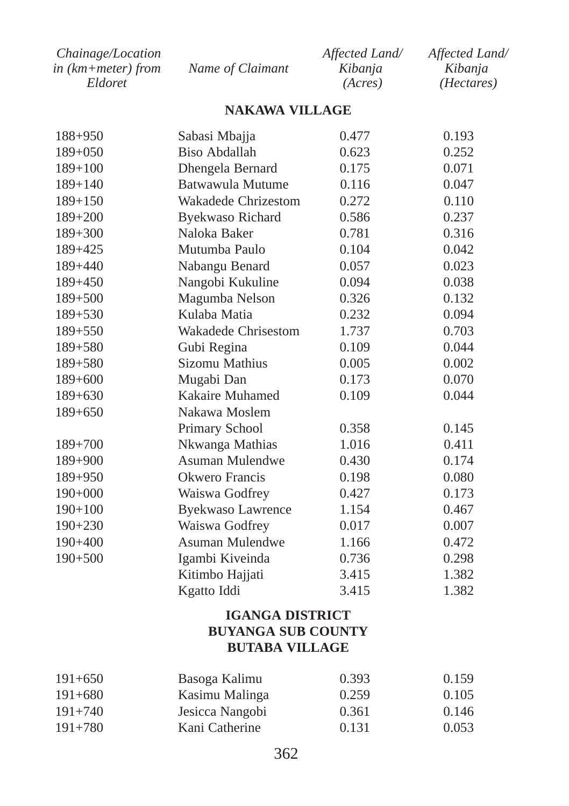| <i>Chainage/Location</i> |                  | Affected Land/ | Affected Land/      |
|--------------------------|------------------|----------------|---------------------|
| in (km+meter) from       | Name of Claimant | Kibanja        | Kibanja             |
| Eldoret                  |                  | (Acres)        | ( <i>Hectares</i> ) |

#### **NAKAWA VILLAGE**

| $188 + 950$ | Sabasi Mbajja            | 0.477 | 0.193 |
|-------------|--------------------------|-------|-------|
| $189 + 050$ | <b>Biso Abdallah</b>     | 0.623 | 0.252 |
| $189 + 100$ | Dhengela Bernard         | 0.175 | 0.071 |
| $189 + 140$ | Batwawula Mutume         | 0.116 | 0.047 |
| $189 + 150$ | Wakadede Chrizestom      | 0.272 | 0.110 |
| 189+200     | <b>Byekwaso Richard</b>  | 0.586 | 0.237 |
| $189 + 300$ | Naloka Baker             | 0.781 | 0.316 |
| 189+425     | Mutumba Paulo            | 0.104 | 0.042 |
| $189 + 440$ | Nabangu Benard           | 0.057 | 0.023 |
| $189 + 450$ | Nangobi Kukuline         | 0.094 | 0.038 |
| $189 + 500$ | Magumba Nelson           | 0.326 | 0.132 |
| 189+530     | Kulaba Matia             | 0.232 | 0.094 |
| $189 + 550$ | Wakadede Chrisestom      | 1.737 | 0.703 |
| $189 + 580$ | Gubi Regina              | 0.109 | 0.044 |
| $189 + 580$ | Sizomu Mathius           | 0.005 | 0.002 |
| $189+600$   | Mugabi Dan               | 0.173 | 0.070 |
| $189 + 630$ | Kakaire Muhamed          | 0.109 | 0.044 |
| $189 + 650$ | Nakawa Moslem            |       |       |
|             | Primary School           | 0.358 | 0.145 |
| $189 + 700$ | Nkwanga Mathias          | 1.016 | 0.411 |
| $189 + 900$ | Asuman Mulendwe          | 0.430 | 0.174 |
| $189 + 950$ | Okwero Francis           | 0.198 | 0.080 |
| $190+000$   | Waiswa Godfrey           | 0.427 | 0.173 |
| $190+100$   | <b>Byekwaso Lawrence</b> | 1.154 | 0.467 |
| $190 + 230$ | Waiswa Godfrey           | 0.017 | 0.007 |
| $190 + 400$ | Asuman Mulendwe          | 1.166 | 0.472 |
| $190 + 500$ | Igambi Kiveinda          | 0.736 | 0.298 |
|             | Kitimbo Hajjati          | 3.415 | 1.382 |
|             | Kgatto Iddi              | 3.415 | 1.382 |

# **IGANGA DISTRICT BUYANGA SUB COUNTY BUTABA VILLAGE**

| $191 + 650$<br>$191 + 680$<br>$191 + 740$<br>$191 + 780$ | Basoga Kalimu   | 0.393 | 0.159 |
|----------------------------------------------------------|-----------------|-------|-------|
|                                                          | Kasimu Malinga  | 0.259 | 0.105 |
|                                                          | Jesicca Nangobi | 0.361 | 0.146 |
|                                                          | Kani Catherine  | 0.131 | 0.053 |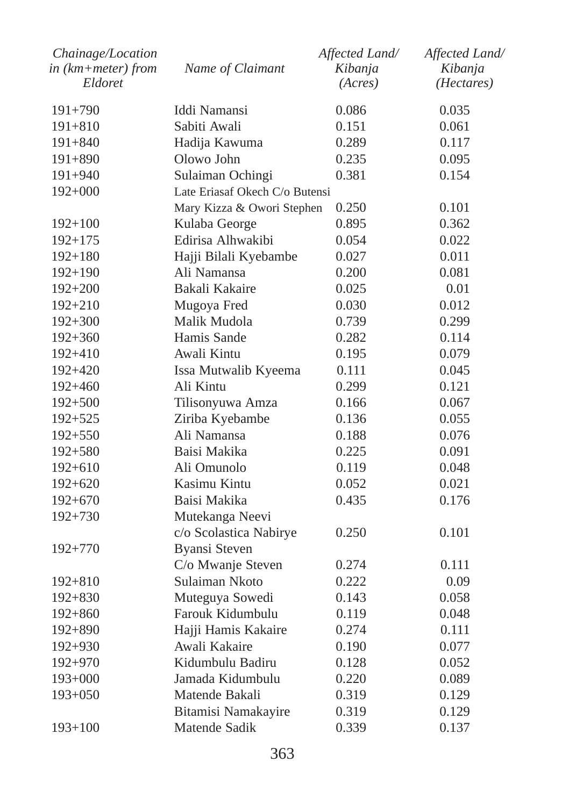| Chainage/Location<br>in (km+meter) from | Name of Claimant               | Affected Land/<br>Kibanja | Affected Land/<br>Kibanja |
|-----------------------------------------|--------------------------------|---------------------------|---------------------------|
| Eldoret                                 |                                | (Acres)                   | (Hectares)                |
| $191 + 790$                             | Iddi Namansi                   | 0.086                     | 0.035                     |
| $191 + 810$                             | Sabiti Awali                   | 0.151                     | 0.061                     |
| $191 + 840$                             | Hadija Kawuma                  | 0.289                     | 0.117                     |
| $191 + 890$                             | Olowo John                     | 0.235                     | 0.095                     |
| $191 + 940$                             | Sulaiman Ochingi               | 0.381                     | 0.154                     |
| $192+000$                               | Late Eriasaf Okech C/o Butensi |                           |                           |
|                                         | Mary Kizza & Owori Stephen     | 0.250                     | 0.101                     |
| $192 + 100$                             | Kulaba George                  | 0.895                     | 0.362                     |
| $192 + 175$                             | Edirisa Alhwakibi              | 0.054                     | 0.022                     |
| $192 + 180$                             | Hajji Bilali Kyebambe          | 0.027                     | 0.011                     |
| $192 + 190$                             | Ali Namansa                    | 0.200                     | 0.081                     |
| $192 + 200$                             | Bakali Kakaire                 | 0.025                     | 0.01                      |
| $192 + 210$                             | Mugoya Fred                    | 0.030                     | 0.012                     |
| $192 + 300$                             | Malik Mudola                   | 0.739                     | 0.299                     |
| $192 + 360$                             | Hamis Sande                    | 0.282                     | 0.114                     |
| $192 + 410$                             | Awali Kintu                    | 0.195                     | 0.079                     |
| $192 + 420$                             | Issa Mutwalib Kyeema           | 0.111                     | 0.045                     |
| $192 + 460$                             | Ali Kintu                      | 0.299                     | 0.121                     |
| $192 + 500$                             | Tilisonyuwa Amza               | 0.166                     | 0.067                     |
| $192 + 525$                             | Ziriba Kyebambe                | 0.136                     | 0.055                     |
| $192 + 550$                             | Ali Namansa                    | 0.188                     | 0.076                     |
| $192 + 580$                             | Baisi Makika                   | 0.225                     | 0.091                     |
| $192 + 610$                             | Ali Omunolo                    | 0.119                     | 0.048                     |
| $192 + 620$                             | Kasimu Kintu                   | 0.052                     | 0.021                     |
| $192+670$                               | Baisi Makika                   | 0.435                     | 0.176                     |
| $192 + 730$                             | Mutekanga Neevi                |                           |                           |
|                                         | c/o Scolastica Nabirye         | 0.250                     | 0.101                     |
| $192 + 770$                             | Byansi Steven                  |                           |                           |
|                                         | C/o Mwanje Steven              | 0.274                     | 0.111                     |
| $192 + 810$                             | Sulaiman Nkoto                 | 0.222                     | 0.09                      |
| $192 + 830$                             | Muteguya Sowedi                | 0.143                     | 0.058                     |
| $192 + 860$                             | Farouk Kidumbulu               | 0.119                     | 0.048                     |
| $192 + 890$                             | Hajji Hamis Kakaire            | 0.274                     | 0.111                     |
| $192 + 930$                             | Awali Kakaire                  | 0.190                     | 0.077                     |
| $192 + 970$                             | Kidumbulu Badiru               | 0.128                     | 0.052                     |
| $193+000$                               | Jamada Kidumbulu               | 0.220                     | 0.089                     |
| $193+050$                               | Matende Bakali                 | 0.319                     | 0.129                     |
|                                         | Bitamisi Namakayire            | 0.319                     | 0.129                     |
| $193 + 100$                             | Matende Sadik                  | 0.339                     | 0.137                     |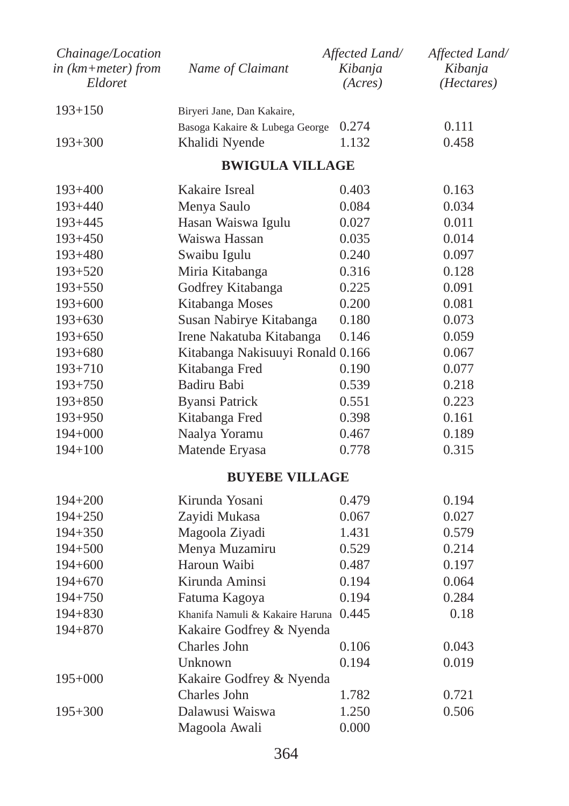| Chainage/Location<br>$in$ (km+meter) from<br>Eldoret | Name of Claimant                      | Affected Land/<br>Kibanja<br>(Acres) | Affected Land/<br>Kibanja<br>( <i>Hectares</i> ) |
|------------------------------------------------------|---------------------------------------|--------------------------------------|--------------------------------------------------|
| $193 + 150$                                          | Biryeri Jane, Dan Kakaire,            |                                      |                                                  |
|                                                      | Basoga Kakaire & Lubega George        | 0.274                                | 0.111                                            |
| $193 + 300$                                          | Khalidi Nyende                        | 1.132                                | 0.458                                            |
|                                                      | <b>BWIGULA VILLAGE</b>                |                                      |                                                  |
| $193+400$                                            | Kakaire Isreal                        | 0.403                                | 0.163                                            |
| $193 + 440$                                          | Menya Saulo                           | 0.084                                | 0.034                                            |
| $193 + 445$                                          | Hasan Waiswa Igulu                    | 0.027                                | 0.011                                            |
| $193 + 450$                                          | Waiswa Hassan                         | 0.035                                | 0.014                                            |
| $193 + 480$                                          | Swaibu Igulu                          | 0.240                                | 0.097                                            |
| $193 + 520$                                          | Miria Kitabanga                       | 0.316                                | 0.128                                            |
| $193 + 550$                                          | Godfrey Kitabanga                     | 0.225                                | 0.091                                            |
| $193+600$                                            | Kitabanga Moses                       | 0.200                                | 0.081                                            |
| $193+630$                                            | Susan Nabirye Kitabanga               | 0.180                                | 0.073                                            |
| $193+650$                                            | Irene Nakatuba Kitabanga              | 0.146                                | 0.059                                            |
| $193+680$                                            | Kitabanga Nakisuuyi Ronald 0.166      |                                      | 0.067                                            |
| $193 + 710$                                          | Kitabanga Fred                        | 0.190                                | 0.077                                            |
| $193 + 750$                                          | Badiru Babi                           | 0.539                                | 0.218                                            |
| $193 + 850$                                          | <b>Byansi Patrick</b>                 | 0.551                                | 0.223                                            |
| $193 + 950$                                          | Kitabanga Fred                        | 0.398                                | 0.161                                            |
| 194+000                                              | Naalya Yoramu                         | 0.467                                | 0.189                                            |
| $194 + 100$                                          | Matende Eryasa                        | 0.778                                | 0.315                                            |
|                                                      | <b>BUYEBE VILLAGE</b>                 |                                      |                                                  |
| $194 + 200$                                          | Kirunda Yosani                        | 0.479                                | 0.194                                            |
| $194 + 250$                                          | Zayidi Mukasa                         | 0.067                                | 0.027                                            |
| $194 + 350$                                          | Magoola Ziyadi                        | 1.431                                | 0.579                                            |
| 194+500                                              | Menya Muzamiru                        | 0.529                                | 0.214                                            |
| 194+600                                              | Haroun Waibi                          | 0.487                                | 0.197                                            |
| 194+670                                              | Kirunda Aminsi                        | 0.194                                | 0.064                                            |
| $194 + 750$                                          | Fatuma Kagoya                         | 0.194                                | 0.284                                            |
| $194 + 830$                                          | Khanifa Namuli & Kakaire Haruna 0.445 |                                      | 0.18                                             |
| 194+870                                              | Kakaire Godfrey & Nyenda              |                                      |                                                  |
|                                                      | Charles John                          | 0.106                                | 0.043                                            |
|                                                      | Unknown                               | 0.194                                | 0.019                                            |
| $195+000$                                            | Kakaire Godfrey & Nyenda              |                                      |                                                  |
|                                                      | Charles John                          | 1.782                                | 0.721                                            |
| $195 + 300$                                          | Dalawusi Waiswa                       | 1.250                                | 0.506                                            |
|                                                      | Magoola Awali                         | 0.000                                |                                                  |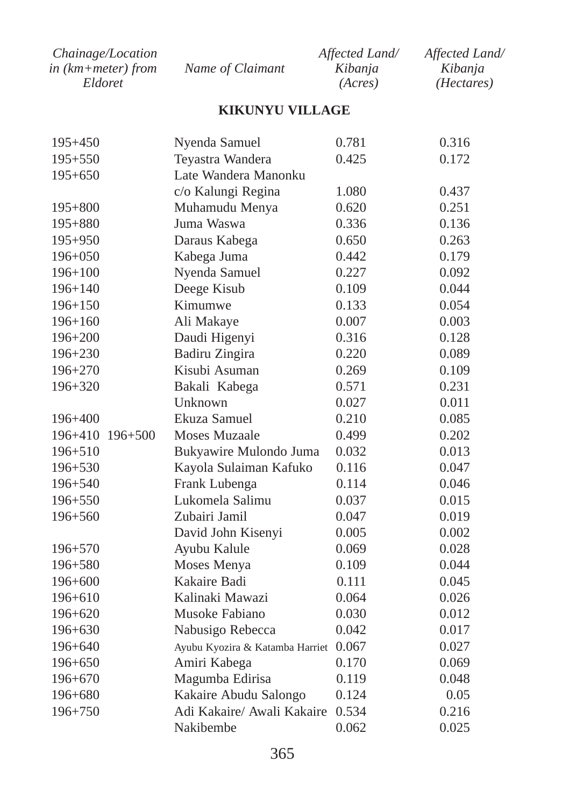| <i>Chainage/Location</i> |                  | Affected Land/ | Affected Land/      |
|--------------------------|------------------|----------------|---------------------|
| in (km+meter) from       | Name of Claimant | Kibania        | Kibanja             |
| Eldoret                  |                  | (Acres)        | ( <i>Hectares</i> ) |

# **KIKUNYU VILLAGE**

| $195 + 450$     | Nyenda Samuel                   | 0.781 | 0.316 |
|-----------------|---------------------------------|-------|-------|
| $195 + 550$     | Teyastra Wandera                | 0.425 | 0.172 |
| $195 + 650$     | Late Wandera Manonku            |       |       |
|                 | c/o Kalungi Regina              | 1.080 | 0.437 |
| $195 + 800$     | Muhamudu Menya                  | 0.620 | 0.251 |
| $195 + 880$     | Juma Waswa                      | 0.336 | 0.136 |
| $195 + 950$     | Daraus Kabega                   | 0.650 | 0.263 |
| $196 + 050$     | Kabega Juma                     | 0.442 | 0.179 |
| $196 + 100$     | Nyenda Samuel                   | 0.227 | 0.092 |
| $196 + 140$     | Deege Kisub                     | 0.109 | 0.044 |
| $196 + 150$     | Kimumwe                         | 0.133 | 0.054 |
| $196 + 160$     | Ali Makaye                      | 0.007 | 0.003 |
| $196 + 200$     | Daudi Higenyi                   | 0.316 | 0.128 |
| $196 + 230$     | Badiru Zingira                  | 0.220 | 0.089 |
| $196 + 270$     | Kisubi Asuman                   | 0.269 | 0.109 |
| $196 + 320$     | Bakali Kabega                   | 0.571 | 0.231 |
|                 | Unknown                         | 0.027 | 0.011 |
| $196 + 400$     | Ekuza Samuel                    | 0.210 | 0.085 |
| 196+410 196+500 | Moses Muzaale                   | 0.499 | 0.202 |
| $196 + 510$     | Bukyawire Mulondo Juma          | 0.032 | 0.013 |
| 196+530         | Kayola Sulaiman Kafuko          | 0.116 | 0.047 |
| $196 + 540$     | Frank Lubenga                   | 0.114 | 0.046 |
| $196 + 550$     | Lukomela Salimu                 | 0.037 | 0.015 |
| $196 + 560$     | Zubairi Jamil                   | 0.047 | 0.019 |
|                 | David John Kisenyi              | 0.005 | 0.002 |
| $196 + 570$     | Ayubu Kalule                    | 0.069 | 0.028 |
| 196+580         | Moses Menya                     | 0.109 | 0.044 |
| $196 + 600$     | Kakaire Badi                    | 0.111 | 0.045 |
| 196+610         | Kalinaki Mawazi                 | 0.064 | 0.026 |
| $196 + 620$     | Musoke Fabiano                  | 0.030 | 0.012 |
| 196+630         | Nabusigo Rebecca                | 0.042 | 0.017 |
| 196+640         | Ayubu Kyozira & Katamba Harriet | 0.067 | 0.027 |
| $196 + 650$     | Amiri Kabega                    | 0.170 | 0.069 |
| 196+670         | Magumba Edirisa                 | 0.119 | 0.048 |
| 196+680         | Kakaire Abudu Salongo           | 0.124 | 0.05  |
| $196 + 750$     | Adi Kakaire/ Awali Kakaire      | 0.534 | 0.216 |
|                 | Nakibembe                       | 0.062 | 0.025 |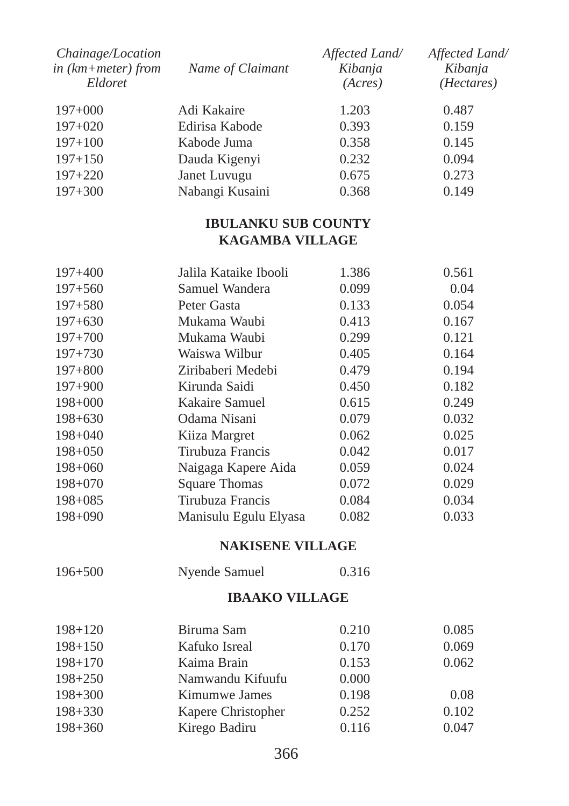| Chainage/Location<br>in $(km + meter)$ from<br>Eldoret | Name of Claimant | Affected Land/<br>Kibanja<br>(Acres) | Affected Land/<br>Kibanja<br>( <i>Hectares</i> ) |
|--------------------------------------------------------|------------------|--------------------------------------|--------------------------------------------------|
| $197+000$                                              | Adi Kakaire      | 1.203                                | 0.487                                            |
| $197+020$                                              | Edirisa Kabode   | 0.393                                | 0.159                                            |
| $197+100$                                              | Kabode Juma      | 0.358                                | 0.145                                            |
| $197 + 150$                                            | Dauda Kigenyi    | 0.232                                | 0.094                                            |
| $197+220$                                              | Janet Luvugu     | 0.675                                | 0.273                                            |
| $197 + 300$                                            | Nabangi Kusaini  | 0.368                                | 0.149                                            |

# **IBULANKU SUB COUNTY KAGAMBA VILLAGE**

| $197 + 400$ | Jalila Kataike Ibooli | 1.386 | 0.561 |
|-------------|-----------------------|-------|-------|
| $197 + 560$ | Samuel Wandera        | 0.099 | 0.04  |
| $197 + 580$ | Peter Gasta           | 0.133 | 0.054 |
| $197 + 630$ | Mukama Waubi          | 0.413 | 0.167 |
| $197 + 700$ | Mukama Waubi          | 0.299 | 0.121 |
| $197 + 730$ | Waiswa Wilbur         | 0.405 | 0.164 |
| $197 + 800$ | Ziribaberi Medebi     | 0.479 | 0.194 |
| $197+900$   | Kirunda Saidi         | 0.450 | 0.182 |
| $198 + 000$ | Kakaire Samuel        | 0.615 | 0.249 |
| $198 + 630$ | Odama Nisani          | 0.079 | 0.032 |
| $198 + 040$ | Kiiza Margret         | 0.062 | 0.025 |
| $198 + 050$ | Tirubuza Francis      | 0.042 | 0.017 |
| $198 + 060$ | Naigaga Kapere Aida   | 0.059 | 0.024 |
| $198 + 070$ | Square Thomas         | 0.072 | 0.029 |
| $198 + 085$ | Tirubuza Francis      | 0.084 | 0.034 |
| $198 + 090$ | Manisulu Egulu Elyasa | 0.082 | 0.033 |
|             |                       |       |       |

# **NAKISENE VILLAGE**

| $196 + 500$ | Nyende Samuel | 0.316 |
|-------------|---------------|-------|
|-------------|---------------|-------|

#### **IBAAKO VILLAGE**

| $198 + 120$ | Biruma Sam         | 0.210 | 0.085 |
|-------------|--------------------|-------|-------|
| $198 + 150$ | Kafuko Isreal      | 0.170 | 0.069 |
| $198 + 170$ | Kaima Brain        | 0.153 | 0.062 |
| $198 + 250$ | Namwandu Kifuufu   | 0.000 |       |
| $198 + 300$ | Kimumwe James      | 0.198 | 0.08  |
| $198 + 330$ | Kapere Christopher | 0.252 | 0.102 |
| $198 + 360$ | Kirego Badiru      | 0.116 | 0.047 |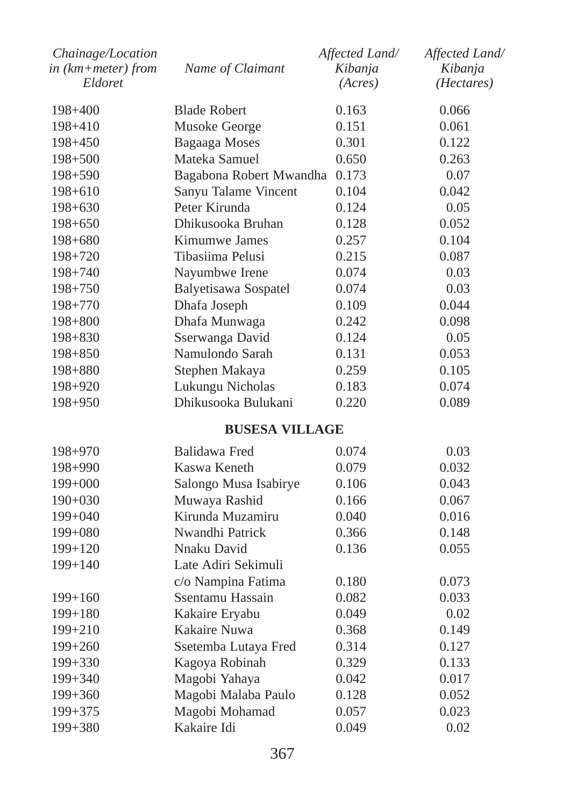| Chainage/Location<br>in (km+meter) from | Name of Claimant        | Affected Land/<br>Kibanja | Affected Land/<br>Kibanja |
|-----------------------------------------|-------------------------|---------------------------|---------------------------|
| Eldoret                                 |                         | (Acres)                   | ( <i>Hectares</i> )       |
| 198+400                                 | <b>Blade Robert</b>     | 0.163                     | 0.066                     |
| 198+410                                 | Musoke George           | 0.151                     | 0.061                     |
| 198+450                                 | Bagaaga Moses           | 0.301                     | 0.122                     |
| $198 + 500$                             | Mateka Samuel           | 0.650                     | 0.263                     |
| 198+590                                 | Bagabona Robert Mwandha | 0.173                     | 0.07                      |
| $198 + 610$                             | Sanyu Talame Vincent    | 0.104                     | 0.042                     |
| $198 + 630$                             | Peter Kirunda           | 0.124                     | 0.05                      |
| $198 + 650$                             | Dhikusooka Bruhan       | 0.128                     | 0.052                     |
| $198 + 680$                             | Kimumwe James           | 0.257                     | 0.104                     |
| 198+720                                 | Tibasiima Pelusi        | 0.215                     | 0.087                     |
| $198 + 740$                             | Nayumbwe Irene          | 0.074                     | 0.03                      |
| $198 + 750$                             | Balyetisawa Sospatel    | 0.074                     | 0.03                      |
| $198 + 770$                             | Dhafa Joseph            | 0.109                     | 0.044                     |
| $198 + 800$                             | Dhafa Munwaga           | 0.242                     | 0.098                     |
| $198 + 830$                             | Sserwanga David         | 0.124                     | 0.05                      |
| 198+850                                 | Namulondo Sarah         | 0.131                     | 0.053                     |
| 198+880                                 | Stephen Makaya          | 0.259                     | 0.105                     |
| 198+920                                 | Lukungu Nicholas        | 0.183                     | 0.074                     |
| 198+950                                 | Dhikusooka Bulukani     | 0.220                     | 0.089                     |
|                                         | <b>BUSESA VILLAGE</b>   |                           |                           |
| $198 + 970$                             | Balidawa Fred           | 0.074                     | 0.03                      |
| $198 + 990$                             | Kaswa Keneth            | 0.079                     | 0.032                     |
| $199+000$                               | Salongo Musa Isabirye   | 0.106                     | 0.043                     |
| $190+030$                               | Muwaya Rashid           | 0.166                     | 0.067                     |
| $199+040$                               | Kirunda Muzamiru        | 0.040                     | 0.016                     |
| $199+080$                               | Nwandhi Patrick         | 0.366                     | 0.148                     |
| $199+120$                               | Nnaku David             | 0.136                     | 0.055                     |
| $199+140$                               | Late Adiri Sekimuli     |                           |                           |
|                                         | c/o Nampina Fatima      | 0.180                     | 0.073                     |
| $199+160$                               | Ssentamu Hassain        | 0.082                     | 0.033                     |
| $199 + 180$                             | Kakaire Eryabu          | 0.049                     | 0.02                      |
| $199 + 210$                             | Kakaire Nuwa            | 0.368                     | 0.149                     |
| $199 + 260$                             | Ssetemba Lutaya Fred    | 0.314                     | 0.127                     |
| 199+330                                 | Kagoya Robinah          | 0.329                     | 0.133                     |
| $199 + 340$                             | Magobi Yahaya           | 0.042                     | 0.017                     |
| 199+360                                 | Magobi Malaba Paulo     | 0.128                     | 0.052                     |
| $199 + 375$                             | Magobi Mohamad          | 0.057                     | 0.023                     |
| $199 + 380$                             | Kakaire Idi             | 0.049                     | 0.02                      |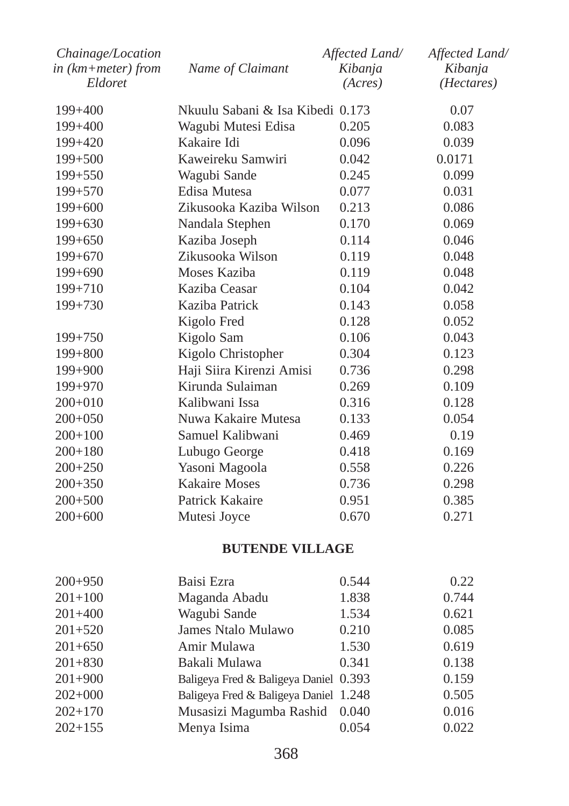| Chainage/Location<br>in (km+meter) from<br>Eldoret | Name of Claimant                 | Affected Land/<br>Kibanja<br>(Acres) | Affected Land/<br>Kibanja<br>(Hectares) |
|----------------------------------------------------|----------------------------------|--------------------------------------|-----------------------------------------|
| $199 + 400$                                        | Nkuulu Sabani & Isa Kibedi 0.173 |                                      | 0.07                                    |
| $199 + 400$                                        | Wagubi Mutesi Edisa              | 0.205                                | 0.083                                   |
| $199+420$                                          | Kakaire Idi                      | 0.096                                | 0.039                                   |
| $199 + 500$                                        | Kaweireku Samwiri                | 0.042                                | 0.0171                                  |
| $199 + 550$                                        | Wagubi Sande                     | 0.245                                | 0.099                                   |
| $199 + 570$                                        | Edisa Mutesa                     | 0.077                                | 0.031                                   |
| $199+600$                                          | Zikusooka Kaziba Wilson          | 0.213                                | 0.086                                   |
| $199+630$                                          | Nandala Stephen                  | 0.170                                | 0.069                                   |
| $199+650$                                          | Kaziba Joseph                    | 0.114                                | 0.046                                   |
| $199+670$                                          | Zikusooka Wilson                 | 0.119                                | 0.048                                   |
| $199+690$                                          | Moses Kaziba                     | 0.119                                | 0.048                                   |
| $199 + 710$                                        | Kaziba Ceasar                    | 0.104                                | 0.042                                   |
| $199 + 730$                                        | Kaziba Patrick                   | 0.143                                | 0.058                                   |
|                                                    | Kigolo Fred                      | 0.128                                | 0.052                                   |
| $199 + 750$                                        | Kigolo Sam                       | 0.106                                | 0.043                                   |
| $199 + 800$                                        | Kigolo Christopher               | 0.304                                | 0.123                                   |
| 199+900                                            | Haji Siira Kirenzi Amisi         | 0.736                                | 0.298                                   |
| $199 + 970$                                        | Kirunda Sulaiman                 | 0.269                                | 0.109                                   |
| $200+010$                                          | Kalibwani Issa                   | 0.316                                | 0.128                                   |
| $200+050$                                          | Nuwa Kakaire Mutesa              | 0.133                                | 0.054                                   |
| $200+100$                                          | Samuel Kalibwani                 | 0.469                                | 0.19                                    |
| $200+180$                                          | Lubugo George                    | 0.418                                | 0.169                                   |
| $200+250$                                          | Yasoni Magoola                   | 0.558                                | 0.226                                   |
| $200+350$                                          | <b>Kakaire Moses</b>             | 0.736                                | 0.298                                   |
| $200 + 500$                                        | Patrick Kakaire                  | 0.951                                | 0.385                                   |
| $200+600$                                          | Mutesi Joyce                     | 0.670                                | 0.271                                   |
|                                                    |                                  |                                      |                                         |

# **BUTENDE VILLAGE**

| $200+950$   | Baisi Ezra                            | 0.544 | 0.22  |
|-------------|---------------------------------------|-------|-------|
| $201+100$   | Maganda Abadu                         | 1.838 | 0.744 |
| $201 + 400$ | Wagubi Sande                          | 1.534 | 0.621 |
| $201 + 520$ | James Ntalo Mulawo                    | 0.210 | 0.085 |
| $201 + 650$ | Amir Mulawa                           | 1.530 | 0.619 |
| $201 + 830$ | Bakali Mulawa                         | 0.341 | 0.138 |
| $201+900$   | Baligeya Fred & Baligeya Daniel 0.393 |       | 0.159 |
| $202+000$   | Baligeya Fred & Baligeya Daniel 1.248 |       | 0.505 |
| $202+170$   | Musasizi Magumba Rashid 0.040         |       | 0.016 |
| $202 + 155$ | Menya Isima                           | 0.054 | 0.022 |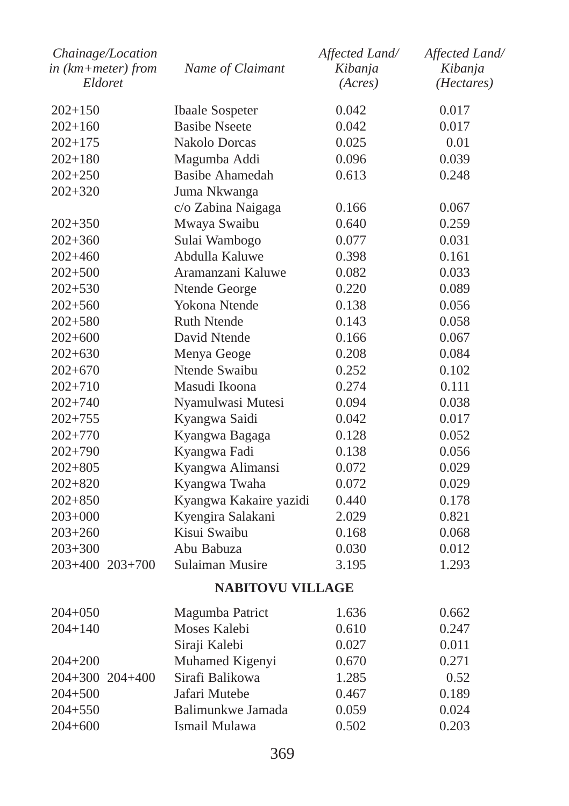| Chainage/Location<br>$in$ ( $km + meter$ ) from<br>Eldoret | Name of Claimant        | Affected Land/<br>Kibanja<br>(Acres) | Affected Land/<br>Kibanja<br>( <i>Hectares</i> ) |
|------------------------------------------------------------|-------------------------|--------------------------------------|--------------------------------------------------|
| $202 + 150$                                                | <b>Ibaale Sospeter</b>  | 0.042                                | 0.017                                            |
| $202 + 160$                                                | <b>Basibe Nseete</b>    | 0.042                                | 0.017                                            |
| $202 + 175$                                                | <b>Nakolo Dorcas</b>    | 0.025                                | 0.01                                             |
| $202 + 180$                                                | Magumba Addi            | 0.096                                | 0.039                                            |
| $202 + 250$                                                | Basibe Ahamedah         | 0.613                                | 0.248                                            |
| $202 + 320$                                                | Juma Nkwanga            |                                      |                                                  |
|                                                            | c/o Zabina Naigaga      | 0.166                                | 0.067                                            |
| $202 + 350$                                                | Mwaya Swaibu            | 0.640                                | 0.259                                            |
| $202 + 360$                                                | Sulai Wambogo           | 0.077                                | 0.031                                            |
| $202 + 460$                                                | Abdulla Kaluwe          | 0.398                                | 0.161                                            |
| $202 + 500$                                                | Aramanzani Kaluwe       | 0.082                                | 0.033                                            |
| $202 + 530$                                                | Ntende George           | 0.220                                | 0.089                                            |
| $202 + 560$                                                | Yokona Ntende           | 0.138                                | 0.056                                            |
| $202 + 580$                                                | <b>Ruth Ntende</b>      | 0.143                                | 0.058                                            |
| $202 + 600$                                                | David Ntende            | 0.166                                | 0.067                                            |
| $202 + 630$                                                | Menya Geoge             | 0.208                                | 0.084                                            |
| $202 + 670$                                                | Ntende Swaibu           | 0.252                                | 0.102                                            |
| $202 + 710$                                                | Masudi Ikoona           | 0.274                                | 0.111                                            |
| $202 + 740$                                                | Nyamulwasi Mutesi       | 0.094                                | 0.038                                            |
| $202 + 755$                                                | Kyangwa Saidi           | 0.042                                | 0.017                                            |
| $202 + 770$                                                | Kyangwa Bagaga          | 0.128                                | 0.052                                            |
| 202+790                                                    | Kyangwa Fadi            | 0.138                                | 0.056                                            |
| $202 + 805$                                                | Kyangwa Alimansi        | 0.072                                | 0.029                                            |
| $202 + 820$                                                | Kyangwa Twaha           | 0.072                                | 0.029                                            |
| $202 + 850$                                                | Kyangwa Kakaire yazidi  | 0.440                                | 0.178                                            |
| 203+000                                                    | Kyengira Salakani       | 2.029                                | 0.821                                            |
| $203 + 260$                                                | Kisui Swaibu            | 0.168                                | 0.068                                            |
| $203 + 300$                                                | Abu Babuza              | 0.030                                | 0.012                                            |
| 203+400 203+700                                            | Sulaiman Musire         | 3.195                                | 1.293                                            |
|                                                            | <b>NABITOVU VILLAGE</b> |                                      |                                                  |
| $204 + 050$                                                | Magumba Patrict         | 1.636                                | 0.662                                            |
| $204 + 140$                                                | Moses Kalebi            | 0.610                                | 0.247                                            |
|                                                            | Siraji Kalebi           | 0.027                                | 0.011                                            |
| $204 + 200$                                                | Muhamed Kigenyi         | 0.670                                | 0.271                                            |
| 204+300 204+400                                            | Sirafi Balikowa         | 1.285                                | 0.52                                             |
| $204 + 500$                                                | Jafari Mutebe           | 0.467                                | 0.189                                            |
| 204+550                                                    | Balimunkwe Jamada       | 0.059                                | 0.024                                            |
| $204 + 600$                                                | Ismail Mulawa           | 0.502                                | 0.203                                            |
|                                                            |                         |                                      |                                                  |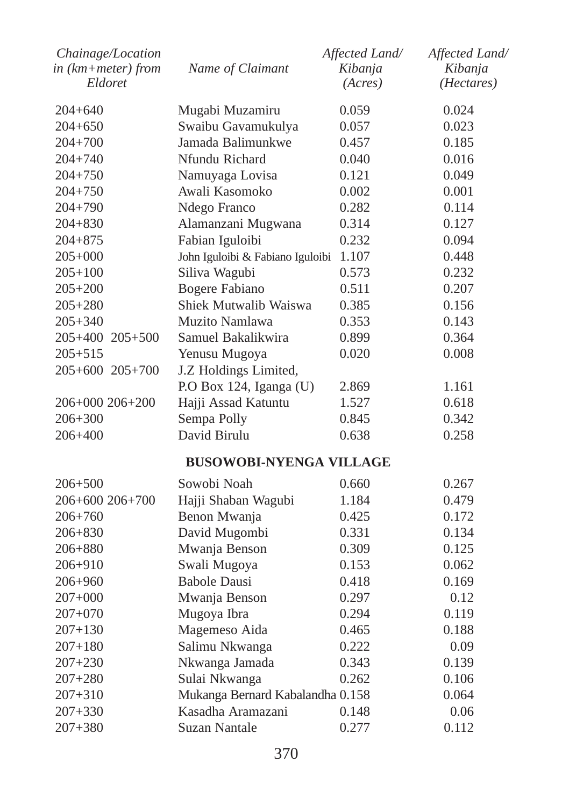| Chainage/Location  |                                  | Affected Land/ | Affected Land/ |
|--------------------|----------------------------------|----------------|----------------|
| in (km+meter) from | Name of Claimant                 | Kibanja        | Kibanja        |
| Eldoret            |                                  | (Acres)        | (Hectares)     |
| 204+640            | Mugabi Muzamiru                  | 0.059          | 0.024          |
| $204 + 650$        | Swaibu Gavamukulya               | 0.057          | 0.023          |
| 204+700            | Jamada Balimunkwe                | 0.457          | 0.185          |
| $204 + 740$        | Nfundu Richard                   | 0.040          | 0.016          |
| 204+750            | Namuyaga Lovisa                  | 0.121          | 0.049          |
| $204 + 750$        | Awali Kasomoko                   | 0.002          | 0.001          |
| 204+790            | Ndego Franco                     | 0.282          | 0.114          |
| $204 + 830$        | Alamanzani Mugwana               | 0.314          | 0.127          |
| 204+875            | Fabian Iguloibi                  | 0.232          | 0.094          |
| $205 + 000$        | John Iguloibi & Fabiano Iguloibi | 1.107          | 0.448          |
| $205 + 100$        | Siliva Wagubi                    | 0.573          | 0.232          |
| $205 + 200$        | <b>Bogere Fabiano</b>            | 0.511          | 0.207          |
| $205 + 280$        | Shiek Mutwalib Waiswa            | 0.385          | 0.156          |
| $205 + 340$        | Muzito Namlawa                   | 0.353          | 0.143          |
| 205+400 205+500    | Samuel Bakalikwira               | 0.899          | 0.364          |
| $205 + 515$        | Yenusu Mugoya                    | 0.020          | 0.008          |
| 205+600 205+700    | J.Z Holdings Limited,            |                |                |
|                    | P.O Box 124, Iganga (U)          | 2.869          | 1.161          |
| 206+000 206+200    | Hajji Assad Katuntu              | 1.527          | 0.618          |
| $206 + 300$        | Sempa Polly                      | 0.845          | 0.342          |
| 206+400            | David Birulu                     | 0.638          | 0.258          |
|                    | <b>BUSOWOBI-NYENGA VILLAGE</b>   |                |                |
| $206 + 500$        | Sowobi Noah                      | 0.660          | 0.267          |
| 206+600 206+700    | Hajji Shaban Wagubi              | 1.184          | 0.479          |
| $206 + 760$        | Benon Mwanja                     | 0.425          | 0.172          |
| 206+830            | David Mugombi                    | 0.331          | 0.134          |
| 206+880            | Mwanja Benson                    | 0.309          | 0.125          |
| 206+910            | Swali Mugoya                     | 0.153          | 0.062          |
| $206 + 960$        | <b>Babole Dausi</b>              | 0.418          | 0.169          |
| $207 + 000$        | Mwanja Benson                    | 0.297          | 0.12           |
| 207+070            | Mugoya Ibra                      | 0.294          | 0.119          |
| 207+130            | Magemeso Aida                    | 0.465          | 0.188          |
| $207 + 180$        | Salimu Nkwanga                   | 0.222          | 0.09           |
| 207+230            | Nkwanga Jamada                   | 0.343          | 0.139          |
| $207 + 280$        | Sulai Nkwanga                    | 0.262          | 0.106          |
| $207 + 310$        | Mukanga Bernard Kabalandha 0.158 |                | 0.064          |
| $207 + 330$        | Kasadha Aramazani                | 0.148          | 0.06           |
| $207 + 380$        | <b>Suzan Nantale</b>             | 0.277          | 0.112          |
|                    |                                  |                |                |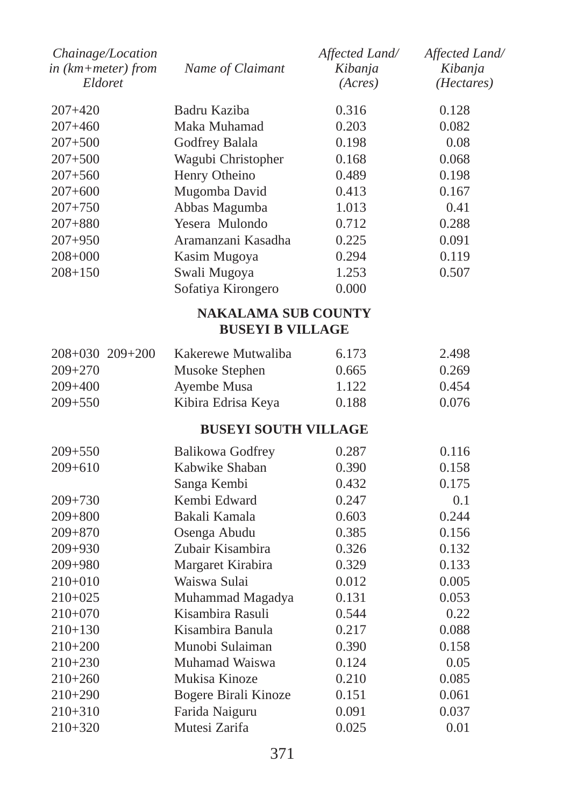| Chainage/Location<br>in (km+meter) from<br>Eldoret | Name of Claimant                                      | Affected Land/<br>Kibanja<br>(Acres) | Affected Land/<br>Kibanja<br>( <i>Hectares</i> ) |
|----------------------------------------------------|-------------------------------------------------------|--------------------------------------|--------------------------------------------------|
| $207+420$                                          | Badru Kaziba                                          | 0.316                                | 0.128                                            |
| $207 + 460$                                        | Maka Muhamad                                          | 0.203                                | 0.082                                            |
| $207 + 500$                                        | Godfrey Balala                                        | 0.198                                | 0.08                                             |
| $207 + 500$                                        | Wagubi Christopher                                    | 0.168                                | 0.068                                            |
| $207 + 560$                                        | Henry Otheino                                         | 0.489                                | 0.198                                            |
| $207 + 600$                                        | Mugomba David                                         | 0.413                                | 0.167                                            |
| $207 + 750$                                        | Abbas Magumba                                         | 1.013                                | 0.41                                             |
| $207 + 880$                                        | Yesera Mulondo                                        | 0.712                                | 0.288                                            |
| $207 + 950$                                        | Aramanzani Kasadha                                    | 0.225                                | 0.091                                            |
| $208 + 000$                                        | Kasim Mugoya                                          | 0.294                                | 0.119                                            |
| $208 + 150$                                        | Swali Mugoya                                          | 1.253                                | 0.507                                            |
|                                                    | Sofatiya Kirongero                                    | 0.000                                |                                                  |
|                                                    | <b>NAKALAMA SUB COUNTY</b><br><b>BUSEYI B VILLAGE</b> |                                      |                                                  |
| 208+030 209+200                                    | Kakerewe Mutwaliba                                    | 6.173                                | 2.498                                            |
| $209 + 270$                                        | Musoke Stephen                                        | 0.665                                | 0.269                                            |
| $209 + 400$                                        | Ayembe Musa                                           | 1.122                                | 0.454                                            |
| $209 + 550$                                        | Kibira Edrisa Keya                                    | 0.188                                | 0.076                                            |
|                                                    | <b>BUSEYI SOUTH VILLAGE</b>                           |                                      |                                                  |
| $209 + 550$                                        | Balikowa Godfrey                                      | 0.287                                | 0.116                                            |
| $209 + 610$                                        | Kabwike Shaban                                        | 0.390                                | 0.158                                            |
|                                                    | Sanga Kembi                                           | 0.432                                | 0.175                                            |
| $209 + 730$                                        | Kembi Edward                                          | 0.247                                | 0.1                                              |
| $209 + 800$                                        | Bakali Kamala                                         | 0.603                                | 0.244                                            |
| $209 + 870$                                        | Osenga Abudu                                          | 0.385                                | 0.156                                            |
| $209 + 930$                                        | Zubair Kisambira                                      | 0.326                                | 0.132                                            |
| 209+980                                            | Margaret Kirabira                                     | 0.329                                | 0.133                                            |
| $210+010$                                          | Waiswa Sulai                                          | 0.012                                | 0.005                                            |
| $210+025$                                          | Muhammad Magadya                                      | 0.131                                | 0.053                                            |
| $210+070$                                          | Kisambira Rasuli                                      | 0.544                                | 0.22                                             |
| $210+130$                                          | Kisambira Banula                                      | 0.217                                | 0.088                                            |
| $210+200$                                          | Munobi Sulaiman                                       | 0.390                                | 0.158                                            |
| $210 + 230$                                        | Muhamad Waiswa                                        | 0.124                                | 0.05                                             |
| $210+260$                                          | Mukisa Kinoze                                         | 0.210                                | 0.085                                            |
| $210+290$                                          | Bogere Birali Kinoze                                  | 0.151                                | 0.061                                            |
| $210+310$                                          | Farida Naiguru                                        | 0.091                                | 0.037                                            |
| $210+320$                                          | Mutesi Zarifa                                         | 0.025                                | 0.01                                             |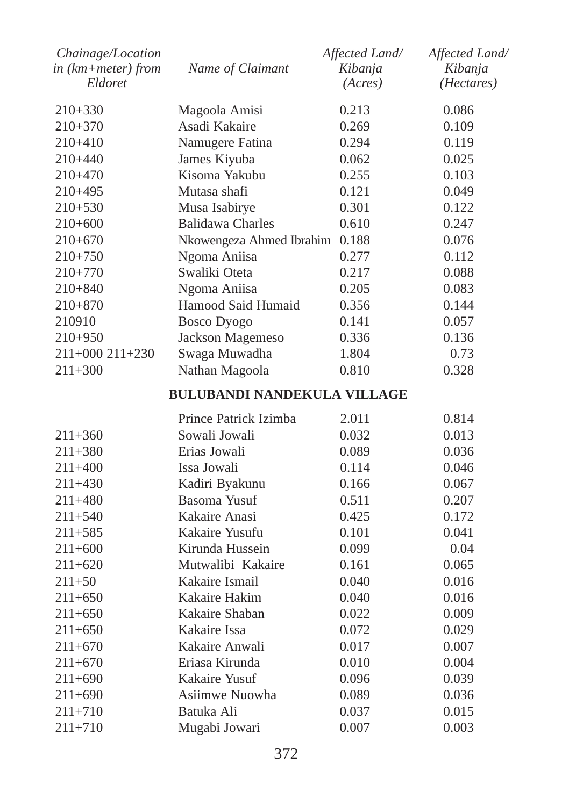| Eldoret<br>(Acres)<br>$210+330$<br>Magoola Amisi<br>0.213<br>0.086<br>Asadi Kakaire<br>210+370<br>0.269<br>0.109<br>210+410<br>Namugere Fatina<br>0.294<br>0.119<br>James Kiyuba<br>0.025<br>210+440<br>0.062<br>Kisoma Yakubu<br>210+470<br>0.255<br>0.103<br>Mutasa shafi<br>0.121<br>210+495<br>0.049<br>Musa Isabirye<br>0.301<br>210+530<br>0.122<br><b>Balidawa Charles</b><br>0.610<br>0.247<br>210+600<br>$210+670$<br>Nkowengeza Ahmed Ibrahim 0.188<br>0.076<br>Ngoma Aniisa<br>0.277<br>0.112<br>210+750<br>Swaliki Oteta<br>210+770<br>0.217<br>0.088<br>Ngoma Aniisa<br>0.205<br>210+840<br>0.083<br>Hamood Said Humaid<br>210+870<br>0.356<br>0.144<br><b>Bosco Dyogo</b><br>210910<br>0.141<br>0.057<br>$210+950$<br>Jackson Magemeso<br>0.336<br>0.136<br>Swaga Muwadha<br>0.73<br>211+000 211+230<br>1.804<br>$211 + 300$<br>Nathan Magoola<br>0.810<br>0.328<br><b>BULUBANDI NANDEKULA VILLAGE</b><br>Prince Patrick Izimba<br>2.011<br>0.814<br>Sowali Jowali<br>211+360<br>0.032<br>0.013<br>Erias Jowali<br>211+380<br>0.089<br>0.036<br>Issa Jowali<br>211+400<br>0.114<br>0.046<br>Kadiri Byakunu<br>211+430<br>0.166<br>0.067<br><b>Basoma Yusuf</b><br>211+480<br>0.511<br>0.207<br>Kakaire Anasi<br>0.425<br>211+540<br>0.172<br>Kakaire Yusufu<br>211+585<br>0.101<br>0.041<br>Kirunda Hussein<br>$211+600$<br>0.099<br>0.04<br>Mutwalibi Kakaire<br>$211+620$<br>0.161<br>0.065<br>Kakaire Ismail<br>211+50<br>0.040<br>0.016<br>Kakaire Hakim<br>$211+650$<br>0.040<br>0.016<br>Kakaire Shaban<br>211+650<br>0.022<br>0.009<br>Kakaire Issa<br>$211+650$<br>0.072<br>0.029 | Affected Land/<br>Kibanja<br>(Hectares) |
|---------------------------------------------------------------------------------------------------------------------------------------------------------------------------------------------------------------------------------------------------------------------------------------------------------------------------------------------------------------------------------------------------------------------------------------------------------------------------------------------------------------------------------------------------------------------------------------------------------------------------------------------------------------------------------------------------------------------------------------------------------------------------------------------------------------------------------------------------------------------------------------------------------------------------------------------------------------------------------------------------------------------------------------------------------------------------------------------------------------------------------------------------------------------------------------------------------------------------------------------------------------------------------------------------------------------------------------------------------------------------------------------------------------------------------------------------------------------------------------------------------------------------------------------------------------------------------------------------------|-----------------------------------------|
|                                                                                                                                                                                                                                                                                                                                                                                                                                                                                                                                                                                                                                                                                                                                                                                                                                                                                                                                                                                                                                                                                                                                                                                                                                                                                                                                                                                                                                                                                                                                                                                                         |                                         |
|                                                                                                                                                                                                                                                                                                                                                                                                                                                                                                                                                                                                                                                                                                                                                                                                                                                                                                                                                                                                                                                                                                                                                                                                                                                                                                                                                                                                                                                                                                                                                                                                         |                                         |
|                                                                                                                                                                                                                                                                                                                                                                                                                                                                                                                                                                                                                                                                                                                                                                                                                                                                                                                                                                                                                                                                                                                                                                                                                                                                                                                                                                                                                                                                                                                                                                                                         |                                         |
|                                                                                                                                                                                                                                                                                                                                                                                                                                                                                                                                                                                                                                                                                                                                                                                                                                                                                                                                                                                                                                                                                                                                                                                                                                                                                                                                                                                                                                                                                                                                                                                                         |                                         |
|                                                                                                                                                                                                                                                                                                                                                                                                                                                                                                                                                                                                                                                                                                                                                                                                                                                                                                                                                                                                                                                                                                                                                                                                                                                                                                                                                                                                                                                                                                                                                                                                         |                                         |
|                                                                                                                                                                                                                                                                                                                                                                                                                                                                                                                                                                                                                                                                                                                                                                                                                                                                                                                                                                                                                                                                                                                                                                                                                                                                                                                                                                                                                                                                                                                                                                                                         |                                         |
|                                                                                                                                                                                                                                                                                                                                                                                                                                                                                                                                                                                                                                                                                                                                                                                                                                                                                                                                                                                                                                                                                                                                                                                                                                                                                                                                                                                                                                                                                                                                                                                                         |                                         |
|                                                                                                                                                                                                                                                                                                                                                                                                                                                                                                                                                                                                                                                                                                                                                                                                                                                                                                                                                                                                                                                                                                                                                                                                                                                                                                                                                                                                                                                                                                                                                                                                         |                                         |
|                                                                                                                                                                                                                                                                                                                                                                                                                                                                                                                                                                                                                                                                                                                                                                                                                                                                                                                                                                                                                                                                                                                                                                                                                                                                                                                                                                                                                                                                                                                                                                                                         |                                         |
|                                                                                                                                                                                                                                                                                                                                                                                                                                                                                                                                                                                                                                                                                                                                                                                                                                                                                                                                                                                                                                                                                                                                                                                                                                                                                                                                                                                                                                                                                                                                                                                                         |                                         |
|                                                                                                                                                                                                                                                                                                                                                                                                                                                                                                                                                                                                                                                                                                                                                                                                                                                                                                                                                                                                                                                                                                                                                                                                                                                                                                                                                                                                                                                                                                                                                                                                         |                                         |
|                                                                                                                                                                                                                                                                                                                                                                                                                                                                                                                                                                                                                                                                                                                                                                                                                                                                                                                                                                                                                                                                                                                                                                                                                                                                                                                                                                                                                                                                                                                                                                                                         |                                         |
|                                                                                                                                                                                                                                                                                                                                                                                                                                                                                                                                                                                                                                                                                                                                                                                                                                                                                                                                                                                                                                                                                                                                                                                                                                                                                                                                                                                                                                                                                                                                                                                                         |                                         |
|                                                                                                                                                                                                                                                                                                                                                                                                                                                                                                                                                                                                                                                                                                                                                                                                                                                                                                                                                                                                                                                                                                                                                                                                                                                                                                                                                                                                                                                                                                                                                                                                         |                                         |
|                                                                                                                                                                                                                                                                                                                                                                                                                                                                                                                                                                                                                                                                                                                                                                                                                                                                                                                                                                                                                                                                                                                                                                                                                                                                                                                                                                                                                                                                                                                                                                                                         |                                         |
|                                                                                                                                                                                                                                                                                                                                                                                                                                                                                                                                                                                                                                                                                                                                                                                                                                                                                                                                                                                                                                                                                                                                                                                                                                                                                                                                                                                                                                                                                                                                                                                                         |                                         |
|                                                                                                                                                                                                                                                                                                                                                                                                                                                                                                                                                                                                                                                                                                                                                                                                                                                                                                                                                                                                                                                                                                                                                                                                                                                                                                                                                                                                                                                                                                                                                                                                         |                                         |
|                                                                                                                                                                                                                                                                                                                                                                                                                                                                                                                                                                                                                                                                                                                                                                                                                                                                                                                                                                                                                                                                                                                                                                                                                                                                                                                                                                                                                                                                                                                                                                                                         |                                         |
|                                                                                                                                                                                                                                                                                                                                                                                                                                                                                                                                                                                                                                                                                                                                                                                                                                                                                                                                                                                                                                                                                                                                                                                                                                                                                                                                                                                                                                                                                                                                                                                                         |                                         |
|                                                                                                                                                                                                                                                                                                                                                                                                                                                                                                                                                                                                                                                                                                                                                                                                                                                                                                                                                                                                                                                                                                                                                                                                                                                                                                                                                                                                                                                                                                                                                                                                         |                                         |
|                                                                                                                                                                                                                                                                                                                                                                                                                                                                                                                                                                                                                                                                                                                                                                                                                                                                                                                                                                                                                                                                                                                                                                                                                                                                                                                                                                                                                                                                                                                                                                                                         |                                         |
|                                                                                                                                                                                                                                                                                                                                                                                                                                                                                                                                                                                                                                                                                                                                                                                                                                                                                                                                                                                                                                                                                                                                                                                                                                                                                                                                                                                                                                                                                                                                                                                                         |                                         |
|                                                                                                                                                                                                                                                                                                                                                                                                                                                                                                                                                                                                                                                                                                                                                                                                                                                                                                                                                                                                                                                                                                                                                                                                                                                                                                                                                                                                                                                                                                                                                                                                         |                                         |
|                                                                                                                                                                                                                                                                                                                                                                                                                                                                                                                                                                                                                                                                                                                                                                                                                                                                                                                                                                                                                                                                                                                                                                                                                                                                                                                                                                                                                                                                                                                                                                                                         |                                         |
|                                                                                                                                                                                                                                                                                                                                                                                                                                                                                                                                                                                                                                                                                                                                                                                                                                                                                                                                                                                                                                                                                                                                                                                                                                                                                                                                                                                                                                                                                                                                                                                                         |                                         |
|                                                                                                                                                                                                                                                                                                                                                                                                                                                                                                                                                                                                                                                                                                                                                                                                                                                                                                                                                                                                                                                                                                                                                                                                                                                                                                                                                                                                                                                                                                                                                                                                         |                                         |
|                                                                                                                                                                                                                                                                                                                                                                                                                                                                                                                                                                                                                                                                                                                                                                                                                                                                                                                                                                                                                                                                                                                                                                                                                                                                                                                                                                                                                                                                                                                                                                                                         |                                         |
|                                                                                                                                                                                                                                                                                                                                                                                                                                                                                                                                                                                                                                                                                                                                                                                                                                                                                                                                                                                                                                                                                                                                                                                                                                                                                                                                                                                                                                                                                                                                                                                                         |                                         |
|                                                                                                                                                                                                                                                                                                                                                                                                                                                                                                                                                                                                                                                                                                                                                                                                                                                                                                                                                                                                                                                                                                                                                                                                                                                                                                                                                                                                                                                                                                                                                                                                         |                                         |
|                                                                                                                                                                                                                                                                                                                                                                                                                                                                                                                                                                                                                                                                                                                                                                                                                                                                                                                                                                                                                                                                                                                                                                                                                                                                                                                                                                                                                                                                                                                                                                                                         |                                         |
|                                                                                                                                                                                                                                                                                                                                                                                                                                                                                                                                                                                                                                                                                                                                                                                                                                                                                                                                                                                                                                                                                                                                                                                                                                                                                                                                                                                                                                                                                                                                                                                                         |                                         |
|                                                                                                                                                                                                                                                                                                                                                                                                                                                                                                                                                                                                                                                                                                                                                                                                                                                                                                                                                                                                                                                                                                                                                                                                                                                                                                                                                                                                                                                                                                                                                                                                         |                                         |
|                                                                                                                                                                                                                                                                                                                                                                                                                                                                                                                                                                                                                                                                                                                                                                                                                                                                                                                                                                                                                                                                                                                                                                                                                                                                                                                                                                                                                                                                                                                                                                                                         |                                         |
| Kakaire Anwali<br>211+670<br>0.017<br>0.007                                                                                                                                                                                                                                                                                                                                                                                                                                                                                                                                                                                                                                                                                                                                                                                                                                                                                                                                                                                                                                                                                                                                                                                                                                                                                                                                                                                                                                                                                                                                                             |                                         |
| Eriasa Kirunda<br>$211+670$<br>0.010<br>0.004                                                                                                                                                                                                                                                                                                                                                                                                                                                                                                                                                                                                                                                                                                                                                                                                                                                                                                                                                                                                                                                                                                                                                                                                                                                                                                                                                                                                                                                                                                                                                           |                                         |
| Kakaire Yusuf<br>$211+690$<br>0.096<br>0.039                                                                                                                                                                                                                                                                                                                                                                                                                                                                                                                                                                                                                                                                                                                                                                                                                                                                                                                                                                                                                                                                                                                                                                                                                                                                                                                                                                                                                                                                                                                                                            |                                         |
| Asiimwe Nuowha<br>211+690<br>0.089<br>0.036                                                                                                                                                                                                                                                                                                                                                                                                                                                                                                                                                                                                                                                                                                                                                                                                                                                                                                                                                                                                                                                                                                                                                                                                                                                                                                                                                                                                                                                                                                                                                             |                                         |
| Batuka Ali<br>211+710<br>0.037<br>0.015                                                                                                                                                                                                                                                                                                                                                                                                                                                                                                                                                                                                                                                                                                                                                                                                                                                                                                                                                                                                                                                                                                                                                                                                                                                                                                                                                                                                                                                                                                                                                                 |                                         |
| $211 + 710$<br>Mugabi Jowari<br>0.007<br>0.003                                                                                                                                                                                                                                                                                                                                                                                                                                                                                                                                                                                                                                                                                                                                                                                                                                                                                                                                                                                                                                                                                                                                                                                                                                                                                                                                                                                                                                                                                                                                                          |                                         |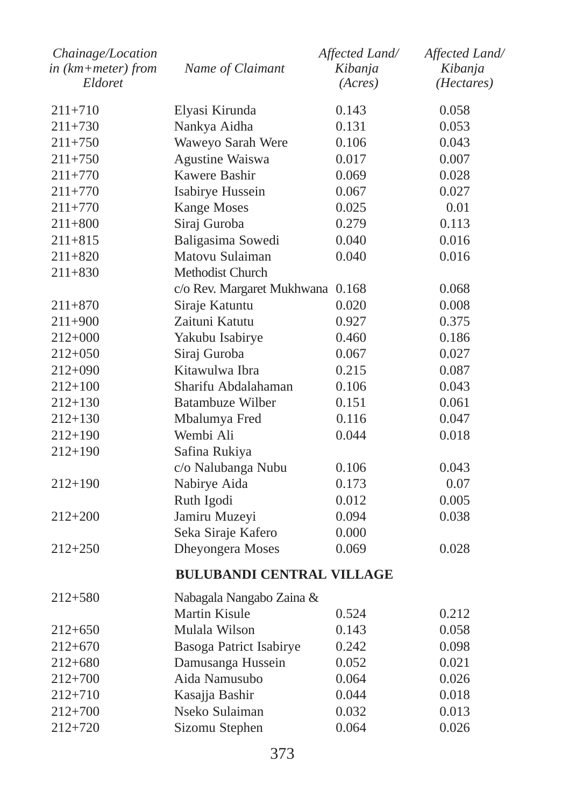| Chainage/Location<br>in (km+meter) from | Name of Claimant                 | Affected Land/<br>Kibanja | Affected Land/<br>Kibanja |
|-----------------------------------------|----------------------------------|---------------------------|---------------------------|
| Eldoret                                 |                                  | (Acres)                   | ( <i>Hectares</i> )       |
| $211 + 710$                             | Elyasi Kirunda                   | 0.143                     | 0.058                     |
| 211+730                                 | Nankya Aidha                     | 0.131                     | 0.053                     |
| $211 + 750$                             | Waweyo Sarah Were                | 0.106                     | 0.043                     |
| $211 + 750$                             | Agustine Waiswa                  | 0.017                     | 0.007                     |
| $211 + 770$                             | Kawere Bashir                    | 0.069                     | 0.028                     |
| 211+770                                 | Isabirye Hussein                 | 0.067                     | 0.027                     |
| $211 + 770$                             | <b>Kange Moses</b>               | 0.025                     | 0.01                      |
| 211+800                                 | Siraj Guroba                     | 0.279                     | 0.113                     |
| $211 + 815$                             | Baligasima Sowedi                | 0.040                     | 0.016                     |
| $211 + 820$                             | Matovu Sulaiman                  | 0.040                     | 0.016                     |
| $211 + 830$                             | <b>Methodist Church</b>          |                           |                           |
|                                         | c/o Rev. Margaret Mukhwana 0.168 |                           | 0.068                     |
| 211+870                                 | Siraje Katuntu                   | 0.020                     | 0.008                     |
| 211+900                                 | Zaituni Katutu                   | 0.927                     | 0.375                     |
| $212+000$                               | Yakubu Isabirye                  | 0.460                     | 0.186                     |
| 212+050                                 | Siraj Guroba                     | 0.067                     | 0.027                     |
| $212+090$                               | Kitawulwa Ibra                   | 0.215                     | 0.087                     |
| 212+100                                 | Sharifu Abdalahaman              | 0.106                     | 0.043                     |
| $212+130$                               | Batambuze Wilber                 | 0.151                     | 0.061                     |
| 212+130                                 | Mbalumya Fred                    | 0.116                     | 0.047                     |
| 212+190                                 | Wembi Ali                        | 0.044                     | 0.018                     |
| 212+190                                 | Safina Rukiya                    |                           |                           |
|                                         | c/o Nalubanga Nubu               | 0.106                     | 0.043                     |
| $212+190$                               | Nabirye Aida                     | 0.173                     | 0.07                      |
|                                         | Ruth Igodi                       | 0.012                     | 0.005                     |
| 212+200                                 | Jamiru Muzeyi                    | 0.094                     | 0.038                     |
|                                         | Seka Siraje Kafero               | 0.000                     |                           |
| $212 + 250$                             | Dheyongera Moses                 | 0.069                     | 0.028                     |
|                                         | <b>BULUBANDI CENTRAL VILLAGE</b> |                           |                           |
| $212 + 580$                             | Nabagala Nangabo Zaina &         |                           |                           |
|                                         | Martin Kisule                    | 0.524                     | 0.212                     |
| 212+650                                 | Mulala Wilson                    | 0.143                     | 0.058                     |
| $212+670$                               | Basoga Patrict Isabirye          | 0.242                     | 0.098                     |
| 212+680                                 | Damusanga Hussein                | 0.052                     | 0.021                     |
| $212+700$                               | Aida Namusubo                    | 0.064                     | 0.026                     |
| $212 + 710$                             | Kasajja Bashir                   | 0.044                     | 0.018                     |
| 212+700                                 | Nseko Sulaiman                   | 0.032                     | 0.013                     |
| $212 + 720$                             | Sizomu Stephen                   | 0.064                     | 0.026                     |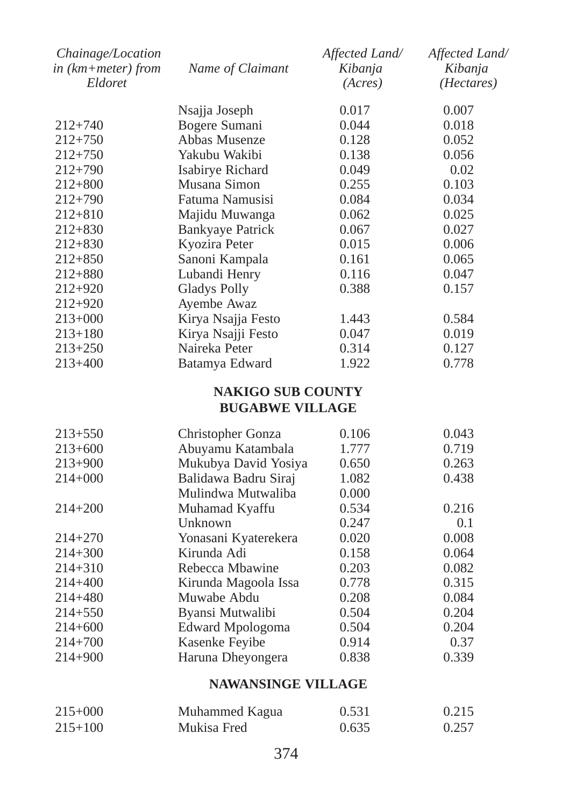| Chainage/Location    |                          | Affected Land/ | Affected Land/      |
|----------------------|--------------------------|----------------|---------------------|
| $in$ (km+meter) from | Name of Claimant         | Kibanja        | Kibanja             |
| Eldoret              |                          | (Acres)        | ( <i>Hectares</i> ) |
|                      | Nsajja Joseph            | 0.017          | 0.007               |
| $212 + 740$          | Bogere Sumani            | 0.044          | 0.018               |
| $212 + 750$          | Abbas Musenze            | 0.128          | 0.052               |
| $212 + 750$          | Yakubu Wakibi            | 0.138          | 0.056               |
| $212 + 790$          | Isabirye Richard         | 0.049          | 0.02                |
| $212 + 800$          | Musana Simon             | 0.255          | 0.103               |
| $212 + 790$          | Fatuma Namusisi          | 0.084          | 0.034               |
| $212 + 810$          | Majidu Muwanga           | 0.062          | 0.025               |
| $212 + 830$          | <b>Bankyaye Patrick</b>  | 0.067          | 0.027               |
| $212 + 830$          | Kyozira Peter            | 0.015          | 0.006               |
| $212 + 850$          | Sanoni Kampala           | 0.161          | 0.065               |
| $212 + 880$          | Lubandi Henry            | 0.116          | 0.047               |
| 212+920              | <b>Gladys Polly</b>      | 0.388          | 0.157               |
| 212+920              | Ayembe Awaz              |                |                     |
| $213+000$            | Kirya Nsajja Festo       | 1.443          | 0.584               |
| $213 + 180$          | Kirya Nsajji Festo       | 0.047          | 0.019               |
| $213 + 250$          | Naireka Peter            | 0.314          | 0.127               |
| $213 + 400$          | Batamya Edward           | 1.922          | 0.778               |
|                      | <b>NAKIGO SUB COUNTY</b> |                |                     |
|                      | <b>BUGABWE VILLAGE</b>   |                |                     |
| $213 + 550$          | Christopher Gonza        | 0.106          | 0.043               |
| $213+600$            | Abuyamu Katambala        | 1.777          | 0.719               |
| 213+900              | Mukubya David Yosiya     | 0.650          | 0.263               |
| $214 + 000$          | Balidawa Badru Siraj     | 1.082          | 0.438               |
|                      | Mulindwa Mutwaliba       | 0.000          |                     |
| $214 + 200$          | Muhamad Kyaffu           | 0.534          | 0.216               |
|                      | Unknown                  | 0.247          | 0.1                 |
| $214 + 270$          | Yonasani Kyaterekera     | 0.020          | 0.008               |
| $214 + 300$          | Kirunda Adi              | 0.158          | 0.064               |
| $214 + 310$          | Rebecca Mbawine          | 0.203          | 0.082               |
| 214+400              | Kirunda Magoola Issa     | 0.778          | 0.315               |
| $214 + 480$          | Muwabe Abdu              | 0.208          | 0.084               |
| $214 + 550$          | Byansi Mutwalibi         | 0.504          | 0.204               |
| 214+600              | Edward Mpologoma         | 0.504          | 0.204               |
| 214+700              | Kasenke Feyibe           | 0.914          | 0.37                |

#### **NAWANSINGE VILLAGE**

| $215+000$   | Muhammed Kagua | 0.531 | 0.215 |
|-------------|----------------|-------|-------|
| $215 + 100$ | Mukisa Fred    | 0.635 | 0.257 |

214+900 Haruna Dheyongera 0.838 0.339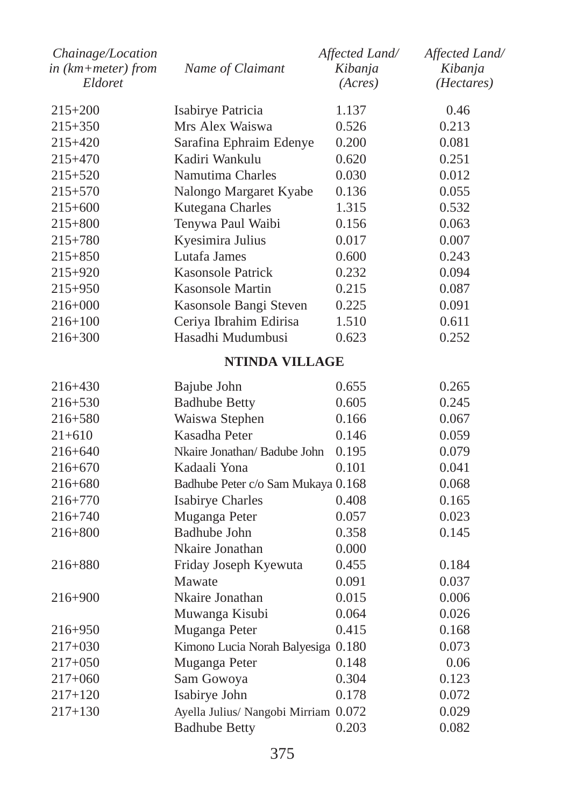| Chainage/Location<br>in (km+meter) from<br>Eldoret | Name of Claimant                     | Affected Land/<br>Kibanja<br>(Acres) | Affected Land/<br>Kibanja<br>( <i>Hectares</i> ) |
|----------------------------------------------------|--------------------------------------|--------------------------------------|--------------------------------------------------|
| $215+200$                                          | Isabirye Patricia                    | 1.137                                | 0.46                                             |
| 215+350                                            | Mrs Alex Waiswa                      | 0.526                                | 0.213                                            |
| 215+420                                            | Sarafina Ephraim Edenye              | 0.200                                | 0.081                                            |
| 215+470                                            | Kadiri Wankulu                       | 0.620                                | 0.251                                            |
| $215 + 520$                                        | Namutima Charles                     | 0.030                                | 0.012                                            |
| 215+570                                            | Nalongo Margaret Kyabe               | 0.136                                | 0.055                                            |
| $215+600$                                          | Kutegana Charles                     | 1.315                                | 0.532                                            |
| 215+800                                            | Tenywa Paul Waibi                    | 0.156                                | 0.063                                            |
| $215 + 780$                                        | Kyesimira Julius                     | 0.017                                | 0.007                                            |
| 215+850                                            | Lutafa James                         | 0.600                                | 0.243                                            |
| 215+920                                            | Kasonsole Patrick                    | 0.232                                | 0.094                                            |
| 215+950                                            | <b>Kasonsole Martin</b>              | 0.215                                | 0.087                                            |
| 216+000                                            | Kasonsole Bangi Steven               | 0.225                                | 0.091                                            |
| 216+100                                            | Ceriya Ibrahim Edirisa               | 1.510                                | 0.611                                            |
| $216 + 300$                                        | Hasadhi Mudumbusi                    | 0.623                                | 0.252                                            |
|                                                    | NTINDA VILLAGE                       |                                      |                                                  |
| 216+430                                            | Bajube John                          | 0.655                                | 0.265                                            |
| $216 + 530$                                        | <b>Badhube Betty</b>                 | 0.605                                | 0.245                                            |
| 216+580                                            | Waiswa Stephen                       | 0.166                                | 0.067                                            |
| 21+610                                             | Kasadha Peter                        | 0.146                                | 0.059                                            |
| 216+640                                            | Nkaire Jonathan/ Badube John         | 0.195                                | 0.079                                            |
| 216+670                                            | Kadaali Yona                         | 0.101                                | 0.041                                            |
| 216+680                                            | Badhube Peter c/o Sam Mukaya 0.168   |                                      | 0.068                                            |
| 216+770                                            | Isabirye Charles                     | 0.408                                | 0.165                                            |
| 216+740                                            | Muganga Peter                        | 0.057                                | 0.023                                            |
| 216+800                                            | Badhube John                         | 0.358                                | 0.145                                            |
|                                                    | Nkaire Jonathan                      | 0.000                                |                                                  |
| 216+880                                            | Friday Joseph Kyewuta                | 0.455                                | 0.184                                            |
|                                                    | Mawate                               | 0.091                                | 0.037                                            |
| $216 + 900$                                        | Nkaire Jonathan                      | 0.015                                | 0.006                                            |
|                                                    | Muwanga Kisubi                       | 0.064                                | 0.026                                            |
| 216+950                                            | Muganga Peter                        | 0.415                                | 0.168                                            |
| $217+030$                                          | Kimono Lucia Norah Balyesiga 0.180   |                                      | 0.073                                            |
| 217+050                                            | Muganga Peter                        | 0.148                                | 0.06                                             |
| 217+060                                            | Sam Gowoya                           | 0.304                                | 0.123                                            |
| 217+120                                            | Isabirye John                        | 0.178                                | 0.072                                            |
| $217 + 130$                                        | Ayella Julius/ Nangobi Mirriam 0.072 |                                      | 0.029                                            |
|                                                    | <b>Badhube Betty</b>                 | 0.203                                | 0.082                                            |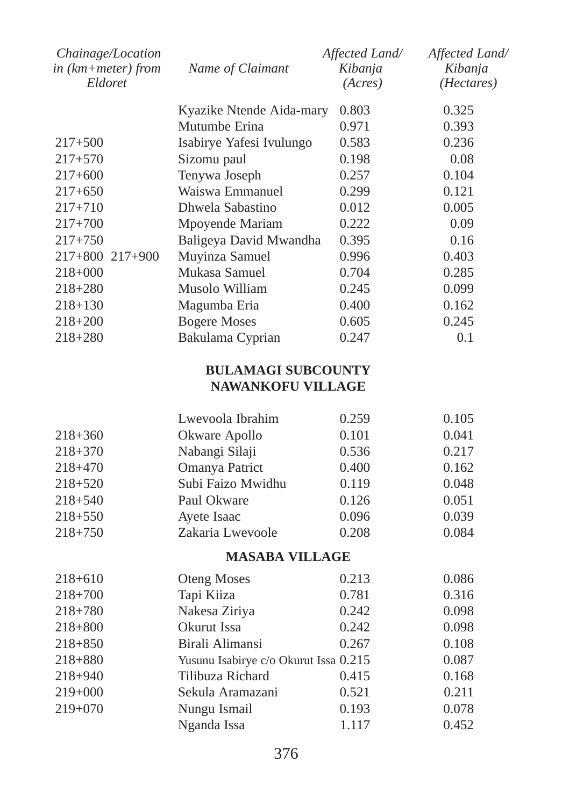| Chainage/Location<br>in $(km + meter)$ from<br>Eldoret | Name of Claimant         | Affected Land/<br>Kibanja<br>(Acres) | Affected Land/<br>Kibanja<br>(Hectares) |
|--------------------------------------------------------|--------------------------|--------------------------------------|-----------------------------------------|
|                                                        | Kyazike Ntende Aida-mary | 0.803                                | 0.325                                   |
|                                                        | Mutumbe Erina            | 0.971                                | 0.393                                   |
| $217 + 500$                                            | Isabirye Yafesi Ivulungo | 0.583                                | 0.236                                   |
| $217 + 570$                                            | Sizomu paul              | 0.198                                | 0.08                                    |
| $217+600$                                              | Tenywa Joseph            | 0.257                                | 0.104                                   |
| $217+650$                                              | Waiswa Emmanuel          | 0.299                                | 0.121                                   |
| $217 + 710$                                            | Dhwela Sabastino         | 0.012                                | 0.005                                   |
| $217+700$                                              | Mpoyende Mariam          | 0.222                                | 0.09                                    |
| $217 + 750$                                            | Baligeya David Mwandha   | 0.395                                | 0.16                                    |
| $217+800$ $217+900$                                    | Muyinza Samuel           | 0.996                                | 0.403                                   |
| $218+000$                                              | Mukasa Samuel            | 0.704                                | 0.285                                   |
| $218 + 280$                                            | Musolo William           | 0.245                                | 0.099                                   |
| $218 + 130$                                            | Magumba Eria             | 0.400                                | 0.162                                   |
| $218 + 200$                                            | <b>Bogere Moses</b>      | 0.605                                | 0.245                                   |
| $218 + 280$                                            | Bakulama Cyprian         | 0.247                                | 0.1                                     |
|                                                        |                          |                                      |                                         |

# **BULAMAGI SUBCOUNTY NAWANKOFU VILLAGE**

|             | Lwevoola Ibrahim  | 0.259 | 0.105 |
|-------------|-------------------|-------|-------|
| $218 + 360$ | Okware Apollo     | 0.101 | 0.041 |
| $218 + 370$ | Nabangi Silaji    | 0.536 | 0.217 |
| $218 + 470$ | Omanya Patrict    | 0.400 | 0.162 |
| $218 + 520$ | Subi Faizo Mwidhu | 0.119 | 0.048 |
| $218 + 540$ | Paul Okware       | 0.126 | 0.051 |
| $218 + 550$ | Ayete Isaac       | 0.096 | 0.039 |
| $218 + 750$ | Zakaria Lwevoole  | 0.208 | 0.084 |

# **MASABA VILLAGE**

| $218 + 610$ | <b>Oteng Moses</b>                    | 0.213 | 0.086 |
|-------------|---------------------------------------|-------|-------|
| $218+700$   | Tapi Kiiza                            | 0.781 | 0.316 |
| $218 + 780$ | Nakesa Ziriya                         | 0.242 | 0.098 |
| $218 + 800$ | Okurut Issa                           | 0.242 | 0.098 |
| $218 + 850$ | Birali Alimansi                       | 0.267 | 0.108 |
| $218 + 880$ | Yusunu Isabirye c/o Okurut Issa 0.215 |       | 0.087 |
| $218 + 940$ | Tilibuza Richard                      | 0.415 | 0.168 |
| $219+000$   | Sekula Aramazani                      | 0.521 | 0.211 |
| $219+070$   | Nungu Ismail                          | 0.193 | 0.078 |
|             | Nganda Issa                           | 1.117 | 0.452 |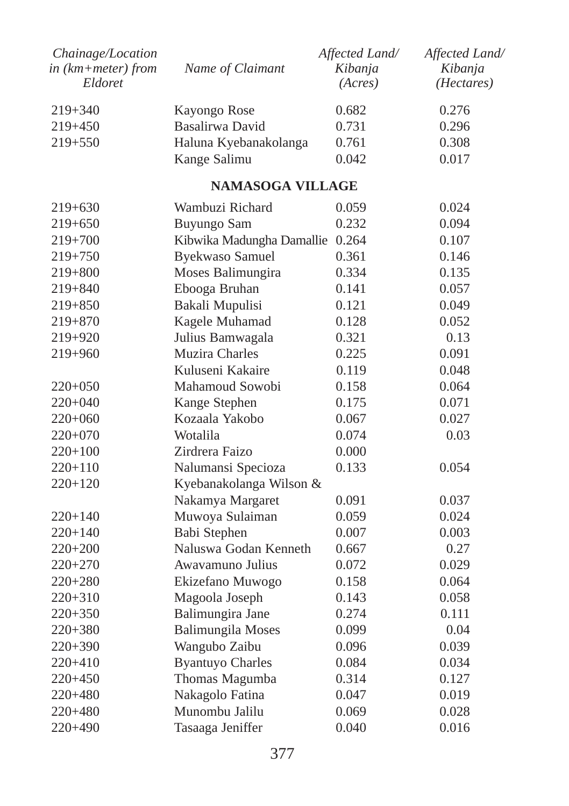| Chainage/Location<br>in (km+meter) from<br>Eldoret | Name of Claimant                | Affected Land/<br>Kibanja<br>(Acres) | Affected Land/<br>Kibanja<br>( <i>Hectares</i> ) |
|----------------------------------------------------|---------------------------------|--------------------------------------|--------------------------------------------------|
| 219+340                                            | Kayongo Rose                    | 0.682                                | 0.276                                            |
| 219+450                                            | Basalirwa David                 | 0.731                                | 0.296                                            |
| 219+550                                            | Haluna Kyebanakolanga           | 0.761                                | 0.308                                            |
|                                                    | Kange Salimu                    | 0.042                                | 0.017                                            |
|                                                    | NAMASOGA VILLAGE                |                                      |                                                  |
| 219+630                                            | Wambuzi Richard                 | 0.059                                | 0.024                                            |
| 219+650                                            | Buyungo Sam                     | 0.232                                | 0.094                                            |
| $219+700$                                          | Kibwika Madungha Damallie 0.264 |                                      | 0.107                                            |
| 219+750                                            | <b>Byekwaso Samuel</b>          | 0.361                                | 0.146                                            |
| 219+800                                            | Moses Balimungira               | 0.334                                | 0.135                                            |
| 219+840                                            | Ebooga Bruhan                   | 0.141                                | 0.057                                            |
| $219 + 850$                                        | Bakali Mupulisi                 | 0.121                                | 0.049                                            |
| 219+870                                            | Kagele Muhamad                  | 0.128                                | 0.052                                            |
| 219+920                                            | Julius Bamwagala                | 0.321                                | 0.13                                             |
| 219+960                                            | Muzira Charles                  | 0.225                                | 0.091                                            |
|                                                    | Kuluseni Kakaire                | 0.119                                | 0.048                                            |
| 220+050                                            | Mahamoud Sowobi                 | 0.158                                | 0.064                                            |
| $220+040$                                          | Kange Stephen                   | 0.175                                | 0.071                                            |
| 220+060                                            | Kozaala Yakobo                  | 0.067                                | 0.027                                            |
| $220+070$                                          | Wotalila                        | 0.074                                | 0.03                                             |
| 220+100                                            | Zirdrera Faizo                  | 0.000                                |                                                  |
| 220+110                                            | Nalumansi Specioza              | 0.133                                | 0.054                                            |
| 220+120                                            | Kyebanakolanga Wilson &         |                                      |                                                  |
|                                                    | Nakamya Margaret                | 0.091                                | 0.037                                            |
| 220+140                                            | Muwoya Sulaiman                 | 0.059                                | 0.024                                            |
| 220+140                                            | Babi Stephen                    | 0.007                                | 0.003                                            |
| 220+200                                            | Naluswa Godan Kenneth           | 0.667                                | 0.27                                             |
| 220+270                                            | Awavamuno Julius                | 0.072                                | 0.029                                            |
| 220+280                                            | Ekizefano Muwogo                | 0.158                                | 0.064                                            |
| 220+310                                            | Magoola Joseph                  | 0.143                                | 0.058                                            |
| 220+350                                            | Balimungira Jane                | 0.274                                | 0.111                                            |
| 220+380                                            | <b>Balimungila Moses</b>        | 0.099                                | 0.04                                             |
| $220 + 390$                                        | Wangubo Zaibu                   | 0.096                                | 0.039                                            |
| 220+410                                            | <b>Byantuyo Charles</b>         | 0.084                                | 0.034                                            |
| $220+450$                                          | Thomas Magumba                  | 0.314                                | 0.127                                            |
| 220+480                                            | Nakagolo Fatina                 | 0.047                                | 0.019                                            |
| 220+480                                            | Munombu Jalilu                  | 0.069                                | 0.028                                            |
| 220+490                                            | Tasaaga Jeniffer                | 0.040                                | 0.016                                            |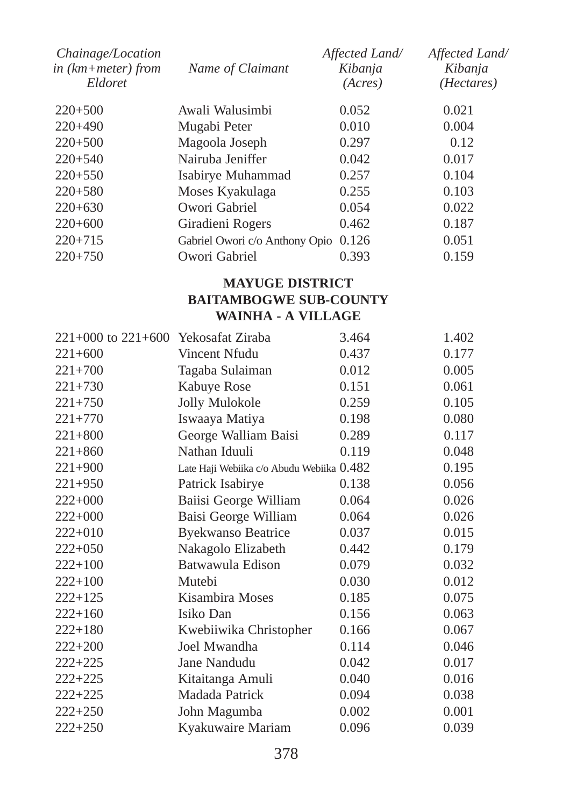| Chainage/Location<br>in $(km + meter)$ from<br>Eldoret | Name of Claimant               | Affected Land/<br>Kibanja<br>(Acres) | Affected Land/<br>Kibanja<br>( <i>Hectares</i> ) |
|--------------------------------------------------------|--------------------------------|--------------------------------------|--------------------------------------------------|
| $220+500$                                              | Awali Walusimbi                | 0.052                                | 0.021                                            |
| $220+490$                                              | Mugabi Peter                   | 0.010                                | 0.004                                            |
| $220+500$                                              | Magoola Joseph                 | 0.297                                | 0.12                                             |
| $220 + 540$                                            | Nairuba Jeniffer               | 0.042                                | 0.017                                            |
| $220+550$                                              | Isabirye Muhammad              | 0.257                                | 0.104                                            |
| $220 + 580$                                            | Moses Kyakulaga                | 0.255                                | 0.103                                            |
| $220+630$                                              | Owori Gabriel                  | 0.054                                | 0.022                                            |
| $220+600$                                              | Giradieni Rogers               | 0.462                                | 0.187                                            |
| $220+715$                                              | Gabriel Owori c/o Anthony Opio | 0.126                                | 0.051                                            |
| $220+750$                                              | Owori Gabriel                  | 0.393                                | 0.159                                            |

# **MAYUGE DISTRICT BAITAMBOGWE SUB-COUNTY WAINHA - A VILLAGE**

| $221+000$ to $221+600$ Yekosafat Ziraba |                                           | 3.464 | 1.402 |
|-----------------------------------------|-------------------------------------------|-------|-------|
| $221+600$                               | Vincent Nfudu                             | 0.437 | 0.177 |
| $221+700$                               | Tagaba Sulaiman                           | 0.012 | 0.005 |
| $221 + 730$                             | Kabuye Rose                               | 0.151 | 0.061 |
| $221+750$                               | Jolly Mulokole                            | 0.259 | 0.105 |
| $221 + 770$                             | Iswaaya Matiya                            | 0.198 | 0.080 |
| $221 + 800$                             | George Walliam Baisi                      | 0.289 | 0.117 |
| $221 + 860$                             | Nathan Iduuli                             | 0.119 | 0.048 |
| $221+900$                               | Late Haji Webiika c/o Abudu Webiika 0.482 |       | 0.195 |
| $221+950$                               | Patrick Isabirye                          | 0.138 | 0.056 |
| $222+000$                               | Baiisi George William                     | 0.064 | 0.026 |
| $222+000$                               | Baisi George William                      | 0.064 | 0.026 |
| $222+010$                               | <b>Byekwanso Beatrice</b>                 | 0.037 | 0.015 |
| $222+050$                               | Nakagolo Elizabeth                        | 0.442 | 0.179 |
| $222 + 100$                             | Batwawula Edison                          | 0.079 | 0.032 |
| $222+100$                               | Mutebi                                    | 0.030 | 0.012 |
| $222+125$                               | Kisambira Moses                           | 0.185 | 0.075 |
| $222+160$                               | Isiko Dan                                 | 0.156 | 0.063 |
| $222+180$                               | Kwebiiwika Christopher                    | 0.166 | 0.067 |
| $222 + 200$                             | Joel Mwandha                              | 0.114 | 0.046 |
| $222 + 225$                             | Jane Nandudu                              | 0.042 | 0.017 |
| 222+225                                 | Kitaitanga Amuli                          | 0.040 | 0.016 |
| $222+225$                               | Madada Patrick                            | 0.094 | 0.038 |
| $222+250$                               | John Magumba                              | 0.002 | 0.001 |
| $222+250$                               | Kyakuwaire Mariam                         | 0.096 | 0.039 |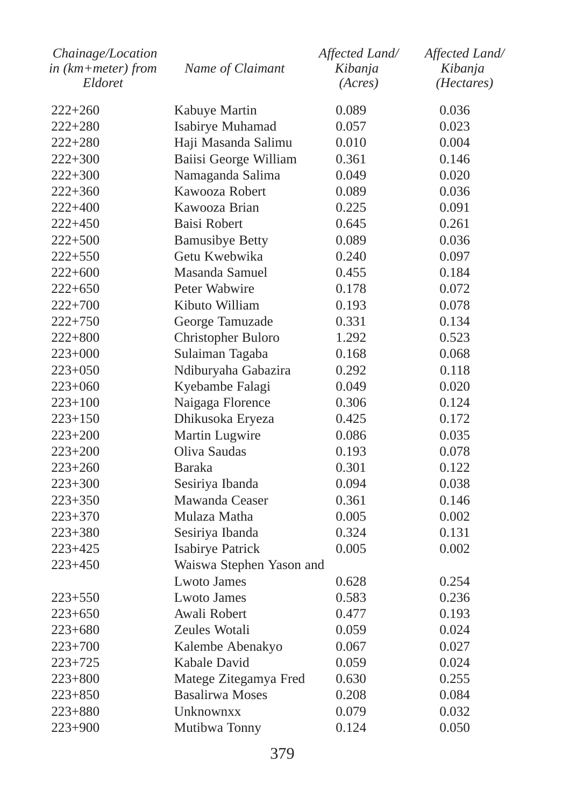| Chainage/Location  |                          | Affected Land/ | Affected Land/ |
|--------------------|--------------------------|----------------|----------------|
| in (km+meter) from | Name of Claimant         | Kibanja        | Kibanja        |
| Eldoret            |                          | (Acres)        | (Hectares)     |
| $222 + 260$        | Kabuye Martin            | 0.089          | 0.036          |
| 222+280            | Isabirye Muhamad         | 0.057          | 0.023          |
| $222 + 280$        | Haji Masanda Salimu      | 0.010          | 0.004          |
| $222+300$          | Baiisi George William    | 0.361          | 0.146          |
| $222 + 300$        | Namaganda Salima         | 0.049          | 0.020          |
| $222 + 360$        | Kawooza Robert           | 0.089          | 0.036          |
| 222+400            | Kawooza Brian            | 0.225          | 0.091          |
| 222+450            | Baisi Robert             | 0.645          | 0.261          |
| 222+500            | <b>Bamusibye Betty</b>   | 0.089          | 0.036          |
| 222+550            | Getu Kwebwika            | 0.240          | 0.097          |
| $222+600$          | Masanda Samuel           | 0.455          | 0.184          |
| $222+650$          | Peter Wabwire            | 0.178          | 0.072          |
| $222 + 700$        | Kibuto William           | 0.193          | 0.078          |
| $222 + 750$        | George Tamuzade          | 0.331          | 0.134          |
| $222+800$          | Christopher Buloro       | 1.292          | 0.523          |
| 223+000            | Sulaiman Tagaba          | 0.168          | 0.068          |
| $223+050$          | Ndiburyaha Gabazira      | 0.292          | 0.118          |
| 223+060            | Kyebambe Falagi          | 0.049          | 0.020          |
| $223+100$          | Naigaga Florence         | 0.306          | 0.124          |
| $223 + 150$        | Dhikusoka Eryeza         | 0.425          | 0.172          |
| 223+200            | Martin Lugwire           | 0.086          | 0.035          |
| 223+200            | Oliva Saudas             | 0.193          | 0.078          |
| 223+260            | Baraka                   | 0.301          | 0.122          |
| $223+300$          | Sesiriya Ibanda          | 0.094          | 0.038          |
| 223+350            | Mawanda Ceaser           | 0.361          | 0.146          |
| 223+370            | Mulaza Matha             | 0.005          | 0.002          |
| 223+380            | Sesiriya Ibanda          | 0.324          | 0.131          |
| 223+425            | Isabirye Patrick         | 0.005          | 0.002          |
| $223 + 450$        | Waiswa Stephen Yason and |                |                |
|                    | <b>Lwoto James</b>       | 0.628          | 0.254          |
| 223+550            | <b>Lwoto James</b>       | 0.583          | 0.236          |
| $223 + 650$        | Awali Robert             | 0.477          | 0.193          |
| 223+680            | Zeules Wotali            | 0.059          | 0.024          |
| $223+700$          | Kalembe Abenakyo         | 0.067          | 0.027          |
| 223+725            | Kabale David             | 0.059          | 0.024          |
| $223 + 800$        | Matege Zitegamya Fred    | 0.630          | 0.255          |
| $223 + 850$        | <b>Basalirwa Moses</b>   | 0.208          | 0.084          |
| $223 + 880$        | Unknownxx                | 0.079          | 0.032          |
| $223+900$          | Mutibwa Tonny            | 0.124          | 0.050          |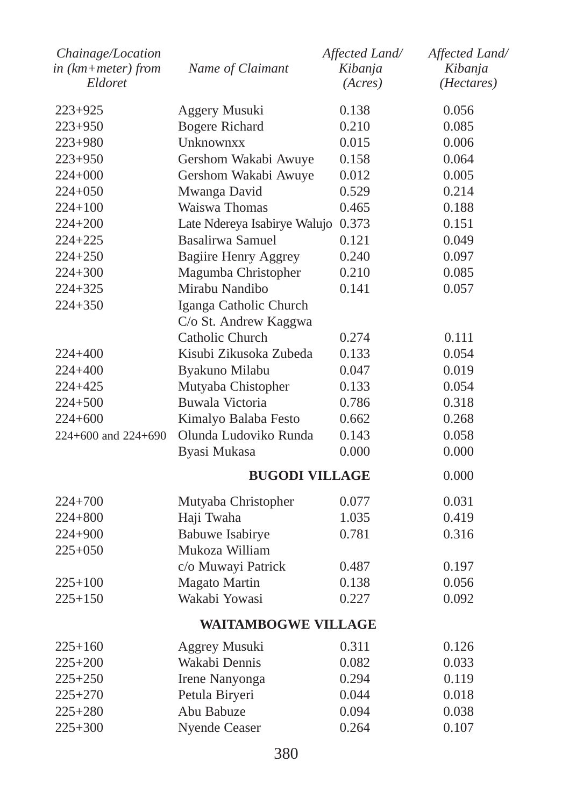| Chainage/Location<br>in (km+meter) from | Name of Claimant                   | Affected Land/<br>Kibanja | Affected Land/<br>Kibanja |
|-----------------------------------------|------------------------------------|---------------------------|---------------------------|
| Eldoret                                 |                                    | (Acres)                   | ( <i>Hectares</i> )       |
| 223+925                                 | Aggery Musuki                      | 0.138                     | 0.056                     |
| 223+950                                 | <b>Bogere Richard</b>              | 0.210                     | 0.085                     |
| 223+980                                 | Unknownxx                          | 0.015                     | 0.006                     |
| $223+950$                               | Gershom Wakabi Awuye               | 0.158                     | 0.064                     |
| 224+000                                 | Gershom Wakabi Awuye               | 0.012                     | 0.005                     |
| $224 + 050$                             | Mwanga David                       | 0.529                     | 0.214                     |
| $224 + 100$                             | Waiswa Thomas                      | 0.465                     | 0.188                     |
| $224 + 200$                             | Late Ndereya Isabirye Walujo 0.373 |                           | 0.151                     |
| 224+225                                 | <b>Basalirwa Samuel</b>            | 0.121                     | 0.049                     |
| $224 + 250$                             | <b>Bagiire Henry Aggrey</b>        | 0.240                     | 0.097                     |
| 224+300                                 | Magumba Christopher                | 0.210                     | 0.085                     |
| 224+325                                 | Mirabu Nandibo                     | 0.141                     | 0.057                     |
| $224 + 350$                             | Iganga Catholic Church             |                           |                           |
|                                         | C/o St. Andrew Kaggwa              |                           |                           |
|                                         | Catholic Church                    | 0.274                     | 0.111                     |
| 224+400                                 | Kisubi Zikusoka Zubeda             | 0.133                     | 0.054                     |
| 224+400                                 | Byakuno Milabu                     | 0.047                     | 0.019                     |
| 224+425                                 | Mutyaba Chistopher                 | 0.133                     | 0.054                     |
| 224+500                                 | Buwala Victoria                    | 0.786                     | 0.318                     |
| 224+600                                 | Kimalyo Balaba Festo               | 0.662                     | 0.268                     |
| $224+600$ and $224+690$                 | Olunda Ludoviko Runda              | 0.143                     | 0.058                     |
|                                         | Byasi Mukasa                       | 0.000                     | 0.000                     |
|                                         | <b>BUGODI VILLAGE</b>              |                           | 0.000                     |
| 224+700                                 | Mutyaba Christopher                | 0.077                     | 0.031                     |
| $224 + 800$                             | Haji Twaha                         | 1.035                     | 0.419                     |
| 224+900                                 | <b>Babuwe Isabirye</b>             | 0.781                     | 0.316                     |
| 225+050                                 | Mukoza William                     |                           |                           |
|                                         | c/o Muwayi Patrick                 | 0.487                     | 0.197                     |
| 225+100                                 | <b>Magato Martin</b>               | 0.138                     | 0.056                     |
| $225 + 150$                             | Wakabi Yowasi                      | 0.227                     | 0.092                     |
|                                         | <b>WAITAMBOGWE VILLAGE</b>         |                           |                           |
| $225+160$                               | Aggrey Musuki                      | 0.311                     | 0.126                     |
| $225 + 200$                             | Wakabi Dennis                      | 0.082                     | 0.033                     |
| 225+250                                 | Irene Nanyonga                     | 0.294                     | 0.119                     |
| $225+270$                               | Petula Biryeri                     | 0.044                     | 0.018                     |
| $225 + 280$                             | Abu Babuze                         | 0.094                     | 0.038                     |
| $225+300$                               | Nyende Ceaser                      | 0.264                     | 0.107                     |
|                                         |                                    |                           |                           |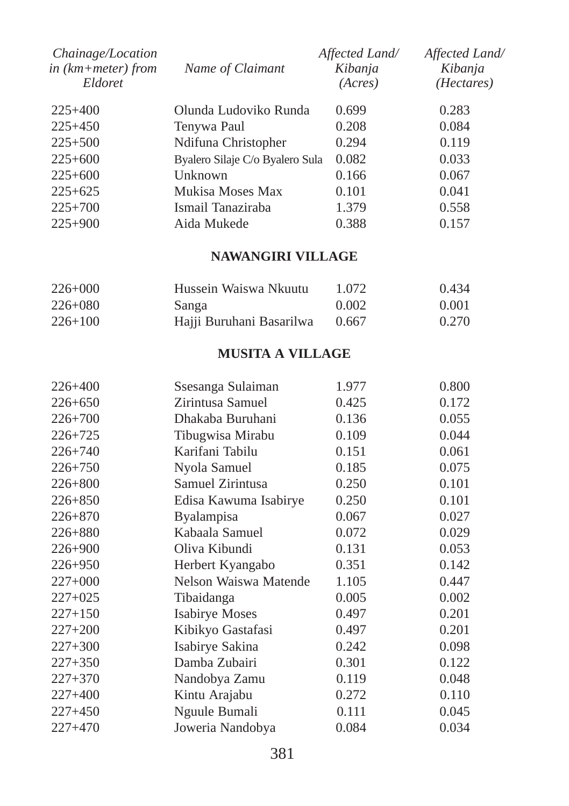| Chainage/Location<br>in $(km + meter)$ from<br>Eldoret | Name of Claimant                | Affected Land/<br>Kibanja<br>(Acres) | Affected Land/<br>Kibanja<br>( <i>Hectares</i> ) |
|--------------------------------------------------------|---------------------------------|--------------------------------------|--------------------------------------------------|
| $225+400$                                              | Olunda Ludoviko Runda           | 0.699                                | 0.283                                            |
| $225+450$                                              | Tenywa Paul                     | 0.208                                | 0.084                                            |
| $225 + 500$                                            | Ndifuna Christopher             | 0.294                                | 0.119                                            |
| $225+600$                                              | Byalero Silaje C/o Byalero Sula | 0.082                                | 0.033                                            |
| $225+600$                                              | Unknown                         | 0.166                                | 0.067                                            |
| $225+625$                                              | Mukisa Moses Max                | 0.101                                | 0.041                                            |
| $225+700$                                              | Ismail Tanaziraba               | 1.379                                | 0.558                                            |
| $225+900$                                              | Aida Mukede                     | 0.388                                | 0.157                                            |

# **NAWANGIRI VILLAGE**

| $226+000$   | Hussein Waiswa Nkuutu    | 1.072 | 0.434 |
|-------------|--------------------------|-------|-------|
| $226 + 080$ | Sanga                    | 0.002 | 0.001 |
| $226+100$   | Hajji Buruhani Basarilwa | 0.667 | 0.270 |

# **MUSITA A VILLAGE**

| $226 + 400$ | Ssesanga Sulaiman     | 1.977 | 0.800 |
|-------------|-----------------------|-------|-------|
| $226 + 650$ | Zirintusa Samuel      | 0.425 | 0.172 |
| $226 + 700$ | Dhakaba Buruhani      | 0.136 | 0.055 |
| $226 + 725$ | Tibugwisa Mirabu      | 0.109 | 0.044 |
| $226 + 740$ | Karifani Tabilu       | 0.151 | 0.061 |
| $226 + 750$ | Nyola Samuel          | 0.185 | 0.075 |
| $226 + 800$ | Samuel Zirintusa      | 0.250 | 0.101 |
| $226 + 850$ | Edisa Kawuma Isabirye | 0.250 | 0.101 |
| $226 + 870$ | <b>Byalampisa</b>     | 0.067 | 0.027 |
| $226 + 880$ | Kabaala Samuel        | 0.072 | 0.029 |
| $226 + 900$ | Oliva Kibundi         | 0.131 | 0.053 |
| $226 + 950$ | Herbert Kyangabo      | 0.351 | 0.142 |
| $227+000$   | Nelson Waiswa Matende | 1.105 | 0.447 |
| $227+025$   | Tibaidanga            | 0.005 | 0.002 |
| $227+150$   | <b>Isabirye Moses</b> | 0.497 | 0.201 |
| $227+200$   | Kibikyo Gastafasi     | 0.497 | 0.201 |
| $227 + 300$ | Isabirye Sakina       | 0.242 | 0.098 |
| $227 + 350$ | Damba Zubairi         | 0.301 | 0.122 |
| $227 + 370$ | Nandobya Zamu         | 0.119 | 0.048 |
| $227+400$   | Kintu Arajabu         | 0.272 | 0.110 |
| $227+450$   | Nguule Bumali         | 0.111 | 0.045 |
| $227+470$   | Joweria Nandobya      | 0.084 | 0.034 |
|             |                       |       |       |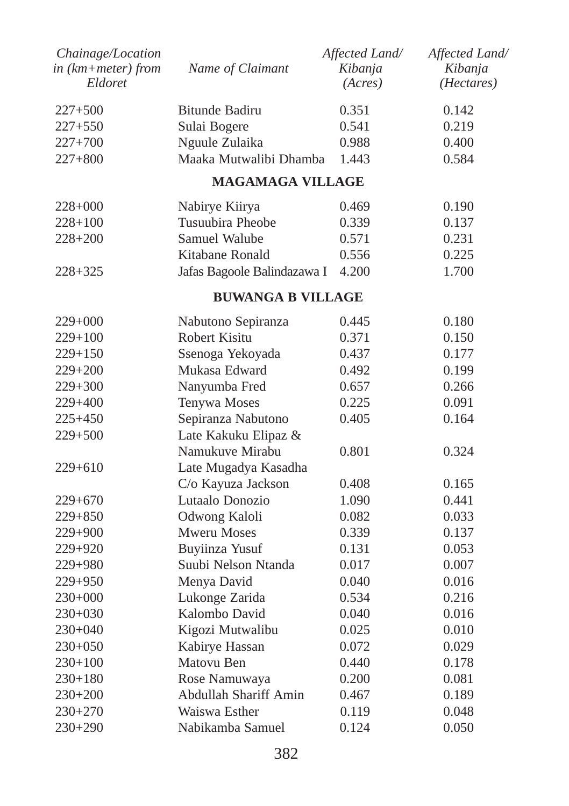| Chainage/Location<br>$in$ ( $km + meter$ ) from<br>Eldoret | Name of Claimant            | Affected Land/<br>Kibanja<br>(Acres) | Affected Land/<br>Kibanja<br>( <i>Hectares</i> ) |
|------------------------------------------------------------|-----------------------------|--------------------------------------|--------------------------------------------------|
| $227 + 500$                                                | <b>Bitunde Badiru</b>       | 0.351                                | 0.142                                            |
| $227 + 550$                                                | Sulai Bogere                | 0.541                                | 0.219                                            |
| $227 + 700$                                                | Nguule Zulaika              | 0.988                                | 0.400                                            |
| $227 + 800$                                                | Maaka Mutwalibi Dhamba      | 1.443                                | 0.584                                            |
|                                                            | <b>MAGAMAGA VILLAGE</b>     |                                      |                                                  |
| 228+000                                                    | Nabirye Kiirya              | 0.469                                | 0.190                                            |
| $228 + 100$                                                | Tusuubira Pheobe            | 0.339                                | 0.137                                            |
| $228 + 200$                                                | Samuel Walube               | 0.571                                | 0.231                                            |
|                                                            | Kitabane Ronald             | 0.556                                | 0.225                                            |
| 228+325                                                    | Jafas Bagoole Balindazawa I | 4.200                                | 1.700                                            |
|                                                            | <b>BUWANGA B VILLAGE</b>    |                                      |                                                  |
| $229+000$                                                  | Nabutono Sepiranza          | 0.445                                | 0.180                                            |
| $229 + 100$                                                | Robert Kisitu               | 0.371                                | 0.150                                            |
| $229+150$                                                  | Ssenoga Yekoyada            | 0.437                                | 0.177                                            |
| $229 + 200$                                                | Mukasa Edward               | 0.492                                | 0.199                                            |
| 229+300                                                    | Nanyumba Fred               | 0.657                                | 0.266                                            |
| 229+400                                                    | Tenywa Moses                | 0.225                                | 0.091                                            |
| $225 + 450$                                                | Sepiranza Nabutono          | 0.405                                | 0.164                                            |
| $229 + 500$                                                | Late Kakuku Elipaz &        |                                      |                                                  |
|                                                            | Namukuve Mirabu             | 0.801                                | 0.324                                            |
| $229+610$                                                  | Late Mugadya Kasadha        |                                      |                                                  |
|                                                            | C/o Kayuza Jackson          | 0.408                                | 0.165                                            |
| 229+670                                                    | Lutaalo Donozio             | 1.090                                | 0.441                                            |
| $229 + 850$                                                | Odwong Kaloli               | 0.082                                | 0.033                                            |
| 229+900                                                    | <b>Mweru Moses</b>          | 0.339                                | 0.137                                            |
| 229+920                                                    | <b>Buyiinza Yusuf</b>       | 0.131                                | 0.053                                            |
| 229+980                                                    | Suubi Nelson Ntanda         | 0.017                                | 0.007                                            |
| $229 + 950$                                                | Menya David                 | 0.040                                | 0.016                                            |
| $230+000$                                                  | Lukonge Zarida              | 0.534                                | 0.216                                            |
| $230+030$                                                  | Kalombo David               | 0.040                                | 0.016                                            |
| $230+040$                                                  | Kigozi Mutwalibu            | 0.025                                | 0.010                                            |
| 230+050                                                    | Kabirye Hassan              | 0.072                                | 0.029                                            |
| $230+100$                                                  | Matovu Ben                  | 0.440                                | 0.178                                            |
| $230 + 180$                                                | Rose Namuwaya               | 0.200                                | 0.081                                            |
| $230+200$                                                  | Abdullah Shariff Amin       | 0.467                                | 0.189                                            |
| $230+270$                                                  | Waiswa Esther               | 0.119                                | 0.048                                            |
| 230+290                                                    | Nabikamba Samuel            | 0.124                                | 0.050                                            |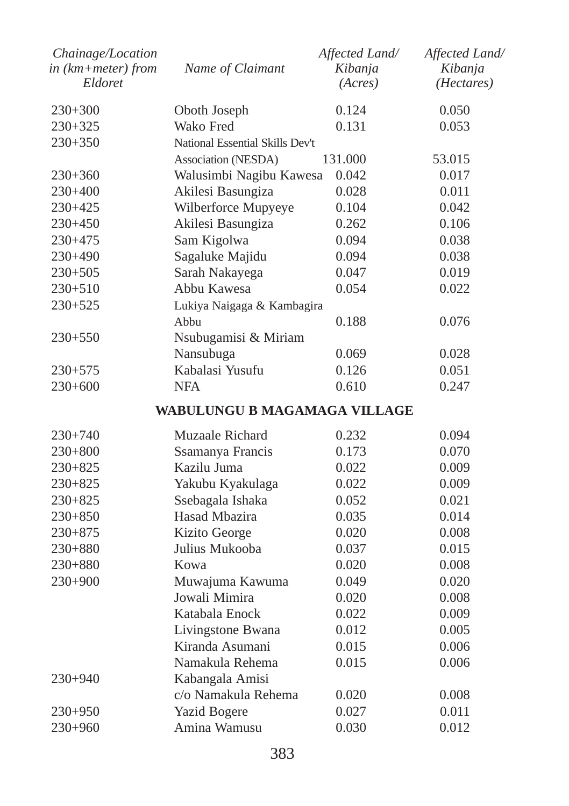| Chainage/Location  |                                 | Affected Land/ | Affected Land/      |
|--------------------|---------------------------------|----------------|---------------------|
| in (km+meter) from | Name of Claimant                | Kibanja        | Kibanja             |
| Eldoret            |                                 | (Acres)        | ( <i>Hectares</i> ) |
| $230+300$          | Oboth Joseph                    | 0.124          | 0.050               |
| 230+325            | Wako Fred                       | 0.131          | 0.053               |
| $230+350$          | National Essential Skills Dev't |                |                     |
|                    | Association (NESDA)             | 131.000        | 53.015              |
| 230+360            | Walusimbi Nagibu Kawesa         | 0.042          | 0.017               |
| 230+400            | Akilesi Basungiza               | 0.028          | 0.011               |
| 230+425            | Wilberforce Mupyeye             | 0.104          | 0.042               |
| 230+450            | Akilesi Basungiza               | 0.262          | 0.106               |
| 230+475            | Sam Kigolwa                     | 0.094          | 0.038               |
| 230+490            | Sagaluke Majidu                 | 0.094          | 0.038               |
| $230+505$          | Sarah Nakayega                  | 0.047          | 0.019               |
| 230+510            | Abbu Kawesa                     | 0.054          | 0.022               |
| $230 + 525$        | Lukiya Naigaga & Kambagira      |                |                     |
|                    | Abbu                            | 0.188          | 0.076               |
| 230+550            | Nsubugamisi & Miriam            |                |                     |
|                    | Nansubuga                       | 0.069          | 0.028               |
| 230+575            | Kabalasi Yusufu                 | 0.126          | 0.051               |
| 230+600            | <b>NFA</b>                      | 0.610          | 0.247               |
|                    | WABULUNGU B MAGAMAGA VILLAGE    |                |                     |
| 230+740            | Muzaale Richard                 | 0.232          | 0.094               |
| 230+800            | Ssamanya Francis                | 0.173          | 0.070               |
| 230+825            | Kazilu Juma                     | 0.022          | 0.009               |
| 230+825            | Yakubu Kyakulaga                | 0.022          | 0.009               |
| 230+825            | Ssebagala Ishaka                | 0.052          | 0.021               |
| 230+850            | Hasad Mbazira                   | 0.035          | 0.014               |
| 230+875            | Kizito George                   | 0.020          | 0.008               |
| $230+880$          | Julius Mukooba                  | 0.037          | 0.015               |
| 230+880            | Kowa                            | 0.020          | 0.008               |
| $230+900$          | Muwajuma Kawuma                 | 0.049          | 0.020               |
|                    | Jowali Mimira                   | 0.020          | 0.008               |
|                    | Katabala Enock                  | 0.022          | 0.009               |
|                    | Livingstone Bwana               | 0.012          | 0.005               |
|                    | Kiranda Asumani                 | 0.015          | 0.006               |
|                    | Namakula Rehema                 | 0.015          | 0.006               |
| $230+940$          | Kabangala Amisi                 |                |                     |
|                    | c/o Namakula Rehema             | 0.020          | 0.008               |
| 230+950            | <b>Yazid Bogere</b>             | 0.027          | 0.011               |
| 230+960            | Amina Wamusu                    | 0.030          | 0.012               |
|                    |                                 |                |                     |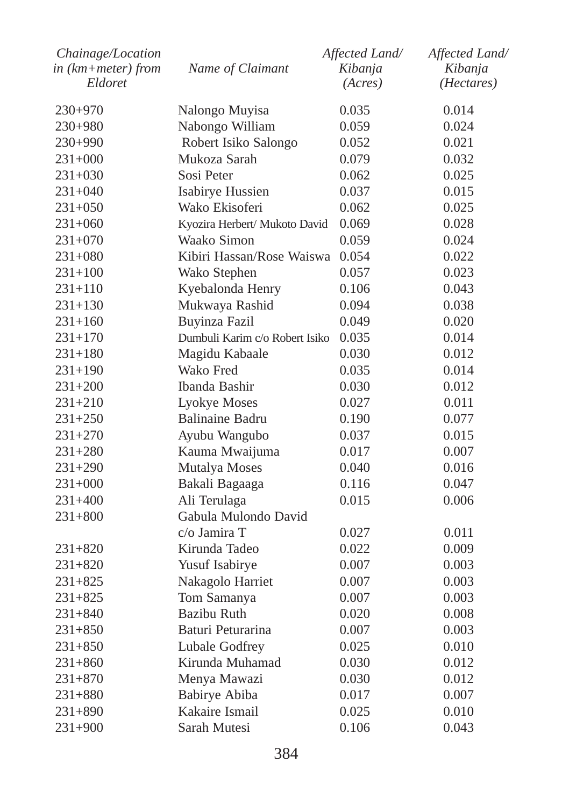| Chainage/Location  |                                | Affected Land/ | Affected Land/ |
|--------------------|--------------------------------|----------------|----------------|
| in (km+meter) from | Name of Claimant               | Kibanja        | Kibanja        |
| Eldoret            |                                | (Acres)        | (Hectares)     |
| 230+970            | Nalongo Muyisa                 | 0.035          | 0.014          |
| 230+980            | Nabongo William                | 0.059          | 0.024          |
| $230+990$          | Robert Isiko Salongo           | 0.052          | 0.021          |
| $231+000$          | Mukoza Sarah                   | 0.079          | 0.032          |
| $231+030$          | Sosi Peter                     | 0.062          | 0.025          |
| $231+040$          | Isabirye Hussien               | 0.037          | 0.015          |
| $231+050$          | Wako Ekisoferi                 | 0.062          | 0.025          |
| 231+060            | Kyozira Herbert/ Mukoto David  | 0.069          | 0.028          |
| $231+070$          | Waako Simon                    | 0.059          | 0.024          |
| $231+080$          | Kibiri Hassan/Rose Waiswa      | 0.054          | 0.022          |
| $231 + 100$        | Wako Stephen                   | 0.057          | 0.023          |
| $231 + 110$        | Kyebalonda Henry               | 0.106          | 0.043          |
| $231 + 130$        | Mukwaya Rashid                 | 0.094          | 0.038          |
| 231+160            | Buyinza Fazil                  | 0.049          | 0.020          |
| 231+170            | Dumbuli Karim c/o Robert Isiko | 0.035          | 0.014          |
| $231 + 180$        | Magidu Kabaale                 | 0.030          | 0.012          |
| 231+190            | Wako Fred                      | 0.035          | 0.014          |
| $231+200$          | Ibanda Bashir                  | 0.030          | 0.012          |
| 231+210            | Lyokye Moses                   | 0.027          | 0.011          |
| $231 + 250$        | <b>Balinaine Badru</b>         | 0.190          | 0.077          |
| 231+270            | Ayubu Wangubo                  | 0.037          | 0.015          |
| 231+280            | Kauma Mwaijuma                 | 0.017          | 0.007          |
| 231+290            | Mutalya Moses                  | 0.040          | 0.016          |
| 231+000            | Bakali Bagaaga                 | 0.116          | 0.047          |
| $231 + 400$        | Ali Terulaga                   | 0.015          | 0.006          |
| 231+800            | Gabula Mulondo David           |                |                |
|                    | $c/\sigma$ Jamira T            | 0.027          | 0.011          |
| 231+820            | Kirunda Tadeo                  | 0.022          | 0.009          |
| 231+820            | Yusuf Isabirye                 | 0.007          | 0.003          |
| 231+825            | Nakagolo Harriet               | 0.007          | 0.003          |
| 231+825            | Tom Samanya                    | 0.007          | 0.003          |
| $231 + 840$        | <b>Bazibu Ruth</b>             | 0.020          | 0.008          |
| $231 + 850$        | Baturi Peturarina              | 0.007          | 0.003          |
| 231+850            | Lubale Godfrey                 | 0.025          | 0.010          |
| $231 + 860$        | Kirunda Muhamad                | 0.030          | 0.012          |
| 231+870            | Menya Mawazi                   | 0.030          | 0.012          |
| $231 + 880$        | Babirye Abiba                  | 0.017          | 0.007          |
| 231+890            | Kakaire Ismail                 | 0.025          | 0.010          |
| $231 + 900$        | Sarah Mutesi                   | 0.106          | 0.043          |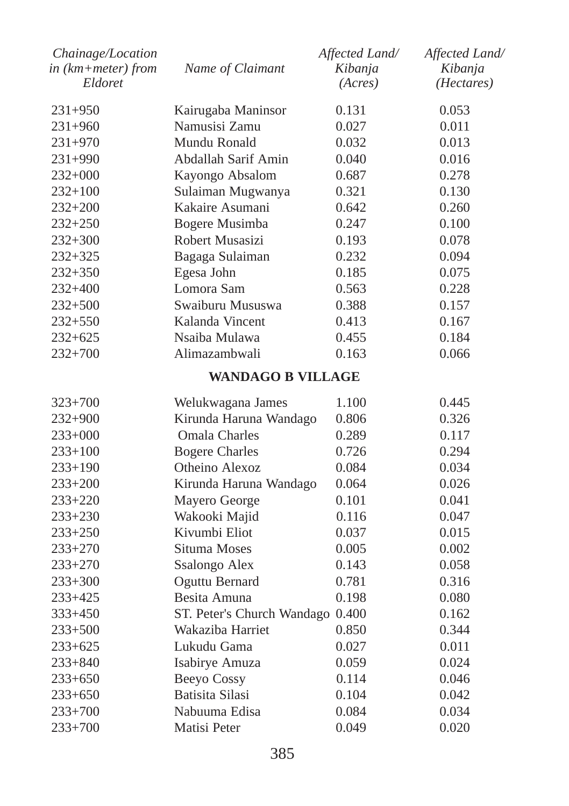| Chainage/Location<br>in (km+meter) from<br>Eldoret | Name of Claimant                 | Affected Land/<br>Kibanja<br>(Acres) | Affected Land/<br>Kibanja<br>( <i>Hectares</i> ) |
|----------------------------------------------------|----------------------------------|--------------------------------------|--------------------------------------------------|
| $231+950$                                          | Kairugaba Maninsor               | 0.131                                | 0.053                                            |
| 231+960                                            | Namusisi Zamu                    | 0.027                                | 0.011                                            |
| $231+970$                                          | Mundu Ronald                     | 0.032                                | 0.013                                            |
| 231+990                                            | Abdallah Sarif Amin              | 0.040                                | 0.016                                            |
| $232+000$                                          | Kayongo Absalom                  | 0.687                                | 0.278                                            |
| $232+100$                                          | Sulaiman Mugwanya                | 0.321                                | 0.130                                            |
| 232+200                                            | Kakaire Asumani                  | 0.642                                | 0.260                                            |
| 232+250                                            | Bogere Musimba                   | 0.247                                | 0.100                                            |
| 232+300                                            | Robert Musasizi                  | 0.193                                | 0.078                                            |
| 232+325                                            | Bagaga Sulaiman                  | 0.232                                | 0.094                                            |
| $232 + 350$                                        | Egesa John                       | 0.185                                | 0.075                                            |
| 232+400                                            | Lomora Sam                       | 0.563                                | 0.228                                            |
| $232 + 500$                                        | Swaiburu Mususwa                 | 0.388                                | 0.157                                            |
| 232+550                                            | Kalanda Vincent                  | 0.413                                | 0.167                                            |
| $232 + 625$                                        | Nsaiba Mulawa                    | 0.455                                | 0.184                                            |
| $232+700$                                          | Alimazambwali                    | 0.163                                | 0.066                                            |
|                                                    | <b>WANDAGO B VILLAGE</b>         |                                      |                                                  |
| 323+700                                            | Welukwagana James                | 1.100                                | 0.445                                            |
| 232+900                                            | Kirunda Haruna Wandago           | 0.806                                | 0.326                                            |
| $233+000$                                          | <b>Omala Charles</b>             | 0.289                                | 0.117                                            |
| 233+100                                            | <b>Bogere Charles</b>            | 0.726                                | 0.294                                            |
| 233+190                                            | Otheino Alexoz                   | 0.084                                | 0.034                                            |
| 233+200                                            | Kirunda Haruna Wandago           | 0.064                                | 0.026                                            |
| 233+220                                            | Mayero George                    | 0.101                                | 0.041                                            |
| 233+230                                            | Wakooki Majid                    | 0.116                                | 0.047                                            |
| 233+250                                            | Kivumbi Eliot                    | 0.037                                | 0.015                                            |
| 233+270                                            | Situma Moses                     | 0.005                                | 0.002                                            |
| 233+270                                            | Ssalongo Alex                    | 0.143                                | 0.058                                            |
| 233+300                                            | Oguttu Bernard                   | 0.781                                | 0.316                                            |
| 233+425                                            | Besita Amuna                     | 0.198                                | 0.080                                            |
| $333+450$                                          | ST. Peter's Church Wandago 0.400 |                                      | 0.162                                            |
| 233+500                                            | Wakaziba Harriet                 | 0.850                                | 0.344                                            |
| 233+625                                            | Lukudu Gama                      | 0.027                                | 0.011                                            |
| 233+840                                            | Isabirye Amuza                   | 0.059                                | 0.024                                            |
| 233+650                                            | <b>Beeyo Cossy</b>               | 0.114                                | 0.046                                            |
| 233+650                                            | <b>Batisita Silasi</b>           | 0.104                                | 0.042                                            |
| 233+700                                            | Nabuuma Edisa                    | 0.084                                | 0.034                                            |
| 233+700                                            | Matisi Peter                     | 0.049                                | 0.020                                            |
|                                                    |                                  |                                      |                                                  |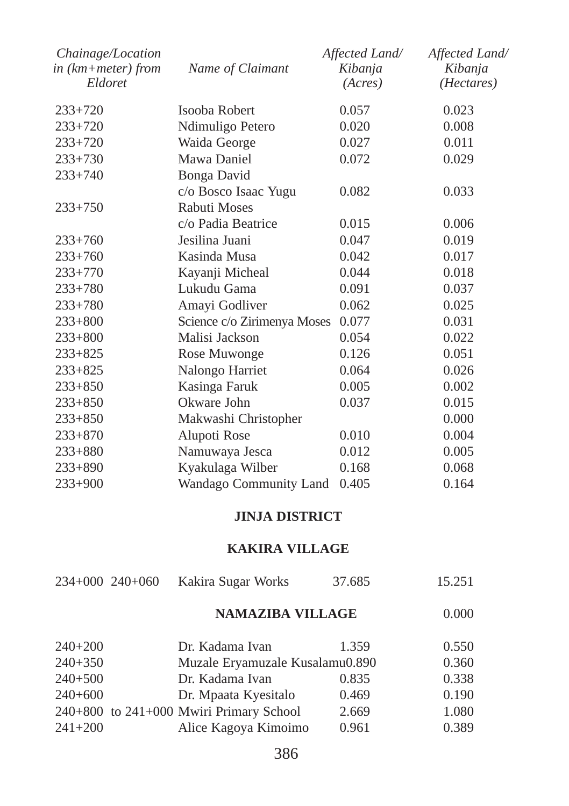| Chainage/Location<br>in (km+meter) from<br>Eldoret | Name of Claimant            | Affected Land/<br>Kibanja<br>(Acres) | Affected Land/<br>Kibanja<br>(Hectares) |
|----------------------------------------------------|-----------------------------|--------------------------------------|-----------------------------------------|
| $233+720$                                          | Isooba Robert               | 0.057                                | 0.023                                   |
| $233+720$                                          | Ndimuligo Petero            | 0.020                                | 0.008                                   |
| $233+720$                                          | Waida George                | 0.027                                | 0.011                                   |
| $233+730$                                          | Mawa Daniel                 | 0.072                                | 0.029                                   |
| $233 + 740$                                        | Bonga David                 |                                      |                                         |
|                                                    | c/o Bosco Isaac Yugu        | 0.082                                | 0.033                                   |
| $233+750$                                          | Rabuti Moses                |                                      |                                         |
|                                                    | c/o Padia Beatrice          | 0.015                                | 0.006                                   |
| $233+760$                                          | Jesilina Juani              | 0.047                                | 0.019                                   |
| $233 + 760$                                        | Kasinda Musa                | 0.042                                | 0.017                                   |
| $233 + 770$                                        | Kayanji Micheal             | 0.044                                | 0.018                                   |
| $233 + 780$                                        | Lukudu Gama                 | 0.091                                | 0.037                                   |
| $233 + 780$                                        | Amayi Godliver              | 0.062                                | 0.025                                   |
| $233 + 800$                                        | Science c/o Zirimenya Moses | 0.077                                | 0.031                                   |
| $233 + 800$                                        | Malisi Jackson              | 0.054                                | 0.022                                   |
| $233 + 825$                                        | Rose Muwonge                | 0.126                                | 0.051                                   |
| $233 + 825$                                        | Nalongo Harriet             | 0.064                                | 0.026                                   |
| $233 + 850$                                        | Kasinga Faruk               | 0.005                                | 0.002                                   |
| $233 + 850$                                        | Okware John                 | 0.037                                | 0.015                                   |
| $233 + 850$                                        | Makwashi Christopher        |                                      | 0.000                                   |
| $233 + 870$                                        | Alupoti Rose                | 0.010                                | 0.004                                   |
| $233 + 880$                                        | Namuwaya Jesca              | 0.012                                | 0.005                                   |
| $233 + 890$                                        | Kyakulaga Wilber            | 0.168                                | 0.068                                   |
| $233+900$                                          | Wandago Community Land      | 0.405                                | 0.164                                   |

# **JINJA DISTRICT**

### **KAKIRA VILLAGE**

| 234+000 240+060 | Kakira Sugar Works | 37.685 | 15.251 |
|-----------------|--------------------|--------|--------|
|                 |                    |        |        |

# **NAMAZIBA VILLAGE** 0.000

| $240+200$   | Dr. Kadama Ivan                         | 1.359 | 0.550 |
|-------------|-----------------------------------------|-------|-------|
| $240+350$   | Muzale Eryamuzale Kusalamu0.890         |       | 0.360 |
| $240+500$   | Dr. Kadama Ivan                         | 0.835 | 0.338 |
| $240+600$   | Dr. Mpaata Kyesitalo                    | 0.469 | 0.190 |
|             | 240+800 to 241+000 Mwiri Primary School | 2.669 | 1.080 |
| $241 + 200$ | Alice Kagoya Kimoimo                    | 0.961 | 0.389 |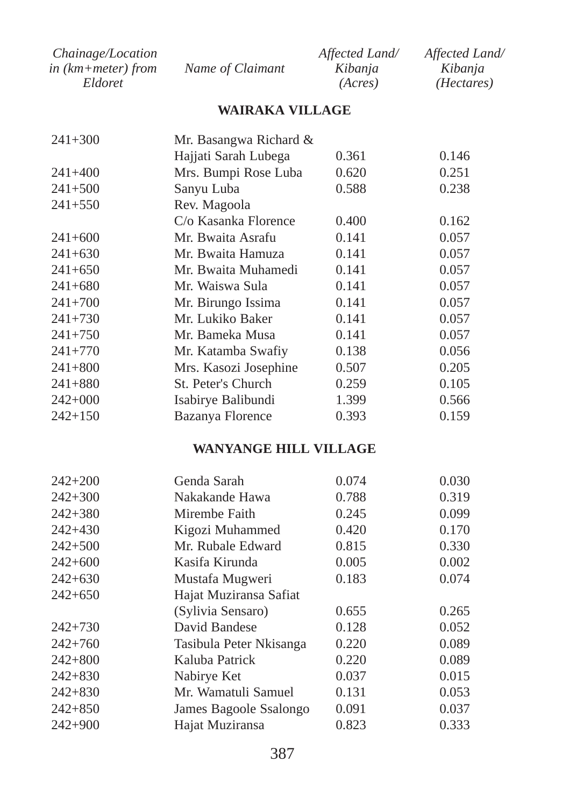| <i>Chainage/Location</i> |                  | Affected Land/ | Affected Land/      |
|--------------------------|------------------|----------------|---------------------|
| in (km+meter) from       | Name of Claimant | Kibanja        | Kibanja             |
| Eldoret                  |                  | (Acres)        | ( <i>Hectares</i> ) |

# **WAIRAKA VILLAGE**

| $241 + 300$ | Mr. Basangwa Richard &  |       |       |
|-------------|-------------------------|-------|-------|
|             | Hajjati Sarah Lubega    | 0.361 | 0.146 |
| $241 + 400$ | Mrs. Bumpi Rose Luba    | 0.620 | 0.251 |
| $241 + 500$ | Sanyu Luba              | 0.588 | 0.238 |
| $241 + 550$ | Rev. Magoola            |       |       |
|             | C/o Kasanka Florence    | 0.400 | 0.162 |
| $241+600$   | Mr. Bwaita Asrafu       | 0.141 | 0.057 |
| $241+630$   | Mr. Bwaita Hamuza       | 0.141 | 0.057 |
| $241+650$   | Mr. Bwaita Muhamedi     | 0.141 | 0.057 |
| $241+680$   | Mr. Waiswa Sula         | 0.141 | 0.057 |
| $241 + 700$ | Mr. Birungo Issima      | 0.141 | 0.057 |
| $241 + 730$ | Mr. Lukiko Baker        | 0.141 | 0.057 |
| $241 + 750$ | Mr. Bameka Musa         | 0.141 | 0.057 |
| $241 + 770$ | Mr. Katamba Swafiy      | 0.138 | 0.056 |
| $241 + 800$ | Mrs. Kasozi Josephine   | 0.507 | 0.205 |
| $241 + 880$ | St. Peter's Church      | 0.259 | 0.105 |
| $242+000$   | Isabirye Balibundi      | 1.399 | 0.566 |
| $242+150$   | <b>Bazanya Florence</b> | 0.393 | 0.159 |

#### **WANYANGE HILL VILLAGE**

| Genda Sarah             | 0.074 | 0.030 |
|-------------------------|-------|-------|
| Nakakande Hawa          | 0.788 | 0.319 |
| Mirembe Faith           | 0.245 | 0.099 |
| Kigozi Muhammed         | 0.420 | 0.170 |
| Mr. Rubale Edward       | 0.815 | 0.330 |
| Kasifa Kirunda          | 0.005 | 0.002 |
| Mustafa Mugweri         | 0.183 | 0.074 |
| Hajat Muziransa Safiat  |       |       |
| (Sylivia Sensaro)       | 0.655 | 0.265 |
| David Bandese           | 0.128 | 0.052 |
| Tasibula Peter Nkisanga | 0.220 | 0.089 |
| Kaluba Patrick          | 0.220 | 0.089 |
| Nabirye Ket             | 0.037 | 0.015 |
| Mr. Wamatuli Samuel     | 0.131 | 0.053 |
| James Bagoole Ssalongo  | 0.091 | 0.037 |
| Hajat Muziransa         | 0.823 | 0.333 |
|                         |       |       |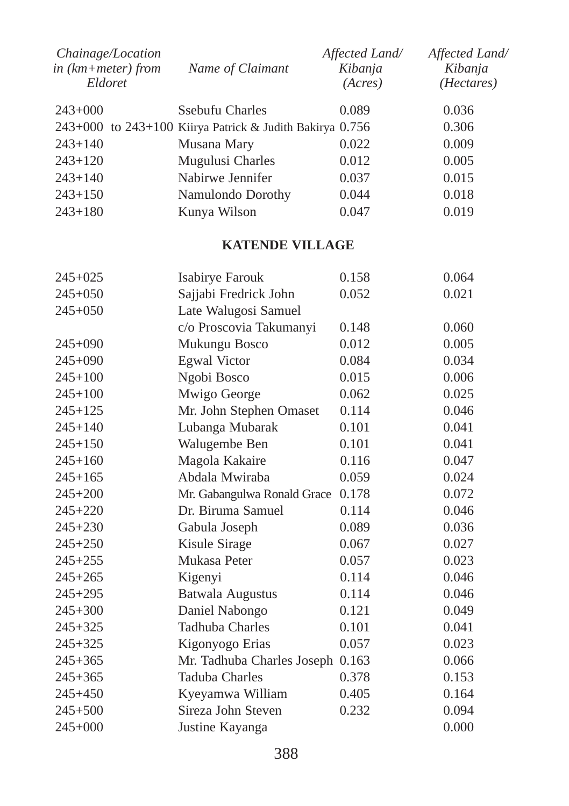| Chainage/Location<br>in (km+meter) from<br>Eldoret | Name of Claimant                                           | Affected Land/<br>Kibanja<br>(Acres) | Affected Land/<br>Kibanja<br>( <i>Hectares</i> ) |
|----------------------------------------------------|------------------------------------------------------------|--------------------------------------|--------------------------------------------------|
| $243+000$                                          | Ssebufu Charles                                            | 0.089                                | 0.036                                            |
|                                                    | 243+000 to 243+100 Kiirya Patrick & Judith Bakirya $0.756$ |                                      | 0.306                                            |
| $243 + 140$                                        | Musana Mary                                                | 0.022                                | 0.009                                            |
| $243+120$                                          | Mugulusi Charles                                           | 0.012                                | 0.005                                            |
| $243+140$                                          | Nabirwe Jennifer                                           | 0.037                                | 0.015                                            |
| $243+150$                                          | Namulondo Dorothy                                          | 0.044                                | 0.018                                            |
| $243+180$                                          | Kunya Wilson                                               | 0.047                                | 0.019                                            |

#### **KATENDE VILLAGE**

| $245 + 025$ | Isabirye Farouk             | 0.158 | 0.064 |
|-------------|-----------------------------|-------|-------|
| $245+050$   | Sajjabi Fredrick John       | 0.052 | 0.021 |
| $245+050$   | Late Walugosi Samuel        |       |       |
|             | c/o Proscovia Takumanyi     | 0.148 | 0.060 |
| $245+090$   | Mukungu Bosco               | 0.012 | 0.005 |
| $245+090$   | <b>Egwal Victor</b>         | 0.084 | 0.034 |
| $245+100$   | Ngobi Bosco                 | 0.015 | 0.006 |
| $245 + 100$ | Mwigo George                | 0.062 | 0.025 |
| $245 + 125$ | Mr. John Stephen Omaset     | 0.114 | 0.046 |
| $245 + 140$ | Lubanga Mubarak             | 0.101 | 0.041 |
| $245 + 150$ | Walugembe Ben               | 0.101 | 0.041 |
| $245 + 160$ | Magola Kakaire              | 0.116 | 0.047 |
| $245 + 165$ | Abdala Mwiraba              | 0.059 | 0.024 |
| $245 + 200$ | Mr. Gabangulwa Ronald Grace | 0.178 | 0.072 |
| $245 + 220$ | Dr. Biruma Samuel           | 0.114 | 0.046 |
| $245 + 230$ | Gabula Joseph               | 0.089 | 0.036 |
| $245 + 250$ | Kisule Sirage               | 0.067 | 0.027 |
| $245 + 255$ | Mukasa Peter                | 0.057 | 0.023 |
| $245 + 265$ | Kigenyi                     | 0.114 | 0.046 |
| $245 + 295$ | Batwala Augustus            | 0.114 | 0.046 |
| $245 + 300$ | Daniel Nabongo              | 0.121 | 0.049 |
| $245 + 325$ | Tadhuba Charles             | 0.101 | 0.041 |
| $245 + 325$ | Kigonyogo Erias             | 0.057 | 0.023 |
| $245 + 365$ | Mr. Tadhuba Charles Joseph  | 0.163 | 0.066 |
| $245 + 365$ | <b>Taduba Charles</b>       | 0.378 | 0.153 |
| 245+450     | Kyeyamwa William            | 0.405 | 0.164 |
| $245 + 500$ | Sireza John Steven          | 0.232 | 0.094 |
| $245+000$   | Justine Kayanga             |       | 0.000 |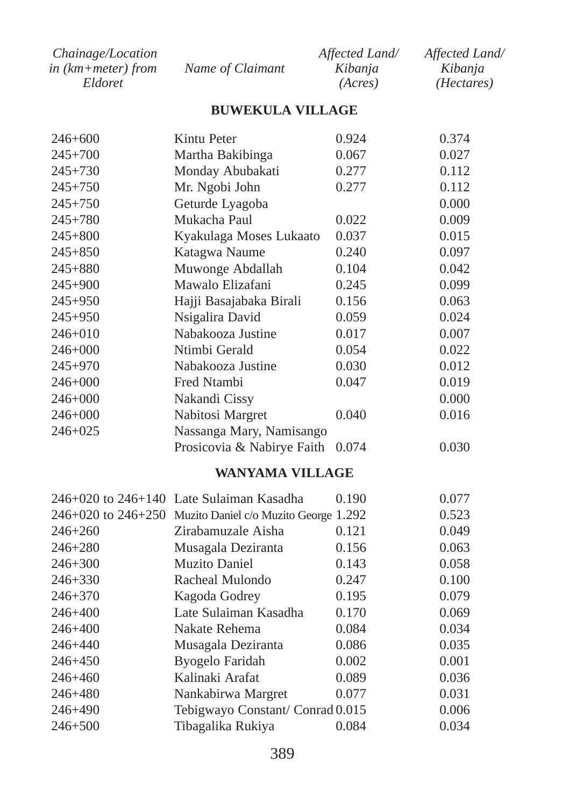| Chainage/Location  |                  | Affected Land/ | Affected Land/      |
|--------------------|------------------|----------------|---------------------|
| in (km+meter) from | Name of Claimant | Kibanja        | Kibania             |
| Eldoret            |                  | (Acres)        | ( <i>Hectares</i> ) |

#### **BUWEKULA VILLAGE**

| 246+600     | Kintu Peter                                              | 0.924 | 0.374 |
|-------------|----------------------------------------------------------|-------|-------|
| $245 + 700$ | Martha Bakibinga                                         | 0.067 | 0.027 |
| $245 + 730$ | Monday Abubakati                                         | 0.277 | 0.112 |
| $245 + 750$ | Mr. Ngobi John                                           | 0.277 | 0.112 |
| $245 + 750$ | Geturde Lyagoba                                          |       | 0.000 |
| $245 + 780$ | Mukacha Paul                                             | 0.022 | 0.009 |
| $245 + 800$ | Kyakulaga Moses Lukaato                                  | 0.037 | 0.015 |
| $245 + 850$ | Katagwa Naume                                            | 0.240 | 0.097 |
| $245 + 880$ | Muwonge Abdallah                                         | 0.104 | 0.042 |
| 245+900     | Mawalo Elizafani                                         | 0.245 | 0.099 |
| $245 + 950$ | Hajji Basajabaka Birali                                  | 0.156 | 0.063 |
| $245 + 950$ | Nsigalira David                                          | 0.059 | 0.024 |
| $246 + 010$ | Nabakooza Justine                                        | 0.017 | 0.007 |
| 246+000     | Ntimbi Gerald                                            | 0.054 | 0.022 |
| $245 + 970$ | Nabakooza Justine                                        | 0.030 | 0.012 |
| 246+000     | Fred Ntambi                                              | 0.047 | 0.019 |
| 246+000     | Nakandi Cissy                                            |       | 0.000 |
| $246 + 000$ | Nabitosi Margret                                         | 0.040 | 0.016 |
| $246 + 025$ | Nassanga Mary, Namisango                                 |       |       |
|             | Prosicovia & Nabirye Faith                               | 0.074 | 0.030 |
|             | <b>WANYAMA VILLAGE</b>                                   |       |       |
|             | 246+020 to 246+140 Late Sulaiman Kasadha                 | 0.190 | 0.077 |
|             | 246+020 to 246+250 Muzito Daniel c/o Muzito George 1.292 |       | 0.523 |
| $246 + 260$ | Zirabamuzale Aisha                                       | 0.121 | 0.049 |
| 246+280     | Musagala Deziranta                                       | 0.156 | 0.063 |
| $246 + 300$ | <b>Muzito Daniel</b>                                     | 0.143 | 0.058 |
| 246+330     | Racheal Mulondo                                          | 0.247 | 0.100 |
| $246 + 370$ | Kagoda Godrey                                            | 0.195 | 0.079 |
| 246+400     | Late Sulaiman Kasadha                                    | 0.170 | 0.069 |
| 246+400     | Nakate Rehema                                            | 0.084 | 0.034 |
| $246 + 440$ | Musagala Deziranta                                       | 0.086 | 0.035 |
| 246+450     | <b>Byogelo Faridah</b>                                   | 0.002 | 0.001 |
| 246+460     | Kalinaki Arafat                                          | 0.089 | 0.036 |
| 246+480     | Nankabirwa Margret                                       | 0.077 | 0.031 |
| 246+490     | Tebigwayo Constant/Conrad 0.015                          |       | 0.006 |
| $246 + 500$ | Tibagalika Rukiya                                        | 0.084 | 0.034 |

Tibagalika Rukiya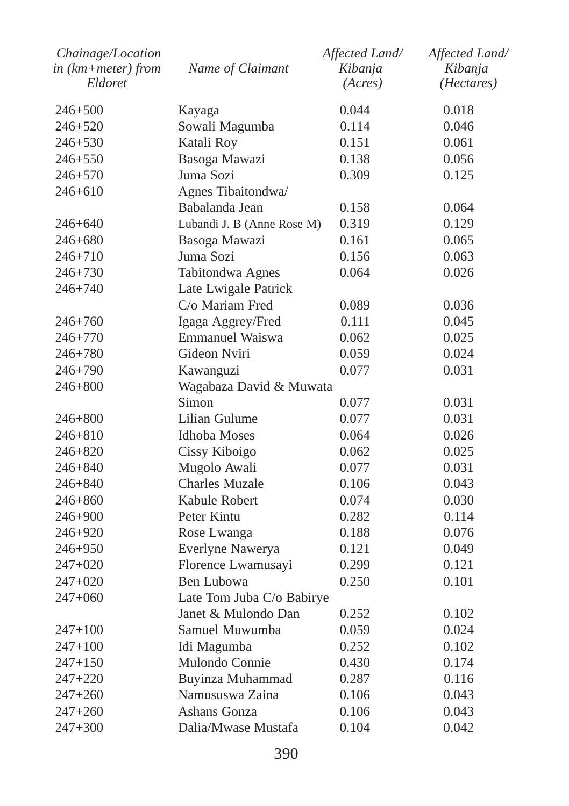| Chainage/Location<br>in (km+meter) from<br>Eldoret | Name of Claimant           | Affected Land/<br>Kibanja<br>(Acres) | Affected Land/<br>Kibanja<br>(Hectares) |
|----------------------------------------------------|----------------------------|--------------------------------------|-----------------------------------------|
| $246 + 500$                                        | Kayaga                     | 0.044                                | 0.018                                   |
| 246+520                                            | Sowali Magumba             | 0.114                                | 0.046                                   |
| 246+530                                            | Katali Roy                 | 0.151                                | 0.061                                   |
| $246 + 550$                                        | Basoga Mawazi              | 0.138                                | 0.056                                   |
| 246+570                                            | Juma Sozi                  | 0.309                                | 0.125                                   |
| $246 + 610$                                        | Agnes Tibaitondwa/         |                                      |                                         |
|                                                    | Babalanda Jean             | 0.158                                | 0.064                                   |
| 246+640                                            | Lubandi J. B (Anne Rose M) | 0.319                                | 0.129                                   |
| 246+680                                            | Basoga Mawazi              | 0.161                                | 0.065                                   |
| 246+710                                            | Juma Sozi                  | 0.156                                | 0.063                                   |
| $246 + 730$                                        | Tabitondwa Agnes           | 0.064                                | 0.026                                   |
| $246 + 740$                                        | Late Lwigale Patrick       |                                      |                                         |
|                                                    | C/o Mariam Fred            | 0.089                                | 0.036                                   |
| 246+760                                            | Igaga Aggrey/Fred          | 0.111                                | 0.045                                   |
| 246+770                                            | Emmanuel Waiswa            | 0.062                                | 0.025                                   |
| 246+780                                            | Gideon Nviri               | 0.059                                | 0.024                                   |
| $246 + 790$                                        | Kawanguzi                  | 0.077                                | 0.031                                   |
| 246+800                                            | Wagabaza David & Muwata    |                                      |                                         |
|                                                    | Simon                      | 0.077                                | 0.031                                   |
| 246+800                                            | Lilian Gulume              | 0.077                                | 0.031                                   |
| 246+810                                            | Idhoba Moses               | 0.064                                | 0.026                                   |
| 246+820                                            | Cissy Kiboigo              | 0.062                                | 0.025                                   |
| 246+840                                            | Mugolo Awali               | 0.077                                | 0.031                                   |
| 246+840                                            | <b>Charles Muzale</b>      | 0.106                                | 0.043                                   |
| 246+860                                            | Kabule Robert              | 0.074                                | 0.030                                   |
| 246+900                                            | Peter Kintu                | 0.282                                | 0.114                                   |
| 246+920                                            | Rose Lwanga                | 0.188                                | 0.076                                   |
| 246+950                                            | Everlyne Nawerya           | 0.121                                | 0.049                                   |
| $247+020$                                          | Florence Lwamusayi         | 0.299                                | 0.121                                   |
| 247+020                                            | Ben Lubowa                 | 0.250                                | 0.101                                   |
| $247 + 060$                                        | Late Tom Juba C/o Babirye  |                                      |                                         |
|                                                    | Janet & Mulondo Dan        | 0.252                                | 0.102                                   |
| $247 + 100$                                        | Samuel Muwumba             | 0.059                                | 0.024                                   |
| 247+100                                            | Idi Magumba                | 0.252                                | 0.102                                   |
| $247 + 150$                                        | Mulondo Connie             | 0.430                                | 0.174                                   |
| 247+220                                            | Buyinza Muhammad           | 0.287                                | 0.116                                   |
| $247 + 260$                                        | Namususwa Zaina            | 0.106                                | 0.043                                   |
| 247+260                                            | Ashans Gonza               | 0.106                                | 0.043                                   |
| $247+300$                                          | Dalia/Mwase Mustafa        | 0.104                                | 0.042                                   |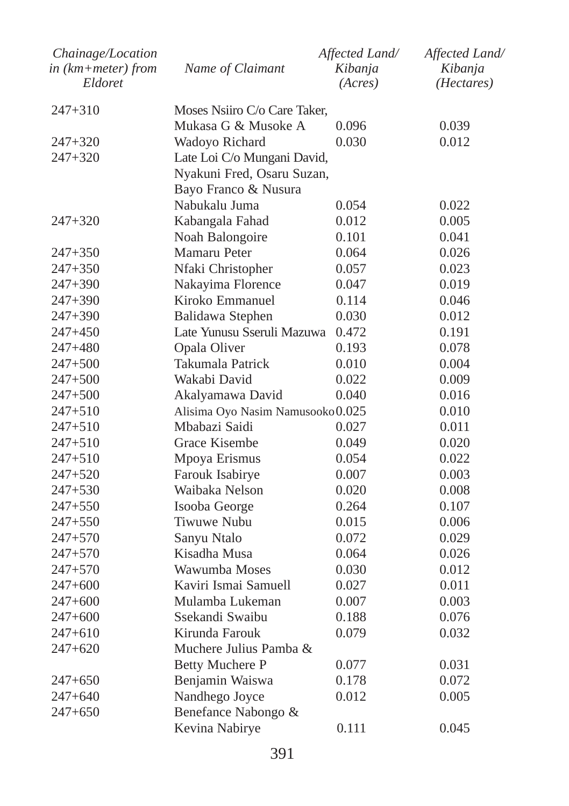| Chainage/Location<br>in (km+meter) from<br>Eldoret | Name of Claimant                  | Affected Land/<br>Kibanja<br>(Acres) | Affected Land/<br>Kibanja<br>(Hectares) |
|----------------------------------------------------|-----------------------------------|--------------------------------------|-----------------------------------------|
| 247+310                                            | Moses Nsiiro C/o Care Taker.      |                                      |                                         |
|                                                    | Mukasa G & Musoke A               | 0.096                                | 0.039                                   |
| $247 + 320$                                        | Wadoyo Richard                    | 0.030                                | 0.012                                   |
| $247 + 320$                                        | Late Loi C/o Mungani David,       |                                      |                                         |
|                                                    | Nyakuni Fred, Osaru Suzan,        |                                      |                                         |
|                                                    | Bayo Franco & Nusura              |                                      |                                         |
|                                                    | Nabukalu Juma                     | 0.054                                | 0.022                                   |
| $247 + 320$                                        | Kabangala Fahad                   | 0.012                                | 0.005                                   |
|                                                    | Noah Balongoire                   | 0.101                                | 0.041                                   |
| $247 + 350$                                        | Mamaru Peter                      | 0.064                                | 0.026                                   |
| $247 + 350$                                        | Nfaki Christopher                 | 0.057                                | 0.023                                   |
| 247+390                                            | Nakayima Florence                 | 0.047                                | 0.019                                   |
| 247+390                                            | Kiroko Emmanuel                   | 0.114                                | 0.046                                   |
| 247+390                                            | Balidawa Stephen                  | 0.030                                | 0.012                                   |
| $247+450$                                          | Late Yunusu Sseruli Mazuwa        | 0.472                                | 0.191                                   |
| 247+480                                            | Opala Oliver                      | 0.193                                | 0.078                                   |
| $247 + 500$                                        | Takumala Patrick                  | 0.010                                | 0.004                                   |
| $247 + 500$                                        | Wakabi David                      | 0.022                                | 0.009                                   |
| $247 + 500$                                        | Akalyamawa David                  | 0.040                                | 0.016                                   |
| $247 + 510$                                        | Alisima Oyo Nasim Namusooko 0.025 |                                      | 0.010                                   |
| $247 + 510$                                        | Mbabazi Saidi                     | 0.027                                | 0.011                                   |
| 247+510                                            | Grace Kisembe                     | 0.049                                | 0.020                                   |
| $247 + 510$                                        | Mpoya Erismus                     | 0.054                                | 0.022                                   |
| $247 + 520$                                        | Farouk Isabirye                   | 0.007                                | 0.003                                   |
| $247 + 530$                                        | Waibaka Nelson                    | 0.020                                | 0.008                                   |
| $247 + 550$                                        | Isooba George                     | 0.264                                | 0.107                                   |
| $247 + 550$                                        | Tiwuwe Nubu                       | 0.015                                | 0.006                                   |
| $247 + 570$                                        | Sanyu Ntalo                       | 0.072                                | 0.029                                   |
| $247 + 570$                                        | Kisadha Musa                      | 0.064                                | 0.026                                   |
| $247 + 570$                                        | Wawumba Moses                     | 0.030                                | 0.012                                   |
| $247+600$                                          | Kaviri Ismai Samuell              | 0.027                                | 0.011                                   |
| $247 + 600$                                        | Mulamba Lukeman                   | 0.007                                | 0.003                                   |
| $247+600$                                          | Ssekandi Swaibu                   | 0.188                                | 0.076                                   |
| $247+610$                                          | Kirunda Farouk                    | 0.079                                | 0.032                                   |
| $247+620$                                          | Muchere Julius Pamba &            |                                      |                                         |
|                                                    | <b>Betty Muchere P</b>            | 0.077                                | 0.031                                   |
| $247+650$                                          | Benjamin Waiswa                   | 0.178                                | 0.072                                   |
| $247 + 640$                                        | Nandhego Joyce                    | 0.012                                | 0.005                                   |
| $247+650$                                          | Benefance Nabongo &               |                                      |                                         |
|                                                    | Kevina Nabirye                    | 0.111                                | 0.045                                   |
|                                                    |                                   |                                      |                                         |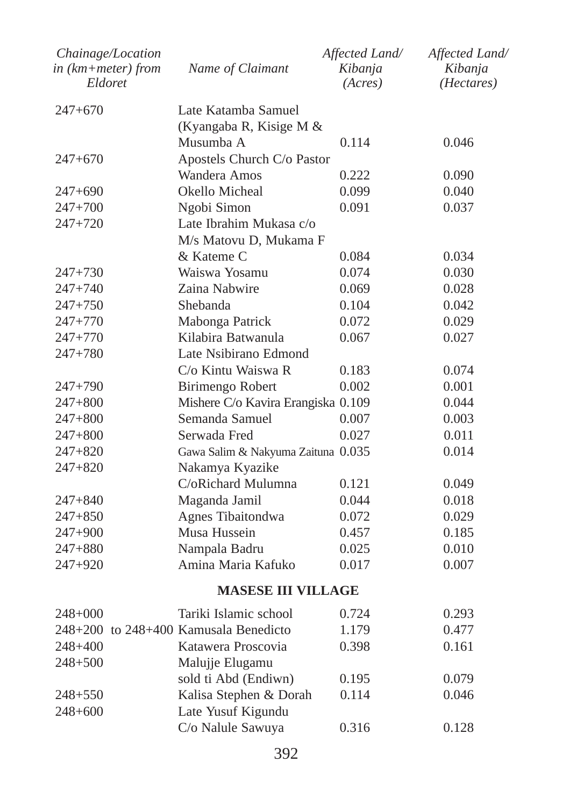| Chainage/Location<br>in (km+meter) from<br>Eldoret | Name of Claimant                      | Affected Land/<br>Kibanja<br>(Acres) | Affected Land/<br>Kibanja<br>( <i>Hectares</i> ) |
|----------------------------------------------------|---------------------------------------|--------------------------------------|--------------------------------------------------|
| $247+670$                                          | Late Katamba Samuel                   |                                      |                                                  |
|                                                    | (Kyangaba R, Kisige M &               |                                      |                                                  |
|                                                    | Musumba A                             | 0.114                                | 0.046                                            |
| $247+670$                                          | Apostels Church C/o Pastor            |                                      |                                                  |
|                                                    | Wandera Amos                          | 0.222                                | 0.090                                            |
| $247+690$                                          | Okello Micheal                        | 0.099                                | 0.040                                            |
| $247+700$                                          | Ngobi Simon                           | 0.091                                | 0.037                                            |
| 247+720                                            | Late Ibrahim Mukasa c/o               |                                      |                                                  |
|                                                    | M/s Matovu D, Mukama F                |                                      |                                                  |
|                                                    | & Kateme C                            | 0.084                                | 0.034                                            |
| 247+730                                            | Waiswa Yosamu                         | 0.074                                | 0.030                                            |
| $247 + 740$                                        | Zaina Nabwire                         | 0.069                                | 0.028                                            |
| $247 + 750$                                        | Shebanda                              | 0.104                                | 0.042                                            |
| $247 + 770$                                        | Mabonga Patrick                       | 0.072                                | 0.029                                            |
| 247+770                                            | Kilabira Batwanula                    | 0.067                                | 0.027                                            |
| 247+780                                            | Late Nsibirano Edmond                 |                                      |                                                  |
|                                                    | C/o Kintu Waiswa R                    | 0.183                                | 0.074                                            |
| 247+790                                            | Birimengo Robert                      | 0.002                                | 0.001                                            |
| $247 + 800$                                        | Mishere C/o Kavira Erangiska 0.109    |                                      | 0.044                                            |
| $247 + 800$                                        | Semanda Samuel                        | 0.007                                | 0.003                                            |
| 247+800                                            | Serwada Fred                          | 0.027                                | 0.011                                            |
| $247 + 820$                                        | Gawa Salim & Nakyuma Zaituna 0.035    |                                      | 0.014                                            |
| 247+820                                            | Nakamya Kyazike                       |                                      |                                                  |
|                                                    | C/oRichard Mulumna                    | 0.121                                | 0.049                                            |
| 247+840                                            | Maganda Jamil                         | 0.044                                | 0.018                                            |
| $247 + 850$                                        | Agnes Tibaitondwa                     | 0.072                                | 0.029                                            |
| 247+900                                            | Musa Hussein                          | 0.457                                | 0.185                                            |
| $247 + 880$                                        | Nampala Badru                         | 0.025                                | 0.010                                            |
| $247 + 920$                                        | Amina Maria Kafuko                    | 0.017                                | 0.007                                            |
|                                                    | <b>MASESE III VILLAGE</b>             |                                      |                                                  |
| 248+000                                            | Tariki Islamic school                 | 0.724                                | 0.293                                            |
|                                                    | 248+200 to 248+400 Kamusala Benedicto | 1.179                                | 0.477                                            |
| 248+400                                            | Katawera Proscovia                    | 0.398                                | 0.161                                            |
| $248 + 500$                                        | Malujje Elugamu                       |                                      |                                                  |
|                                                    | sold ti Abd (Endiwn)                  | 0.195                                | 0.079                                            |
| $248 + 550$                                        | Kalisa Stephen & Dorah                | 0.114                                | 0.046                                            |
| $248 + 600$                                        | Late Yusuf Kigundu                    |                                      |                                                  |
|                                                    | C/o Nalule Sawuya                     | 0.316                                | 0.128                                            |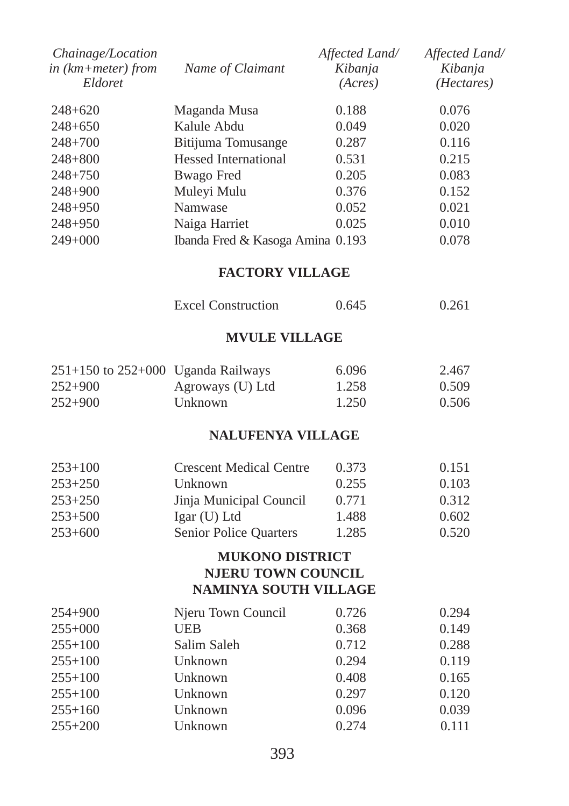| Chainage/Location<br>in (km+meter) from<br>Eldoret | Name of Claimant                                   | Affected Land/<br>Kibanja<br>(Acres) | Affected Land/<br>Kibanja<br>( <i>Hectares</i> ) |
|----------------------------------------------------|----------------------------------------------------|--------------------------------------|--------------------------------------------------|
| 248+620                                            | Maganda Musa                                       | 0.188                                | 0.076                                            |
| 248+650                                            | Kalule Abdu                                        | 0.049                                | 0.020                                            |
| 248+700                                            | Bitijuma Tomusange                                 | 0.287                                | 0.116                                            |
| 248+800                                            | <b>Hessed International</b>                        | 0.531                                | 0.215                                            |
| $248 + 750$                                        | <b>Bwago</b> Fred                                  | 0.205                                | 0.083                                            |
| 248+900                                            | Muleyi Mulu                                        | 0.376                                | 0.152                                            |
| $248 + 950$                                        | Namwase                                            | 0.052                                | 0.021                                            |
| 248+950                                            | Naiga Harriet                                      | 0.025                                | 0.010                                            |
| 249+000                                            | Ibanda Fred & Kasoga Amina 0.193                   |                                      | 0.078                                            |
|                                                    | <b>FACTORY VILLAGE</b>                             |                                      |                                                  |
|                                                    | <b>Excel Construction</b>                          | 0.645                                | 0.261                                            |
|                                                    | <b>MVULE VILLAGE</b>                               |                                      |                                                  |
| $251+150$ to $252+000$ Uganda Railways             |                                                    | 6.096                                | 2.467                                            |
| $252 + 900$                                        | Agroways (U) Ltd                                   | 1.258                                | 0.509                                            |
| $252 + 900$                                        | Unknown                                            | 1.250                                | 0.506                                            |
|                                                    | <b>NALUFENYA VILLAGE</b>                           |                                      |                                                  |
| 253+100                                            | <b>Crescent Medical Centre</b>                     | 0.373                                | 0.151                                            |
| $253 + 250$                                        | Unknown                                            | 0.255                                | 0.103                                            |
| 253+250                                            | Jinja Municipal Council                            | 0.771                                | 0.312                                            |
| $253 + 500$                                        | Igar (U) Ltd                                       | 1.488                                | 0.602                                            |
| 253+600                                            | <b>Senior Police Quarters</b>                      | 1.285                                | 0.520                                            |
|                                                    | <b>MUKONO DISTRICT</b>                             |                                      |                                                  |
|                                                    | NJERU TOWN COUNCIL<br><b>NAMINYA SOUTH VILLAGE</b> |                                      |                                                  |
| 254+900                                            | Njeru Town Council                                 | 0.726                                | 0.294                                            |
| $255+000$                                          | <b>UEB</b>                                         | 0.368                                | 0.149                                            |
| $255 + 100$                                        | Salim Saleh                                        | 0.712                                | 0.288                                            |
| $255 + 100$                                        | Unknown                                            | 0.294                                | 0.119                                            |
| $255 + 100$                                        | Unknown                                            | 0.408                                | 0.165                                            |
| $255 + 100$                                        | Unknown                                            | 0.297                                | 0.120                                            |
| $255+160$                                          | Unknown                                            | 0.096                                | 0.039                                            |
| $255 + 200$                                        | Unknown                                            | 0.274                                | 0.111                                            |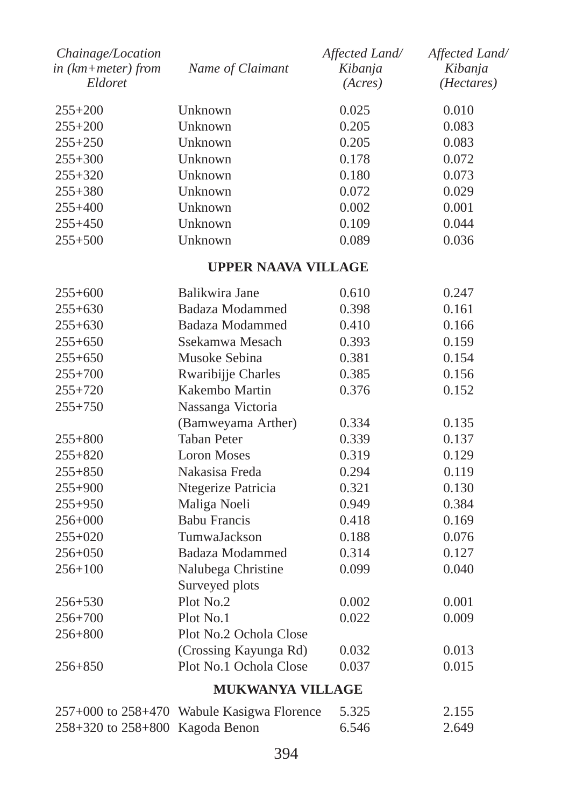| Chainage/Location<br>$in$ ( $km + meter$ ) from | Name of Claimant        | Affected Land/<br>Kibanja | Affected Land/<br>Kibanja |
|-------------------------------------------------|-------------------------|---------------------------|---------------------------|
| Eldoret                                         |                         | (Acres)                   | (Hectares)                |
| $255+200$                                       | Unknown                 | 0.025                     | 0.010                     |
| $255+200$                                       | Unknown                 | 0.205                     | 0.083                     |
| $255 + 250$                                     | Unknown                 | 0.205                     | 0.083                     |
| $255 + 300$                                     | Unknown                 | 0.178                     | 0.072                     |
| $255 + 320$                                     | Unknown                 | 0.180                     | 0.073                     |
| 255+380                                         | Unknown                 | 0.072                     | 0.029                     |
| $255+400$                                       | Unknown                 | 0.002                     | 0.001                     |
| $255 + 450$                                     | Unknown                 | 0.109                     | 0.044                     |
| $255 + 500$                                     | Unknown                 | 0.089                     | 0.036                     |
|                                                 | UPPER NAAVA VILLAGE     |                           |                           |
| $255+600$                                       | Balikwira Jane          | 0.610                     | 0.247                     |
| $255 + 630$                                     | <b>Badaza Modammed</b>  | 0.398                     | 0.161                     |
| $255+630$                                       | Badaza Modammed         | 0.410                     | 0.166                     |
| $255+650$                                       | Ssekamwa Mesach         | 0.393                     | 0.159                     |
| $255 + 650$                                     | Musoke Sebina           | 0.381                     | 0.154                     |
| $255 + 700$                                     | Rwaribijje Charles      | 0.385                     | 0.156                     |
| 255+720                                         | Kakembo Martin          | 0.376                     | 0.152                     |
| $255 + 750$                                     | Nassanga Victoria       |                           |                           |
|                                                 | (Bamweyama Arther)      | 0.334                     | 0.135                     |
| 255+800                                         | <b>Taban Peter</b>      | 0.339                     | 0.137                     |
| $255 + 820$                                     | <b>Loron Moses</b>      | 0.319                     | 0.129                     |
| $255 + 850$                                     | Nakasisa Freda          | 0.294                     | 0.119                     |
| 255+900                                         | Ntegerize Patricia      | 0.321                     | 0.130                     |
| $255 + 950$                                     | Maliga Noeli            | 0.949                     | 0.384                     |
| 256+000                                         | <b>Babu Francis</b>     | 0.418                     | 0.169                     |
| $255+020$                                       | TumwaJackson            | 0.188                     | 0.076                     |
| 256+050                                         | <b>Badaza Modammed</b>  | 0.314                     | 0.127                     |
| $256 + 100$                                     | Nalubega Christine      | 0.099                     | 0.040                     |
|                                                 | Surveyed plots          |                           |                           |
| 256+530                                         | Plot No.2               | 0.002                     | 0.001                     |
| $256 + 700$                                     | Plot No.1               | 0.022                     | 0.009                     |
| 256+800                                         | Plot No.2 Ochola Close  |                           |                           |
|                                                 | (Crossing Kayunga Rd)   | 0.032                     | 0.013                     |
| 256+850                                         | Plot No.1 Ochola Close  | 0.037                     | 0.015                     |
|                                                 | <b>MUKWANYA VILLAGE</b> |                           |                           |

|                                         | $257+000$ to $258+470$ Wabule Kasigwa Florence | 5.325 | 2.155 |
|-----------------------------------------|------------------------------------------------|-------|-------|
| $258 + 320$ to $258 + 800$ Kagoda Benon |                                                | 6.546 | 2.649 |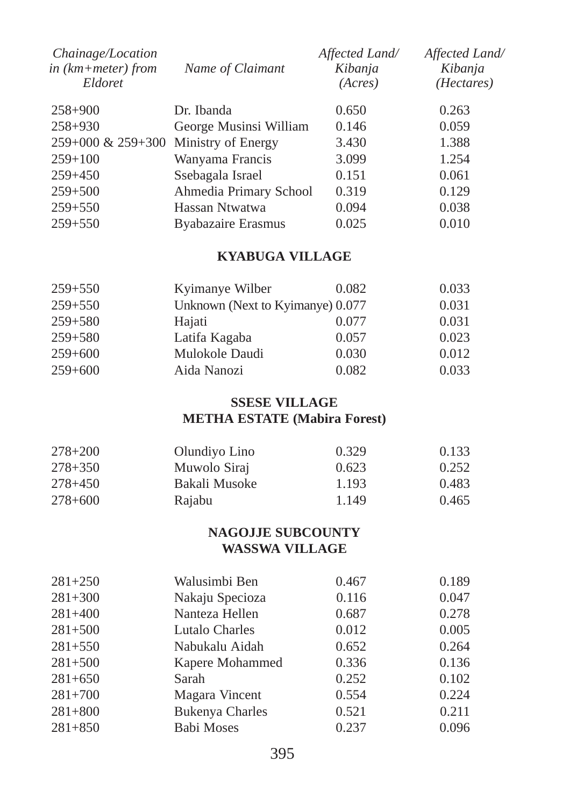| Name of Claimant                           | Affected Land/<br>Kibanja<br>(Acres) | Affected Land/<br>Kibanja<br>( <i>Hectares</i> ) |
|--------------------------------------------|--------------------------------------|--------------------------------------------------|
| Dr. Ibanda                                 | 0.650                                | 0.263                                            |
| George Musinsi William                     | 0.146                                | 0.059                                            |
| $259+000 \& 259+300$<br>Ministry of Energy | 3.430                                | 1.388                                            |
| Wanyama Francis                            | 3.099                                | 1.254                                            |
| Ssebagala Israel                           | 0.151                                | 0.061                                            |
|                                            | 0.319                                | 0.129                                            |
| Hassan Ntwatwa                             | 0.094                                | 0.038                                            |
| Byabazaire Erasmus                         | 0.025                                | 0.010                                            |
|                                            |                                      | Ahmedia Primary School                           |

### **KYABUGA VILLAGE**

| $259 + 550$ | Kyimanye Wilber                  | 0.082 | 0.033 |
|-------------|----------------------------------|-------|-------|
| $259 + 550$ | Unknown (Next to Kyimanye) 0.077 |       | 0.031 |
| $259 + 580$ | Hajati                           | 0.077 | 0.031 |
| $259 + 580$ | Latifa Kagaba                    | 0.057 | 0.023 |
| $259+600$   | Mulokole Daudi                   | 0.030 | 0.012 |
| $259 + 600$ | Aida Nanozi                      | 0.082 | 0.033 |

### **SSESE VILLAGE METHA ESTATE (Mabira Forest)**

| $278 + 200$ | Olundiyo Lino | 0.329 | 0.133 |
|-------------|---------------|-------|-------|
| $278 + 350$ | Muwolo Siraj  | 0.623 | 0.252 |
| $278 + 450$ | Bakali Musoke | 1.193 | 0.483 |
| $278 + 600$ | Raiabu        | 1.149 | 0.465 |

### **NAGOJJE SUBCOUNTY WASSWA VILLAGE**

| $281 + 250$ | Walusimbi Ben          | 0.467 | 0.189 |
|-------------|------------------------|-------|-------|
| $281 + 300$ | Nakaju Specioza        | 0.116 | 0.047 |
| $281 + 400$ | Nanteza Hellen         | 0.687 | 0.278 |
| $281 + 500$ | Lutalo Charles         | 0.012 | 0.005 |
| $281 + 550$ | Nabukalu Aidah         | 0.652 | 0.264 |
| $281 + 500$ | Kapere Mohammed        | 0.336 | 0.136 |
| $281+650$   | Sarah                  | 0.252 | 0.102 |
| $281+700$   | Magara Vincent         | 0.554 | 0.224 |
| $281 + 800$ | <b>Bukenya Charles</b> | 0.521 | 0.211 |
| $281 + 850$ | <b>Babi Moses</b>      | 0.237 | 0.096 |
|             |                        |       |       |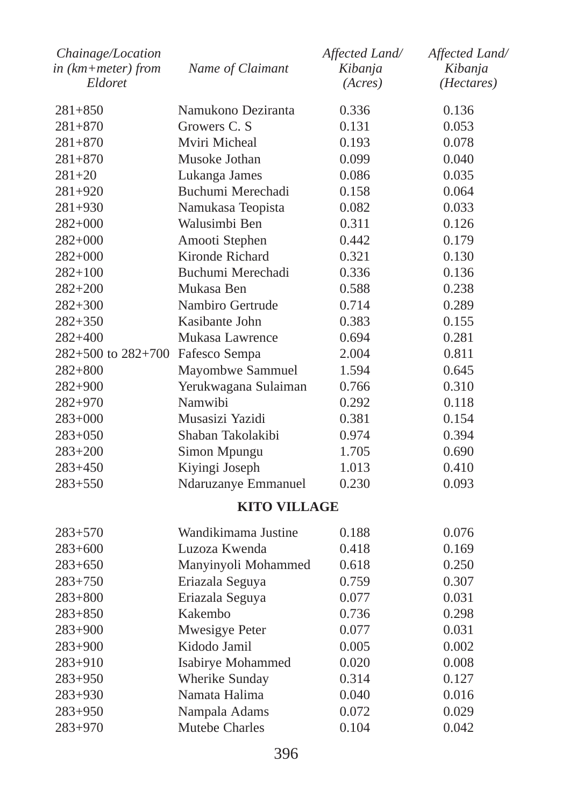| Chainage/Location<br>$in$ ( $km + meter$ ) from | Name of Claimant     | Affected Land/<br>Kibanja | Affected Land/<br>Kibanja |
|-------------------------------------------------|----------------------|---------------------------|---------------------------|
| Eldoret                                         |                      | (Acres)                   | (Hectares)                |
| $281 + 850$                                     | Namukono Deziranta   | 0.336                     | 0.136                     |
| $281 + 870$                                     | Growers C. S         | 0.131                     | 0.053                     |
| $281 + 870$                                     | Mviri Micheal        | 0.193                     | 0.078                     |
| $281 + 870$                                     | Musoke Jothan        | 0.099                     | 0.040                     |
| $281 + 20$                                      | Lukanga James        | 0.086                     | 0.035                     |
| $281+920$                                       | Buchumi Merechadi    | 0.158                     | 0.064                     |
| 281+930                                         | Namukasa Teopista    | 0.082                     | 0.033                     |
| $282+000$                                       | Walusimbi Ben        | 0.311                     | 0.126                     |
| $282+000$                                       | Amooti Stephen       | 0.442                     | 0.179                     |
| $282+000$                                       | Kironde Richard      | 0.321                     | 0.130                     |
| $282+100$                                       | Buchumi Merechadi    | 0.336                     | 0.136                     |
| $282 + 200$                                     | Mukasa Ben           | 0.588                     | 0.238                     |
| $282 + 300$                                     | Nambiro Gertrude     | 0.714                     | 0.289                     |
| $282 + 350$                                     | Kasibante John       | 0.383                     | 0.155                     |
| $282 + 400$                                     | Mukasa Lawrence      | 0.694                     | 0.281                     |
| $282+500$ to $282+700$                          | Fafesco Sempa        | 2.004                     | 0.811                     |
| $282 + 800$                                     | Mayombwe Sammuel     | 1.594                     | 0.645                     |
| $282 + 900$                                     | Yerukwagana Sulaiman | 0.766                     | 0.310                     |
| 282+970                                         | Namwibi              | 0.292                     | 0.118                     |
| $283+000$                                       | Musasizi Yazidi      | 0.381                     | 0.154                     |
| $283+050$                                       | Shaban Takolakibi    | 0.974                     | 0.394                     |
| $283 + 200$                                     | Simon Mpungu         | 1.705                     | 0.690                     |
| $283 + 450$                                     | Kiyingi Joseph       | 1.013                     | 0.410                     |
| $283 + 550$                                     | Ndaruzanye Emmanuel  | 0.230                     | 0.093                     |
|                                                 | <b>KITO VILLAGE</b>  |                           |                           |
| $283 + 570$                                     | Wandikimama Justine  | 0.188                     | 0.076                     |
| $283+600$                                       | Luzoza Kwenda        | 0.418                     | 0.169                     |
| $283 + 650$                                     | Manyinyoli Mohammed  | 0.618                     | 0.250                     |
| $283 + 750$                                     | Eriazala Seguya      | 0.759                     | 0.307                     |
| $283 + 800$                                     | Eriazala Seguya      | 0.077                     | 0.031                     |
| $283 + 850$                                     | Kakembo              | 0.736                     | 0.298                     |
| $283+900$                                       | Mwesigye Peter       | 0.077                     | 0.031                     |
| $283+900$                                       | Kidodo Jamil         | 0.005                     | 0.002                     |
| 283+910                                         | Isabirye Mohammed    | 0.020                     | 0.008                     |
| $283 + 950$                                     | Wherike Sunday       | 0.314                     | 0.127                     |
| $283 + 930$                                     | Namata Halima        | 0.040                     | 0.016                     |
| $283 + 950$                                     | Nampala Adams        | 0.072                     | 0.029                     |
| 283+970                                         | Mutebe Charles       | 0.104                     | 0.042                     |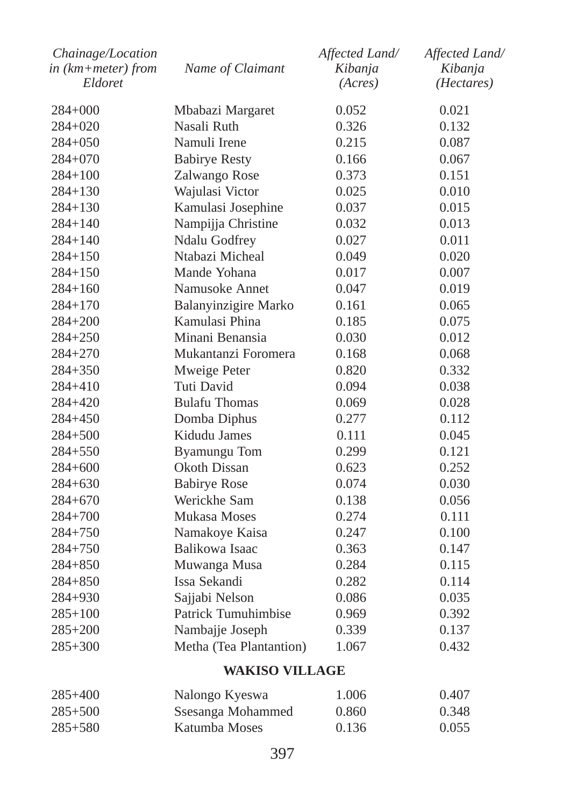| Chainage/Location          |                         | Affected Land/ | Affected Land/      |
|----------------------------|-------------------------|----------------|---------------------|
| $in$ ( $km + meter$ ) from | Name of Claimant        | Kibanja        | Kibanja             |
| Eldoret                    |                         | (Acres)        | ( <i>Hectares</i> ) |
| $284 + 000$                | Mbabazi Margaret        | 0.052          | 0.021               |
| $284+020$                  | Nasali Ruth             | 0.326          | 0.132               |
| $284 + 050$                | Namuli Irene            | 0.215          | 0.087               |
| $284 + 070$                | <b>Babirye Resty</b>    | 0.166          | 0.067               |
| $284 + 100$                | Zalwango Rose           | 0.373          | 0.151               |
| $284 + 130$                | Wajulasi Victor         | 0.025          | 0.010               |
| $284 + 130$                | Kamulasi Josephine      | 0.037          | 0.015               |
| $284 + 140$                | Nampijja Christine      | 0.032          | 0.013               |
| $284 + 140$                | Ndalu Godfrey           | 0.027          | 0.011               |
| $284 + 150$                | Ntabazi Micheal         | 0.049          | 0.020               |
| $284 + 150$                | Mande Yohana            | 0.017          | 0.007               |
| $284 + 160$                | Namusoke Annet          | 0.047          | 0.019               |
| $284 + 170$                | Balanyinzigire Marko    | 0.161          | 0.065               |
| 284+200                    | Kamulasi Phina          | 0.185          | 0.075               |
| $284 + 250$                | Minani Benansia         | 0.030          | 0.012               |
| $284 + 270$                | Mukantanzi Foromera     | 0.168          | 0.068               |
| $284 + 350$                | Mweige Peter            | 0.820          | 0.332               |
| $284 + 410$                | Tuti David              | 0.094          | 0.038               |
| 284+420                    | <b>Bulafu Thomas</b>    | 0.069          | 0.028               |
| 284+450                    | Domba Diphus            | 0.277          | 0.112               |
| $284 + 500$                | Kidudu James            | 0.111          | 0.045               |
| $284 + 550$                | <b>Byamungu</b> Tom     | 0.299          | 0.121               |
| $284 + 600$                | Okoth Dissan            | 0.623          | 0.252               |
| $284 + 630$                | <b>Babirye Rose</b>     | 0.074          | 0.030               |
| $284 + 670$                | Werickhe Sam            | 0.138          | 0.056               |
| $284 + 700$                | Mukasa Moses            | 0.274          | 0.111               |
| $284 + 750$                | Namakoye Kaisa          | 0.247          | 0.100               |
| $284 + 750$                | Balikowa Isaac          | 0.363          | 0.147               |
| $284 + 850$                | Muwanga Musa            | 0.284          | 0.115               |
| $284 + 850$                | Issa Sekandi            | 0.282          | 0.114               |
| 284+930                    | Sajjabi Nelson          | 0.086          | 0.035               |
| $285 + 100$                | Patrick Tumuhimbise     | 0.969          | 0.392               |
| $285 + 200$                | Nambajje Joseph         | 0.339          | 0.137               |
| $285 + 300$                | Metha (Tea Plantantion) | 1.067          | 0.432               |
|                            |                         |                |                     |

### **WAKISO VILLAGE**

| $285+400$   | Nalongo Kyeswa    | 1.006 | 0.407 |
|-------------|-------------------|-------|-------|
| $285 + 500$ | Ssesanga Mohammed | 0.860 | 0.348 |
| $285 + 580$ | Katumba Moses     | 0.136 | 0.055 |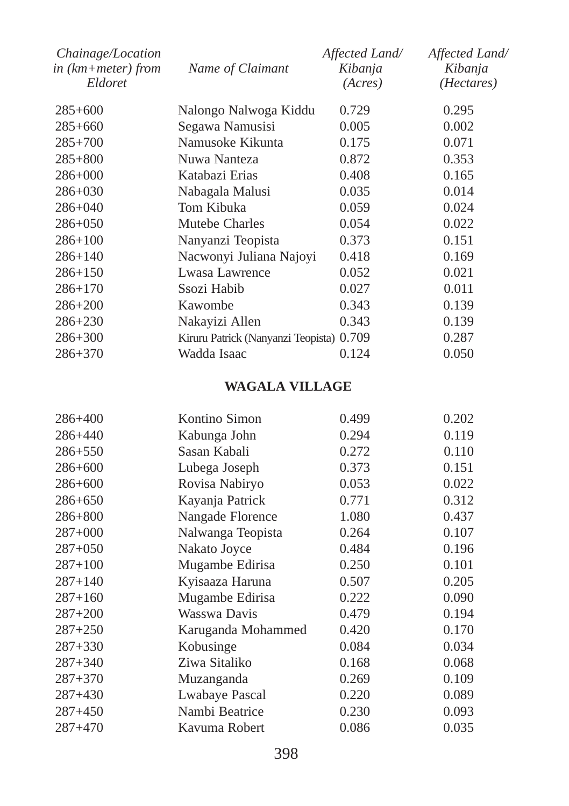| Chainage/Location                 |                                    | Affected Land/     | Affected Land/        |
|-----------------------------------|------------------------------------|--------------------|-----------------------|
| in $(km + meter)$ from<br>Eldoret | Name of Claimant                   | Kibanja<br>(Acres) | Kibanja<br>(Hectares) |
| $285+600$                         | Nalongo Nalwoga Kiddu              | 0.729              | 0.295                 |
| $285 + 660$                       | Segawa Namusisi                    | 0.005              | 0.002                 |
| $285 + 700$                       | Namusoke Kikunta                   | 0.175              | 0.071                 |
| $285 + 800$                       | Nuwa Nanteza                       | 0.872              | 0.353                 |
| $286 + 000$                       | Katabazi Erias                     | 0.408              | 0.165                 |
| $286 + 030$                       | Nabagala Malusi                    | 0.035              | 0.014                 |
| $286 + 040$                       | Tom Kibuka                         | 0.059              | 0.024                 |
| $286 + 050$                       | Mutebe Charles                     | 0.054              | 0.022                 |
| $286 + 100$                       | Nanyanzi Teopista                  | 0.373              | 0.151                 |
| $286 + 140$                       | Nacwonyi Juliana Najoyi            | 0.418              | 0.169                 |
| $286 + 150$                       | Lwasa Lawrence                     | 0.052              | 0.021                 |
| $286 + 170$                       | Ssozi Habib                        | 0.027              | 0.011                 |
| $286 + 200$                       | Kawombe                            | 0.343              | 0.139                 |
| $286 + 230$                       | Nakayizi Allen                     | 0.343              | 0.139                 |
| $286 + 300$                       | Kiruru Patrick (Nanyanzi Teopista) | 0.709              | 0.287                 |
| $286 + 370$                       | Wadda Isaac                        | 0.124              | 0.050                 |

# **WAGALA VILLAGE**

| 286+400     | Kontino Simon      | 0.499 | 0.202 |
|-------------|--------------------|-------|-------|
| 286+440     | Kabunga John       | 0.294 | 0.119 |
| 286+550     | Sasan Kabali       | 0.272 | 0.110 |
| 286+600     | Lubega Joseph      | 0.373 | 0.151 |
| 286+600     | Rovisa Nabiryo     | 0.053 | 0.022 |
| $286 + 650$ | Kayanja Patrick    | 0.771 | 0.312 |
| $286 + 800$ | Nangade Florence   | 1.080 | 0.437 |
| $287+000$   | Nalwanga Teopista  | 0.264 | 0.107 |
| $287 + 050$ | Nakato Joyce       | 0.484 | 0.196 |
| $287 + 100$ | Mugambe Edirisa    | 0.250 | 0.101 |
| $287 + 140$ | Kyisaaza Haruna    | 0.507 | 0.205 |
| $287 + 160$ | Mugambe Edirisa    | 0.222 | 0.090 |
| $287 + 200$ | Wasswa Davis       | 0.479 | 0.194 |
| $287 + 250$ | Karuganda Mohammed | 0.420 | 0.170 |
| $287 + 330$ | Kobusinge          | 0.084 | 0.034 |
| $287 + 340$ | Ziwa Sitaliko      | 0.168 | 0.068 |
| $287 + 370$ | Muzanganda         | 0.269 | 0.109 |
| $287 + 430$ | Lwabaye Pascal     | 0.220 | 0.089 |
| $287 + 450$ | Nambi Beatrice     | 0.230 | 0.093 |
| $287 + 470$ | Kavuma Robert      | 0.086 | 0.035 |
|             |                    |       |       |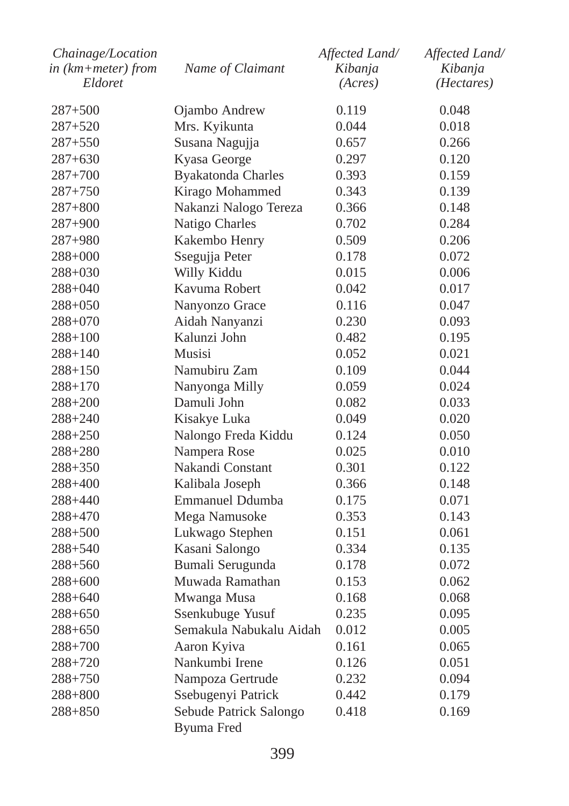| Chainage/Location<br>in (km+meter) from | Name of Claimant          | Affected Land/<br>Kibanja | Affected Land/<br>Kibanja |
|-----------------------------------------|---------------------------|---------------------------|---------------------------|
| Eldoret                                 |                           | (Acres)                   | (Hectares)                |
|                                         |                           |                           |                           |
| $287 + 500$                             | Ojambo Andrew             | 0.119                     | 0.048                     |
| 287+520                                 | Mrs. Kyikunta             | 0.044                     | 0.018                     |
| $287 + 550$                             | Susana Nagujja            | 0.657                     | 0.266                     |
| 287+630                                 | Kyasa George              | 0.297                     | 0.120                     |
| $287 + 700$                             | <b>Byakatonda Charles</b> | 0.393                     | 0.159                     |
| 287+750                                 | Kirago Mohammed           | 0.343                     | 0.139                     |
| 287+800                                 | Nakanzi Nalogo Tereza     | 0.366                     | 0.148                     |
| 287+900                                 | Natigo Charles            | 0.702                     | 0.284                     |
| 287+980                                 | Kakembo Henry             | 0.509                     | 0.206                     |
| 288+000                                 | Ssegujja Peter            | 0.178                     | 0.072                     |
| 288+030                                 | Willy Kiddu               | 0.015                     | 0.006                     |
| 288+040                                 | Kavuma Robert             | 0.042                     | 0.017                     |
| 288+050                                 | Nanyonzo Grace            | 0.116                     | 0.047                     |
| 288+070                                 | Aidah Nanyanzi            | 0.230                     | 0.093                     |
| 288+100                                 | Kalunzi John              | 0.482                     | 0.195                     |
| $288 + 140$                             | <b>Musisi</b>             | 0.052                     | 0.021                     |
| 288+150                                 | Namubiru Zam              | 0.109                     | 0.044                     |
| 288+170                                 | Nanyonga Milly            | 0.059                     | 0.024                     |
| 288+200                                 | Damuli John               | 0.082                     | 0.033                     |
| $288 + 240$                             | Kisakye Luka              | 0.049                     | 0.020                     |
| $288 + 250$                             | Nalongo Freda Kiddu       | 0.124                     | 0.050                     |
| $288 + 280$                             | Nampera Rose              | 0.025                     | 0.010                     |
| 288+350                                 | Nakandi Constant          | 0.301                     | 0.122                     |
| 288+400                                 | Kalibala Joseph           | 0.366                     | 0.148                     |
| 288+440                                 | <b>Emmanuel Ddumba</b>    | 0.175                     | 0.071                     |
| 288+470                                 | Mega Namusoke             | 0.353                     | 0.143                     |
| 288+500                                 | Lukwago Stephen           | 0.151                     | 0.061                     |
| 288+540                                 | Kasani Salongo            | 0.334                     | 0.135                     |
| 288+560                                 | Bumali Serugunda          | 0.178                     | 0.072                     |
| 288+600                                 | Muwada Ramathan           | 0.153                     | 0.062                     |
| 288+640                                 | Mwanga Musa               | 0.168                     | 0.068                     |
| 288+650                                 | Ssenkubuge Yusuf          | 0.235                     | 0.095                     |
| 288+650                                 | Semakula Nabukalu Aidah   | 0.012                     | 0.005                     |
| 288+700                                 | Aaron Kyiva               | 0.161                     | 0.065                     |
| 288+720                                 | Nankumbi Irene            | 0.126                     | 0.051                     |
| 288+750                                 | Nampoza Gertrude          | 0.232                     | 0.094                     |
| $288 + 800$                             | Ssebugenyi Patrick        | 0.442                     | 0.179                     |
| $288 + 850$                             | Sebude Patrick Salongo    | 0.418                     | 0.169                     |
|                                         | Byuma Fred                |                           |                           |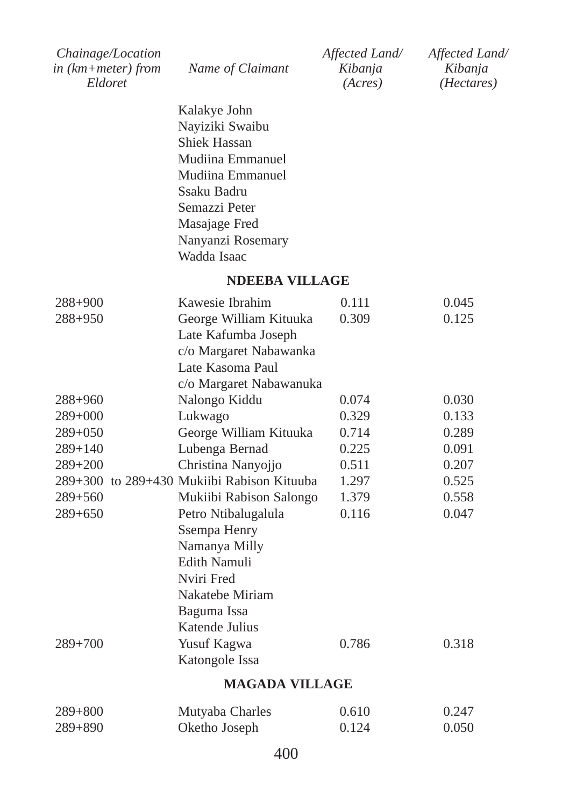| <i>Chainage/Location</i> |                  | Affected Land/ | Affected Land/      |
|--------------------------|------------------|----------------|---------------------|
| in $(km+meter)$ from     | Name of Claimant | Kibanja        | Kibanja             |
| Eldoret                  |                  | (Acres)        | ( <i>Hectares</i> ) |

Kalakye John Nayiziki Swaibu Shiek Hassan Mudiina Emmanuel Mudiina Emmanuel Ssaku Badru Semazzi Peter Masajage Fred Nanyanzi Rosemary Wadda Isaac

#### **NDEEBA VILLAGE**

| $288 + 900$ | Kawesie Ibrahim                            | 0.111 | 0.045 |
|-------------|--------------------------------------------|-------|-------|
| $288 + 950$ | George William Kituuka                     | 0.309 | 0.125 |
|             | Late Kafumba Joseph                        |       |       |
|             | c/o Margaret Nabawanka                     |       |       |
|             | Late Kasoma Paul                           |       |       |
|             | c/o Margaret Nabawanuka                    |       |       |
| $288 + 960$ | Nalongo Kiddu                              | 0.074 | 0.030 |
| $289+000$   | Lukwago                                    | 0.329 | 0.133 |
| $289+050$   | George William Kituuka                     | 0.714 | 0.289 |
| $289 + 140$ | Lubenga Bernad                             | 0.225 | 0.091 |
| $289 + 200$ | Christina Nanyojjo                         | 0.511 | 0.207 |
|             | 289+300 to 289+430 Mukiibi Rabison Kituuba | 1.297 | 0.525 |
| $289 + 560$ | Mukiibi Rabison Salongo                    | 1.379 | 0.558 |
| $289 + 650$ | Petro Ntibalugalula                        | 0.116 | 0.047 |
|             | Ssempa Henry                               |       |       |
|             | Namanya Milly                              |       |       |
|             | Edith Namuli                               |       |       |
|             | Nviri Fred                                 |       |       |
|             | Nakatebe Miriam                            |       |       |
|             | Baguma Issa                                |       |       |
|             | Katende Julius                             |       |       |
| $289 + 700$ | Yusuf Kagwa                                | 0.786 | 0.318 |
|             | Katongole Issa                             |       |       |
|             |                                            |       |       |

#### **MAGADA VILLAGE**

| $289 + 800$ | Mutyaba Charles | 0.610 | 0.247 |
|-------------|-----------------|-------|-------|
| $289 + 890$ | Oketho Joseph   | 0.124 | 0.050 |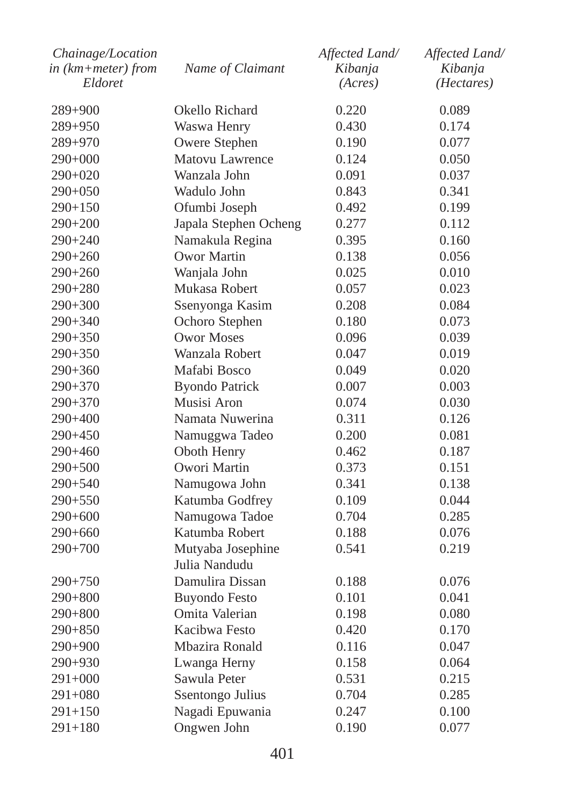| Chainage/Location<br>in (km+meter) from | Name of Claimant      | Affected Land/<br>Kibanja | Affected Land/<br>Kibanja |
|-----------------------------------------|-----------------------|---------------------------|---------------------------|
| Eldoret                                 |                       | (Acres)                   | ( <i>Hectares</i> )       |
| 289+900                                 | Okello Richard        | 0.220                     | 0.089                     |
| 289+950                                 | Waswa Henry           | 0.430                     | 0.174                     |
| 289+970                                 | Owere Stephen         | 0.190                     | 0.077                     |
| 290+000                                 | Matovu Lawrence       | 0.124                     | 0.050                     |
| 290+020                                 | Wanzala John          | 0.091                     | 0.037                     |
| 290+050                                 | Wadulo John           | 0.843                     | 0.341                     |
| $290+150$                               | Ofumbi Joseph         | 0.492                     | 0.199                     |
| 290+200                                 | Japala Stephen Ocheng | 0.277                     | 0.112                     |
| 290+240                                 | Namakula Regina       | 0.395                     | 0.160                     |
| 290+260                                 | Owor Martin           | 0.138                     | 0.056                     |
| $290 + 260$                             | Wanjala John          | 0.025                     | 0.010                     |
| 290+280                                 | Mukasa Robert         | 0.057                     | 0.023                     |
| $290 + 300$                             | Ssenyonga Kasim       | 0.208                     | 0.084                     |
| 290+340                                 | Ochoro Stephen        | 0.180                     | 0.073                     |
| $290+350$                               | <b>Owor Moses</b>     | 0.096                     | 0.039                     |
| 290+350                                 | Wanzala Robert        | 0.047                     | 0.019                     |
| $290+360$                               | Mafabi Bosco          | 0.049                     | 0.020                     |
| 290+370                                 | <b>Byondo Patrick</b> | 0.007                     | 0.003                     |
| $290+370$                               | Musisi Aron           | 0.074                     | 0.030                     |
| 290+400                                 | Namata Nuwerina       | 0.311                     | 0.126                     |
| 290+450                                 | Namuggwa Tadeo        | 0.200                     | 0.081                     |
| 290+460                                 | Oboth Henry           | 0.462                     | 0.187                     |
| $290 + 500$                             | Owori Martin          | 0.373                     | 0.151                     |
| $290 + 540$                             | Namugowa John         | 0.341                     | 0.138                     |
| 290+550                                 | Katumba Godfrey       | 0.109                     | 0.044                     |
| $290+600$                               | Namugowa Tadoe        | 0.704                     | 0.285                     |
| $290+660$                               | Katumba Robert        | 0.188                     | 0.076                     |
| 290+700                                 | Mutyaba Josephine     | 0.541                     | 0.219                     |
|                                         | Julia Nandudu         |                           |                           |
| 290+750                                 | Damulira Dissan       | 0.188                     | 0.076                     |
| 290+800                                 | <b>Buyondo Festo</b>  | 0.101                     | 0.041                     |
| 290+800                                 | Omita Valerian        | 0.198                     | 0.080                     |
| 290+850                                 | Kacibwa Festo         | 0.420                     | 0.170                     |
| 290+900                                 | Mbazira Ronald        | 0.116                     | 0.047                     |
| 290+930                                 | Lwanga Herny          | 0.158                     | 0.064                     |
| $291+000$                               | Sawula Peter          | 0.531                     | 0.215                     |
| $291 + 080$                             | Ssentongo Julius      | 0.704                     | 0.285                     |
| $291 + 150$                             | Nagadi Epuwania       | 0.247                     | 0.100                     |
| $291 + 180$                             | Ongwen John           | 0.190                     | 0.077                     |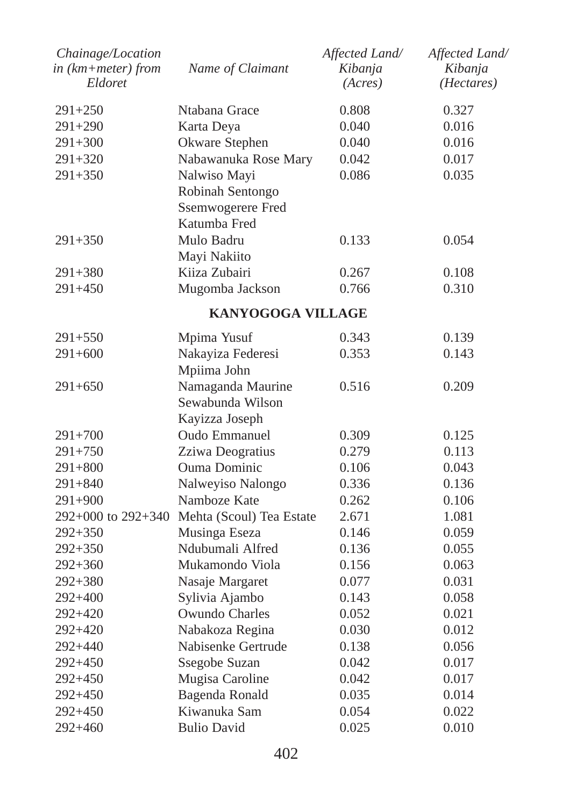| Chainage/Location<br>$in$ ( $km + meter$ ) from<br>Eldoret | Name of Claimant         | Affected Land/<br>Kibanja<br>(Acres) | Affected Land/<br>Kibanja<br>(Hectares) |
|------------------------------------------------------------|--------------------------|--------------------------------------|-----------------------------------------|
| $291 + 250$                                                | Ntabana Grace            | 0.808                                | 0.327                                   |
| 291+290                                                    | Karta Deya               | 0.040                                | 0.016                                   |
| $291 + 300$                                                | Okware Stephen           | 0.040                                | 0.016                                   |
| 291+320                                                    | Nabawanuka Rose Mary     | 0.042                                | 0.017                                   |
| $291 + 350$                                                | Nalwiso Mayi             | 0.086                                | 0.035                                   |
|                                                            | Robinah Sentongo         |                                      |                                         |
|                                                            | Ssemwogerere Fred        |                                      |                                         |
|                                                            | Katumba Fred             |                                      |                                         |
| $291 + 350$                                                | Mulo Badru               | 0.133                                | 0.054                                   |
|                                                            | Mayi Nakiito             |                                      |                                         |
| 291+380                                                    | Kiiza Zubairi            | 0.267                                | 0.108                                   |
| 291+450                                                    | Mugomba Jackson          | 0.766                                | 0.310                                   |
|                                                            | <b>KANYOGOGA VILLAGE</b> |                                      |                                         |
| $291 + 550$                                                | Mpima Yusuf              | 0.343                                | 0.139                                   |
| $291 + 600$                                                | Nakayiza Federesi        | 0.353                                | 0.143                                   |
|                                                            | Mpiima John              |                                      |                                         |
| $291 + 650$                                                | Namaganda Maurine        | 0.516                                | 0.209                                   |
|                                                            | Sewabunda Wilson         |                                      |                                         |
|                                                            | Kayizza Joseph           |                                      |                                         |
| $291 + 700$                                                | Oudo Emmanuel            | 0.309                                | 0.125                                   |
| 291+750                                                    | Zziwa Deogratius         | 0.279                                | 0.113                                   |
| $291 + 800$                                                | <b>Ouma Dominic</b>      | 0.106                                | 0.043                                   |
| $291 + 840$                                                | Nalweyiso Nalongo        | 0.336                                | 0.136                                   |
| $291 + 900$                                                | Namboze Kate             | 0.262                                | 0.106                                   |
| 292+000 to 292+340                                         | Mehta (Scoul) Tea Estate | 2.671                                | 1.081                                   |
| $292 + 350$                                                | Musinga Eseza            | 0.146                                | 0.059                                   |
| $292 + 350$                                                | Ndubumali Alfred         | 0.136                                | 0.055                                   |
| $292 + 360$                                                | Mukamondo Viola          | 0.156                                | 0.063                                   |
| 292+380                                                    | Nasaje Margaret          | 0.077                                | 0.031                                   |
| 292+400                                                    | Sylivia Ajambo           | 0.143                                | 0.058                                   |
| 292+420                                                    | Owundo Charles           | 0.052                                | 0.021                                   |
| 292+420                                                    | Nabakoza Regina          | 0.030                                | 0.012                                   |
| 292+440                                                    | Nabisenke Gertrude       | 0.138                                | 0.056                                   |
| 292+450                                                    | Ssegobe Suzan            | 0.042                                | 0.017                                   |
| 292+450                                                    | Mugisa Caroline          | 0.042                                | 0.017                                   |
| 292+450                                                    | Bagenda Ronald           | 0.035                                | 0.014                                   |
| 292+450                                                    | Kiwanuka Sam             | 0.054                                | 0.022                                   |
| $292 + 460$                                                | <b>Bulio David</b>       | 0.025                                | 0.010                                   |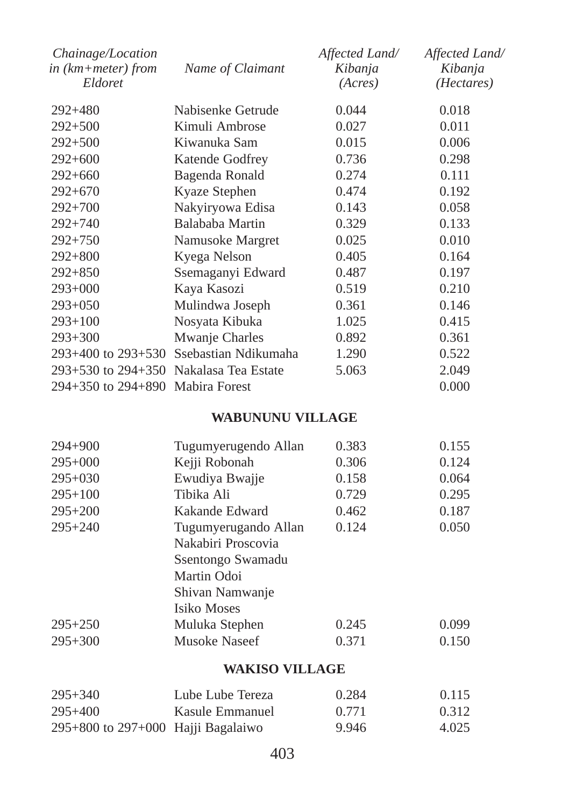| Chainage/Location<br>in $(km + meter)$ from<br>Eldoret | Name of Claimant                           | Affected Land/<br>Kibanja<br>(Acres) | Affected Land/<br>Kibanja<br>( <i>Hectares</i> ) |
|--------------------------------------------------------|--------------------------------------------|--------------------------------------|--------------------------------------------------|
| $292 + 480$                                            | Nabisenke Getrude                          | 0.044                                | 0.018                                            |
| $292 + 500$                                            | Kimuli Ambrose                             | 0.027                                | 0.011                                            |
| $292 + 500$                                            | Kiwanuka Sam                               | 0.015                                | 0.006                                            |
| $292+600$                                              | Katende Godfrey                            | 0.736                                | 0.298                                            |
| $292+660$                                              | Bagenda Ronald                             | 0.274                                | 0.111                                            |
| $292+670$                                              | Kyaze Stephen                              | 0.474                                | 0.192                                            |
| $292 + 700$                                            | Nakyiryowa Edisa                           | 0.143                                | 0.058                                            |
| $292 + 740$                                            | Balababa Martin                            | 0.329                                | 0.133                                            |
| $292 + 750$                                            | Namusoke Margret                           | 0.025                                | 0.010                                            |
| $292 + 800$                                            | Kyega Nelson                               | 0.405                                | 0.164                                            |
| $292 + 850$                                            | Ssemaganyi Edward                          | 0.487                                | 0.197                                            |
| $293+000$                                              | Kaya Kasozi                                | 0.519                                | 0.210                                            |
| $293+050$                                              | Mulindwa Joseph                            | 0.361                                | 0.146                                            |
| $293+100$                                              | Nosyata Kibuka                             | 1.025                                | 0.415                                            |
| $293 + 300$                                            | Mwanje Charles                             | 0.892                                | 0.361                                            |
| $293+400$ to $293+530$                                 | Ssebastian Ndikumaha                       | 1.290                                | 0.522                                            |
|                                                        | $293+530$ to $294+350$ Nakalasa Tea Estate | 5.063                                | 2.049                                            |
| $294+350$ to $294+890$ Mabira Forest                   |                                            |                                      | 0.000                                            |

### **WABUNUNU VILLAGE**

| $294 + 900$ | Tugumyerugendo Allan | 0.383 | 0.155 |
|-------------|----------------------|-------|-------|
| $295+000$   | Kejji Robonah        | 0.306 | 0.124 |
| $295+030$   | Ewudiya Bwajje       | 0.158 | 0.064 |
| $295+100$   | Tibika Ali           | 0.729 | 0.295 |
| $295 + 200$ | Kakande Edward       | 0.462 | 0.187 |
| $295 + 240$ | Tugumyerugando Allan | 0.124 | 0.050 |
|             | Nakabiri Proscovia   |       |       |
|             | Ssentongo Swamadu    |       |       |
|             | Martin Odoi          |       |       |
|             | Shivan Namwanje      |       |       |
|             | Isiko Moses          |       |       |
| $295 + 250$ | Muluka Stephen       | 0.245 | 0.099 |
| $295 + 300$ | Musoke Naseef        | 0.371 | 0.150 |
|             |                      |       |       |

### **WAKISO VILLAGE**

| $295 + 340$                            | Lube Lube Tereza | 0.284 | 0.115 |
|----------------------------------------|------------------|-------|-------|
| $295+400$                              | Kasule Emmanuel  | 0.771 | 0.312 |
| $295+800$ to $297+000$ Hajji Bagalaiwo |                  | 9.946 | 4.025 |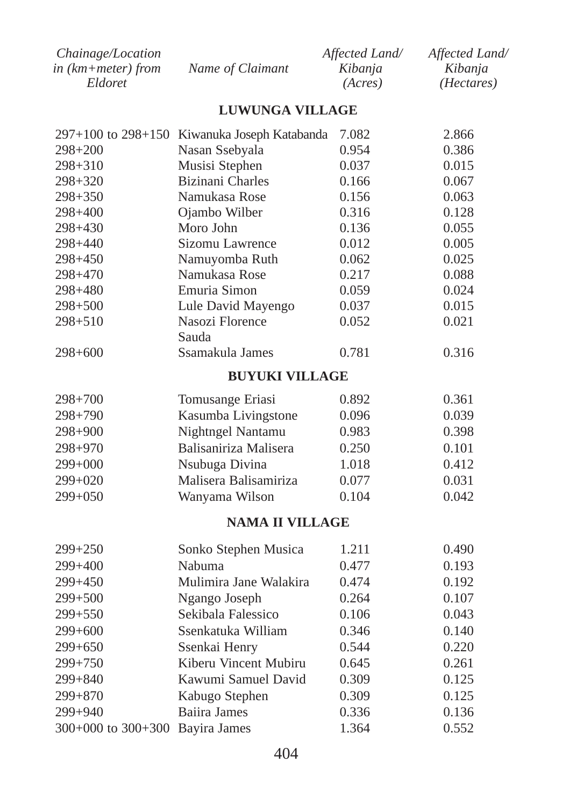| <i>Chainage/Location</i> |                  | Affected Land/ | Affected Land/      |
|--------------------------|------------------|----------------|---------------------|
| in (km+meter) from       | Name of Claimant | Kibania        | Kibania             |
| Eldoret                  |                  | (Acres)        | ( <i>Hectares</i> ) |

## **LUWUNGA VILLAGE**

|                        | 297+100 to 298+150 Kiwanuka Joseph Katabanda | 7.082 | 2.866 |
|------------------------|----------------------------------------------|-------|-------|
| 298+200                | Nasan Ssebyala                               | 0.954 | 0.386 |
| 298+310                | Musisi Stephen                               | 0.037 | 0.015 |
| 298+320                | <b>Bizinani</b> Charles                      | 0.166 | 0.067 |
| $298 + 350$            | Namukasa Rose                                | 0.156 | 0.063 |
| $298 + 400$            | Ojambo Wilber                                | 0.316 | 0.128 |
| 298+430                | Moro John                                    | 0.136 | 0.055 |
| 298+440                | Sizomu Lawrence                              | 0.012 | 0.005 |
| 298+450                | Namuyomba Ruth                               | 0.062 | 0.025 |
| 298+470                | Namukasa Rose                                | 0.217 | 0.088 |
| 298+480                | Emuria Simon                                 | 0.059 | 0.024 |
| $298 + 500$            | Lule David Mayengo                           | 0.037 | 0.015 |
| $298 + 510$            | Nasozi Florence                              | 0.052 | 0.021 |
|                        | Sauda                                        |       |       |
| $298 + 600$            | Ssamakula James                              | 0.781 | 0.316 |
|                        | <b>BUYUKI VILLAGE</b>                        |       |       |
| $298 + 700$            | Tomusange Eriasi                             | 0.892 | 0.361 |
| $298 + 790$            | Kasumba Livingstone                          | 0.096 | 0.039 |
| 298+900                | Nightngel Nantamu                            | 0.983 | 0.398 |
| 298+970                | Balisaniriza Malisera                        | 0.250 | 0.101 |
| 299+000                | Nsubuga Divina                               | 1.018 | 0.412 |
| $299+020$              | Malisera Balisamiriza                        | 0.077 | 0.031 |
| $299+050$              | Wanyama Wilson                               | 0.104 | 0.042 |
|                        | <b>NAMA II VILLAGE</b>                       |       |       |
| $299 + 250$            | Sonko Stephen Musica                         | 1.211 | 0.490 |
| 299+400                | Nabuma                                       | 0.477 | 0.193 |
| 299+450                | Mulimira Jane Walakira                       | 0.474 | 0.192 |
| 299+500                | Ngango Joseph                                | 0.264 | 0.107 |
| 299+550                | Sekibala Falessico                           | 0.106 | 0.043 |
| 299+600                | Ssenkatuka William                           | 0.346 | 0.140 |
| 299+650                | Ssenkai Henry                                | 0.544 | 0.220 |
| 299+750                | Kiberu Vincent Mubiru                        | 0.645 | 0.261 |
| 299+840                | Kawumi Samuel David                          | 0.309 | 0.125 |
| 299+870                | Kabugo Stephen                               | 0.309 | 0.125 |
| 299+940                | <b>Baiira James</b>                          | 0.336 | 0.136 |
| $300+000$ to $300+300$ | <b>Bayira James</b>                          | 1.364 | 0.552 |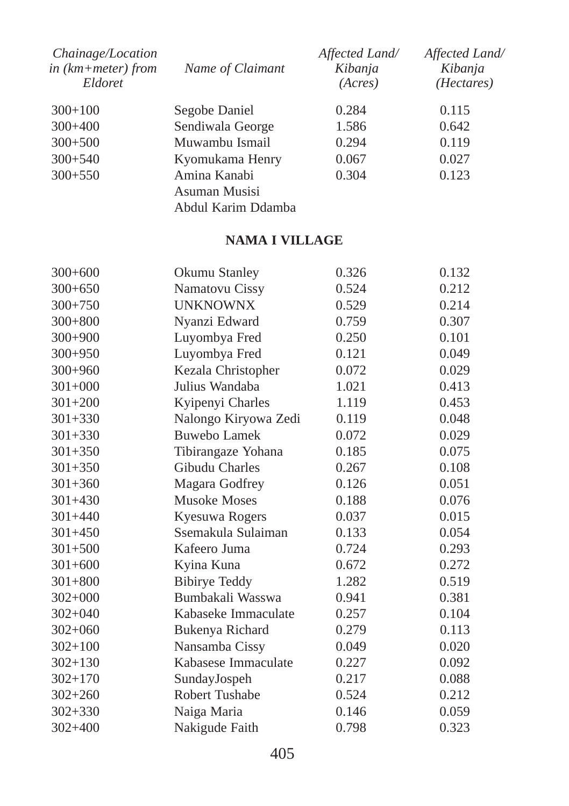| Chainage/Location<br>in $(km+meter)$ from<br>Eldoret | Name of Claimant   | Affected Land/<br>Kibanja<br>(Acres) | Affected Land/<br>Kibanja<br>( <i>Hectares</i> ) |
|------------------------------------------------------|--------------------|--------------------------------------|--------------------------------------------------|
| $300+100$                                            | Segobe Daniel      | 0.284                                | 0.115                                            |
| $300+400$                                            | Sendiwala George   | 1.586                                | 0.642                                            |
| $300+500$                                            | Muwambu Ismail     | 0.294                                | 0.119                                            |
| $300+540$                                            | Kyomukama Henry    | 0.067                                | 0.027                                            |
| $300+550$                                            | Amina Kanabi       | 0.304                                | 0.123                                            |
|                                                      | Asuman Musisi      |                                      |                                                  |
|                                                      | Abdul Karim Ddamba |                                      |                                                  |

## **NAMA I VILLAGE**

| $300+600$   | Okumu Stanley        | 0.326 | 0.132 |
|-------------|----------------------|-------|-------|
| $300+650$   | Namatovu Cissy       | 0.524 | 0.212 |
| $300 + 750$ | <b>UNKNOWNX</b>      | 0.529 | 0.214 |
| $300 + 800$ | Nyanzi Edward        | 0.759 | 0.307 |
| $300+900$   | Luyombya Fred        | 0.250 | 0.101 |
| $300 + 950$ | Luyombya Fred        | 0.121 | 0.049 |
| $300+960$   | Kezala Christopher   | 0.072 | 0.029 |
| $301+000$   | Julius Wandaba       | 1.021 | 0.413 |
| $301 + 200$ | Kyipenyi Charles     | 1.119 | 0.453 |
| $301 + 330$ | Nalongo Kiryowa Zedi | 0.119 | 0.048 |
| $301 + 330$ | Buwebo Lamek         | 0.072 | 0.029 |
| $301 + 350$ | Tibirangaze Yohana   | 0.185 | 0.075 |
| $301 + 350$ | Gibudu Charles       | 0.267 | 0.108 |
| $301 + 360$ | Magara Godfrey       | 0.126 | 0.051 |
| $301 + 430$ | <b>Musoke Moses</b>  | 0.188 | 0.076 |
| $301 + 440$ | Kyesuwa Rogers       | 0.037 | 0.015 |
| $301 + 450$ | Ssemakula Sulaiman   | 0.133 | 0.054 |
| $301 + 500$ | Kafeero Juma         | 0.724 | 0.293 |
| $301 + 600$ | Kyina Kuna           | 0.672 | 0.272 |
| $301 + 800$ | <b>Bibirye Teddy</b> | 1.282 | 0.519 |
| $302+000$   | Bumbakali Wasswa     | 0.941 | 0.381 |
| $302 + 040$ | Kabaseke Immaculate  | 0.257 | 0.104 |
| $302 + 060$ | Bukenya Richard      | 0.279 | 0.113 |
| $302 + 100$ | Nansamba Cissy       | 0.049 | 0.020 |
| $302 + 130$ | Kabasese Immaculate  | 0.227 | 0.092 |
| $302 + 170$ | SundayJospeh         | 0.217 | 0.088 |
| $302 + 260$ | Robert Tushabe       | 0.524 | 0.212 |
| $302 + 330$ | Naiga Maria          | 0.146 | 0.059 |
| $302 + 400$ | Nakigude Faith       | 0.798 | 0.323 |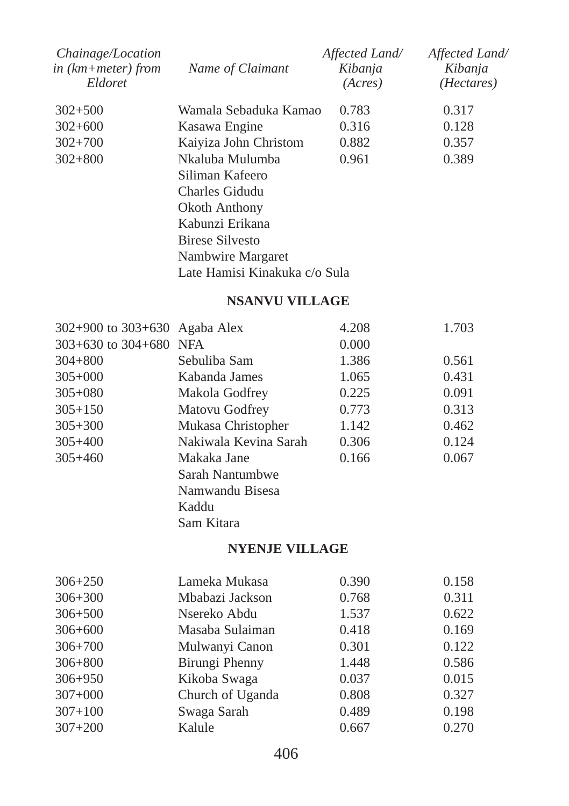| Chainage/Location<br>in $(km + meter)$ from<br>Eldoret | Name of Claimant              | Affected Land/<br>Kibanja<br>(Acres) | Affected Land/<br>Kibanja<br>(Hectares) |  |  |
|--------------------------------------------------------|-------------------------------|--------------------------------------|-----------------------------------------|--|--|
| $302 + 500$                                            | Wamala Sebaduka Kamao         | 0.783                                | 0.317                                   |  |  |
| $302 + 600$                                            | Kasawa Engine                 | 0.316                                | 0.128                                   |  |  |
| $302 + 700$                                            | Kaiyiza John Christom         | 0.882                                | 0.357                                   |  |  |
| $302 + 800$                                            | Nkaluba Mulumba               | 0.961                                | 0.389                                   |  |  |
|                                                        | Siliman Kafeero               |                                      |                                         |  |  |
|                                                        | Charles Gidudu                |                                      |                                         |  |  |
|                                                        | Okoth Anthony                 |                                      |                                         |  |  |
|                                                        | Kabunzi Erikana               |                                      |                                         |  |  |
|                                                        | Birese Silvesto               |                                      |                                         |  |  |
|                                                        | Nambwire Margaret             |                                      |                                         |  |  |
|                                                        | Late Hamisi Kinakuka c/o Sula |                                      |                                         |  |  |

#### **NSANVU VILLAGE**

| $302+900$ to $303+630$ Agaba Alex |                       | 4.208 | 1.703 |
|-----------------------------------|-----------------------|-------|-------|
| $303+630$ to $304+680$ NFA        |                       | 0.000 |       |
| $304 + 800$                       | Sebuliba Sam          | 1.386 | 0.561 |
| $305+000$                         | Kabanda James         | 1.065 | 0.431 |
| $305 + 080$                       | Makola Godfrey        | 0.225 | 0.091 |
| $305 + 150$                       | Matovu Godfrey        | 0.773 | 0.313 |
| $305 + 300$                       | Mukasa Christopher    | 1.142 | 0.462 |
| $305 + 400$                       | Nakiwala Kevina Sarah | 0.306 | 0.124 |
| $305 + 460$                       | Makaka Jane           | 0.166 | 0.067 |
|                                   | Sarah Nantumbwe       |       |       |
|                                   | Namwandu Bisesa       |       |       |
|                                   | Kaddu                 |       |       |
|                                   | Sam Kitara            |       |       |

## **NYENJE VILLAGE**

| $306 + 250$ | Lameka Mukasa    | 0.390 | 0.158 |
|-------------|------------------|-------|-------|
| $306 + 300$ | Mbabazi Jackson  | 0.768 | 0.311 |
| $306 + 500$ | Nsereko Abdu     | 1.537 | 0.622 |
| $306 + 600$ | Masaba Sulaiman  | 0.418 | 0.169 |
| $306 + 700$ | Mulwanyi Canon   | 0.301 | 0.122 |
| $306 + 800$ | Birungi Phenny   | 1.448 | 0.586 |
| $306 + 950$ | Kikoba Swaga     | 0.037 | 0.015 |
| $307+000$   | Church of Uganda | 0.808 | 0.327 |
| $307 + 100$ | Swaga Sarah      | 0.489 | 0.198 |
| $307 + 200$ | Kalule           | 0.667 | 0.270 |
|             |                  |       |       |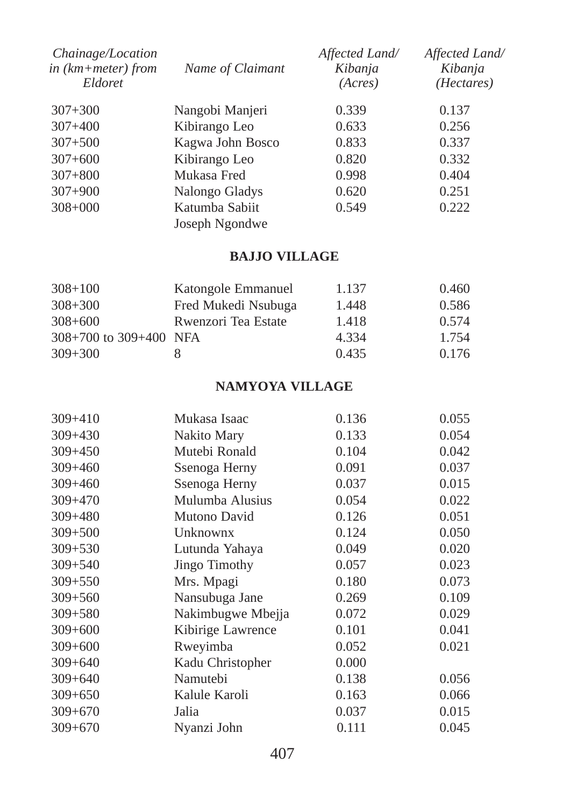| Chainage/Location<br>in $(km + meter)$ from<br>Eldoret | Name of Claimant | Affected Land/<br>Kibanja<br>(Acres) | Affected Land/<br>Kibanja<br>( <i>Hectares</i> ) |
|--------------------------------------------------------|------------------|--------------------------------------|--------------------------------------------------|
| $307 + 300$                                            | Nangobi Manjeri  | 0.339                                | 0.137                                            |
| $307 + 400$                                            | Kibirango Leo    | 0.633                                | 0.256                                            |
| $307 + 500$                                            | Kagwa John Bosco | 0.833                                | 0.337                                            |
| $307 + 600$                                            | Kibirango Leo    | 0.820                                | 0.332                                            |
| $307 + 800$                                            | Mukasa Fred      | 0.998                                | 0.404                                            |
| $307 + 900$                                            | Nalongo Gladys   | 0.620                                | 0.251                                            |
| $308 + 000$                                            | Katumba Sabiit   | 0.549                                | 0.222                                            |
|                                                        | Joseph Ngondwe   |                                      |                                                  |

## **BAJJO VILLAGE**

| $308 + 100$                | Katongole Emmanuel  | 1.137 | 0.460 |
|----------------------------|---------------------|-------|-------|
| $308 + 300$                | Fred Mukedi Nsubuga | 1.448 | 0.586 |
| $308 + 600$                | Rwenzori Tea Estate | 1.418 | 0.574 |
| $308+700$ to $309+400$ NFA |                     | 4.334 | 1.754 |
| $309 + 300$                | x                   | 0.435 | 0.176 |

## **NAMYOYA VILLAGE**

| $309 + 410$ | Mukasa Isaac         | 0.136 | 0.055 |
|-------------|----------------------|-------|-------|
| $309 + 430$ | Nakito Mary          | 0.133 | 0.054 |
| $309 + 450$ | Mutebi Ronald        | 0.104 | 0.042 |
| $309 + 460$ | Ssenoga Herny        | 0.091 | 0.037 |
| $309 + 460$ | Ssenoga Herny        | 0.037 | 0.015 |
| $309 + 470$ | Mulumba Alusius      | 0.054 | 0.022 |
| $309 + 480$ | Mutono David         | 0.126 | 0.051 |
| $309 + 500$ | Unknownx             | 0.124 | 0.050 |
| $309 + 530$ | Lutunda Yahaya       | 0.049 | 0.020 |
| $309 + 540$ | <b>Jingo Timothy</b> | 0.057 | 0.023 |
| $309 + 550$ | Mrs. Mpagi           | 0.180 | 0.073 |
| $309 + 560$ | Nansubuga Jane       | 0.269 | 0.109 |
| $309 + 580$ | Nakimbugwe Mbejja    | 0.072 | 0.029 |
| $309 + 600$ | Kibirige Lawrence    | 0.101 | 0.041 |
| $309 + 600$ | Rweyimba             | 0.052 | 0.021 |
| $309 + 640$ | Kadu Christopher     | 0.000 |       |
| $309 + 640$ | Namutebi             | 0.138 | 0.056 |
| $309 + 650$ | Kalule Karoli        | 0.163 | 0.066 |
| $309 + 670$ | Jalia                | 0.037 | 0.015 |
| $309 + 670$ | Nyanzi John          | 0.111 | 0.045 |
|             |                      |       |       |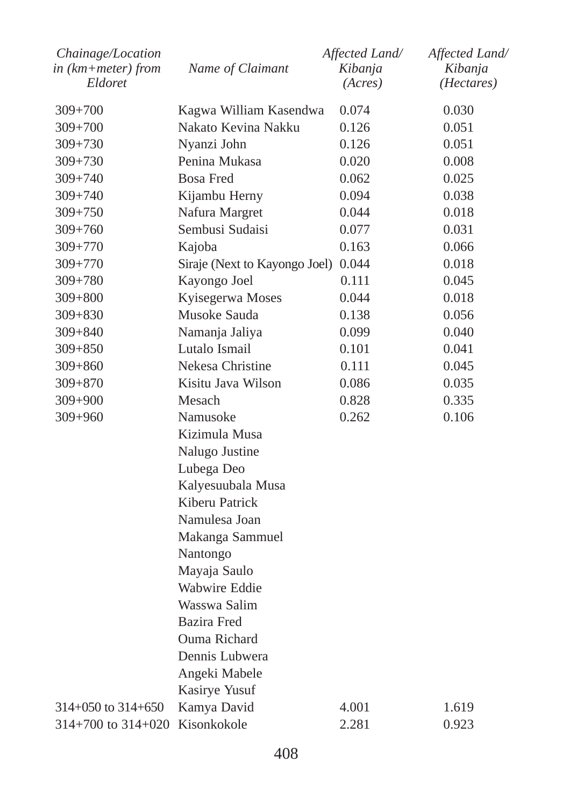| Chainage/Location<br>in (km+meter) from<br>Eldoret | Name of Claimant                    | Affected Land/<br>Kibanja<br>(Acres) | Affected Land/<br>Kibanja<br>(Hectares) |  |  |
|----------------------------------------------------|-------------------------------------|--------------------------------------|-----------------------------------------|--|--|
| $309 + 700$                                        | Kagwa William Kasendwa              | 0.074                                | 0.030                                   |  |  |
| 309+700                                            | Nakato Kevina Nakku                 | 0.126                                | 0.051                                   |  |  |
| $309 + 730$                                        | Nyanzi John                         | 0.126                                | 0.051                                   |  |  |
| $309 + 730$                                        | Penina Mukasa                       | 0.020                                | 0.008                                   |  |  |
| 309+740                                            | <b>Bosa Fred</b>                    | 0.062                                | 0.025                                   |  |  |
| $309 + 740$                                        | Kijambu Herny                       | 0.094                                | 0.038                                   |  |  |
| $309 + 750$                                        | Nafura Margret                      | 0.044                                | 0.018                                   |  |  |
| $309 + 760$                                        | Sembusi Sudaisi                     | 0.077                                | 0.031                                   |  |  |
| 309+770                                            | Kajoba                              | 0.163                                | 0.066                                   |  |  |
| $309 + 770$                                        | Siraje (Next to Kayongo Joel) 0.044 |                                      | 0.018                                   |  |  |
| $309 + 780$                                        | Kayongo Joel                        | 0.111                                | 0.045                                   |  |  |
| 309+800                                            | Kyisegerwa Moses                    | 0.044                                | 0.018                                   |  |  |
| $309 + 830$                                        | Musoke Sauda                        | 0.138                                | 0.056                                   |  |  |
| $309 + 840$                                        | Namanja Jaliya                      | 0.099                                | 0.040                                   |  |  |
| $309 + 850$                                        | Lutalo Ismail                       | 0.101                                | 0.041                                   |  |  |
| 309+860                                            | Nekesa Christine                    | 0.111                                | 0.045                                   |  |  |
| $309 + 870$                                        | Kisitu Java Wilson                  | 0.086                                | 0.035                                   |  |  |
| $309 + 900$                                        | Mesach                              | 0.828                                | 0.335                                   |  |  |
| 309+960                                            | Namusoke                            | 0.262                                | 0.106                                   |  |  |
|                                                    | Kizimula Musa                       |                                      |                                         |  |  |
|                                                    | Nalugo Justine                      |                                      |                                         |  |  |
|                                                    | Lubega Deo                          |                                      |                                         |  |  |
|                                                    | Kalyesuubala Musa                   |                                      |                                         |  |  |
|                                                    | Kiberu Patrick                      |                                      |                                         |  |  |
|                                                    | Namulesa Joan                       |                                      |                                         |  |  |
|                                                    | Makanga Sammuel                     |                                      |                                         |  |  |
|                                                    | Nantongo                            |                                      |                                         |  |  |
|                                                    | Mayaja Saulo                        |                                      |                                         |  |  |
|                                                    | Wabwire Eddie                       |                                      |                                         |  |  |
|                                                    | Wasswa Salim                        |                                      |                                         |  |  |
|                                                    | <b>Bazira</b> Fred                  |                                      |                                         |  |  |
|                                                    | Ouma Richard                        |                                      |                                         |  |  |
|                                                    | Dennis Lubwera                      |                                      |                                         |  |  |
|                                                    | Angeki Mabele                       |                                      |                                         |  |  |
|                                                    | Kasirye Yusuf                       |                                      |                                         |  |  |
| $314+050$ to $314+650$                             | Kamya David                         | 4.001                                | 1.619                                   |  |  |
| $314+700$ to $314+020$                             | Kisonkokole                         | 2.281                                | 0.923                                   |  |  |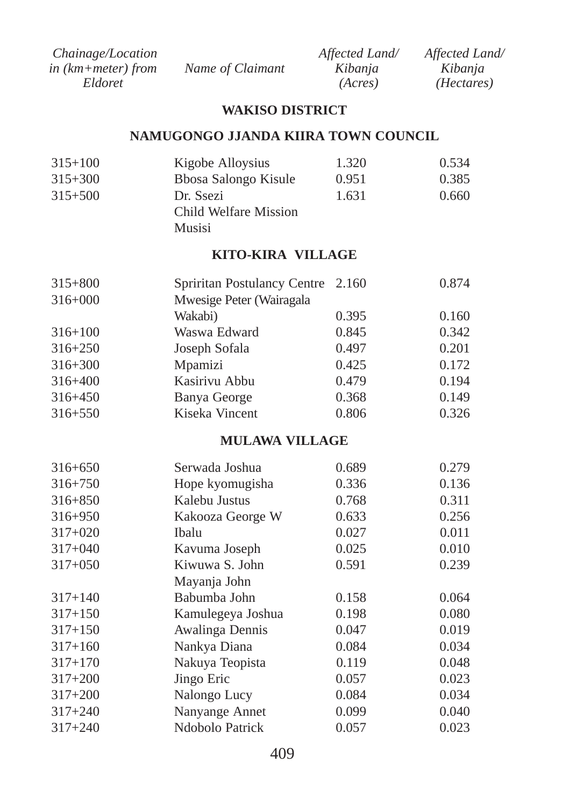| <i>Chainage/Location</i> |                  | Affected Land/ | Affected Land/      |
|--------------------------|------------------|----------------|---------------------|
| in $(km + meter)$ from   | Name of Claimant | Kibanja        | Kibania             |
| Eldoret                  |                  | (Acres)        | ( <i>Hectares</i> ) |

#### **WAKISO DISTRICT**

#### **NAMUGONGO JJANDA KIIRA TOWN COUNCIL**

| $315 + 100$ | Kigobe Alloysius      | 1.320 | 0.534 |
|-------------|-----------------------|-------|-------|
| $315 + 300$ | Bbosa Salongo Kisule  | 0.951 | 0.385 |
| $315 + 500$ | Dr. Ssezi             | 1.631 | 0.660 |
|             | Child Welfare Mission |       |       |
|             | Musisi                |       |       |

## **KITO-KIRA VILLAGE**

|                          |       | 0.874                             |
|--------------------------|-------|-----------------------------------|
| Mwesige Peter (Wairagala |       |                                   |
| Wakabi)                  | 0.395 | 0.160                             |
| Waswa Edward             | 0.845 | 0.342                             |
| Joseph Sofala            | 0.497 | 0.201                             |
| Mpamizi                  | 0.425 | 0.172                             |
| Kasirivu Abbu            | 0.479 | 0.194                             |
| Banya George             | 0.368 | 0.149                             |
| Kiseka Vincent           | 0.806 | 0.326                             |
|                          |       | Spriritan Postulancy Centre 2.160 |

#### **MULAWA VILLAGE**

| $316 + 650$ | Serwada Joshua    | 0.689 | 0.279 |
|-------------|-------------------|-------|-------|
| $316 + 750$ | Hope kyomugisha   | 0.336 | 0.136 |
| $316 + 850$ | Kalebu Justus     | 0.768 | 0.311 |
| $316 + 950$ | Kakooza George W  | 0.633 | 0.256 |
| $317+020$   | Ibalu             | 0.027 | 0.011 |
| $317 + 040$ | Kavuma Joseph     | 0.025 | 0.010 |
| $317 + 050$ | Kiwuwa S. John    | 0.591 | 0.239 |
|             | Mayanja John      |       |       |
| $317 + 140$ | Babumba John      | 0.158 | 0.064 |
| $317 + 150$ | Kamulegeya Joshua | 0.198 | 0.080 |
| $317 + 150$ | Awalinga Dennis   | 0.047 | 0.019 |
| $317 + 160$ | Nankya Diana      | 0.084 | 0.034 |
| $317 + 170$ | Nakuya Teopista   | 0.119 | 0.048 |
| $317 + 200$ | Jingo Eric        | 0.057 | 0.023 |
| $317 + 200$ | Nalongo Lucy      | 0.084 | 0.034 |
| $317 + 240$ | Nanyange Annet    | 0.099 | 0.040 |
| $317 + 240$ | Ndobolo Patrick   | 0.057 | 0.023 |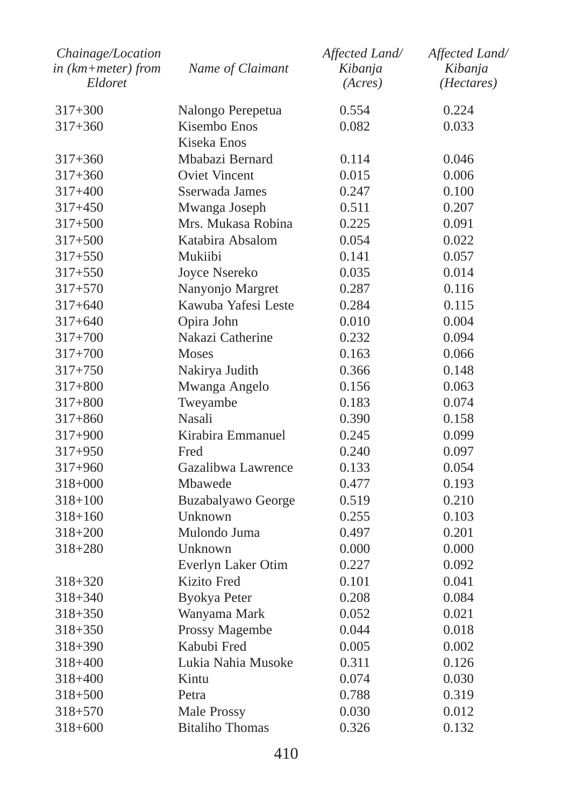| Chainage/Location<br>$in$ ( $km + meter$ ) from<br>Eldoret | Name of Claimant       | Affected Land/<br>Kibanja<br>(Acres) | Affected Land/<br>Kibanja<br>(Hectares) |
|------------------------------------------------------------|------------------------|--------------------------------------|-----------------------------------------|
| 317+300                                                    | Nalongo Perepetua      | 0.554                                | 0.224                                   |
| $317 + 360$                                                | Kisembo Enos           | 0.082                                | 0.033                                   |
|                                                            | Kiseka Enos            |                                      |                                         |
| $317 + 360$                                                | Mbabazi Bernard        | 0.114                                | 0.046                                   |
| $317 + 360$                                                | <b>Oviet Vincent</b>   | 0.015                                | 0.006                                   |
| 317+400                                                    | Sserwada James         | 0.247                                | 0.100                                   |
| $317 + 450$                                                | Mwanga Joseph          | 0.511                                | 0.207                                   |
| $317 + 500$                                                | Mrs. Mukasa Robina     | 0.225                                | 0.091                                   |
| $317 + 500$                                                | Katabira Absalom       | 0.054                                | 0.022                                   |
| 317+550                                                    | Mukiibi                | 0.141                                | 0.057                                   |
| $317 + 550$                                                | Joyce Nsereko          | 0.035                                | 0.014                                   |
| $317 + 570$                                                | Nanyonjo Margret       | 0.287                                | 0.116                                   |
| $317 + 640$                                                | Kawuba Yafesi Leste    | 0.284                                | 0.115                                   |
| $317 + 640$                                                | Opira John             | 0.010                                | 0.004                                   |
| $317+700$                                                  | Nakazi Catherine       | 0.232                                | 0.094                                   |
| $317 + 700$                                                | <b>Moses</b>           | 0.163                                | 0.066                                   |
| 317+750                                                    | Nakirya Judith         | 0.366                                | 0.148                                   |
| 317+800                                                    | Mwanga Angelo          | 0.156                                | 0.063                                   |
| $317 + 800$                                                | Tweyambe               | 0.183                                | 0.074                                   |
| $317 + 860$                                                | Nasali                 | 0.390                                | 0.158                                   |
| $317+900$                                                  | Kirabira Emmanuel      | 0.245                                | 0.099                                   |
| $317+950$                                                  | Fred                   | 0.240                                | 0.097                                   |
| $317+960$                                                  | Gazalibwa Lawrence     | 0.133                                | 0.054                                   |
| $318 + 000$                                                | Mbawede                | 0.477                                | 0.193                                   |
| $318 + 100$                                                | Buzabalyawo George     | 0.519                                | 0.210                                   |
| 318+160                                                    | Unknown                | 0.255                                | 0.103                                   |
| $318 + 200$                                                | Mulondo Juma           | 0.497                                | 0.201                                   |
| 318+280                                                    | Unknown                | 0.000                                | 0.000                                   |
|                                                            | Everlyn Laker Otim     | 0.227                                | 0.092                                   |
| $318 + 320$                                                | Kizito Fred            | 0.101                                | 0.041                                   |
| $318 + 340$                                                | <b>Byokya Peter</b>    | 0.208                                | 0.084                                   |
| $318 + 350$                                                | Wanyama Mark           | 0.052                                | 0.021                                   |
| $318 + 350$                                                | Prossy Magembe         | 0.044                                | 0.018                                   |
| $318 + 390$                                                | Kabubi Fred            | 0.005                                | 0.002                                   |
| $318 + 400$                                                | Lukia Nahia Musoke     | 0.311                                | 0.126                                   |
| $318 + 400$                                                | Kintu                  | 0.074                                | 0.030                                   |
| $318 + 500$                                                | Petra                  | 0.788                                | 0.319                                   |
| 318+570                                                    | Male Prossy            | 0.030                                | 0.012                                   |
| $318 + 600$                                                | <b>Bitaliho Thomas</b> | 0.326                                | 0.132                                   |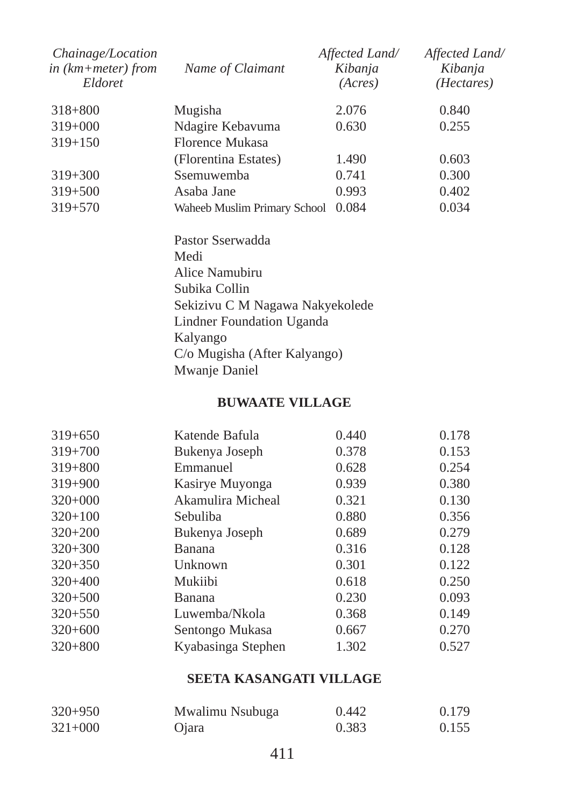| Chainage/Location<br>in $(km + meter)$ from<br>Eldoret | Name of Claimant                | Affected Land/<br>Kibanja<br>(Acres) | Affected Land/<br>Kibanja<br>( <i>Hectares</i> ) |  |  |
|--------------------------------------------------------|---------------------------------|--------------------------------------|--------------------------------------------------|--|--|
| $318 + 800$                                            | Mugisha                         | 2.076                                | 0.840                                            |  |  |
| $319+000$                                              | Ndagire Kebavuma                | 0.630                                | 0.255                                            |  |  |
| $319 + 150$                                            | Florence Mukasa                 |                                      |                                                  |  |  |
|                                                        | (Florentina Estates)            | 1.490                                | 0.603                                            |  |  |
| $319 + 300$                                            | Ssemuwemba                      | 0.741                                | 0.300                                            |  |  |
| $319 + 500$                                            | Asaba Jane                      | 0.993                                | 0.402                                            |  |  |
| $319 + 570$                                            | Waheeb Muslim Primary School    | 0.084                                | 0.034                                            |  |  |
|                                                        | Pastor Sserwadda                |                                      |                                                  |  |  |
|                                                        | Medi                            |                                      |                                                  |  |  |
|                                                        | Alice Namubiru                  |                                      |                                                  |  |  |
|                                                        | Subika Collin                   |                                      |                                                  |  |  |
|                                                        | Sekizivu C M Nagawa Nakyekolede |                                      |                                                  |  |  |
|                                                        | Lindner Foundation Uganda       |                                      |                                                  |  |  |
|                                                        | Kalyango                        |                                      |                                                  |  |  |
|                                                        | C/o Mugisha (After Kalyango)    |                                      |                                                  |  |  |
|                                                        | Mwanje Daniel                   |                                      |                                                  |  |  |
|                                                        |                                 |                                      |                                                  |  |  |

## **BUWAATE VILLAGE**

| $319 + 650$ | Katende Bafula     | 0.440 | 0.178 |
|-------------|--------------------|-------|-------|
| $319 + 700$ | Bukenya Joseph     | 0.378 | 0.153 |
| $319 + 800$ | Emmanuel           | 0.628 | 0.254 |
| $319 + 900$ | Kasirye Muyonga    | 0.939 | 0.380 |
| $320+000$   | Akamulira Micheal  | 0.321 | 0.130 |
| $320+100$   | Sebuliba           | 0.880 | 0.356 |
| $320+200$   | Bukenya Joseph     | 0.689 | 0.279 |
| $320+300$   | Banana             | 0.316 | 0.128 |
| $320+350$   | Unknown            | 0.301 | 0.122 |
| $320 + 400$ | Mukiibi            | 0.618 | 0.250 |
| $320 + 500$ | Banana             | 0.230 | 0.093 |
| $320 + 550$ | Luwemba/Nkola      | 0.368 | 0.149 |
| $320+600$   | Sentongo Mukasa    | 0.667 | 0.270 |
| $320 + 800$ | Kyabasinga Stephen | 1.302 | 0.527 |
|             |                    |       |       |

# **SEETA KASANGATI VILLAGE**

| $320+950$ | Mwalimu Nsubuga | 0.442 | 0.179 |
|-----------|-----------------|-------|-------|
| $321+000$ | <b>O</b> jara   | 0.383 | 0.155 |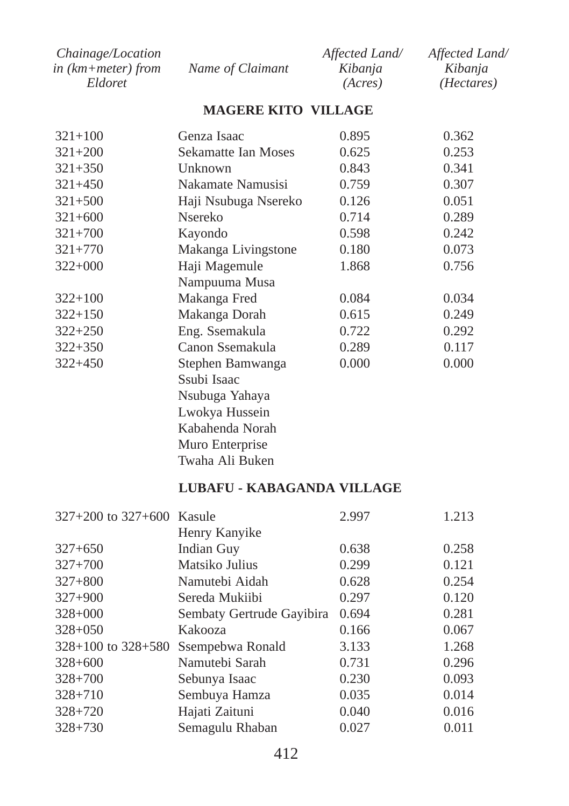| <i>Chainage/Location</i> |                  | Affected Land/ | Affected Land/      |
|--------------------------|------------------|----------------|---------------------|
| in (km+meter) from       | Name of Claimant | Kibanja        | Kibanja             |
| Eldoret                  |                  | (Acres)        | ( <i>Hectares</i> ) |

#### **MAGERE KITO VILLAGE**

| $321 + 100$ | Genza Isaac          | 0.895 | 0.362 |
|-------------|----------------------|-------|-------|
| $321 + 200$ | Sekamatte Ian Moses  | 0.625 | 0.253 |
| $321 + 350$ | Unknown              | 0.843 | 0.341 |
| $321 + 450$ | Nakamate Namusisi    | 0.759 | 0.307 |
| $321 + 500$ | Haji Nsubuga Nsereko | 0.126 | 0.051 |
| $321 + 600$ | <b>N</b> sereko      | 0.714 | 0.289 |
| $321 + 700$ | Kayondo              | 0.598 | 0.242 |
| $321 + 770$ | Makanga Livingstone  | 0.180 | 0.073 |
| $322+000$   | Haji Magemule        | 1.868 | 0.756 |
|             | Nampuuma Musa        |       |       |
| $322 + 100$ | Makanga Fred         | 0.084 | 0.034 |
| $322+150$   | Makanga Dorah        | 0.615 | 0.249 |
| $322 + 250$ | Eng. Ssemakula       | 0.722 | 0.292 |
| $322 + 350$ | Canon Ssemakula      | 0.289 | 0.117 |
| $322 + 450$ | Stephen Bamwanga     | 0.000 | 0.000 |
|             | Ssubi Isaac          |       |       |
|             | Nsubuga Yahaya       |       |       |
|             | Lwokya Hussein       |       |       |
|             | Kabahenda Norah      |       |       |
|             | Muro Enterprise      |       |       |
|             | Twaha Ali Buken      |       |       |

#### **LUBAFU - KABAGANDA VILLAGE**

| 327+200 to 327+600 Kasule |                           | 2.997 | 1.213 |
|---------------------------|---------------------------|-------|-------|
|                           | Henry Kanyike             |       |       |
| $327+650$                 | Indian Guy                | 0.638 | 0.258 |
| $327 + 700$               | Matsiko Julius            | 0.299 | 0.121 |
| $327 + 800$               | Namutebi Aidah            | 0.628 | 0.254 |
| $327+900$                 | Sereda Mukiibi            | 0.297 | 0.120 |
| $328 + 000$               | Sembaty Gertrude Gayibira | 0.694 | 0.281 |
| $328 + 050$               | Kakooza                   | 0.166 | 0.067 |
| $328+100$ to $328+580$    | Ssempebwa Ronald          | 3.133 | 1.268 |
| $328 + 600$               | Namutebi Sarah            | 0.731 | 0.296 |
| $328 + 700$               | Sebunya Isaac             | 0.230 | 0.093 |
| $328 + 710$               | Sembuya Hamza             | 0.035 | 0.014 |
| $328 + 720$               | Hajati Zaituni            | 0.040 | 0.016 |
| $328 + 730$               | Semagulu Rhaban           | 0.027 | 0.011 |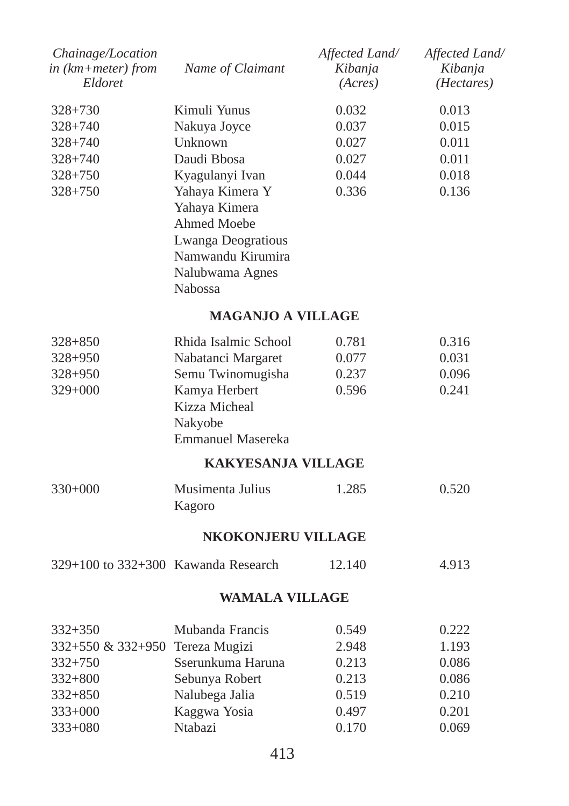| Chainage/Location<br>in (km+meter) from<br>Eldoret | Name of Claimant                                                                                                                       | Affected Land/<br>Kibanja<br>(Acres) | Affected Land/<br>Kibanja<br>( <i>Hectares</i> ) |
|----------------------------------------------------|----------------------------------------------------------------------------------------------------------------------------------------|--------------------------------------|--------------------------------------------------|
| $328 + 730$                                        | Kimuli Yunus                                                                                                                           | 0.032                                | 0.013                                            |
| $328 + 740$                                        | Nakuya Joyce                                                                                                                           | 0.037                                | 0.015                                            |
| $328 + 740$                                        | Unknown                                                                                                                                | 0.027                                | 0.011                                            |
| $328 + 740$                                        | Daudi Bhosa                                                                                                                            | 0.027                                | 0.011                                            |
| $328 + 750$                                        | Kyagulanyi Ivan                                                                                                                        | 0.044                                | 0.018                                            |
| $328 + 750$                                        | Yahaya Kimera Y<br>Yahaya Kimera<br><b>Ahmed Moebe</b><br>Lwanga Deogratious<br>Namwandu Kirumira<br>Nalubwama Agnes<br><b>Nabossa</b> | 0.336                                | 0.136                                            |
|                                                    | <b>MAGANJO A VILLAGE</b>                                                                                                               |                                      |                                                  |
| 328+850                                            | Rhida Isalmic School                                                                                                                   | 0.781                                | 0.316                                            |
| $328 + 950$                                        | Nabatanci Margaret                                                                                                                     | 0.077                                | 0.031                                            |
| 328+950                                            | Semu Twinomugisha                                                                                                                      | 0.237                                | 0.096                                            |
| 329+000                                            | Kamya Herbert<br>Kizza Micheal<br>Nakyobe<br><b>Emmanuel Masereka</b>                                                                  | 0.596                                | 0.241                                            |
|                                                    | <b>KAKYESANJA VILLAGE</b>                                                                                                              |                                      |                                                  |
| $330+000$                                          | Musimenta Julius<br>Kagoro                                                                                                             | 1.285                                | 0.520                                            |
|                                                    | <b>NKOKONJERU VILLAGE</b>                                                                                                              |                                      |                                                  |
| $329+100$ to $332+300$ Kawanda Research            |                                                                                                                                        | 12.140                               | 4.913                                            |
|                                                    | WAMALA VILLAGE                                                                                                                         |                                      |                                                  |
| $332 + 350$                                        | Mubanda Francis                                                                                                                        | 0.549                                | 0.222                                            |
| 332+550 & 332+950                                  | Tereza Mugizi                                                                                                                          | 2.948                                | 1.193                                            |
| 332+750                                            | Sserunkuma Haruna                                                                                                                      | 0.213                                | 0.086                                            |
| $332 + 800$                                        | Sebunya Robert                                                                                                                         | 0.213                                | 0.086                                            |
| $332 + 850$                                        | Nalubega Jalia                                                                                                                         | 0.519                                | 0.210                                            |
| $333+000$                                          | Kaggwa Yosia                                                                                                                           | 0.497                                | 0.201                                            |
| 333+080                                            | Ntabazi                                                                                                                                | 0.170                                | 0.069                                            |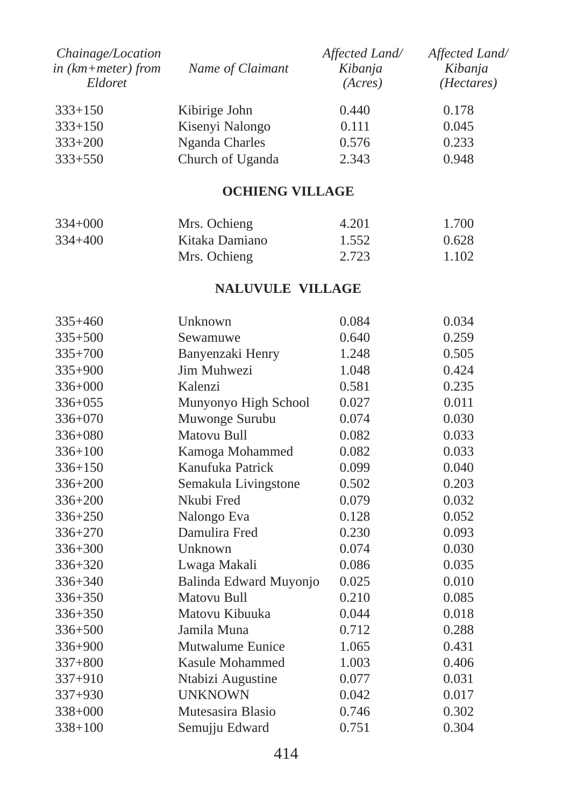| Chainage/Location<br>$in$ ( $km + meter$ ) from<br>Eldoret | Name of Claimant | Affected Land/<br>Kibanja<br>(Acres) | Affected Land/<br>Kibanja<br>( <i>Hectares</i> ) |
|------------------------------------------------------------|------------------|--------------------------------------|--------------------------------------------------|
| $333+150$                                                  | Kibirige John    | 0.440                                | 0.178                                            |
| $333+150$                                                  | Kisenyi Nalongo  | 0.111                                | 0.045                                            |
| $333+200$                                                  | Nganda Charles   | 0.576                                | 0.233                                            |
| $333+550$                                                  | Church of Uganda | 2.343                                | 0.948                                            |

#### **OCHIENG VILLAGE**

| $334+000$   | Mrs. Ochieng   | 4.201 | 1.700 |
|-------------|----------------|-------|-------|
| $334 + 400$ | Kitaka Damiano | 1.552 | 0.628 |
|             | Mrs. Ochieng   | 2.723 | 1.102 |

#### **NALUVULE VILLAGE**

| $335+460$   | Unknown                | 0.084 | 0.034 |
|-------------|------------------------|-------|-------|
| $335 + 500$ | Sewamuwe               | 0.640 | 0.259 |
| $335 + 700$ | Banyenzaki Henry       | 1.248 | 0.505 |
| $335+900$   | Jim Muhwezi            | 1.048 | 0.424 |
| $336 + 000$ | Kalenzi                | 0.581 | 0.235 |
| $336 + 055$ | Munyonyo High School   | 0.027 | 0.011 |
| 336+070     | Muwonge Surubu         | 0.074 | 0.030 |
| $336 + 080$ | Matovu Bull            | 0.082 | 0.033 |
| $336 + 100$ | Kamoga Mohammed        | 0.082 | 0.033 |
| $336 + 150$ | Kanufuka Patrick       | 0.099 | 0.040 |
| 336+200     | Semakula Livingstone   | 0.502 | 0.203 |
| $336 + 200$ | Nkubi Fred             | 0.079 | 0.032 |
| 336+250     | Nalongo Eva            | 0.128 | 0.052 |
| $336 + 270$ | Damulira Fred          | 0.230 | 0.093 |
| $336 + 300$ | Unknown                | 0.074 | 0.030 |
| $336 + 320$ | Lwaga Makali           | 0.086 | 0.035 |
| $336 + 340$ | Balinda Edward Muyonjo | 0.025 | 0.010 |
| 336+350     | Matovu Bull            | 0.210 | 0.085 |
| $336 + 350$ | Matovu Kibuuka         | 0.044 | 0.018 |
| 336+500     | Jamila Muna            | 0.712 | 0.288 |
| 336+900     | Mutwalume Eunice       | 1.065 | 0.431 |
| $337 + 800$ | Kasule Mohammed        | 1.003 | 0.406 |
| $337+910$   | Ntabizi Augustine      | 0.077 | 0.031 |
| $337+930$   | <b>UNKNOWN</b>         | 0.042 | 0.017 |
| 338+000     | Mutesasira Blasio      | 0.746 | 0.302 |
| $338 + 100$ | Semujju Edward         | 0.751 | 0.304 |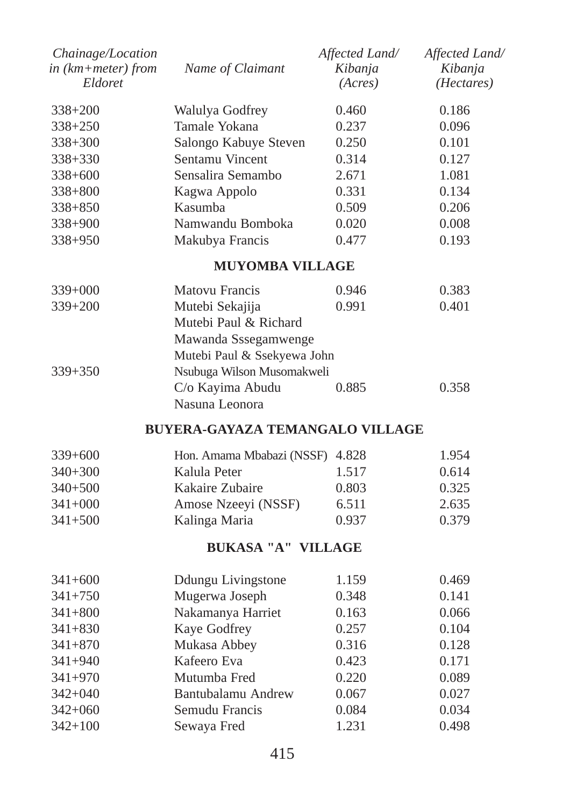| Chainage/Location<br>in $(km + meter)$ from<br>Eldoret | Name of Claimant      | Affected Land/<br>Kibanja<br>(Acres) | Affected Land/<br>Kibanja<br>( <i>Hectares</i> ) |
|--------------------------------------------------------|-----------------------|--------------------------------------|--------------------------------------------------|
| $338 + 200$                                            | Walulya Godfrey       | 0.460                                | 0.186                                            |
| $338 + 250$                                            | Tamale Yokana         | 0.237                                | 0.096                                            |
| $338 + 300$                                            | Salongo Kabuye Steven | 0.250                                | 0.101                                            |
| $338 + 330$                                            | Sentamu Vincent       | 0.314                                | 0.127                                            |
| $338 + 600$                                            | Sensalira Semambo     | 2.671                                | 1.081                                            |
| $338 + 800$                                            | Kagwa Appolo          | 0.331                                | 0.134                                            |
| $338 + 850$                                            | Kasumba               | 0.509                                | 0.206                                            |
| $338+900$                                              | Namwandu Bomboka      | 0.020                                | 0.008                                            |
| $338+950$                                              | Makubya Francis       | 0.477                                | 0.193                                            |
|                                                        |                       |                                      |                                                  |

## **MUYOMBA VILLAGE**

| $339+000$   | <b>Matovu Francis</b>       | 0.946 | 0.383 |
|-------------|-----------------------------|-------|-------|
| $339 + 200$ | Mutebi Sekajija             | 0.991 | 0.401 |
|             | Mutebi Paul & Richard       |       |       |
|             | Mawanda Sssegamwenge        |       |       |
|             | Mutebi Paul & Ssekyewa John |       |       |
| $339 + 350$ | Nsubuga Wilson Musomakweli  |       |       |
|             | C/o Kayima Abudu            | 0.885 | 0.358 |
|             | Nasuna Leonora              |       |       |

## **BUYERA-GAYAZA TEMANGALO VILLAGE**

| $339+600$   | Hon. Amama Mbabazi (NSSF) 4.828 |       | 1.954 |
|-------------|---------------------------------|-------|-------|
| $340+300$   | Kalula Peter                    | 1.517 | 0.614 |
| $340+500$   | Kakaire Zubaire                 | 0.803 | 0.325 |
| $341+000$   | Amose Nzeeyi (NSSF)             | 6.511 | 2.635 |
| $341 + 500$ | Kalinga Maria                   | 0.937 | 0.379 |

## **BUKASA "A" VILLAGE**

| $341+600$   | Ddungu Livingstone | 1.159 | 0.469 |
|-------------|--------------------|-------|-------|
| $341 + 750$ | Mugerwa Joseph     | 0.348 | 0.141 |
| $341 + 800$ | Nakamanya Harriet  | 0.163 | 0.066 |
| $341 + 830$ | Kaye Godfrey       | 0.257 | 0.104 |
| $341 + 870$ | Mukasa Abbey       | 0.316 | 0.128 |
| $341 + 940$ | Kafeero Eva        | 0.423 | 0.171 |
| $341 + 970$ | Mutumba Fred       | 0.220 | 0.089 |
| $342 + 040$ | Bantubalamu Andrew | 0.067 | 0.027 |
| $342+060$   | Semudu Francis     | 0.084 | 0.034 |
| $342 + 100$ | Sewaya Fred        | 1.231 | 0.498 |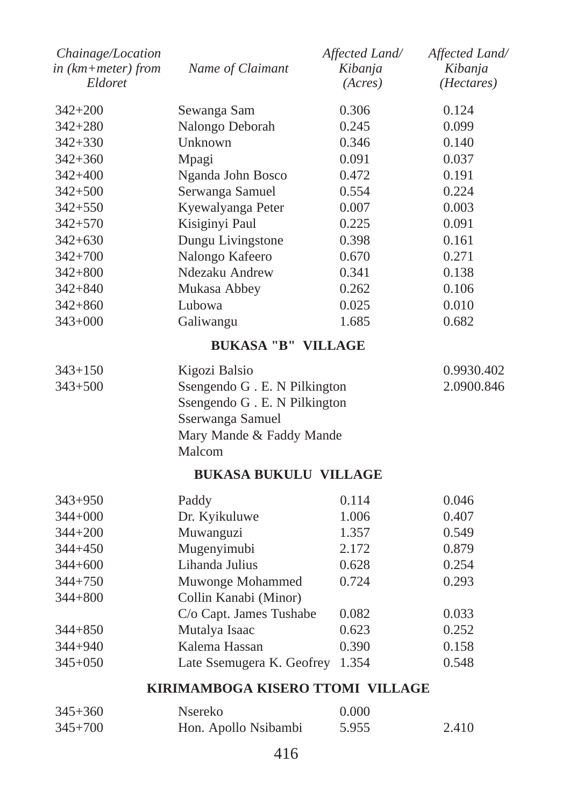| Chainage/Location<br>$in$ ( $km + meter$ ) from<br>Eldoret | Name of Claimant              | Affected Land/<br>Kibanja<br>(Acres) | Affected Land/<br>Kibanja<br>(Hectares) |
|------------------------------------------------------------|-------------------------------|--------------------------------------|-----------------------------------------|
|                                                            |                               |                                      |                                         |
| $342 + 200$                                                | Sewanga Sam                   | 0.306                                | 0.124                                   |
| 342+280                                                    | Nalongo Deborah               | 0.245                                | 0.099                                   |
| $342 + 330$                                                | Unknown                       | 0.346                                | 0.140                                   |
| $342 + 360$                                                | Mpagi                         | 0.091                                | 0.037                                   |
| $342 + 400$                                                | Nganda John Bosco             | 0.472                                | 0.191                                   |
| $342 + 500$                                                | Serwanga Samuel               | 0.554                                | 0.224                                   |
| $342 + 550$                                                | Kyewalyanga Peter             | 0.007                                | 0.003                                   |
| $342 + 570$                                                | Kisiginyi Paul                | 0.225                                | 0.091                                   |
| $342 + 630$                                                | Dungu Livingstone             | 0.398                                | 0.161                                   |
| $342 + 700$                                                | Nalongo Kafeero               | 0.670                                | 0.271                                   |
| $342 + 800$                                                | Ndezaku Andrew                | 0.341                                | 0.138                                   |
| $342 + 840$                                                | Mukasa Abbey                  | 0.262                                | 0.106                                   |
| $342 + 860$                                                | Lubowa                        | 0.025                                | 0.010                                   |
| $343 + 000$                                                | Galiwangu                     | 1.685                                | 0.682                                   |
|                                                            | <b>BUKASA "B" VILLAGE</b>     |                                      |                                         |
| $343 + 150$                                                | Kigozi Balsio                 |                                      | 0.9930.402                              |
| $343 + 500$                                                | Ssengendo G . E. N Pilkington |                                      | 2.0900.846                              |
|                                                            | Ssengendo G . E. N Pilkington |                                      |                                         |
|                                                            | Sserwanga Samuel              |                                      |                                         |
|                                                            | Mary Mande & Faddy Mande      |                                      |                                         |
|                                                            | Malcom                        |                                      |                                         |
|                                                            | <b>BUKASA BUKULU VILLAGE</b>  |                                      |                                         |
| $343 + 950$                                                | Paddy                         | 0.114                                | 0.046                                   |
| $344 + 000$                                                | Dr. Kyikuluwe                 | 1.006                                | 0.407                                   |
| $344 + 200$                                                | Muwanguzi                     | 1.357                                | 0.549                                   |
| 344+450                                                    | Mugenyimubi                   | 2.172                                | 0.879                                   |
| $344 + 600$                                                | Lihanda Julius                | 0.628                                | 0.254                                   |
| $344 + 750$                                                | Muwonge Mohammed              | 0.724                                | 0.293                                   |
| $344 + 800$                                                | Collin Kanabi (Minor)         |                                      |                                         |
|                                                            | C/o Capt. James Tushabe       | 0.082                                | 0.033                                   |
| $344 + 850$                                                | Mutalya Isaac                 | 0.623                                | 0.252                                   |
| 344+940                                                    | Kalema Hassan                 | 0.390                                | 0.158                                   |
| $345+050$                                                  | Late Ssemugera K. Geofrey     | 1.354                                | 0.548                                   |
|                                                            |                               |                                      |                                         |

# **KIRIMAMBOGA KISERO TTOMI VILLAGE**

| $345 + 360$ | Nsereko              | 0.000 |       |
|-------------|----------------------|-------|-------|
| $345 + 700$ | Hon. Apollo Nsibambi | 5.955 | 2.410 |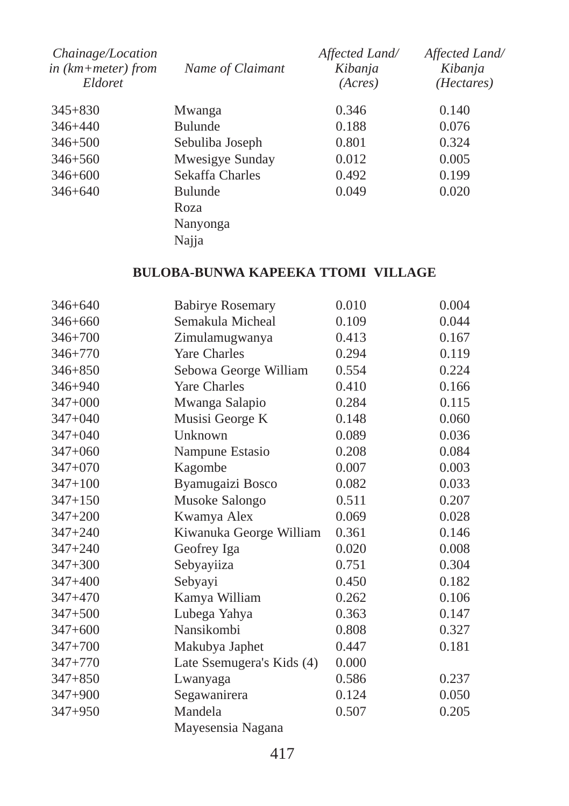| Chainage/Location<br>in $(km + meter)$ from<br>Eldoret | Name of Claimant                            | Affected Land/<br>Kibanja<br>(Acres) | Affected Land/<br>Kibanja<br>( <i>Hectares</i> ) |
|--------------------------------------------------------|---------------------------------------------|--------------------------------------|--------------------------------------------------|
| $345 + 830$                                            | Mwanga                                      | 0.346                                | 0.140                                            |
| $346 + 440$                                            | <b>Bulunde</b>                              | 0.188                                | 0.076                                            |
| $346 + 500$                                            | Sebuliba Joseph                             | 0.801                                | 0.324                                            |
| $346 + 560$                                            | Mwesigye Sunday                             | 0.012                                | 0.005                                            |
| $346 + 600$                                            | Sekaffa Charles                             | 0.492                                | 0.199                                            |
| $346 + 640$                                            | <b>Bulunde</b><br>Roza<br>Nanyonga<br>Najja | 0.049                                | 0.020                                            |
|                                                        |                                             |                                      |                                                  |

# **BULOBA-BUNWA KAPEEKA TTOMI VILLAGE**

| 346+640     | <b>Babirye Rosemary</b>   | 0.010 | 0.004 |
|-------------|---------------------------|-------|-------|
| $346 + 660$ | Semakula Micheal          | 0.109 | 0.044 |
| $346 + 700$ | Zimulamugwanya            | 0.413 | 0.167 |
| $346 + 770$ | <b>Yare Charles</b>       | 0.294 | 0.119 |
| $346 + 850$ | Sebowa George William     | 0.554 | 0.224 |
| 346+940     | <b>Yare Charles</b>       | 0.410 | 0.166 |
| $347 + 000$ | Mwanga Salapio            | 0.284 | 0.115 |
| $347 + 040$ | Musisi George K           | 0.148 | 0.060 |
| $347+040$   | Unknown                   | 0.089 | 0.036 |
| $347+060$   | Nampune Estasio           | 0.208 | 0.084 |
| $347 + 070$ | Kagombe                   | 0.007 | 0.003 |
| $347 + 100$ | Byamugaizi Bosco          | 0.082 | 0.033 |
| $347 + 150$ | Musoke Salongo            | 0.511 | 0.207 |
| $347 + 200$ | Kwamya Alex               | 0.069 | 0.028 |
| $347 + 240$ | Kiwanuka George William   | 0.361 | 0.146 |
| $347 + 240$ | Geofrey Iga               | 0.020 | 0.008 |
| $347 + 300$ | Sebyayiiza                | 0.751 | 0.304 |
| $347 + 400$ | Sebyayi                   | 0.450 | 0.182 |
| $347 + 470$ | Kamya William             | 0.262 | 0.106 |
| $347 + 500$ | Lubega Yahya              | 0.363 | 0.147 |
| $347 + 600$ | Nansikombi                | 0.808 | 0.327 |
| $347 + 700$ | Makubya Japhet            | 0.447 | 0.181 |
| $347 + 770$ | Late Ssemugera's Kids (4) | 0.000 |       |
| $347 + 850$ | Lwanyaga                  | 0.586 | 0.237 |
| $347 + 900$ | Segawanirera              | 0.124 | 0.050 |
| $347 + 950$ | Mandela                   | 0.507 | 0.205 |
|             | Mayesensia Nagana         |       |       |
|             |                           |       |       |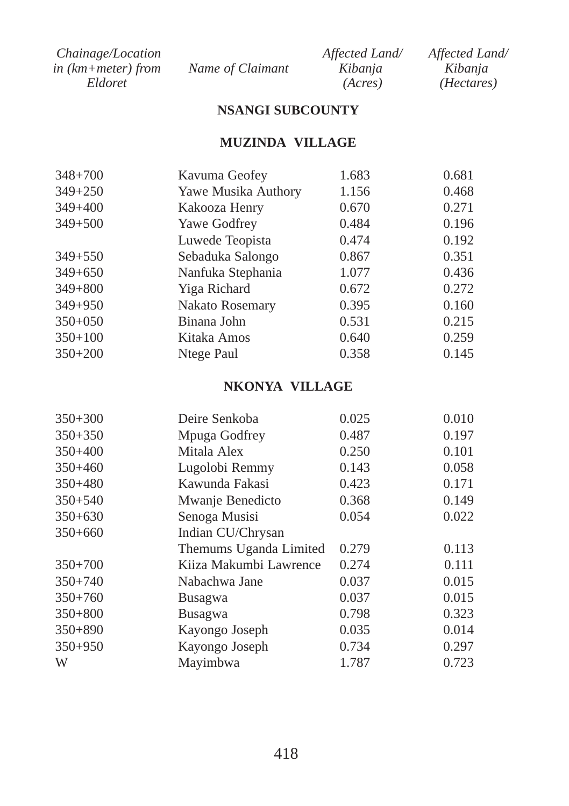| Chainage/Location    |                  | Affected Land/ | Affected Land/      |
|----------------------|------------------|----------------|---------------------|
| in $(km+meter)$ from | Name of Claimant | Kibanja        | Kibanja             |
| Eldoret              |                  | (Acres)        | ( <i>Hectares</i> ) |

## **NSANGI SUBCOUNTY**

## **MUZINDA VILLAGE**

| $348 + 700$ | Kavuma Geofey          | 1.683 | 0.681 |
|-------------|------------------------|-------|-------|
| $349 + 250$ | Yawe Musika Authory    | 1.156 | 0.468 |
| $349 + 400$ | Kakooza Henry          | 0.670 | 0.271 |
| $349 + 500$ | Yawe Godfrey           | 0.484 | 0.196 |
|             | Luwede Teopista        | 0.474 | 0.192 |
| $349 + 550$ | Sebaduka Salongo       | 0.867 | 0.351 |
| $349 + 650$ | Nanfuka Stephania      | 1.077 | 0.436 |
| $349 + 800$ | Yiga Richard           | 0.672 | 0.272 |
| $349 + 950$ | <b>Nakato Rosemary</b> | 0.395 | 0.160 |
| $350+050$   | Binana John            | 0.531 | 0.215 |
| $350+100$   | Kitaka Amos            | 0.640 | 0.259 |
| $350+200$   | Ntege Paul             | 0.358 | 0.145 |
|             |                        |       |       |

### **NKONYA VILLAGE**

| Deire Senkoba          | 0.025 | 0.010 |
|------------------------|-------|-------|
| Mpuga Godfrey          | 0.487 | 0.197 |
| Mitala Alex            | 0.250 | 0.101 |
| Lugolobi Remmy         | 0.143 | 0.058 |
| Kawunda Fakasi         | 0.423 | 0.171 |
| Mwanje Benedicto       | 0.368 | 0.149 |
| Senoga Musisi          | 0.054 | 0.022 |
| Indian CU/Chrysan      |       |       |
| Themums Uganda Limited | 0.279 | 0.113 |
| Kiiza Makumbi Lawrence | 0.274 | 0.111 |
| Nabachwa Jane          | 0.037 | 0.015 |
| Busagwa                | 0.037 | 0.015 |
| Busagwa                | 0.798 | 0.323 |
| Kayongo Joseph         | 0.035 | 0.014 |
| Kayongo Joseph         | 0.734 | 0.297 |
| Mayimbwa               | 1.787 | 0.723 |
|                        |       |       |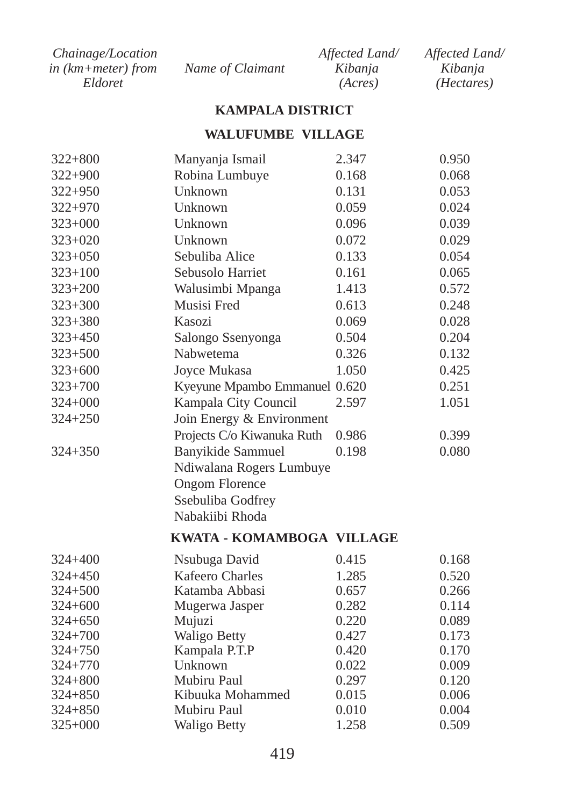| <i>Chainage/Location</i> |                  | Affected Land/ | Affected Land/      |
|--------------------------|------------------|----------------|---------------------|
| in (km+meter) from       | Name of Claimant | Kibanja        | Kibanja             |
| Eldoret                  |                  | (Acres)        | ( <i>Hectares</i> ) |

#### **KAMPALA DISTRICT**

#### **WALUFUMBE VILLAGE**

| $322 + 800$ | Manyanja Ismail               | 2.347 | 0.950 |
|-------------|-------------------------------|-------|-------|
| $322 + 900$ | Robina Lumbuye                | 0.168 | 0.068 |
| $322 + 950$ | Unknown                       | 0.131 | 0.053 |
| $322 + 970$ | Unknown                       | 0.059 | 0.024 |
| $323+000$   | Unknown                       | 0.096 | 0.039 |
| $323 + 020$ | Unknown                       | 0.072 | 0.029 |
| $323 + 050$ | Sebuliba Alice                | 0.133 | 0.054 |
| $323 + 100$ | Sebusolo Harriet              | 0.161 | 0.065 |
| $323 + 200$ | Walusimbi Mpanga              | 1.413 | 0.572 |
| $323 + 300$ | Musisi Fred                   | 0.613 | 0.248 |
| $323 + 380$ | Kasozi                        | 0.069 | 0.028 |
| $323 + 450$ | Salongo Ssenyonga             | 0.504 | 0.204 |
| $323 + 500$ | Nabwetema                     | 0.326 | 0.132 |
| $323 + 600$ | Joyce Mukasa                  | 1.050 | 0.425 |
| $323 + 700$ | Kyeyune Mpambo Emmanuel 0.620 |       | 0.251 |
| $324 + 000$ | Kampala City Council          | 2.597 | 1.051 |
| $324 + 250$ | Join Energy & Environment     |       |       |
|             | Projects C/o Kiwanuka Ruth    | 0.986 | 0.399 |
| $324 + 350$ | Banyikide Sammuel             | 0.198 | 0.080 |
|             | Ndiwalana Rogers Lumbuye      |       |       |
|             | <b>Ongom Florence</b>         |       |       |
|             | Ssebuliba Godfrey             |       |       |
|             | Nabakiibi Rhoda               |       |       |
|             | KWATA - KOMAMBOGA VILLAGE     |       |       |
|             |                               |       |       |
| $324 + 400$ | Nsubuga David                 | 0.415 | 0.168 |
| $324 + 450$ | <b>Kafeero Charles</b>        | 1.285 | 0.520 |
| $324 + 500$ | Katamba Abbasi                | 0.657 | 0.266 |
| 324+600     | Mugerwa Jasper                | 0.282 | 0.114 |
| 324+650     | Mujuzi                        | 0.220 | 0.089 |
| 324+700     | <b>Waligo Betty</b>           | 0.427 | 0.173 |
| 324+750     | Kampala P.T.P                 | 0.420 | 0.170 |
| 324+770     | Unknown                       | 0.022 | 0.009 |
| 324+800     | Mubiru Paul                   | 0.297 | 0.120 |
| 324+850     | Kibuuka Mohammed              | 0.015 | 0.006 |
| 324+850     | Mubiru Paul                   | 0.010 | 0.004 |
| $325 + 000$ | Waligo Betty                  | 1.258 | 0.509 |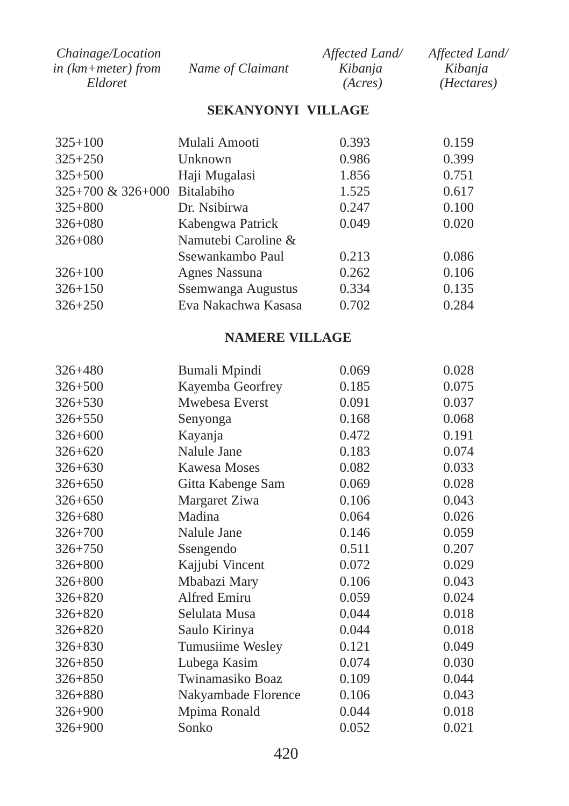| <i>Chainage/Location</i> |                  | Affected Land/ | Affected Land/      |
|--------------------------|------------------|----------------|---------------------|
| in (km+meter) from       | Name of Claimant | Kibanja        | Kibania             |
| Eldoret                  |                  | (Acres)        | ( <i>Hectares</i> ) |

#### **SEKANYONYI VILLAGE**

| $325+100$                       | Mulali Amooti       | 0.393 | 0.159 |
|---------------------------------|---------------------|-------|-------|
| $325 + 250$                     | Unknown             | 0.986 | 0.399 |
| $325 + 500$                     | Haji Mugalasi       | 1.856 | 0.751 |
| $325+700 \& 326+000$ Bitalabiho |                     | 1.525 | 0.617 |
| $325 + 800$                     | Dr. Nsibirwa        | 0.247 | 0.100 |
| $326 + 080$                     | Kabengwa Patrick    | 0.049 | 0.020 |
| $326 + 080$                     | Namutebi Caroline & |       |       |
|                                 | Ssewankambo Paul    | 0.213 | 0.086 |
| $326 + 100$                     | Agnes Nassuna       | 0.262 | 0.106 |
| $326 + 150$                     | Ssemwanga Augustus  | 0.334 | 0.135 |
| $326 + 250$                     | Eva Nakachwa Kasasa | 0.702 | 0.284 |

# **NAMERE VILLAGE**

| $326 + 480$ | Bumali Mpindi       | 0.069 | 0.028 |
|-------------|---------------------|-------|-------|
| $326 + 500$ | Kayemba Georfrey    | 0.185 | 0.075 |
| $326 + 530$ | Mwebesa Everst      | 0.091 | 0.037 |
| $326 + 550$ | Senyonga            | 0.168 | 0.068 |
| $326 + 600$ | Kayanja             | 0.472 | 0.191 |
| $326 + 620$ | Nalule Jane         | 0.183 | 0.074 |
| $326 + 630$ | Kawesa Moses        | 0.082 | 0.033 |
| $326 + 650$ | Gitta Kabenge Sam   | 0.069 | 0.028 |
| $326 + 650$ | Margaret Ziwa       | 0.106 | 0.043 |
| $326 + 680$ | Madina              | 0.064 | 0.026 |
| $326 + 700$ | Nalule Jane         | 0.146 | 0.059 |
| $326 + 750$ | Ssengendo           | 0.511 | 0.207 |
| $326 + 800$ | Kajjubi Vincent     | 0.072 | 0.029 |
| $326 + 800$ | Mbabazi Mary        | 0.106 | 0.043 |
| $326 + 820$ | Alfred Emiru        | 0.059 | 0.024 |
| $326 + 820$ | Selulata Musa       | 0.044 | 0.018 |
| $326 + 820$ | Saulo Kirinya       | 0.044 | 0.018 |
| $326 + 830$ | Tumusiime Wesley    | 0.121 | 0.049 |
| $326 + 850$ | Lubega Kasim        | 0.074 | 0.030 |
| $326 + 850$ | Twinamasiko Boaz    | 0.109 | 0.044 |
| $326 + 880$ | Nakyambade Florence | 0.106 | 0.043 |
| $326 + 900$ | Mpima Ronald        | 0.044 | 0.018 |
| $326 + 900$ | Sonko               | 0.052 | 0.021 |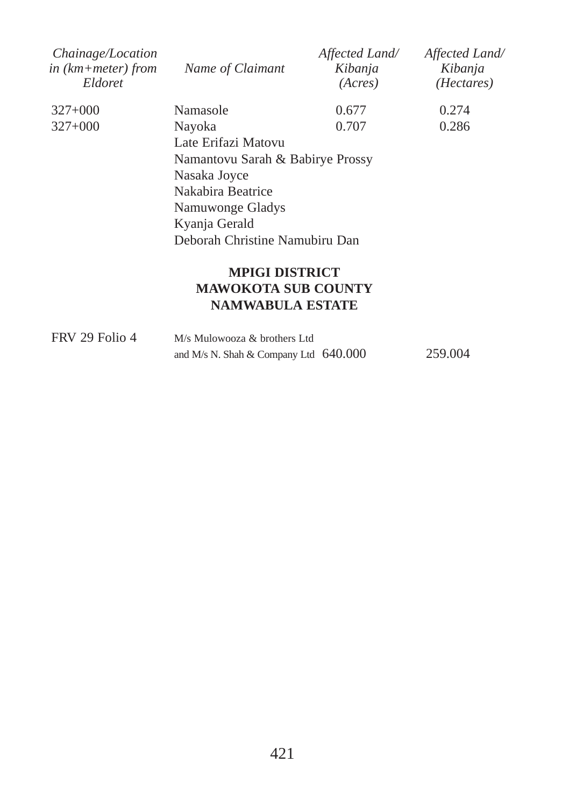| Chainage/Location<br>in $(km + meter)$ from<br>Eldoret | Name of Claimant                 | Affected Land/<br>Kibanja<br>(Acres) | Affected Land/<br>Kibanja<br>( <i>Hectares</i> ) |
|--------------------------------------------------------|----------------------------------|--------------------------------------|--------------------------------------------------|
| $327+000$                                              | Namasole                         | 0.677                                | 0.274                                            |
| $327+000$                                              | Nayoka                           | 0.707                                | 0.286                                            |
|                                                        | Late Erifazi Matovu              |                                      |                                                  |
|                                                        | Namantovu Sarah & Babirye Prossy |                                      |                                                  |
|                                                        | Nasaka Joyce                     |                                      |                                                  |
|                                                        | Nakabira Beatrice                |                                      |                                                  |
|                                                        | Namuwonge Gladys                 |                                      |                                                  |
|                                                        | Kyanja Gerald                    |                                      |                                                  |
|                                                        | Deborah Christine Namubiru Dan   |                                      |                                                  |
|                                                        | <b>MPIGI DISTRICT</b>            |                                      |                                                  |

# **MAWOKOTA SUB COUNTY NAMWABULA ESTATE**

| FRV 29 Folio 4 | M/s Mulowooza & brothers Ltd            |  |         |
|----------------|-----------------------------------------|--|---------|
|                | and M/s N. Shah & Company Ltd $640.000$ |  | 259.004 |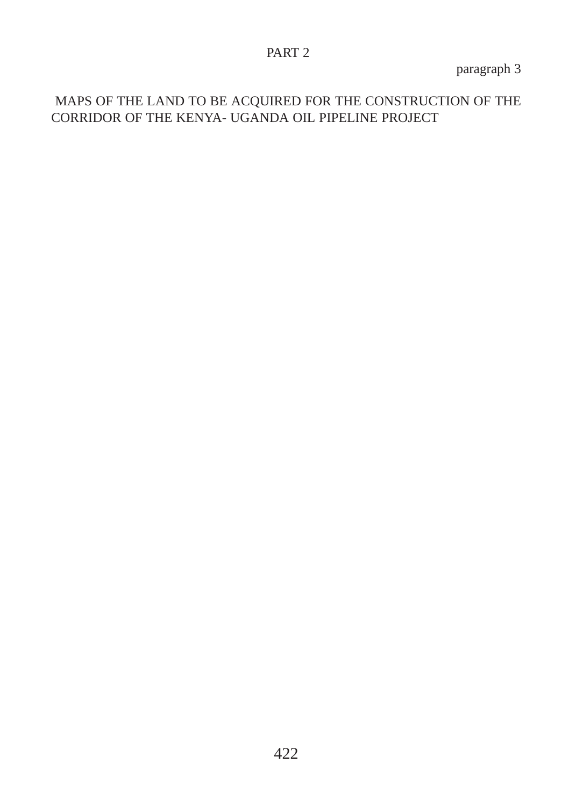#### PART 2

paragraph 3

MAPS OF THE LAND TO BE ACQUIRED FOR THE CONSTRUCTION OF THE CORRIDOR OF THE KENYA- UGANDA OIL PIPELINE PROJECT